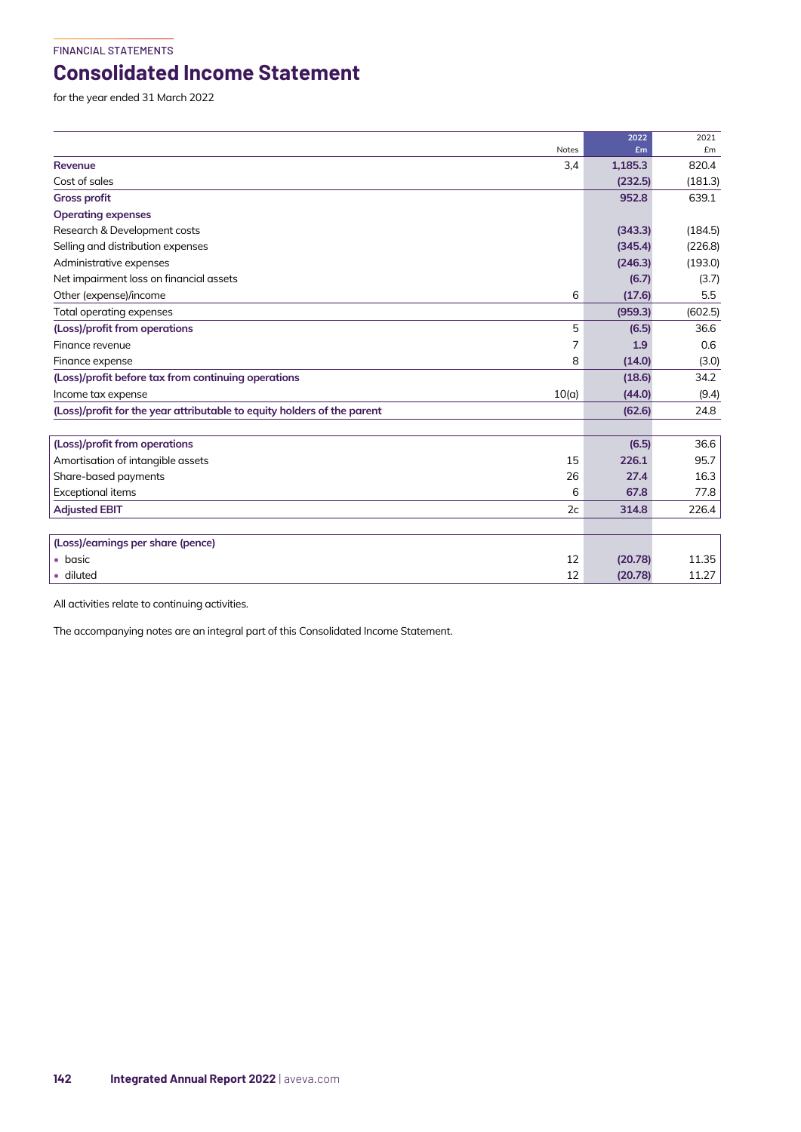# **Consolidated Income Statement**

for the year ended 31 March 2022

| Notes<br>£m<br>£m<br>820.4<br>3,4<br>1,185.3<br>Revenue<br>Cost of sales<br>(181.3)<br>(232.5)<br>639.1<br><b>Gross profit</b><br>952.8<br><b>Operating expenses</b><br>Research & Development costs<br>(184.5)<br>(343.3)<br>Selling and distribution expenses<br>(226.8)<br>(345.4)<br>Administrative expenses<br>(193.0)<br>(246.3)<br>Net impairment loss on financial assets<br>(3.7)<br>(6.7)<br>Other (expense)/income<br>5.5<br>6<br>(17.6)<br>(602.5)<br>Total operating expenses<br>(959.3)<br>5<br>36.6<br>(Loss)/profit from operations<br>(6.5)<br>7<br>0.6<br>Finance revenue<br>1.9<br>8<br>(3.0)<br>(14.0)<br>Finance expense<br>(Loss)/profit before tax from continuing operations<br>34.2<br>(18.6)<br>10(a)<br>(44.0)<br>(9.4)<br>Income tax expense<br>(Loss)/profit for the year attributable to equity holders of the parent<br>24.8<br>(62.6)<br>36.6<br>(6.5)<br>15<br>226.1<br>95.7<br>26<br>16.3<br>27.4<br>77.8<br>6<br>67.8<br>2c<br>314.8<br>226.4<br>(Loss)/earnings per share (pence)<br>12<br>11.35<br>(20.78)<br>• basic<br>11.27<br>12<br>(20.78) |                                   | 2022 | 2021 |
|--------------------------------------------------------------------------------------------------------------------------------------------------------------------------------------------------------------------------------------------------------------------------------------------------------------------------------------------------------------------------------------------------------------------------------------------------------------------------------------------------------------------------------------------------------------------------------------------------------------------------------------------------------------------------------------------------------------------------------------------------------------------------------------------------------------------------------------------------------------------------------------------------------------------------------------------------------------------------------------------------------------------------------------------------------------------------------------|-----------------------------------|------|------|
|                                                                                                                                                                                                                                                                                                                                                                                                                                                                                                                                                                                                                                                                                                                                                                                                                                                                                                                                                                                                                                                                                      |                                   |      |      |
|                                                                                                                                                                                                                                                                                                                                                                                                                                                                                                                                                                                                                                                                                                                                                                                                                                                                                                                                                                                                                                                                                      |                                   |      |      |
|                                                                                                                                                                                                                                                                                                                                                                                                                                                                                                                                                                                                                                                                                                                                                                                                                                                                                                                                                                                                                                                                                      |                                   |      |      |
|                                                                                                                                                                                                                                                                                                                                                                                                                                                                                                                                                                                                                                                                                                                                                                                                                                                                                                                                                                                                                                                                                      |                                   |      |      |
|                                                                                                                                                                                                                                                                                                                                                                                                                                                                                                                                                                                                                                                                                                                                                                                                                                                                                                                                                                                                                                                                                      |                                   |      |      |
|                                                                                                                                                                                                                                                                                                                                                                                                                                                                                                                                                                                                                                                                                                                                                                                                                                                                                                                                                                                                                                                                                      |                                   |      |      |
|                                                                                                                                                                                                                                                                                                                                                                                                                                                                                                                                                                                                                                                                                                                                                                                                                                                                                                                                                                                                                                                                                      |                                   |      |      |
|                                                                                                                                                                                                                                                                                                                                                                                                                                                                                                                                                                                                                                                                                                                                                                                                                                                                                                                                                                                                                                                                                      |                                   |      |      |
|                                                                                                                                                                                                                                                                                                                                                                                                                                                                                                                                                                                                                                                                                                                                                                                                                                                                                                                                                                                                                                                                                      |                                   |      |      |
|                                                                                                                                                                                                                                                                                                                                                                                                                                                                                                                                                                                                                                                                                                                                                                                                                                                                                                                                                                                                                                                                                      |                                   |      |      |
|                                                                                                                                                                                                                                                                                                                                                                                                                                                                                                                                                                                                                                                                                                                                                                                                                                                                                                                                                                                                                                                                                      |                                   |      |      |
|                                                                                                                                                                                                                                                                                                                                                                                                                                                                                                                                                                                                                                                                                                                                                                                                                                                                                                                                                                                                                                                                                      |                                   |      |      |
|                                                                                                                                                                                                                                                                                                                                                                                                                                                                                                                                                                                                                                                                                                                                                                                                                                                                                                                                                                                                                                                                                      |                                   |      |      |
|                                                                                                                                                                                                                                                                                                                                                                                                                                                                                                                                                                                                                                                                                                                                                                                                                                                                                                                                                                                                                                                                                      |                                   |      |      |
|                                                                                                                                                                                                                                                                                                                                                                                                                                                                                                                                                                                                                                                                                                                                                                                                                                                                                                                                                                                                                                                                                      |                                   |      |      |
|                                                                                                                                                                                                                                                                                                                                                                                                                                                                                                                                                                                                                                                                                                                                                                                                                                                                                                                                                                                                                                                                                      |                                   |      |      |
|                                                                                                                                                                                                                                                                                                                                                                                                                                                                                                                                                                                                                                                                                                                                                                                                                                                                                                                                                                                                                                                                                      |                                   |      |      |
|                                                                                                                                                                                                                                                                                                                                                                                                                                                                                                                                                                                                                                                                                                                                                                                                                                                                                                                                                                                                                                                                                      |                                   |      |      |
|                                                                                                                                                                                                                                                                                                                                                                                                                                                                                                                                                                                                                                                                                                                                                                                                                                                                                                                                                                                                                                                                                      | (Loss)/profit from operations     |      |      |
|                                                                                                                                                                                                                                                                                                                                                                                                                                                                                                                                                                                                                                                                                                                                                                                                                                                                                                                                                                                                                                                                                      | Amortisation of intangible assets |      |      |
|                                                                                                                                                                                                                                                                                                                                                                                                                                                                                                                                                                                                                                                                                                                                                                                                                                                                                                                                                                                                                                                                                      | Share-based payments              |      |      |
|                                                                                                                                                                                                                                                                                                                                                                                                                                                                                                                                                                                                                                                                                                                                                                                                                                                                                                                                                                                                                                                                                      | <b>Exceptional items</b>          |      |      |
|                                                                                                                                                                                                                                                                                                                                                                                                                                                                                                                                                                                                                                                                                                                                                                                                                                                                                                                                                                                                                                                                                      | <b>Adjusted EBIT</b>              |      |      |
|                                                                                                                                                                                                                                                                                                                                                                                                                                                                                                                                                                                                                                                                                                                                                                                                                                                                                                                                                                                                                                                                                      |                                   |      |      |
|                                                                                                                                                                                                                                                                                                                                                                                                                                                                                                                                                                                                                                                                                                                                                                                                                                                                                                                                                                                                                                                                                      |                                   |      |      |
|                                                                                                                                                                                                                                                                                                                                                                                                                                                                                                                                                                                                                                                                                                                                                                                                                                                                                                                                                                                                                                                                                      |                                   |      |      |
|                                                                                                                                                                                                                                                                                                                                                                                                                                                                                                                                                                                                                                                                                                                                                                                                                                                                                                                                                                                                                                                                                      | · diluted                         |      |      |

All activities relate to continuing activities.

The accompanying notes are an integral part of this Consolidated Income Statement.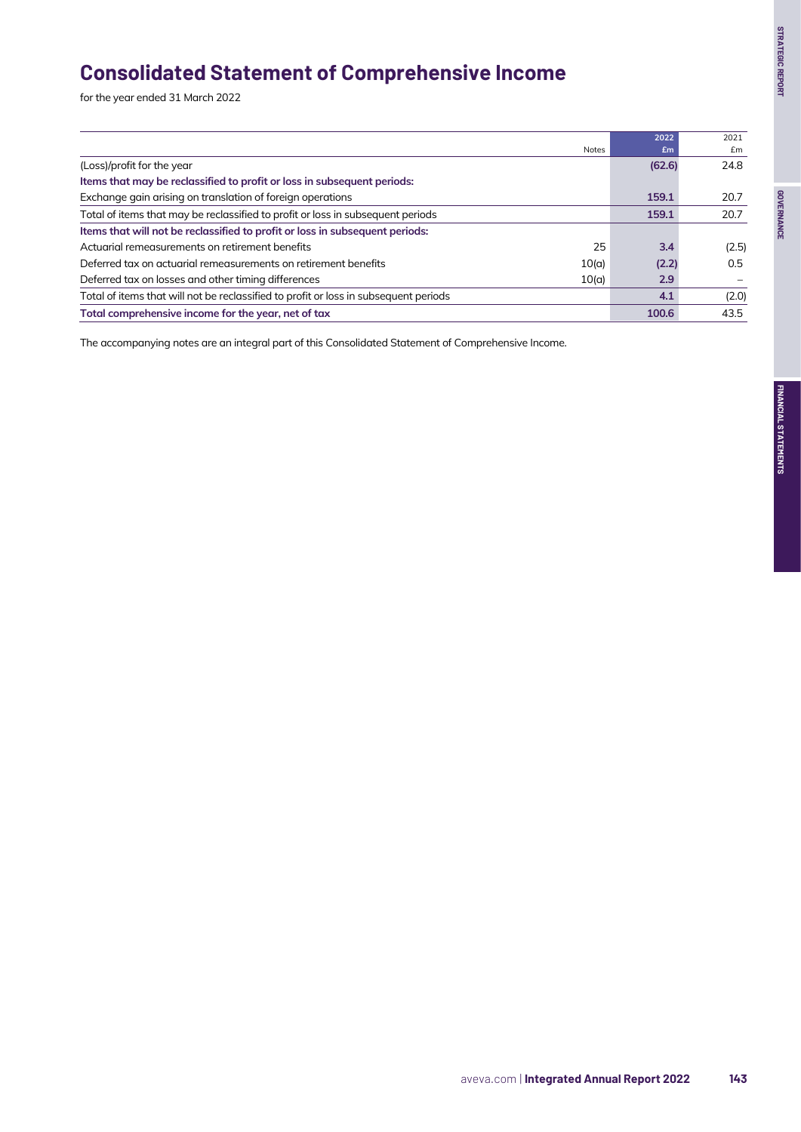# **Consolidated Statement of Comprehensive Income**

for the year ended 31 March 2022

|                                                                                      |       | 2022   | 2021  |
|--------------------------------------------------------------------------------------|-------|--------|-------|
|                                                                                      | Notes | £m     | £m    |
| (Loss)/profit for the year                                                           |       | (62.6) | 24.8  |
| Items that may be reclassified to profit or loss in subsequent periods:              |       |        |       |
| Exchange gain arising on translation of foreign operations                           |       | 159.1  | 20.7  |
| Total of items that may be reclassified to profit or loss in subsequent periods      |       | 159.1  | 20.7  |
| Items that will not be reclassified to profit or loss in subsequent periods:         |       |        |       |
| Actuarial remeasurements on retirement benefits                                      | 25    | 3.4    | (2.5) |
| Deferred tax on actuarial remeasurements on retirement benefits                      | 10(a) | (2.2)  | 0.5   |
| Deferred tax on losses and other timing differences                                  | 10(a) | 2.9    |       |
| Total of items that will not be reclassified to profit or loss in subsequent periods |       | 4.1    | (2.0) |
| Total comprehensive income for the year, net of tax                                  |       | 100.6  | 43.5  |

The accompanying notes are an integral part of this Consolidated Statement of Comprehensive Income.

**GOVERNANCE**

**GOVERNANCE**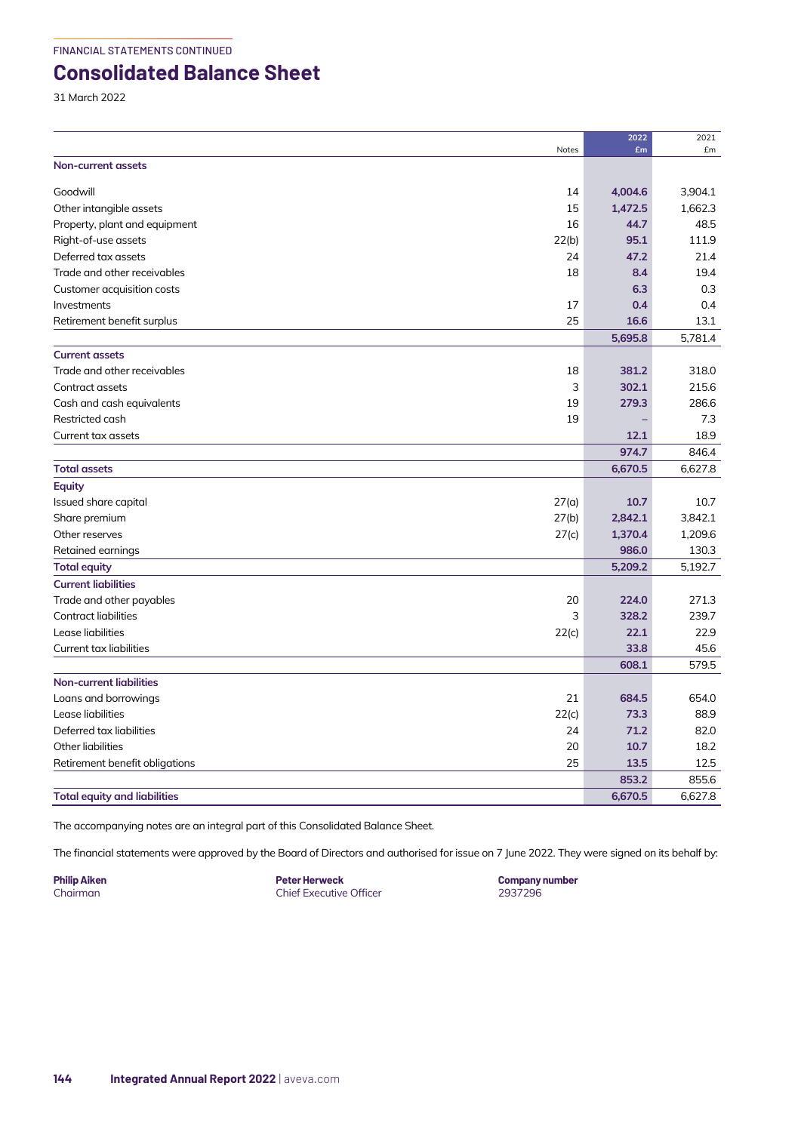# **Consolidated Balance Sheet**

31 March 2022

|                                     |       | 2022    | 2021    |
|-------------------------------------|-------|---------|---------|
|                                     | Notes | £m      | £m      |
| <b>Non-current assets</b>           |       |         |         |
| Goodwill                            | 14    | 4,004.6 | 3.904.1 |
| Other intangible assets             | 15    | 1,472.5 | 1,662.3 |
| Property, plant and equipment       | 16    | 44.7    | 48.5    |
| Right-of-use assets                 | 22(b) | 95.1    | 111.9   |
| Deferred tax assets                 | 24    | 47.2    | 21.4    |
| Trade and other receivables         | 18    | 8.4     | 19.4    |
| Customer acquisition costs          |       | 6.3     | 0.3     |
| Investments                         | 17    | 0.4     | 0.4     |
| Retirement benefit surplus          | 25    | 16.6    | 13.1    |
|                                     |       | 5,695.8 | 5,781.4 |
| <b>Current assets</b>               |       |         |         |
| Trade and other receivables         | 18    | 381.2   | 318.0   |
| Contract assets                     | 3     | 302.1   | 215.6   |
| Cash and cash equivalents           | 19    | 279.3   | 286.6   |
| Restricted cash                     | 19    |         | 7.3     |
| Current tax assets                  |       | 12.1    | 18.9    |
|                                     |       | 974.7   | 846.4   |
| <b>Total assets</b>                 |       | 6,670.5 | 6,627.8 |
| <b>Equity</b>                       |       |         |         |
| Issued share capital                | 27(a) | 10.7    | 10.7    |
| Share premium                       | 27(b) | 2,842.1 | 3,842.1 |
| Other reserves                      | 27(c) | 1,370.4 | 1,209.6 |
| Retained earnings                   |       | 986.0   | 130.3   |
| <b>Total equity</b>                 |       | 5,209.2 | 5,192.7 |
| <b>Current liabilities</b>          |       |         |         |
| Trade and other payables            | 20    | 224.0   | 271.3   |
| <b>Contract liabilities</b>         | 3     | 328.2   | 239.7   |
| Lease liabilities                   | 22(c) | 22.1    | 22.9    |
| <b>Current tax liabilities</b>      |       | 33.8    | 45.6    |
|                                     |       | 608.1   | 579.5   |
| <b>Non-current liabilities</b>      |       |         |         |
| Loans and borrowings                | 21    | 684.5   | 654.0   |
| Lease liabilities                   | 22(c) | 73.3    | 88.9    |
| Deferred tax liabilities            | 24    | 71.2    | 82.0    |
| Other liabilities                   | 20    | 10.7    | 18.2    |
| Retirement benefit obligations      | 25    | 13.5    | 12.5    |
|                                     |       | 853.2   | 855.6   |
| <b>Total equity and liabilities</b> |       | 6,670.5 | 6,627.8 |
|                                     |       |         |         |

The accompanying notes are an integral part of this Consolidated Balance Sheet.

The financial statements were approved by the Board of Directors and authorised for issue on 7 June 2022. They were signed on its behalf by:

Philip Aiken **Peter Herweck** Peter Herweck **Company number** Chairman **Company 11 (2**937296 Chairman Chief Executive Officer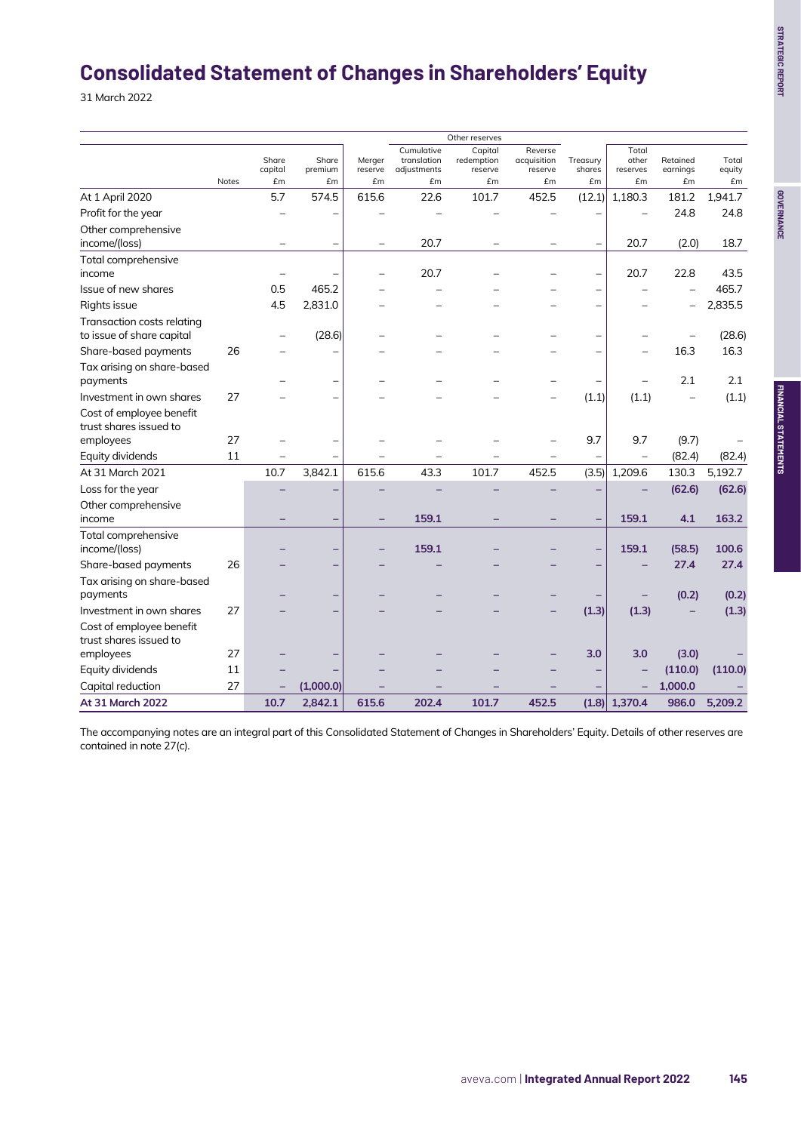# **GOVERNANCE GOVERNANCE**

FINANCIAL STATEMENTS **FINANCIAL STATEMENTS**

# **Consolidated Statement of Changes in Shareholders' Equity**

31 March 2022

|                                                         |       |                  |                  |                   |                                          | Other reserves                   |                                   |                          |                            |                          |                 |
|---------------------------------------------------------|-------|------------------|------------------|-------------------|------------------------------------------|----------------------------------|-----------------------------------|--------------------------|----------------------------|--------------------------|-----------------|
|                                                         |       | Share<br>capital | Share<br>premium | Merger<br>reserve | Cumulative<br>translation<br>adjustments | Capital<br>redemption<br>reserve | Reverse<br>acquisition<br>reserve | Treasury<br>shares       | Total<br>other<br>reserves | Retained<br>earnings     | Total<br>equity |
|                                                         | Notes | £m               | £m               | £m                | £m                                       | £m                               | £m                                | £m                       | £m                         | £m                       | £m              |
| At 1 April 2020                                         |       | 5.7              | 574.5            | 615.6             | 22.6                                     | 101.7                            | 452.5                             | (12.1)                   | 1,180.3                    | 181.2                    | 1,941.7         |
| Profit for the year                                     |       |                  |                  |                   |                                          |                                  |                                   |                          |                            | 24.8                     | 24.8            |
| Other comprehensive                                     |       |                  |                  |                   |                                          |                                  |                                   |                          |                            |                          |                 |
| income/(loss)                                           |       |                  |                  |                   | 20.7                                     |                                  |                                   |                          | 20.7                       | (2.0)                    | 18.7            |
| Total comprehensive                                     |       |                  |                  |                   |                                          |                                  |                                   |                          |                            |                          |                 |
| income                                                  |       |                  |                  |                   | 20.7                                     |                                  |                                   | $\overline{\phantom{a}}$ | 20.7                       | 22.8                     | 43.5            |
| Issue of new shares                                     |       | 0.5              | 465.2            |                   |                                          |                                  |                                   | $\overline{\phantom{0}}$ |                            | $\overline{\phantom{0}}$ | 465.7           |
| Rights issue                                            |       | 4.5              | 2,831.0          |                   |                                          |                                  |                                   |                          |                            |                          | 2,835.5         |
| Transaction costs relating<br>to issue of share capital |       |                  | (28.6)           |                   |                                          |                                  |                                   | $\overline{\phantom{0}}$ |                            |                          | (28.6)          |
| Share-based payments                                    | 26    |                  |                  |                   |                                          |                                  |                                   |                          |                            | 16.3                     | 16.3            |
| Tax arising on share-based                              |       |                  |                  |                   |                                          |                                  |                                   |                          |                            |                          |                 |
| payments                                                |       |                  |                  |                   |                                          |                                  |                                   |                          |                            | 2.1                      | 2.1             |
| Investment in own shares                                | 27    |                  |                  |                   |                                          |                                  |                                   | (1.1)                    | (1.1)                      |                          | (1.1)           |
| Cost of employee benefit                                |       |                  |                  |                   |                                          |                                  |                                   |                          |                            |                          |                 |
| trust shares issued to                                  |       |                  |                  |                   |                                          |                                  |                                   |                          |                            |                          |                 |
| employees                                               | 27    |                  |                  |                   |                                          |                                  |                                   | 9.7                      | 9.7                        | (9.7)                    |                 |
| Equity dividends                                        | 11    |                  |                  |                   |                                          |                                  |                                   |                          |                            | (82.4)                   | (82.4)          |
| At 31 March 2021                                        |       | 10.7             | 3,842.1          | 615.6             | 43.3                                     | 101.7                            | 452.5                             | (3.5)                    | 1,209.6                    | 130.3                    | 5,192.7         |
| Loss for the year                                       |       |                  |                  |                   |                                          |                                  |                                   |                          |                            | (62.6)                   | (62.6)          |
| Other comprehensive                                     |       |                  |                  |                   |                                          |                                  |                                   |                          |                            |                          |                 |
| income                                                  |       |                  | ۰                |                   | 159.1                                    |                                  |                                   |                          | 159.1                      | 4.1                      | 163.2           |
| Total comprehensive<br>income/(loss)                    |       |                  |                  |                   | 159.1                                    |                                  |                                   |                          | 159.1                      | (58.5)                   | 100.6           |
| Share-based payments                                    | 26    |                  |                  |                   |                                          |                                  |                                   |                          |                            | 27.4                     | 27.4            |
| Tax arising on share-based                              |       |                  |                  |                   |                                          |                                  |                                   |                          |                            |                          |                 |
| payments                                                |       |                  |                  |                   |                                          |                                  |                                   |                          |                            | (0.2)                    | (0.2)           |
| Investment in own shares                                | 27    |                  |                  |                   |                                          |                                  |                                   | (1.3)                    | (1.3)                      |                          | (1.3)           |
| Cost of employee benefit                                |       |                  |                  |                   |                                          |                                  |                                   |                          |                            |                          |                 |
| trust shares issued to                                  |       |                  |                  |                   |                                          |                                  |                                   |                          |                            |                          |                 |
| employees                                               | 27    |                  |                  |                   |                                          |                                  |                                   | 3.0                      | 3.0                        | (3.0)                    |                 |
| Equity dividends                                        | 11    |                  |                  |                   |                                          |                                  |                                   |                          |                            | (110.0)                  | (110.0)         |
| Capital reduction                                       | 27    |                  | (1,000.0)        |                   |                                          |                                  |                                   |                          |                            | 1,000.0                  |                 |
| At 31 March 2022                                        |       | 10.7             | 2,842.1          | 615.6             | 202.4                                    | 101.7                            | 452.5                             |                          | (1.8) 1,370.4              | 986.0                    | 5,209.2         |

The accompanying notes are an integral part of this Consolidated Statement of Changes in Shareholders' Equity. Details of other reserves are contained in note 27(c).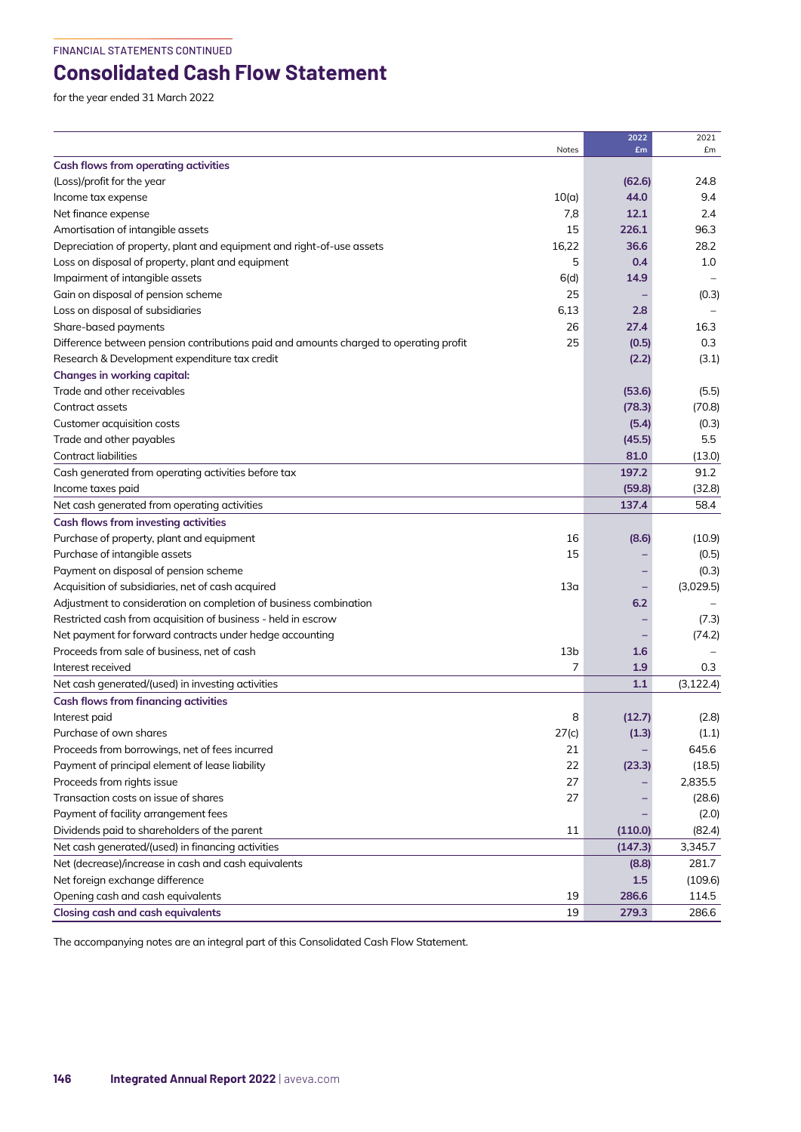# **Consolidated Cash Flow Statement**

for the year ended 31 March 2022

|                                                                                       |                 | 2022    | 2021       |
|---------------------------------------------------------------------------------------|-----------------|---------|------------|
| Cash flows from operating activities                                                  | Notes           | £m      | £m         |
| (Loss)/profit for the year                                                            |                 | (62.6)  | 24.8       |
| Income tax expense                                                                    | 10(a)           | 44.0    | 9.4        |
| Net finance expense                                                                   | 7,8             | 12.1    | 2.4        |
| Amortisation of intangible assets                                                     | 15              | 226.1   | 96.3       |
| Depreciation of property, plant and equipment and right-of-use assets                 | 16,22           | 36.6    | 28.2       |
| Loss on disposal of property, plant and equipment                                     | 5               | 0.4     | 1.0        |
| Impairment of intangible assets                                                       | 6(d)            | 14.9    |            |
| Gain on disposal of pension scheme                                                    | 25              |         | (0.3)      |
| Loss on disposal of subsidiaries                                                      | 6,13            | 2.8     |            |
| Share-based payments                                                                  | 26              | 27.4    | 16.3       |
| Difference between pension contributions paid and amounts charged to operating profit | 25              | (0.5)   | 0.3        |
| Research & Development expenditure tax credit                                         |                 | (2.2)   | (3.1)      |
| <b>Changes in working capital:</b>                                                    |                 |         |            |
| Trade and other receivables                                                           |                 | (53.6)  | (5.5)      |
| Contract assets                                                                       |                 | (78.3)  | (70.8)     |
| Customer acquisition costs                                                            |                 | (5.4)   | (0.3)      |
| Trade and other payables                                                              |                 | (45.5)  | 5.5        |
| <b>Contract liabilities</b>                                                           |                 | 81.0    | (13.0)     |
| Cash generated from operating activities before tax                                   |                 | 197.2   | 91.2       |
| Income taxes paid                                                                     |                 | (59.8)  | (32.8)     |
| Net cash generated from operating activities                                          |                 | 137.4   | 58.4       |
| Cash flows from investing activities                                                  |                 |         |            |
| Purchase of property, plant and equipment                                             | 16              | (8.6)   | (10.9)     |
| Purchase of intangible assets                                                         | 15              |         | (0.5)      |
| Payment on disposal of pension scheme                                                 |                 |         | (0.3)      |
| Acquisition of subsidiaries, net of cash acquired                                     | 13a             |         | (3,029.5)  |
| Adjustment to consideration on completion of business combination                     |                 | 6.2     |            |
| Restricted cash from acquisition of business - held in escrow                         |                 |         | (7.3)      |
| Net payment for forward contracts under hedge accounting                              |                 |         | (74.2)     |
| Proceeds from sale of business, net of cash                                           | 13 <sub>b</sub> | 1.6     |            |
| Interest received                                                                     | 7               | 1.9     | 0.3        |
| Net cash generated/(used) in investing activities                                     |                 | 1.1     | (3, 122.4) |
| Cash flows from financing activities                                                  |                 |         |            |
| Interest paid                                                                         | 8               | (12.7)  | (2.8)      |
| Purchase of own shares                                                                | 27(c)           | (1.3)   | (1.1)      |
| Proceeds from borrowings, net of fees incurred                                        | 21              |         | 645.6      |
| Payment of principal element of lease liability                                       | 22              | (23.3)  | (18.5)     |
| Proceeds from rights issue                                                            | 27              |         | 2,835.5    |
| Transaction costs on issue of shares                                                  | 27              |         | (28.6)     |
| Payment of facility arrangement fees                                                  |                 |         | (2.0)      |
| Dividends paid to shareholders of the parent                                          | 11              | (110.0) | (82.4)     |
| Net cash generated/(used) in financing activities                                     |                 | (147.3) | 3,345.7    |
| Net (decrease)/increase in cash and cash equivalents                                  |                 | (8.8)   | 281.7      |
| Net foreign exchange difference                                                       |                 | 1.5     | (109.6)    |
| Opening cash and cash equivalents                                                     | 19              | 286.6   | 114.5      |
| <b>Closing cash and cash equivalents</b>                                              | 19              | 279.3   | 286.6      |

The accompanying notes are an integral part of this Consolidated Cash Flow Statement.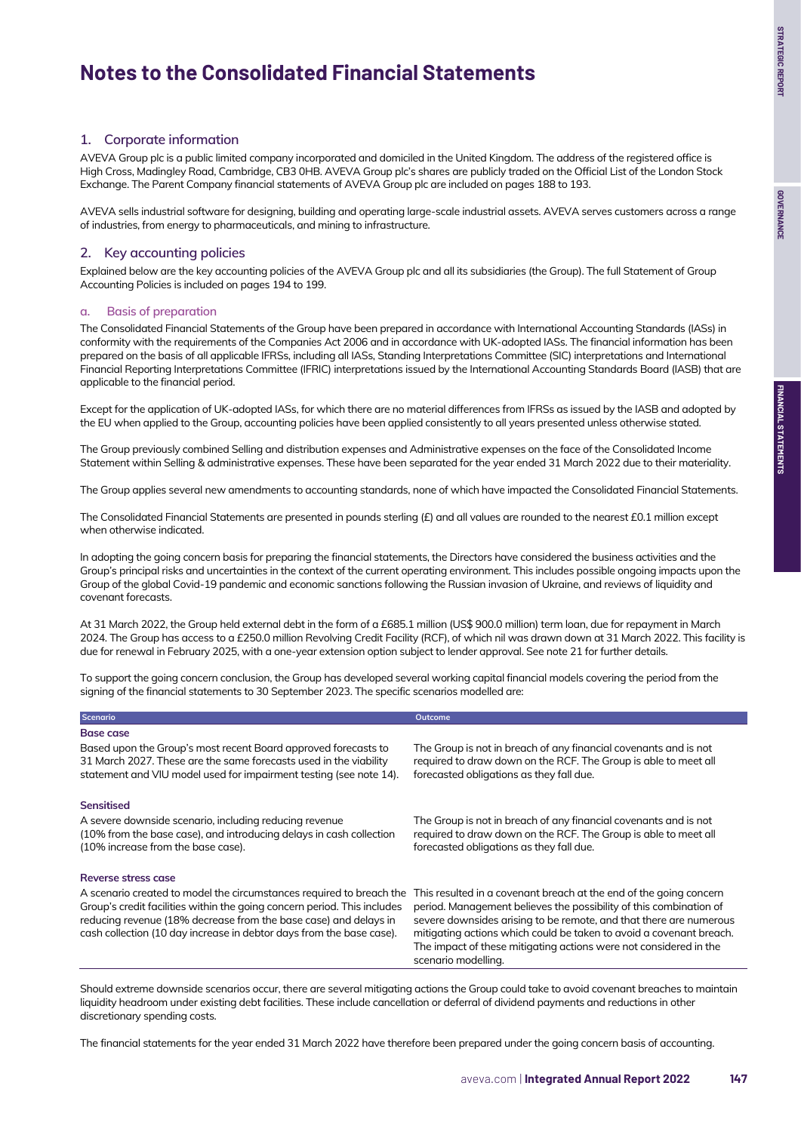**FINANCIAL STATEMENTS**

FINANCIAL STATEMENTS

# **Notes to the Consolidated Financial Statements**

# **1. Corporate information**

AVEVA Group plc is a public limited company incorporated and domiciled in the United Kingdom. The address of the registered office is High Cross, Madingley Road, Cambridge, CB3 0HB. AVEVA Group plc's shares are publicly traded on the Official List of the London Stock Exchange. The Parent Company financial statements of AVEVA Group plc are included on pages 188 to 193.

AVEVA sells industrial software for designing, building and operating large-scale industrial assets. AVEVA serves customers across a range of industries, from energy to pharmaceuticals, and mining to infrastructure.

# **2. Key accounting policies**

Explained below are the key accounting policies of the AVEVA Group plc and all its subsidiaries (the Group). The full Statement of Group Accounting Policies is included on pages 194 to 199.

# **a. Basis of preparation**

The Consolidated Financial Statements of the Group have been prepared in accordance with International Accounting Standards (IASs) in conformity with the requirements of the Companies Act 2006 and in accordance with UK-adopted IASs. The financial information has been prepared on the basis of all applicable IFRSs, including all IASs, Standing Interpretations Committee (SIC) interpretations and International Financial Reporting Interpretations Committee (IFRIC) interpretations issued by the International Accounting Standards Board (IASB) that are applicable to the financial period.

Except for the application of UK-adopted IASs, for which there are no material differences from IFRSs as issued by the IASB and adopted by the EU when applied to the Group, accounting policies have been applied consistently to all years presented unless otherwise stated.

The Group previously combined Selling and distribution expenses and Administrative expenses on the face of the Consolidated Income Statement within Selling & administrative expenses. These have been separated for the year ended 31 March 2022 due to their materiality.

The Group applies several new amendments to accounting standards, none of which have impacted the Consolidated Financial Statements.

The Consolidated Financial Statements are presented in pounds sterling (£) and all values are rounded to the nearest £0.1 million except when otherwise indicated.

In adopting the going concern basis for preparing the financial statements, the Directors have considered the business activities and the Group's principal risks and uncertainties in the context of the current operating environment. This includes possible ongoing impacts upon the Group of the global Covid-19 pandemic and economic sanctions following the Russian invasion of Ukraine, and reviews of liquidity and covenant forecasts.

At 31 March 2022, the Group held external debt in the form of a £685.1 million (US\$ 900.0 million) term loan, due for repayment in March 2024. The Group has access to a £250.0 million Revolving Credit Facility (RCF), of which nil was drawn down at 31 March 2022. This facility is due for renewal in February 2025, with a one-year extension option subject to lender approval. See note 21 for further details.

To support the going concern conclusion, the Group has developed several working capital financial models covering the period from the signing of the financial statements to 30 September 2023. The specific scenarios modelled are:

| <b>Scenario</b>                                                                                                                                                                                                                                                                              | Outcome                                                                                                                                                                                                                                                                                                                                                                           |
|----------------------------------------------------------------------------------------------------------------------------------------------------------------------------------------------------------------------------------------------------------------------------------------------|-----------------------------------------------------------------------------------------------------------------------------------------------------------------------------------------------------------------------------------------------------------------------------------------------------------------------------------------------------------------------------------|
| Base case                                                                                                                                                                                                                                                                                    |                                                                                                                                                                                                                                                                                                                                                                                   |
| Based upon the Group's most recent Board approved forecasts to<br>31 March 2027. These are the same forecasts used in the viability<br>statement and VIU model used for impairment testing (see note 14).                                                                                    | The Group is not in breach of any financial covenants and is not<br>required to draw down on the RCF. The Group is able to meet all<br>forecasted obligations as they fall due.                                                                                                                                                                                                   |
| <b>Sensitised</b>                                                                                                                                                                                                                                                                            |                                                                                                                                                                                                                                                                                                                                                                                   |
| A severe downside scenario, including reducing revenue<br>(10% from the base case), and introducing delays in cash collection<br>(10% increase from the base case).                                                                                                                          | The Group is not in breach of any financial covenants and is not<br>required to draw down on the RCF. The Group is able to meet all<br>forecasted obligations as they fall due.                                                                                                                                                                                                   |
| Reverse stress case                                                                                                                                                                                                                                                                          |                                                                                                                                                                                                                                                                                                                                                                                   |
| A scenario created to model the circumstances required to breach the<br>Group's credit facilities within the going concern period. This includes<br>reducing revenue (18% decrease from the base case) and delays in<br>cash collection (10 day increase in debtor days from the base case). | This resulted in a covenant breach at the end of the going concern<br>period. Management believes the possibility of this combination of<br>severe downsides arising to be remote, and that there are numerous<br>mitigating actions which could be taken to avoid a covenant breach.<br>The impact of these mitigating actions were not considered in the<br>scenario modelling. |

Should extreme downside scenarios occur, there are several mitigating actions the Group could take to avoid covenant breaches to maintain liquidity headroom under existing debt facilities. These include cancellation or deferral of dividend payments and reductions in other discretionary spending costs.

The financial statements for the year ended 31 March 2022 have therefore been prepared under the going concern basis of accounting.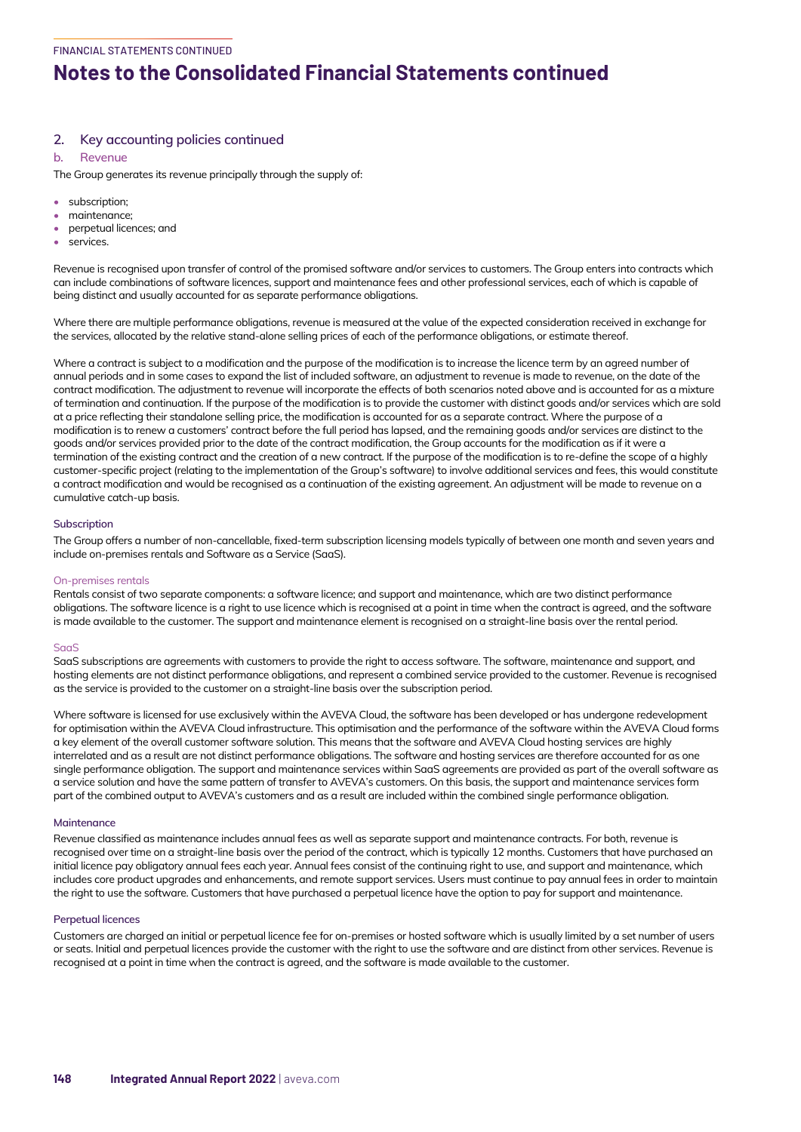### **2. Key accounting policies continued**

#### **b. Revenue**

The Group generates its revenue principally through the supply of:

- subscription;
- maintenance;
- perpetual licences; and
- services.

Revenue is recognised upon transfer of control of the promised software and/or services to customers. The Group enters into contracts which can include combinations of software licences, support and maintenance fees and other professional services, each of which is capable of being distinct and usually accounted for as separate performance obligations.

Where there are multiple performance obligations, revenue is measured at the value of the expected consideration received in exchange for the services, allocated by the relative stand-alone selling prices of each of the performance obligations, or estimate thereof.

Where a contract is subject to a modification and the purpose of the modification is to increase the licence term by an agreed number of annual periods and in some cases to expand the list of included software, an adjustment to revenue is made to revenue, on the date of the contract modification. The adjustment to revenue will incorporate the effects of both scenarios noted above and is accounted for as a mixture of termination and continuation. If the purpose of the modification is to provide the customer with distinct goods and/or services which are sold at a price reflecting their standalone selling price, the modification is accounted for as a separate contract. Where the purpose of a modification is to renew a customers' contract before the full period has lapsed, and the remaining goods and/or services are distinct to the goods and/or services provided prior to the date of the contract modification, the Group accounts for the modification as if it were a termination of the existing contract and the creation of a new contract. If the purpose of the modification is to re-define the scope of a highly customer-specific project (relating to the implementation of the Group's software) to involve additional services and fees, this would constitute a contract modification and would be recognised as a continuation of the existing agreement. An adjustment will be made to revenue on a cumulative catch-up basis.

#### **Subscription**

The Group offers a number of non-cancellable, fixed-term subscription licensing models typically of between one month and seven years and include on-premises rentals and Software as a Service (SaaS).

#### On-premises rentals

Rentals consist of two separate components: a software licence; and support and maintenance, which are two distinct performance obligations. The software licence is a right to use licence which is recognised at a point in time when the contract is agreed, and the software is made available to the customer. The support and maintenance element is recognised on a straight-line basis over the rental period.

#### **SaaS**

SaaS subscriptions are agreements with customers to provide the right to access software. The software, maintenance and support, and hosting elements are not distinct performance obligations, and represent a combined service provided to the customer. Revenue is recognised as the service is provided to the customer on a straight-line basis over the subscription period.

Where software is licensed for use exclusively within the AVEVA Cloud, the software has been developed or has undergone redevelopment for optimisation within the AVEVA Cloud infrastructure. This optimisation and the performance of the software within the AVEVA Cloud forms a key element of the overall customer software solution. This means that the software and AVEVA Cloud hosting services are highly interrelated and as a result are not distinct performance obligations. The software and hosting services are therefore accounted for as one single performance obligation. The support and maintenance services within SaaS agreements are provided as part of the overall software as a service solution and have the same pattern of transfer to AVEVA's customers. On this basis, the support and maintenance services form part of the combined output to AVEVA's customers and as a result are included within the combined single performance obligation.

#### **Maintenance**

Revenue classified as maintenance includes annual fees as well as separate support and maintenance contracts. For both, revenue is recognised over time on a straight-line basis over the period of the contract, which is typically 12 months. Customers that have purchased an initial licence pay obligatory annual fees each year. Annual fees consist of the continuing right to use, and support and maintenance, which includes core product upgrades and enhancements, and remote support services. Users must continue to pay annual fees in order to maintain the right to use the software. Customers that have purchased a perpetual licence have the option to pay for support and maintenance.

#### **Perpetual licences**

Customers are charged an initial or perpetual licence fee for on-premises or hosted software which is usually limited by a set number of users or seats. Initial and perpetual licences provide the customer with the right to use the software and are distinct from other services. Revenue is recognised at a point in time when the contract is agreed, and the software is made available to the customer.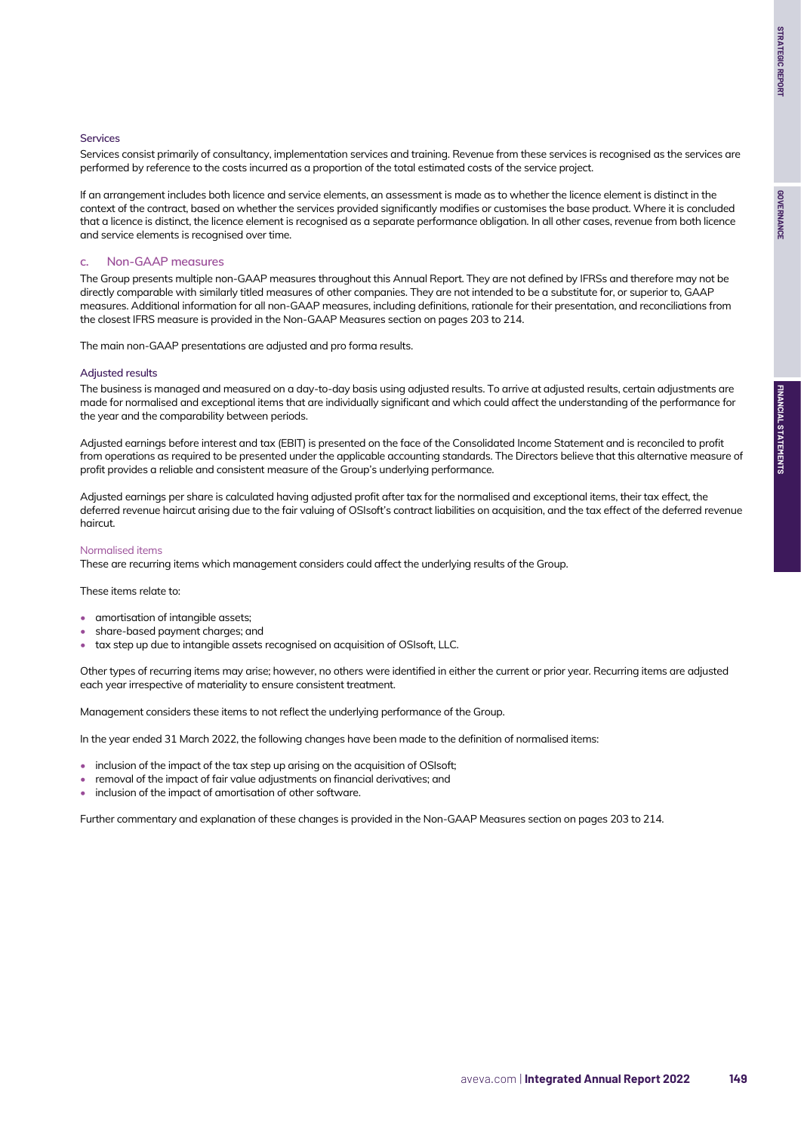# **GOVERNANCE GOVERNANCE**

#### **Services**

Services consist primarily of consultancy, implementation services and training. Revenue from these services is recognised as the services are performed by reference to the costs incurred as a proportion of the total estimated costs of the service project.

If an arrangement includes both licence and service elements, an assessment is made as to whether the licence element is distinct in the context of the contract, based on whether the services provided significantly modifies or customises the base product. Where it is concluded that a licence is distinct, the licence element is recognised as a separate performance obligation. In all other cases, revenue from both licence and service elements is recognised over time.

### **c. Non-GAAP measures**

The Group presents multiple non-GAAP measures throughout this Annual Report. They are not defined by IFRSs and therefore may not be directly comparable with similarly titled measures of other companies. They are not intended to be a substitute for, or superior to, GAAP measures. Additional information for all non-GAAP measures, including definitions, rationale for their presentation, and reconciliations from the closest IFRS measure is provided in the Non-GAAP Measures section on pages 203 to 214.

The main non-GAAP presentations are adjusted and pro forma results.

### **Adjusted results**

The business is managed and measured on a day-to-day basis using adjusted results. To arrive at adjusted results, certain adjustments are made for normalised and exceptional items that are individually significant and which could affect the understanding of the performance for the year and the comparability between periods.

Adjusted earnings before interest and tax (EBIT) is presented on the face of the Consolidated Income Statement and is reconciled to profit from operations as required to be presented under the applicable accounting standards. The Directors believe that this alternative measure of profit provides a reliable and consistent measure of the Group's underlying performance.

Adjusted earnings per share is calculated having adjusted profit after tax for the normalised and exceptional items, their tax effect, the deferred revenue haircut arising due to the fair valuing of OSIsoft's contract liabilities on acquisition, and the tax effect of the deferred revenue haircut.

### Normalised items

These are recurring items which management considers could affect the underlying results of the Group.

These items relate to:

- amortisation of intangible assets;
- share-based payment charges; and
- tax step up due to intangible assets recognised on acquisition of OSIsoft, LLC.

Other types of recurring items may arise; however, no others were identified in either the current or prior year. Recurring items are adjusted each year irrespective of materiality to ensure consistent treatment.

Management considers these items to not reflect the underlying performance of the Group.

In the year ended 31 March 2022, the following changes have been made to the definition of normalised items:

- inclusion of the impact of the tax step up arising on the acquisition of OSIsoft;
- removal of the impact of fair value adjustments on financial derivatives; and
- inclusion of the impact of amortisation of other software.

Further commentary and explanation of these changes is provided in the Non-GAAP Measures section on pages 203 to 214.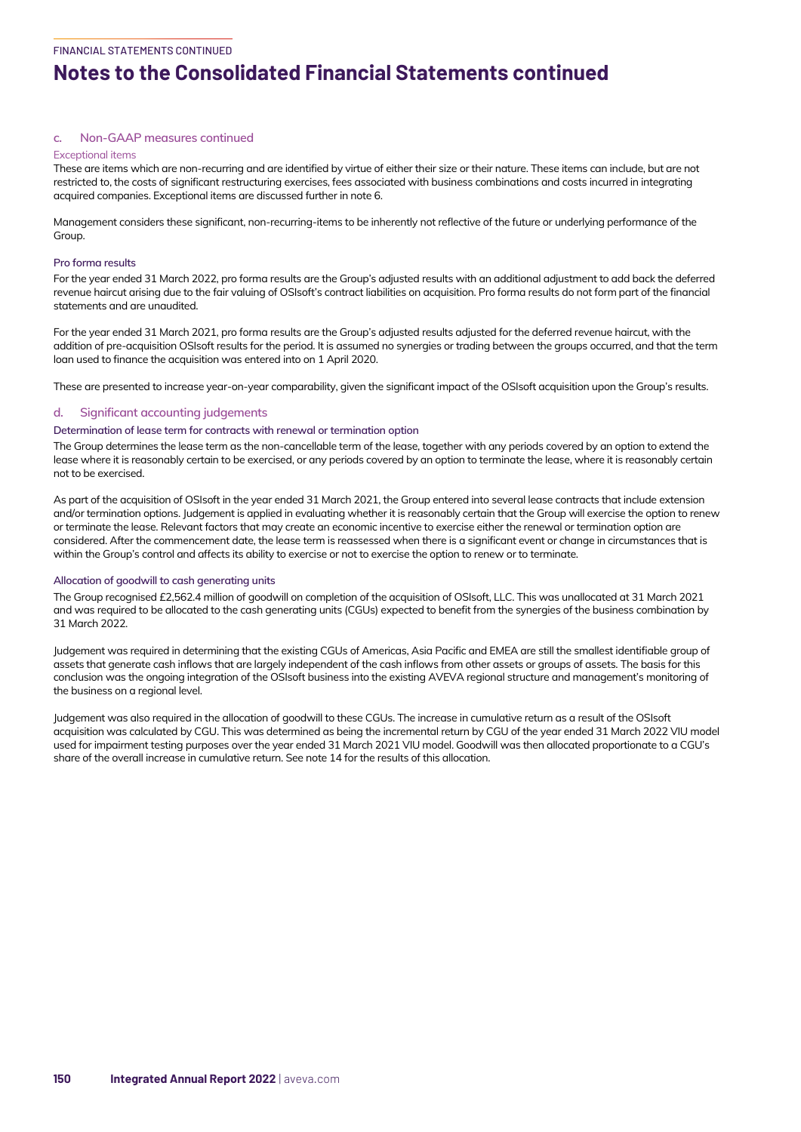# **c. Non-GAAP measures continued**

#### Exceptional items

These are items which are non-recurring and are identified by virtue of either their size or their nature. These items can include, but are not restricted to, the costs of significant restructuring exercises, fees associated with business combinations and costs incurred in integrating acquired companies. Exceptional items are discussed further in note 6.

Management considers these significant, non-recurring-items to be inherently not reflective of the future or underlying performance of the Group.

#### **Pro forma results**

For the year ended 31 March 2022, pro forma results are the Group's adjusted results with an additional adjustment to add back the deferred revenue haircut arising due to the fair valuing of OSIsoft's contract liabilities on acquisition. Pro forma results do not form part of the financial statements and are unaudited.

For the year ended 31 March 2021, pro forma results are the Group's adjusted results adjusted for the deferred revenue haircut, with the addition of pre-acquisition OSIsoft results for the period. It is assumed no synergies or trading between the groups occurred, and that the term loan used to finance the acquisition was entered into on 1 April 2020.

These are presented to increase year-on-year comparability, given the significant impact of the OSIsoft acquisition upon the Group's results.

#### **d. Significant accounting judgements**

#### **Determination of lease term for contracts with renewal or termination option**

The Group determines the lease term as the non-cancellable term of the lease, together with any periods covered by an option to extend the lease where it is reasonably certain to be exercised, or any periods covered by an option to terminate the lease, where it is reasonably certain not to be exercised.

As part of the acquisition of OSIsoft in the year ended 31 March 2021, the Group entered into several lease contracts that include extension and/or termination options. Judgement is applied in evaluating whether it is reasonably certain that the Group will exercise the option to renew or terminate the lease. Relevant factors that may create an economic incentive to exercise either the renewal or termination option are considered. After the commencement date, the lease term is reassessed when there is a significant event or change in circumstances that is within the Group's control and affects its ability to exercise or not to exercise the option to renew or to terminate.

#### **Allocation of goodwill to cash generating units**

The Group recognised £2,562.4 million of goodwill on completion of the acquisition of OSIsoft, LLC. This was unallocated at 31 March 2021 and was required to be allocated to the cash generating units (CGUs) expected to benefit from the synergies of the business combination by 31 March 2022.

Judgement was required in determining that the existing CGUs of Americas, Asia Pacific and EMEA are still the smallest identifiable group of assets that generate cash inflows that are largely independent of the cash inflows from other assets or groups of assets. The basis for this conclusion was the ongoing integration of the OSIsoft business into the existing AVEVA regional structure and management's monitoring of the business on a regional level.

Judgement was also required in the allocation of goodwill to these CGUs. The increase in cumulative return as a result of the OSIsoft acquisition was calculated by CGU. This was determined as being the incremental return by CGU of the year ended 31 March 2022 VIU model used for impairment testing purposes over the year ended 31 March 2021 VIU model. Goodwill was then allocated proportionate to a CGU's share of the overall increase in cumulative return. See note 14 for the results of this allocation.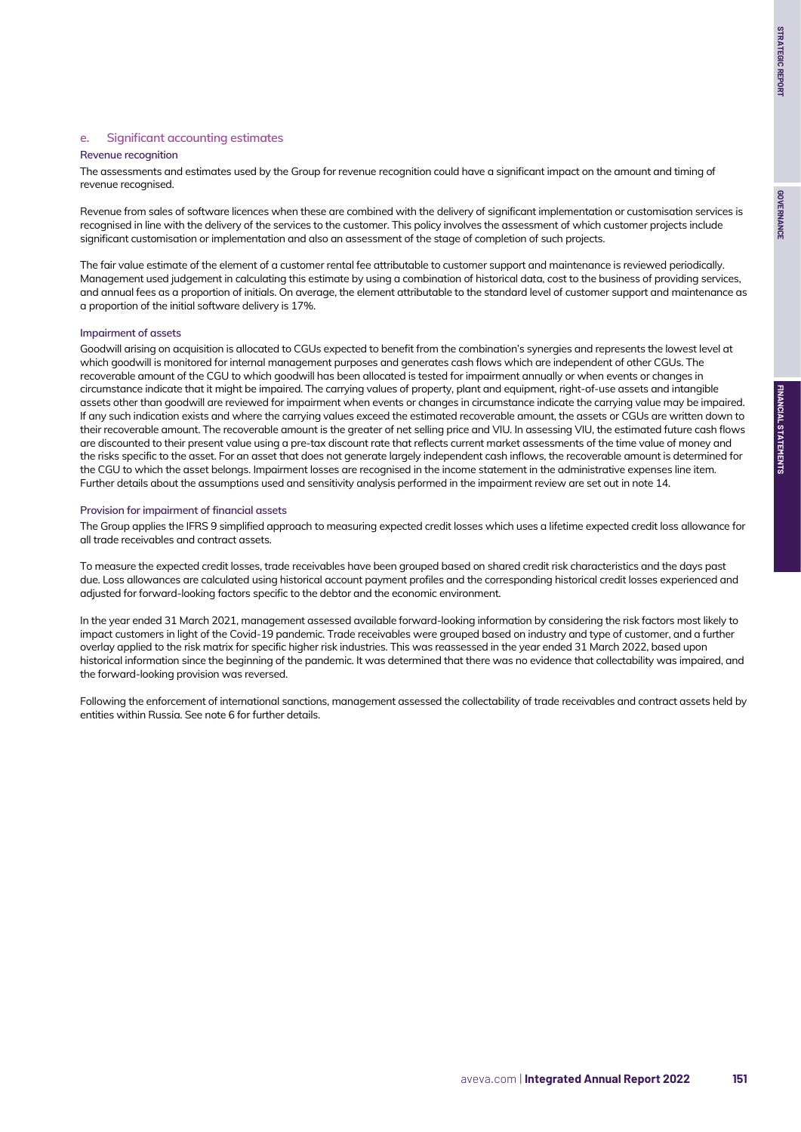**GOVERNANCE** 

### **e. Significant accounting estimates**

#### **Revenue recognition**

The assessments and estimates used by the Group for revenue recognition could have a significant impact on the amount and timing of revenue recognised.

Revenue from sales of software licences when these are combined with the delivery of significant implementation or customisation services is recognised in line with the delivery of the services to the customer. This policy involves the assessment of which customer projects include significant customisation or implementation and also an assessment of the stage of completion of such projects.

The fair value estimate of the element of a customer rental fee attributable to customer support and maintenance is reviewed periodically. Management used judgement in calculating this estimate by using a combination of historical data, cost to the business of providing services, and annual fees as a proportion of initials. On average, the element attributable to the standard level of customer support and maintenance as a proportion of the initial software delivery is 17%.

#### **Impairment of assets**

Goodwill arising on acquisition is allocated to CGUs expected to benefit from the combination's synergies and represents the lowest level at which goodwill is monitored for internal management purposes and generates cash flows which are independent of other CGUs. The recoverable amount of the CGU to which goodwill has been allocated is tested for impairment annually or when events or changes in circumstance indicate that it might be impaired. The carrying values of property, plant and equipment, right-of-use assets and intangible assets other than goodwill are reviewed for impairment when events or changes in circumstance indicate the carrying value may be impaired. If any such indication exists and where the carrying values exceed the estimated recoverable amount, the assets or CGUs are written down to their recoverable amount. The recoverable amount is the greater of net selling price and VIU. In assessing VIU, the estimated future cash flows are discounted to their present value using a pre-tax discount rate that reflects current market assessments of the time value of money and the risks specific to the asset. For an asset that does not generate largely independent cash inflows, the recoverable amount is determined for the CGU to which the asset belongs. Impairment losses are recognised in the income statement in the administrative expenses line item. Further details about the assumptions used and sensitivity analysis performed in the impairment review are set out in note 14.

#### **Provision for impairment of financial assets**

The Group applies the IFRS 9 simplified approach to measuring expected credit losses which uses a lifetime expected credit loss allowance for all trade receivables and contract assets.

To measure the expected credit losses, trade receivables have been grouped based on shared credit risk characteristics and the days past due. Loss allowances are calculated using historical account payment profiles and the corresponding historical credit losses experienced and adjusted for forward-looking factors specific to the debtor and the economic environment.

In the year ended 31 March 2021, management assessed available forward-looking information by considering the risk factors most likely to impact customers in light of the Covid-19 pandemic. Trade receivables were grouped based on industry and type of customer, and a further overlay applied to the risk matrix for specific higher risk industries. This was reassessed in the year ended 31 March 2022, based upon historical information since the beginning of the pandemic. It was determined that there was no evidence that collectability was impaired, and the forward-looking provision was reversed.

Following the enforcement of international sanctions, management assessed the collectability of trade receivables and contract assets held by entities within Russia. See note 6 for further details.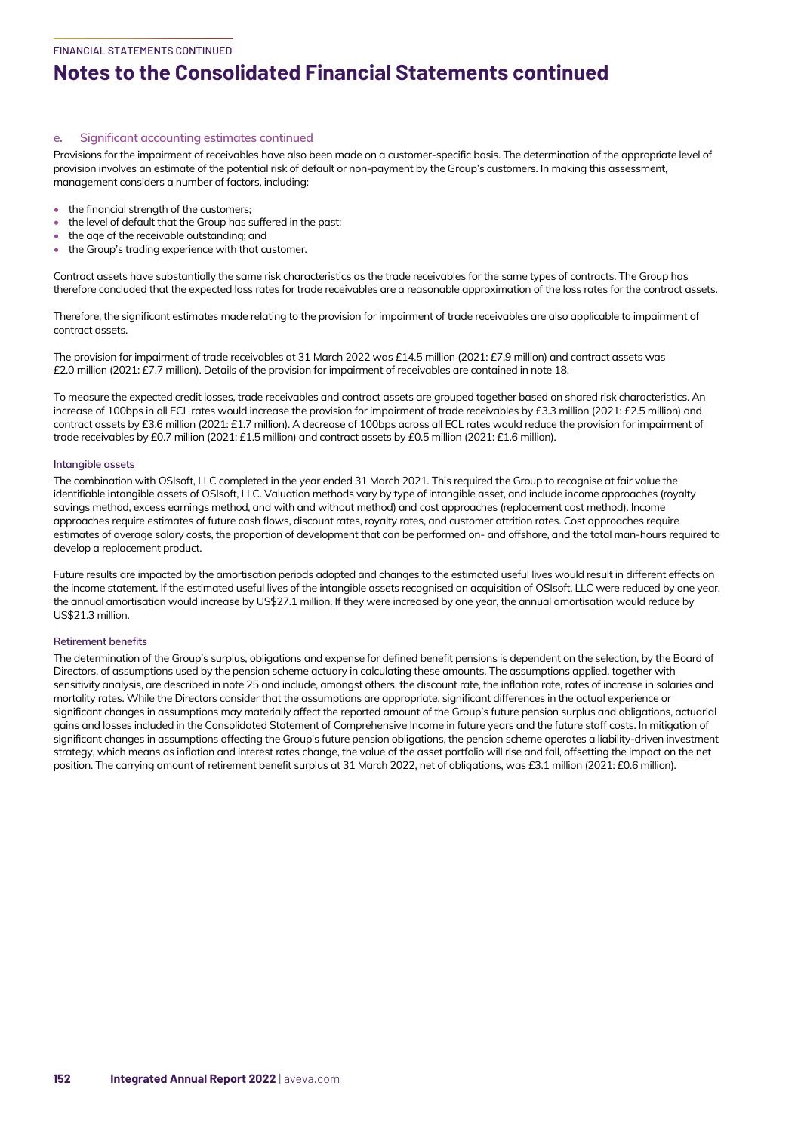#### **e. Significant accounting estimates continued**

Provisions for the impairment of receivables have also been made on a customer-specific basis. The determination of the appropriate level of provision involves an estimate of the potential risk of default or non-payment by the Group's customers. In making this assessment, management considers a number of factors, including:

- the financial strength of the customers;
- the level of default that the Group has suffered in the past;
- the age of the receivable outstanding; and
- the Group's trading experience with that customer.

Contract assets have substantially the same risk characteristics as the trade receivables for the same types of contracts. The Group has therefore concluded that the expected loss rates for trade receivables are a reasonable approximation of the loss rates for the contract assets.

Therefore, the significant estimates made relating to the provision for impairment of trade receivables are also applicable to impairment of contract assets.

The provision for impairment of trade receivables at 31 March 2022 was £14.5 million (2021: £7.9 million) and contract assets was £2.0 million (2021: £7.7 million). Details of the provision for impairment of receivables are contained in note 18.

To measure the expected credit losses, trade receivables and contract assets are grouped together based on shared risk characteristics. An increase of 100bps in all ECL rates would increase the provision for impairment of trade receivables by £3.3 million (2021: £2.5 million) and contract assets by £3.6 million (2021: £1.7 million). A decrease of 100bps across all ECL rates would reduce the provision for impairment of trade receivables by £0.7 million (2021: £1.5 million) and contract assets by £0.5 million (2021: £1.6 million).

#### **Intangible assets**

The combination with OSIsoft, LLC completed in the year ended 31 March 2021. This required the Group to recognise at fair value the identifiable intangible assets of OSIsoft, LLC. Valuation methods vary by type of intangible asset, and include income approaches (royalty savings method, excess earnings method, and with and without method) and cost approaches (replacement cost method). Income approaches require estimates of future cash flows, discount rates, royalty rates, and customer attrition rates. Cost approaches require estimates of average salary costs, the proportion of development that can be performed on- and offshore, and the total man-hours required to develop a replacement product.

Future results are impacted by the amortisation periods adopted and changes to the estimated useful lives would result in different effects on the income statement. If the estimated useful lives of the intangible assets recognised on acquisition of OSIsoft, LLC were reduced by one year, the annual amortisation would increase by US\$27.1 million. If they were increased by one year, the annual amortisation would reduce by US\$21.3 million.

### **Retirement benefits**

The determination of the Group's surplus, obligations and expense for defined benefit pensions is dependent on the selection, by the Board of Directors, of assumptions used by the pension scheme actuary in calculating these amounts. The assumptions applied, together with sensitivity analysis, are described in note 25 and include, amongst others, the discount rate, the inflation rate, rates of increase in salaries and mortality rates. While the Directors consider that the assumptions are appropriate, significant differences in the actual experience or significant changes in assumptions may materially affect the reported amount of the Group's future pension surplus and obligations, actuarial gains and losses included in the Consolidated Statement of Comprehensive Income in future years and the future staff costs. In mitigation of significant changes in assumptions affecting the Group's future pension obligations, the pension scheme operates a liability-driven investment strategy, which means as inflation and interest rates change, the value of the asset portfolio will rise and fall, offsetting the impact on the net position. The carrying amount of retirement benefit surplus at 31 March 2022, net of obligations, was £3.1 million (2021: £0.6 million).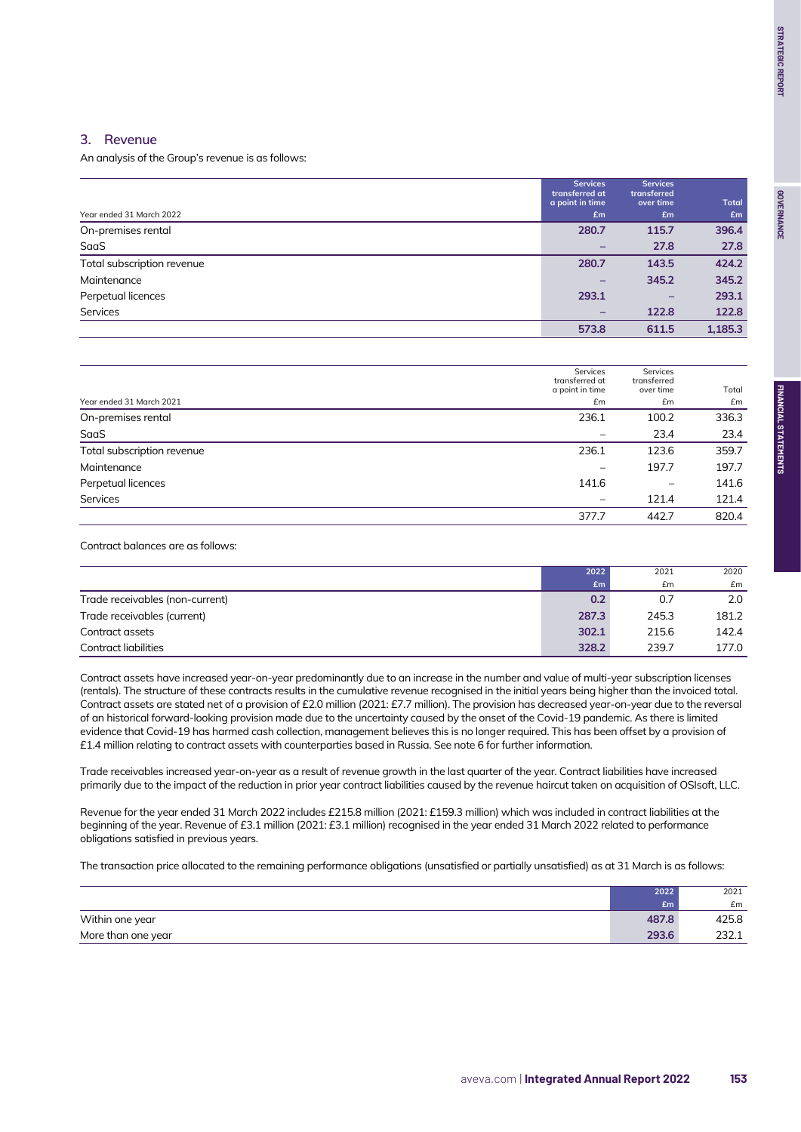**GOVERNANCE** 

**FINANCIAL STATEMENTS**

FINANCIAL STATEMENTS

# **3. Revenue**

An analysis of the Group's revenue is as follows:

|                            | <b>Services</b><br>transferred at<br>a point in time | <b>Services</b><br>transferred<br>over time | <b>Total</b> |
|----------------------------|------------------------------------------------------|---------------------------------------------|--------------|
| Year ended 31 March 2022   | £m                                                   | £m                                          | £m           |
| On-premises rental         | 280.7                                                | 115.7                                       | 396.4        |
| SaaS                       | -                                                    | 27.8                                        | 27.8         |
| Total subscription revenue | 280.7                                                | 143.5                                       | 424.2        |
| Maintenance                | -                                                    | 345.2                                       | 345.2        |
| Perpetual licences         | 293.1                                                | -                                           | 293.1        |
| Services                   | -                                                    | 122.8                                       | 122.8        |
|                            | 573.8                                                | 611.5                                       | 1,185.3      |

|                            | Services                          | Services                 |       |
|----------------------------|-----------------------------------|--------------------------|-------|
|                            | transferred at<br>a point in time | transferred<br>over time | Total |
| Year ended 31 March 2021   | £m                                | £m                       | £m    |
| On-premises rental         | 236.1                             | 100.2                    | 336.3 |
| SaaS                       | $\overline{\phantom{0}}$          | 23.4                     | 23.4  |
| Total subscription revenue | 236.1                             | 123.6                    | 359.7 |
| Maintenance                | $\qquad \qquad -$                 | 197.7                    | 197.7 |
| Perpetual licences         | 141.6                             | $\qquad \qquad -$        | 141.6 |
| Services                   | $\qquad \qquad -$                 | 121.4                    | 121.4 |
|                            | 377.7                             | 442.7                    | 820.4 |

### Contract balances are as follows:

|                                 | 2022  | 2021  | 2020  |
|---------------------------------|-------|-------|-------|
|                                 | £m    | £m    | £m    |
| Trade receivables (non-current) | 0.2   | 0.7   | 2.0   |
| Trade receivables (current)     | 287.3 | 245.3 | 181.2 |
| Contract assets                 | 302.1 | 215.6 | 142.4 |
| Contract liabilities            | 328.2 | 239.7 | 177.0 |

Contract assets have increased year-on-year predominantly due to an increase in the number and value of multi-year subscription licenses (rentals). The structure of these contracts results in the cumulative revenue recognised in the initial years being higher than the invoiced total. Contract assets are stated net of a provision of £2.0 million (2021: £7.7 million). The provision has decreased year-on-year due to the reversal of an historical forward-looking provision made due to the uncertainty caused by the onset of the Covid-19 pandemic. As there is limited evidence that Covid-19 has harmed cash collection, management believes this is no longer required. This has been offset by a provision of £1.4 million relating to contract assets with counterparties based in Russia. See note 6 for further information.

Trade receivables increased year-on-year as a result of revenue growth in the last quarter of the year. Contract liabilities have increased primarily due to the impact of the reduction in prior year contract liabilities caused by the revenue haircut taken on acquisition of OSIsoft, LLC.

Revenue for the year ended 31 March 2022 includes £215.8 million (2021: £159.3 million) which was included in contract liabilities at the beginning of the year. Revenue of £3.1 million (2021: £3.1 million) recognised in the year ended 31 March 2022 related to performance obligations satisfied in previous years.

The transaction price allocated to the remaining performance obligations (unsatisfied or partially unsatisfied) as at 31 March is as follows:

|                    | 2022  | 2021         |
|--------------------|-------|--------------|
|                    | £m    | £m           |
| Within one year    | 487.8 | 425.8        |
| More than one year | 293.6 | าวา<br>232.I |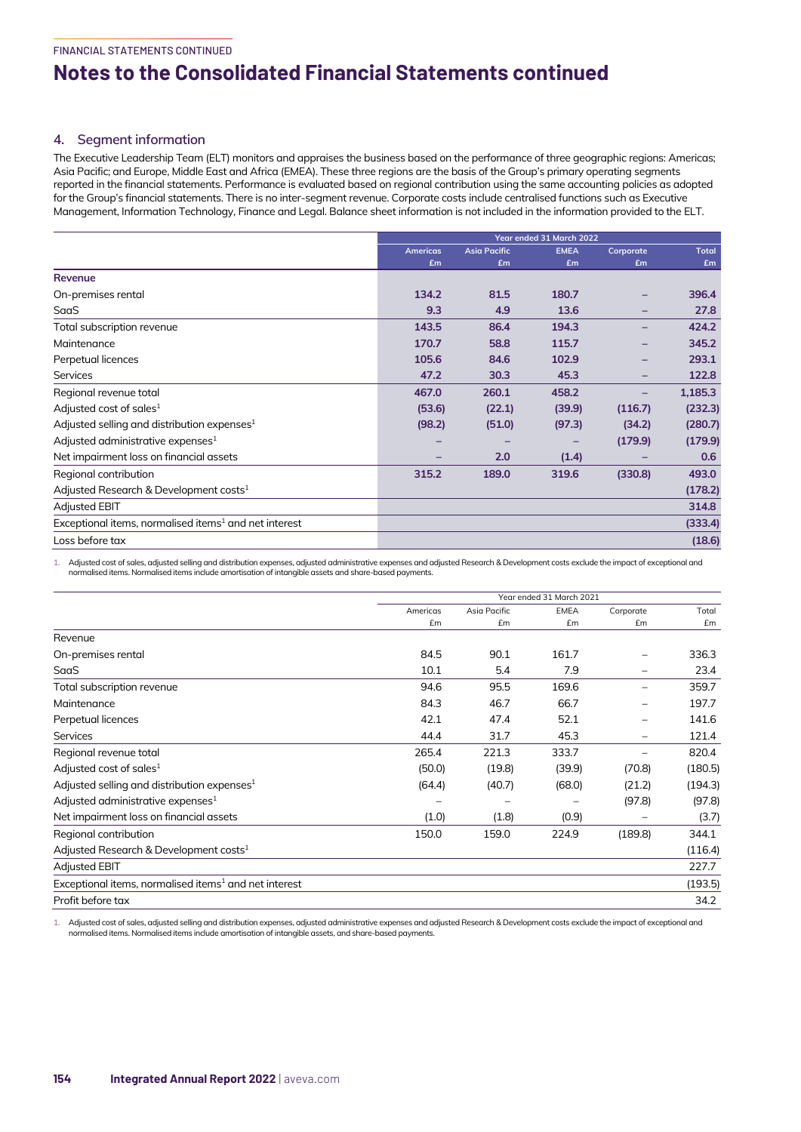# **4. Segment information**

The Executive Leadership Team (ELT) monitors and appraises the business based on the performance of three geographic regions: Americas; Asia Pacific; and Europe, Middle East and Africa (EMEA). These three regions are the basis of the Group's primary operating segments reported in the financial statements. Performance is evaluated based on regional contribution using the same accounting policies as adopted for the Group's financial statements. There is no inter-segment revenue. Corporate costs include centralised functions such as Executive Management, Information Technology, Finance and Legal. Balance sheet information is not included in the information provided to the ELT.

|                                                          |                 |                     | Year ended 31 March 2022 |           |              |
|----------------------------------------------------------|-----------------|---------------------|--------------------------|-----------|--------------|
|                                                          | <b>Americas</b> | <b>Asia Pacific</b> | <b>EMEA</b>              | Corporate | <b>Total</b> |
|                                                          | £m              | £m                  | £m                       | £m        | £m           |
| Revenue                                                  |                 |                     |                          |           |              |
| On-premises rental                                       | 134.2           | 81.5                | 180.7                    |           | 396.4        |
| SaaS                                                     | 9.3             | 4.9                 | 13.6                     |           | 27.8         |
| Total subscription revenue                               | 143.5           | 86.4                | 194.3                    | -         | 424.2        |
| Maintenance                                              | 170.7           | 58.8                | 115.7                    | -         | 345.2        |
| Perpetual licences                                       | 105.6           | 84.6                | 102.9                    | -         | 293.1        |
| <b>Services</b>                                          | 47.2            | 30.3                | 45.3                     | -         | 122.8        |
| Regional revenue total                                   | 467.0           | 260.1               | 458.2                    | -         | 1,185.3      |
| Adjusted cost of sales <sup>1</sup>                      | (53.6)          | (22.1)              | (39.9)                   | (116.7)   | (232.3)      |
| Adjusted selling and distribution expenses $1$           | (98.2)          | (51.0)              | (97.3)                   | (34.2)    | (280.7)      |
| Adjusted administrative expenses <sup>1</sup>            |                 |                     |                          | (179.9)   | (179.9)      |
| Net impairment loss on financial assets                  |                 | 2.0                 | (1.4)                    |           | 0.6          |
| Regional contribution                                    | 315.2           | 189.0               | 319.6                    | (330.8)   | 493.0        |
| Adjusted Research & Development costs <sup>1</sup>       |                 |                     |                          |           | (178.2)      |
| <b>Adjusted EBIT</b>                                     |                 |                     |                          |           | 314.8        |
| Exceptional items, normalised items $1$ and net interest |                 |                     |                          |           | (333.4)      |
| Loss before tax                                          |                 |                     |                          |           | (18.6)       |

1. Adjusted cost of sales, adjusted selling and distribution expenses, adjusted administrative expenses and adjusted Research & Development costs exclude the impact of exceptional and normalised items. Normalised items include amortisation of intangible assets and share-based payments.

|                                                                   |          |              | Year ended 31 March 2021 |                          |         |
|-------------------------------------------------------------------|----------|--------------|--------------------------|--------------------------|---------|
|                                                                   | Americas | Asia Pacific | <b>EMEA</b>              | Corporate                | Total   |
|                                                                   | £m       | £m           | £m                       | £m                       | £m      |
| Revenue                                                           |          |              |                          |                          |         |
| On-premises rental                                                | 84.5     | 90.1         | 161.7                    | $\qquad \qquad -$        | 336.3   |
| SaaS                                                              | 10.1     | 5.4          | 7.9                      | -                        | 23.4    |
| Total subscription revenue                                        | 94.6     | 95.5         | 169.6                    |                          | 359.7   |
| Maintenance                                                       | 84.3     | 46.7         | 66.7                     |                          | 197.7   |
| Perpetual licences                                                | 42.1     | 47.4         | 52.1                     | $\overline{\phantom{0}}$ | 141.6   |
| Services                                                          | 44.4     | 31.7         | 45.3                     | $\overline{\phantom{0}}$ | 121.4   |
| Regional revenue total                                            | 265.4    | 221.3        | 333.7                    |                          | 820.4   |
| Adjusted cost of sales <sup>1</sup>                               | (50.0)   | (19.8)       | (39.9)                   | (70.8)                   | (180.5) |
| Adjusted selling and distribution expenses $1$                    | (64.4)   | (40.7)       | (68.0)                   | (21.2)                   | (194.3) |
| Adjusted administrative expenses $1$                              |          |              |                          | (97.8)                   | (97.8)  |
| Net impairment loss on financial assets                           | (1.0)    | (1.8)        | (0.9)                    | -                        | (3.7)   |
| Regional contribution                                             | 150.0    | 159.0        | 224.9                    | (189.8)                  | 344.1   |
| Adjusted Research & Development costs <sup>1</sup>                |          |              |                          |                          | (116.4) |
| <b>Adjusted EBIT</b>                                              |          |              |                          |                          | 227.7   |
| Exceptional items, normalised items <sup>1</sup> and net interest |          |              |                          |                          | (193.5) |
| Profit before tax                                                 |          |              |                          |                          | 34.2    |

1. Adjusted cost of sales, adjusted selling and distribution expenses, adjusted administrative expenses and adjusted Research & Development costs exclude the impact of exceptional and normalised items. Normalised items include amortisation of intangible assets, and share-based payments.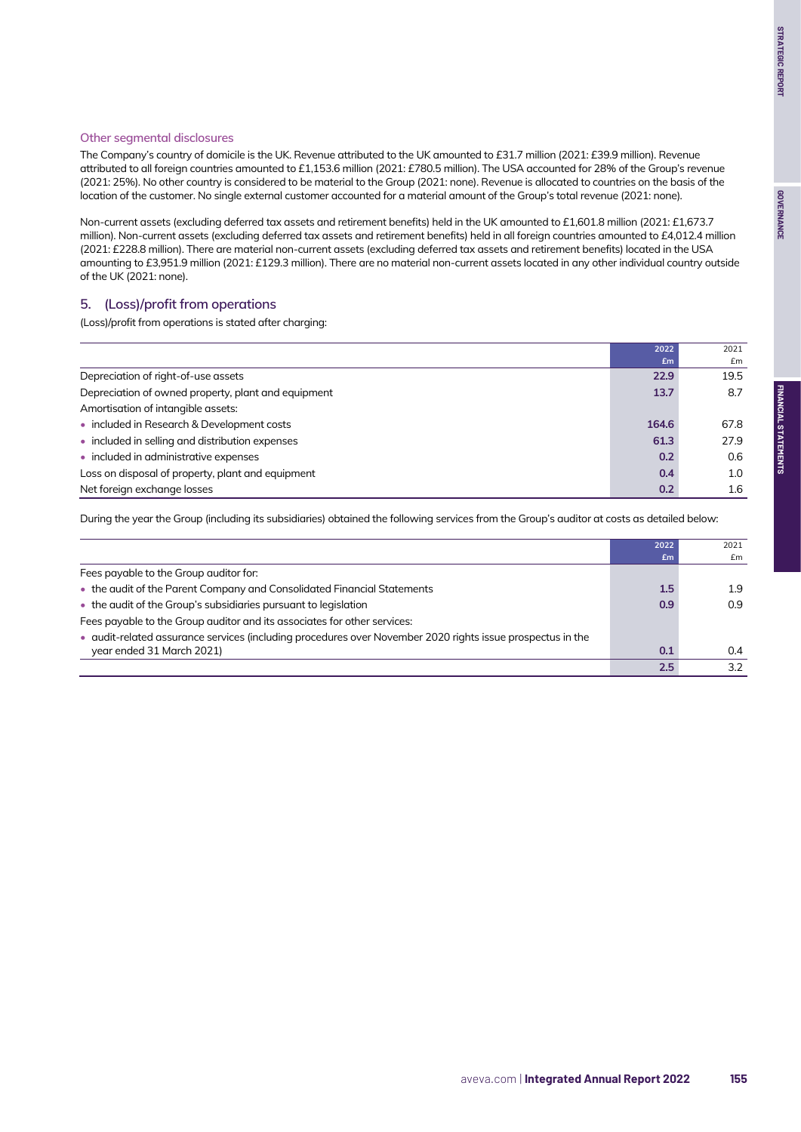**GOVERNANCE** 

### **Other segmental disclosures**

The Company's country of domicile is the UK. Revenue attributed to the UK amounted to £31.7 million (2021: £39.9 million). Revenue attributed to all foreign countries amounted to £1,153.6 million (2021: £780.5 million). The USA accounted for 28% of the Group's revenue (2021: 25%). No other country is considered to be material to the Group (2021: none). Revenue is allocated to countries on the basis of the location of the customer. No single external customer accounted for a material amount of the Group's total revenue (2021: none).

Non-current assets (excluding deferred tax assets and retirement benefits) held in the UK amounted to £1,601.8 million (2021: £1,673.7 million). Non-current assets (excluding deferred tax assets and retirement benefits) held in all foreign countries amounted to £4,012.4 million (2021: £228.8 million). There are material non-current assets (excluding deferred tax assets and retirement benefits) located in the USA amounting to £3,951.9 million (2021: £129.3 million). There are no material non-current assets located in any other individual country outside of the UK (2021: none).

## **5. (Loss)/profit from operations**

(Loss)/profit from operations is stated after charging:

|                                                     | 2022  | 2021 |
|-----------------------------------------------------|-------|------|
|                                                     | £m    | £m   |
| Depreciation of right-of-use assets                 | 22.9  | 19.5 |
| Depreciation of owned property, plant and equipment | 13.7  | 8.7  |
| Amortisation of intangible assets:                  |       |      |
| • included in Research & Development costs          | 164.6 | 67.8 |
| • included in selling and distribution expenses     | 61.3  | 27.9 |
| • included in administrative expenses               | 0.2   | 0.6  |
| Loss on disposal of property, plant and equipment   | 0.4   | 1.0  |
| Net foreign exchange losses                         | 0.2   | 1.6  |
|                                                     |       |      |

During the year the Group (including its subsidiaries) obtained the following services from the Group's auditor at costs as detailed below:

|                                                                                                            | 2022 | 2021 |
|------------------------------------------------------------------------------------------------------------|------|------|
|                                                                                                            | £m   | £m   |
| Fees payable to the Group auditor for:                                                                     |      |      |
| • the audit of the Parent Company and Consolidated Financial Statements                                    | 1.5  | 1.9  |
| • the audit of the Group's subsidiaries pursuant to legislation                                            | 0.9  | 0.9  |
| Fees payable to the Group auditor and its associates for other services:                                   |      |      |
| • audit-related assurance services (including procedures over November 2020 rights issue prospectus in the |      |      |
| year ended 31 March 2021)                                                                                  | 0.1  | 0.4  |
|                                                                                                            | 2.5  | 3.2  |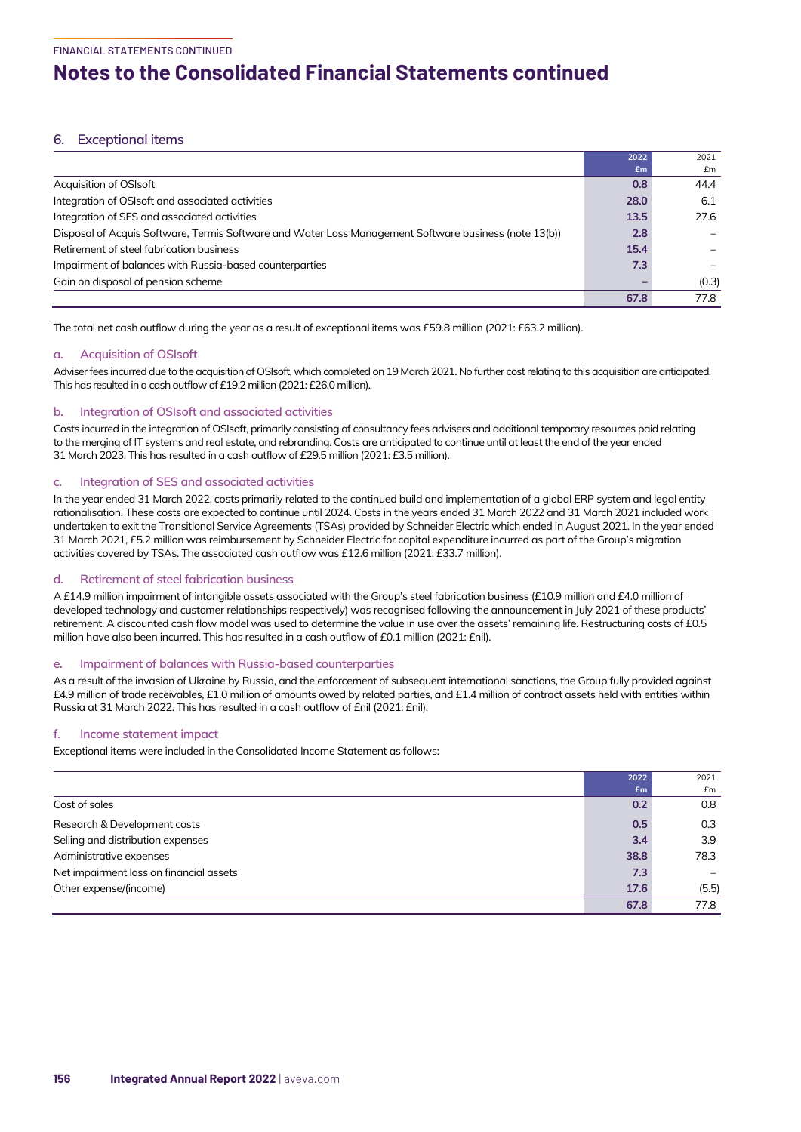## **6. Exceptional items**

|                                                                                                       | 2022 | 2021  |
|-------------------------------------------------------------------------------------------------------|------|-------|
|                                                                                                       | £m   | £m    |
| Acquisition of OSIsoft                                                                                | 0.8  | 44.4  |
| Integration of OSIsoft and associated activities                                                      | 28.0 | 6.1   |
| Integration of SES and associated activities                                                          | 13.5 | 27.6  |
| Disposal of Acquis Software, Termis Software and Water Loss Management Software business (note 13(b)) | 2.8  |       |
| Retirement of steel fabrication business                                                              | 15.4 |       |
| Impairment of balances with Russia-based counterparties                                               | 7.3  |       |
| Gain on disposal of pension scheme                                                                    |      | (0.3) |
|                                                                                                       | 67.8 | 77.8  |

The total net cash outflow during the year as a result of exceptional items was £59.8 million (2021: £63.2 million).

### **a. Acquisition of OSIsoft**

Adviser fees incurred due to the acquisition of OSIsoft, which completed on 19 March 2021. No further cost relating to this acquisition are anticipated. This has resulted in a cash outflow of £19.2 million (2021: £26.0 million).

### **b. Integration of OSIsoft and associated activities**

Costs incurred in the integration of OSIsoft, primarily consisting of consultancy fees advisers and additional temporary resources paid relating to the merging of IT systems and real estate, and rebranding. Costs are anticipated to continue until at least the end of the year ended 31 March 2023. This has resulted in a cash outflow of £29.5 million (2021: £3.5 million).

### **c. Integration of SES and associated activities**

In the year ended 31 March 2022, costs primarily related to the continued build and implementation of a global ERP system and legal entity rationalisation. These costs are expected to continue until 2024. Costs in the years ended 31 March 2022 and 31 March 2021 included work undertaken to exit the Transitional Service Agreements (TSAs) provided by Schneider Electric which ended in August 2021. In the year ended 31 March 2021, £5.2 million was reimbursement by Schneider Electric for capital expenditure incurred as part of the Group's migration activities covered by TSAs. The associated cash outflow was £12.6 million (2021: £33.7 million).

### **d. Retirement of steel fabrication business**

A £14.9 million impairment of intangible assets associated with the Group's steel fabrication business (£10.9 million and £4.0 million of developed technology and customer relationships respectively) was recognised following the announcement in July 2021 of these products' retirement. A discounted cash flow model was used to determine the value in use over the assets' remaining life. Restructuring costs of £0.5 million have also been incurred. This has resulted in a cash outflow of £0.1 million (2021: £nil).

### **e. Impairment of balances with Russia-based counterparties**

As a result of the invasion of Ukraine by Russia, and the enforcement of subsequent international sanctions, the Group fully provided against £4.9 million of trade receivables, £1.0 million of amounts owed by related parties, and £1.4 million of contract assets held with entities within Russia at 31 March 2022. This has resulted in a cash outflow of £nil (2021: £nil).

### **f. Income statement impact**

Exceptional items were included in the Consolidated Income Statement as follows:

|                                         | 2022 | 2021  |
|-----------------------------------------|------|-------|
|                                         | £m   | £m    |
| Cost of sales                           | 0.2  | 0.8   |
| Research & Development costs            | 0.5  | 0.3   |
| Selling and distribution expenses       | 3.4  | 3.9   |
| Administrative expenses                 | 38.8 | 78.3  |
| Net impairment loss on financial assets | 7.3  |       |
| Other expense/(income)                  | 17.6 | (5.5) |
|                                         | 67.8 | 77.8  |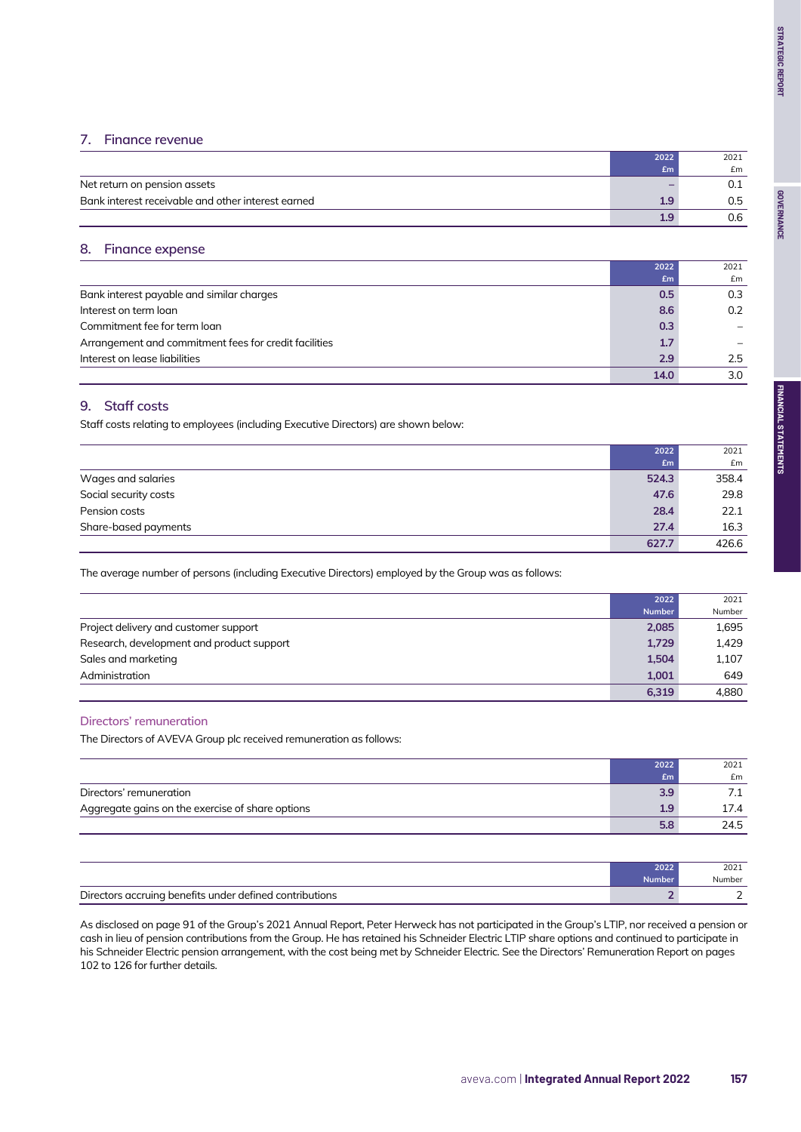# **7. Finance revenue**

|                                                    | 2022 | 2021 |
|----------------------------------------------------|------|------|
|                                                    | £m   | £m   |
| Net return on pension assets                       |      |      |
| Bank interest receivable and other interest earned | 1.9  | J.5  |
|                                                    |      | 0.6  |
|                                                    |      |      |

# **8. Finance expense**

|                                                       | 2022 | 2021 |
|-------------------------------------------------------|------|------|
|                                                       | £m   | £m   |
| Bank interest payable and similar charges             | 0.5  | 0.3  |
| Interest on term loan                                 | 8.6  | 0.2  |
| Commitment fee for term loan                          | 0.3  |      |
| Arrangement and commitment fees for credit facilities | 1.7  |      |
| Interest on lease liabilities                         | 2.9  | 2.5  |
|                                                       | 14.0 | 3.0  |

# **9. Staff costs**

Staff costs relating to employees (including Executive Directors) are shown below:

|                       | 2022  | 2021  |
|-----------------------|-------|-------|
|                       | £m    | £m    |
| Wages and salaries    | 524.3 | 358.4 |
| Social security costs | 47.6  | 29.8  |
| Pension costs         | 28.4  | 22.1  |
| Share-based payments  | 27.4  | 16.3  |
|                       | 627.7 | 426.6 |

The average number of persons (including Executive Directors) employed by the Group was as follows:

|                                           | 2022          | 2021   |
|-------------------------------------------|---------------|--------|
|                                           | <b>Number</b> | Number |
| Project delivery and customer support     | 2,085         | 1,695  |
| Research, development and product support | 1,729         | 1,429  |
| Sales and marketing                       | 1,504         | 1,107  |
| Administration                            | 1,001         | 649    |
|                                           | 6,319         | 4.880  |

### **Directors' remuneration**

The Directors of AVEVA Group plc received remuneration as follows:

|                                                  | 2022 | 2021 |
|--------------------------------------------------|------|------|
|                                                  | £m   | £m   |
| Directors' remuneration                          | 3.9  |      |
| Aggregate gains on the exercise of share options | 1.9  | 17.4 |
|                                                  | 5.8  | 24.5 |

|                                                                                | 2022          | 2021   |
|--------------------------------------------------------------------------------|---------------|--------|
|                                                                                | <b>Number</b> | Number |
| <b>Direc</b><br>s accruina<br>a benefits under defined contributions.<br>tors. |               |        |

As disclosed on page 91 of the Group's 2021 Annual Report, Peter Herweck has not participated in the Group's LTIP, nor received a pension or cash in lieu of pension contributions from the Group. He has retained his Schneider Electric LTIP share options and continued to participate in his Schneider Electric pension arrangement, with the cost being met by Schneider Electric. See the Directors' Remuneration Report on pages 102 to 126 for further details.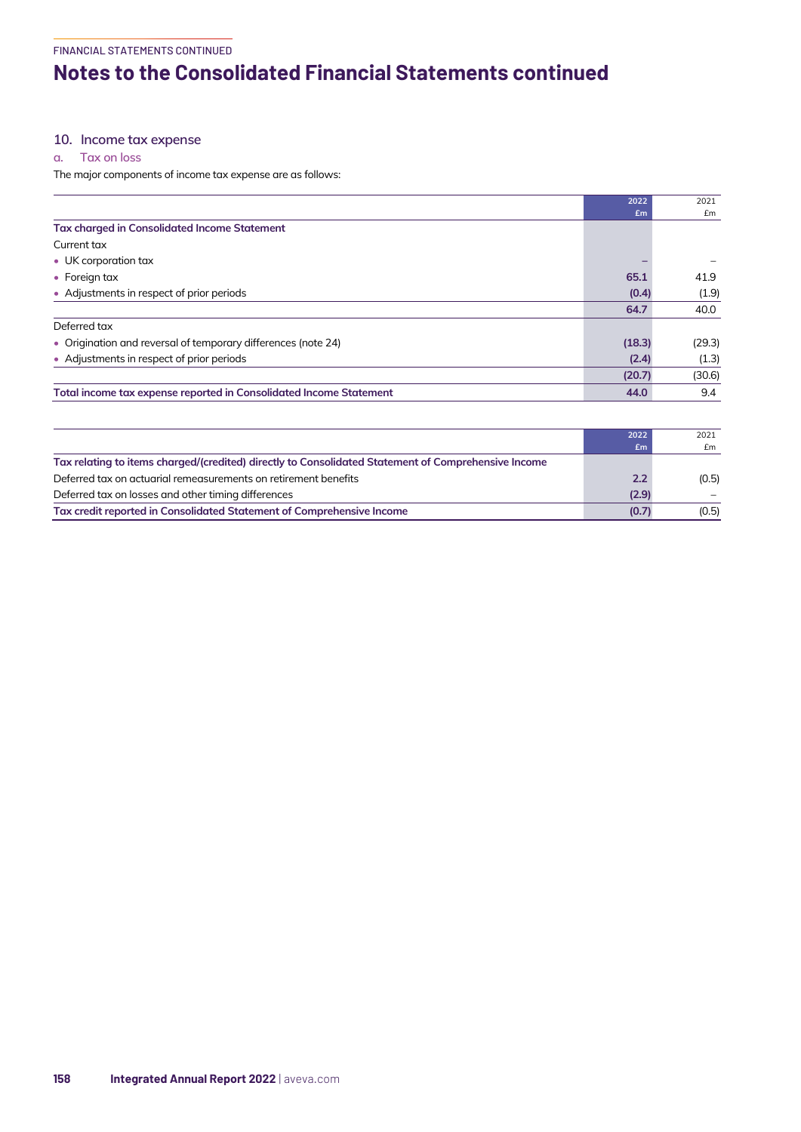# **10. Income tax expense**

**a. Tax on loss** 

The major components of income tax expense are as follows:

|                                                                    | 2022   | 2021   |
|--------------------------------------------------------------------|--------|--------|
|                                                                    | £m     | £m     |
| <b>Tax charged in Consolidated Income Statement</b>                |        |        |
| Current tax                                                        |        |        |
| • UK corporation tax                                               |        |        |
| $\bullet$ Foreign tax                                              | 65.1   | 41.9   |
| • Adjustments in respect of prior periods                          | (0.4)  | (1.9)  |
|                                                                    | 64.7   | 40.0   |
| Deferred tax                                                       |        |        |
| • Origination and reversal of temporary differences (note 24)      | (18.3) | (29.3) |
| • Adjustments in respect of prior periods                          | (2.4)  | (1.3)  |
|                                                                    | (20.7) | (30.6) |
| Total income tax expense reported in Consolidated Income Statement | 44.0   | 9.4    |

|                                                                                                     | 2022  | 2021  |
|-----------------------------------------------------------------------------------------------------|-------|-------|
|                                                                                                     | £m    | £m    |
| Tax relating to items charged/(credited) directly to Consolidated Statement of Comprehensive Income |       |       |
| Deferred tax on actuarial remeasurements on retirement benefits                                     | 2.2   | (0.5) |
| Deferred tax on losses and other timing differences                                                 | (2.9) |       |
| Tax credit reported in Consolidated Statement of Comprehensive Income                               | (0.7) | (0.5) |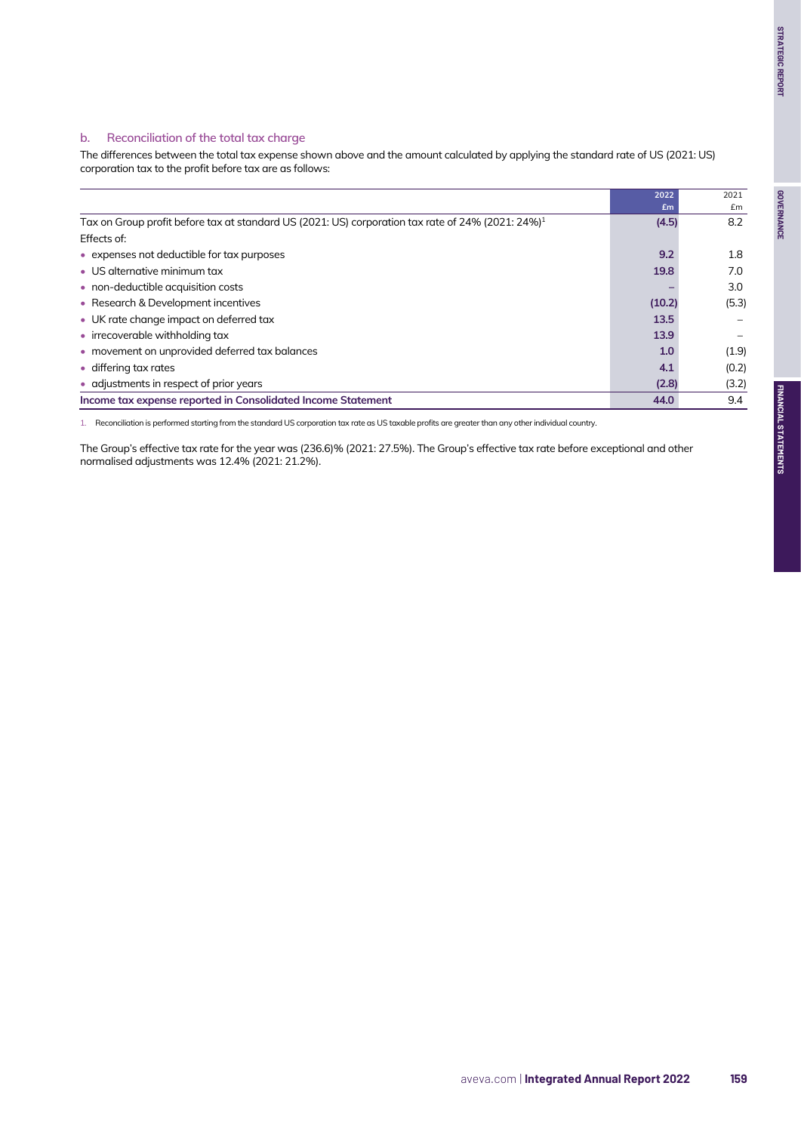**GOVERNANCE** 

### **b. Reconciliation of the total tax charge**

The differences between the total tax expense shown above and the amount calculated by applying the standard rate of US (2021: US) corporation tax to the profit before tax are as follows:

|                                                                                                               | 2022   | 2021             |
|---------------------------------------------------------------------------------------------------------------|--------|------------------|
|                                                                                                               | £m     | £m               |
| Tax on Group profit before tax at standard US (2021: US) corporation tax rate of 24% (2021: 24%) <sup>1</sup> | (4.5)  | 8.2              |
| Effects of:                                                                                                   |        |                  |
| • expenses not deductible for tax purposes                                                                    | 9.2    | 1.8              |
| • US alternative minimum tax                                                                                  | 19.8   | 7.0              |
| • non-deductible acquisition costs                                                                            |        | 3.0 <sub>2</sub> |
| • Research & Development incentives                                                                           | (10.2) | (5.3)            |
| • UK rate change impact on deferred tax                                                                       | 13.5   |                  |
| • irrecoverable withholding tax                                                                               | 13.9   |                  |
| • movement on unprovided deferred tax balances                                                                | 1.0    | (1.9)            |
| • differing tax rates                                                                                         | 4.1    | (0.2)            |
| • adjustments in respect of prior years                                                                       | (2.8)  | (3.2)            |
| Income tax expense reported in Consolidated Income Statement                                                  | 44.0   | 9.4              |

1. Reconciliation is performed starting from the standard US corporation tax rate as US taxable profits are greater than any other individual country.

The Group's effective tax rate for the year was (236.6)% (2021: 27.5%). The Group's effective tax rate before exceptional and other normalised adjustments was 12.4% (2021: 21.2%).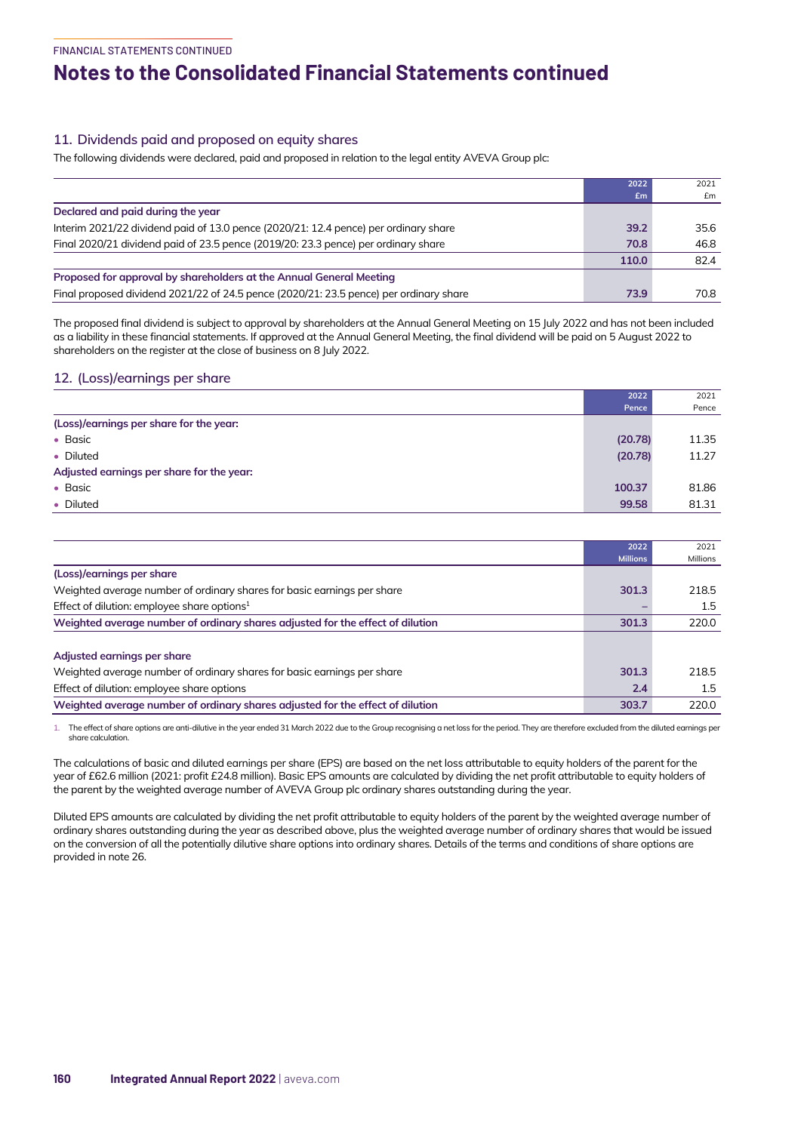### **11. Dividends paid and proposed on equity shares**

The following dividends were declared, paid and proposed in relation to the legal entity AVEVA Group plc:

|                                                                                        | 2022  | 2021 |
|----------------------------------------------------------------------------------------|-------|------|
|                                                                                        | £m    | £m   |
| Declared and paid during the year                                                      |       |      |
| Interim 2021/22 dividend paid of 13.0 pence (2020/21: 12.4 pence) per ordinary share   | 39.2  | 35.6 |
| Final 2020/21 dividend paid of 23.5 pence (2019/20: 23.3 pence) per ordinary share     | 70.8  | 46.8 |
|                                                                                        | 110.0 | 82.4 |
| Proposed for approval by shareholders at the Annual General Meeting                    |       |      |
| Final proposed dividend 2021/22 of 24.5 pence (2020/21: 23.5 pence) per ordinary share | 73.9  | 70.8 |

The proposed final dividend is subject to approval by shareholders at the Annual General Meeting on 15 July 2022 and has not been included as a liability in these financial statements. If approved at the Annual General Meeting, the final dividend will be paid on 5 August 2022 to shareholders on the register at the close of business on 8 July 2022.

# **12. (Loss)/earnings per share**

|                                           | 2022    | 2021  |
|-------------------------------------------|---------|-------|
|                                           | Pence   | Pence |
| (Loss)/earnings per share for the year:   |         |       |
| • Basic                                   | (20.78) | 11.35 |
| • Diluted                                 | (20.78) | 11.27 |
| Adjusted earnings per share for the year: |         |       |
| $\bullet$ Basic                           | 100.37  | 81.86 |
| • Diluted                                 | 99.58   | 81.31 |

|                                                                                | 2022            | 2021     |
|--------------------------------------------------------------------------------|-----------------|----------|
|                                                                                | <b>Millions</b> | Millions |
| (Loss)/earnings per share                                                      |                 |          |
| Weighted average number of ordinary shares for basic earnings per share        | 301.3           | 218.5    |
| Effect of dilution: employee share options <sup>1</sup>                        |                 | 1.5      |
| Weighted average number of ordinary shares adjusted for the effect of dilution | 301.3           | 220.0    |
| Adjusted earnings per share                                                    |                 |          |
| Weighted average number of ordinary shares for basic earnings per share        | 301.3           | 218.5    |
| Effect of dilution: employee share options                                     | 2.4             | 1.5      |
| Weighted average number of ordinary shares adjusted for the effect of dilution | 303.7           | 220.0    |

1. The effect of share options are anti-dilutive in the year ended 31 March 2022 due to the Group recognising a net loss for the period. They are therefore excluded from the diluted earnings per share calculation.

The calculations of basic and diluted earnings per share (EPS) are based on the net loss attributable to equity holders of the parent for the year of £62.6 million (2021: profit £24.8 million). Basic EPS amounts are calculated by dividing the net profit attributable to equity holders of the parent by the weighted average number of AVEVA Group plc ordinary shares outstanding during the year.

Diluted EPS amounts are calculated by dividing the net profit attributable to equity holders of the parent by the weighted average number of ordinary shares outstanding during the year as described above, plus the weighted average number of ordinary shares that would be issued on the conversion of all the potentially dilutive share options into ordinary shares. Details of the terms and conditions of share options are provided in note 26.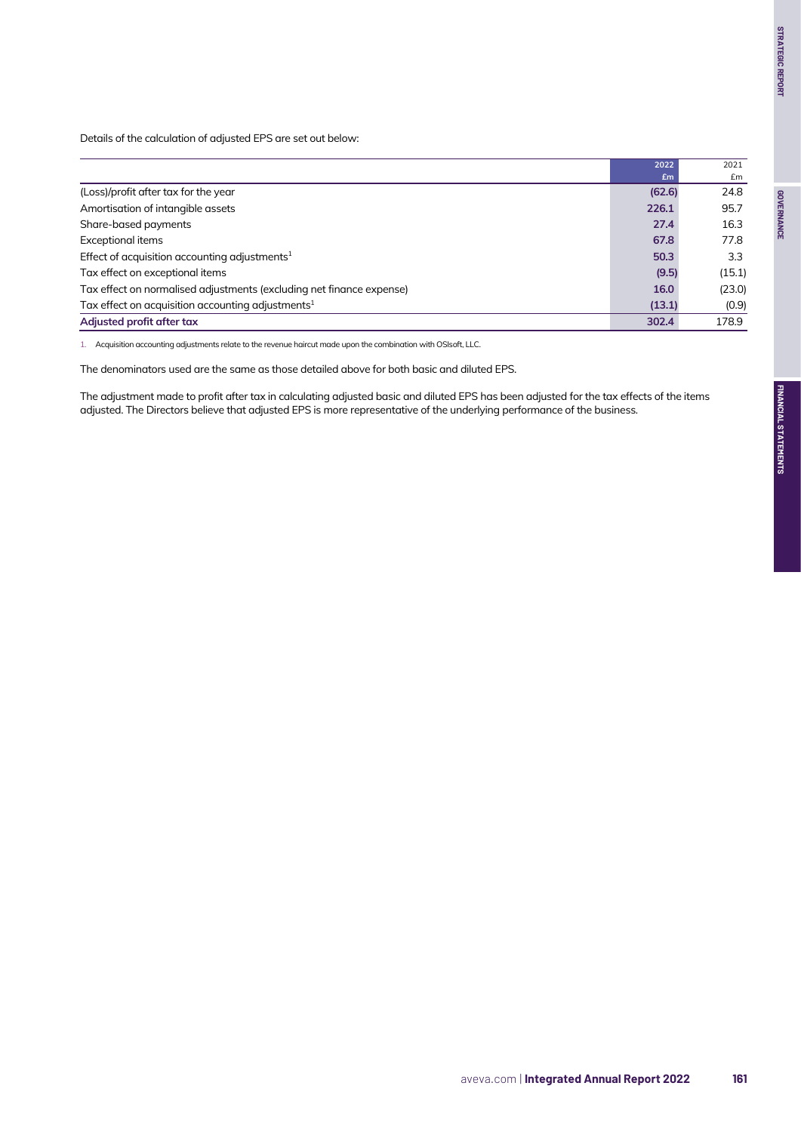**STRATEGIC REPORT STRATEGIC REPORT**

**GOVERNANCE**

**GOVERNANCE** 

Details of the calculation of adjusted EPS are set out below:

|                                                                      | 2022   | 2021   |
|----------------------------------------------------------------------|--------|--------|
|                                                                      | £m     | £m     |
| (Loss)/profit after tax for the year                                 | (62.6) | 24.8   |
| Amortisation of intangible assets                                    | 226.1  | 95.7   |
| Share-based payments                                                 | 27.4   | 16.3   |
| <b>Exceptional items</b>                                             | 67.8   | 77.8   |
| Effect of acquisition accounting adjustments <sup>1</sup>            | 50.3   | 3.3    |
| Tax effect on exceptional items                                      | (9.5)  | (15.1) |
| Tax effect on normalised adjustments (excluding net finance expense) | 16.0   | (23.0) |
| Tax effect on acquisition accounting adjustments <sup>1</sup>        | (13.1) | (0.9)  |
| Adjusted profit after tax                                            | 302.4  | 178.9  |

1. Acquisition accounting adjustments relate to the revenue haircut made upon the combination with OSIsoft, LLC.

The denominators used are the same as those detailed above for both basic and diluted EPS.

The adjustment made to profit after tax in calculating adjusted basic and diluted EPS has been adjusted for the tax effects of the items adjusted. The Directors believe that adjusted EPS is more representative of the underlying performance of the business.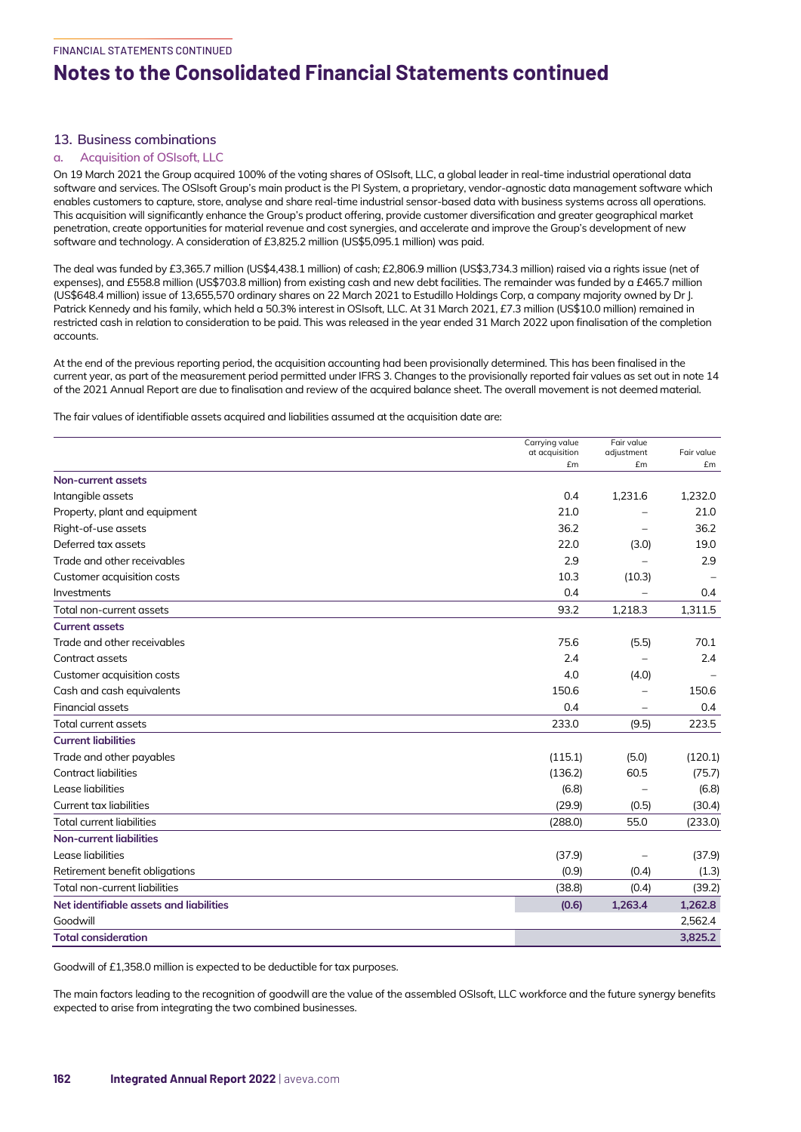# **13. Business combinations**

### **a. Acquisition of OSIsoft, LLC**

On 19 March 2021 the Group acquired 100% of the voting shares of OSIsoft, LLC, a global leader in real-time industrial operational data software and services. The OSIsoft Group's main product is the PI System, a proprietary, vendor-agnostic data management software which enables customers to capture, store, analyse and share real-time industrial sensor-based data with business systems across all operations. This acquisition will significantly enhance the Group's product offering, provide customer diversification and greater geographical market penetration, create opportunities for material revenue and cost synergies, and accelerate and improve the Group's development of new software and technology. A consideration of £3,825.2 million (US\$5,095.1 million) was paid.

The deal was funded by £3,365.7 million (US\$4,438.1 million) of cash; £2,806.9 million (US\$3,734.3 million) raised via a rights issue (net of expenses), and £558.8 million (US\$703.8 million) from existing cash and new debt facilities. The remainder was funded by a £465.7 million (US\$648.4 million) issue of 13,655,570 ordinary shares on 22 March 2021 to Estudillo Holdings Corp, a company majority owned by Dr J. Patrick Kennedy and his family, which held a 50.3% interest in OSIsoft, LLC. At 31 March 2021, £7.3 million (US\$10.0 million) remained in restricted cash in relation to consideration to be paid. This was released in the year ended 31 March 2022 upon finalisation of the completion accounts.

At the end of the previous reporting period, the acquisition accounting had been provisionally determined. This has been finalised in the current year, as part of the measurement period permitted under IFRS 3. Changes to the provisionally reported fair values as set out in note 14 of the 2021 Annual Report are due to finalisation and review of the acquired balance sheet. The overall movement is not deemed material.

The fair values of identifiable assets acquired and liabilities assumed at the acquisition date are:

|                                         | Carrying value<br>at acquisition | Fair value<br>adjustment | Fair value |
|-----------------------------------------|----------------------------------|--------------------------|------------|
|                                         | £m                               | £m                       | £m         |
| Non-current assets                      |                                  |                          |            |
| Intangible assets                       | 0.4                              | 1,231.6                  | 1.232.0    |
| Property, plant and equipment           | 21.0                             |                          | 21.0       |
| Right-of-use assets                     | 36.2                             |                          | 36.2       |
| Deferred tax assets                     | 22.0                             | (3.0)                    | 19.0       |
| Trade and other receivables             | 2.9                              |                          | 2.9        |
| Customer acquisition costs              | 10.3                             | (10.3)                   |            |
| Investments                             | 0.4                              |                          | 0.4        |
| Total non-current assets                | 93.2                             | 1,218.3                  | 1,311.5    |
| <b>Current assets</b>                   |                                  |                          |            |
| Trade and other receivables             | 75.6                             | (5.5)                    | 70.1       |
| Contract assets                         | 2.4                              |                          | 2.4        |
| Customer acquisition costs              | 4.0                              | (4.0)                    |            |
| Cash and cash equivalents               | 150.6                            |                          | 150.6      |
| <b>Financial assets</b>                 | 0.4                              | $\overline{\phantom{0}}$ | 0.4        |
| <b>Total current assets</b>             | 233.0                            | (9.5)                    | 223.5      |
| <b>Current liabilities</b>              |                                  |                          |            |
| Trade and other payables                | (115.1)                          | (5.0)                    | (120.1)    |
| Contract liabilities                    | (136.2)                          | 60.5                     | (75.7)     |
| Lease liabilities                       | (6.8)                            |                          | (6.8)      |
| Current tax liabilities                 | (29.9)                           | (0.5)                    | (30.4)     |
| <b>Total current liabilities</b>        | (288.0)                          | 55.0                     | (233.0)    |
| <b>Non-current liabilities</b>          |                                  |                          |            |
| Lease liabilities                       | (37.9)                           |                          | (37.9)     |
| Retirement benefit obligations          | (0.9)                            | (0.4)                    | (1.3)      |
| Total non-current liabilities           | (38.8)                           | (0.4)                    | (39.2)     |
| Net identifiable assets and liabilities | (0.6)                            | 1,263.4                  | 1,262.8    |
| Goodwill                                |                                  |                          | 2,562.4    |
| <b>Total consideration</b>              |                                  |                          | 3,825.2    |

Goodwill of £1,358.0 million is expected to be deductible for tax purposes.

The main factors leading to the recognition of goodwill are the value of the assembled OSIsoft, LLC workforce and the future synergy benefits expected to arise from integrating the two combined businesses.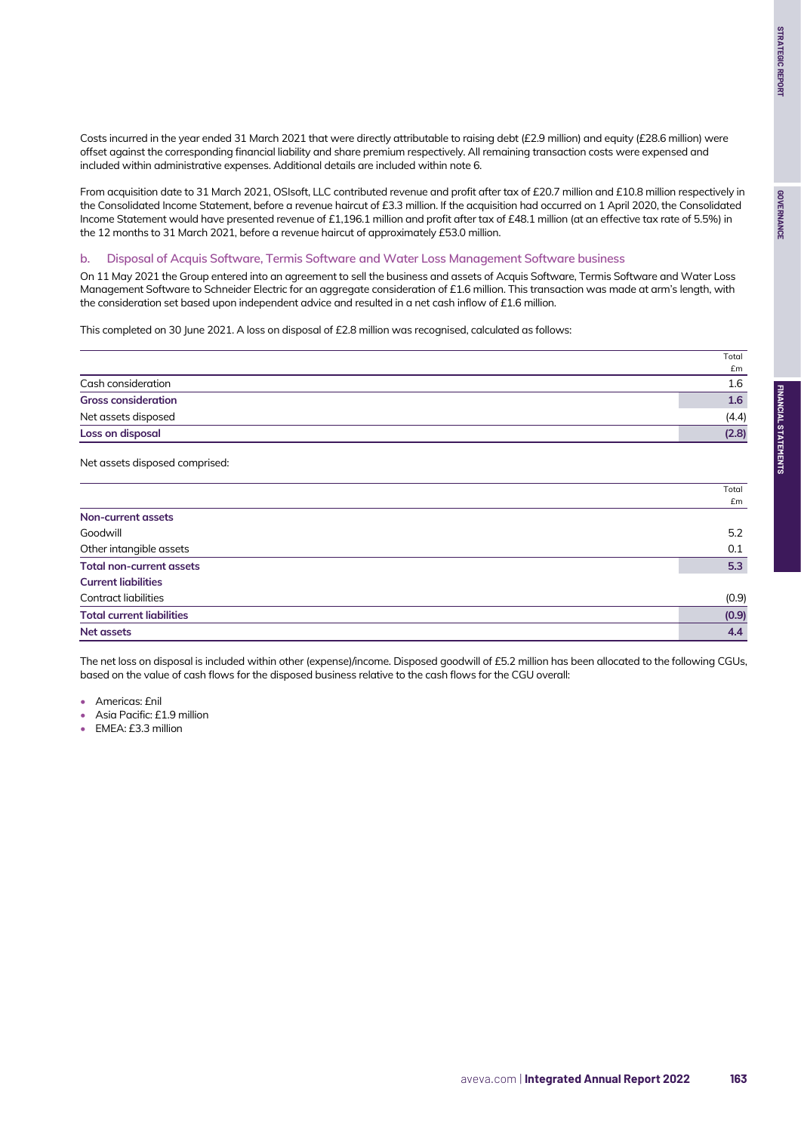Costs incurred in the year ended 31 March 2021 that were directly attributable to raising debt (£2.9 million) and equity (£28.6 million) were offset against the corresponding financial liability and share premium respectively. All remaining transaction costs were expensed and included within administrative expenses. Additional details are included within note 6.

From acquisition date to 31 March 2021, OSIsoft, LLC contributed revenue and profit after tax of £20.7 million and £10.8 million respectively in the Consolidated Income Statement, before a revenue haircut of £3.3 million. If the acquisition had occurred on 1 April 2020, the Consolidated Income Statement would have presented revenue of £1,196.1 million and profit after tax of £48.1 million (at an effective tax rate of 5.5%) in the 12 months to 31 March 2021, before a revenue haircut of approximately £53.0 million.

#### **b. Disposal of Acquis Software, Termis Software and Water Loss Management Software business**

On 11 May 2021 the Group entered into an agreement to sell the business and assets of Acquis Software, Termis Software and Water Loss Management Software to Schneider Electric for an aggregate consideration of £1.6 million. This transaction was made at arm's length, with the consideration set based upon independent advice and resulted in a net cash inflow of £1.6 million.

This completed on 30 June 2021. A loss on disposal of £2.8 million was recognised, calculated as follows:

| Total |
|-------|
| £m    |
| 1.6   |
| 1.6   |
| (4.4) |
| (2.8) |
|       |

Net assets disposed comprised:

|                                  | Total |
|----------------------------------|-------|
|                                  | £m    |
| Non-current assets               |       |
| Goodwill                         | 5.2   |
| Other intangible assets          | 0.1   |
| <b>Total non-current assets</b>  | 5.3   |
| <b>Current liabilities</b>       |       |
| <b>Contract liabilities</b>      | (0.9) |
| <b>Total current liabilities</b> | (0.9) |
| Net assets                       | 4.4   |

The net loss on disposal is included within other (expense)/income. Disposed goodwill of £5.2 million has been allocated to the following CGUs, based on the value of cash flows for the disposed business relative to the cash flows for the CGU overall:

- Americas: £nil
- Asia Pacific: £1.9 million
- EMEA: £3.3 million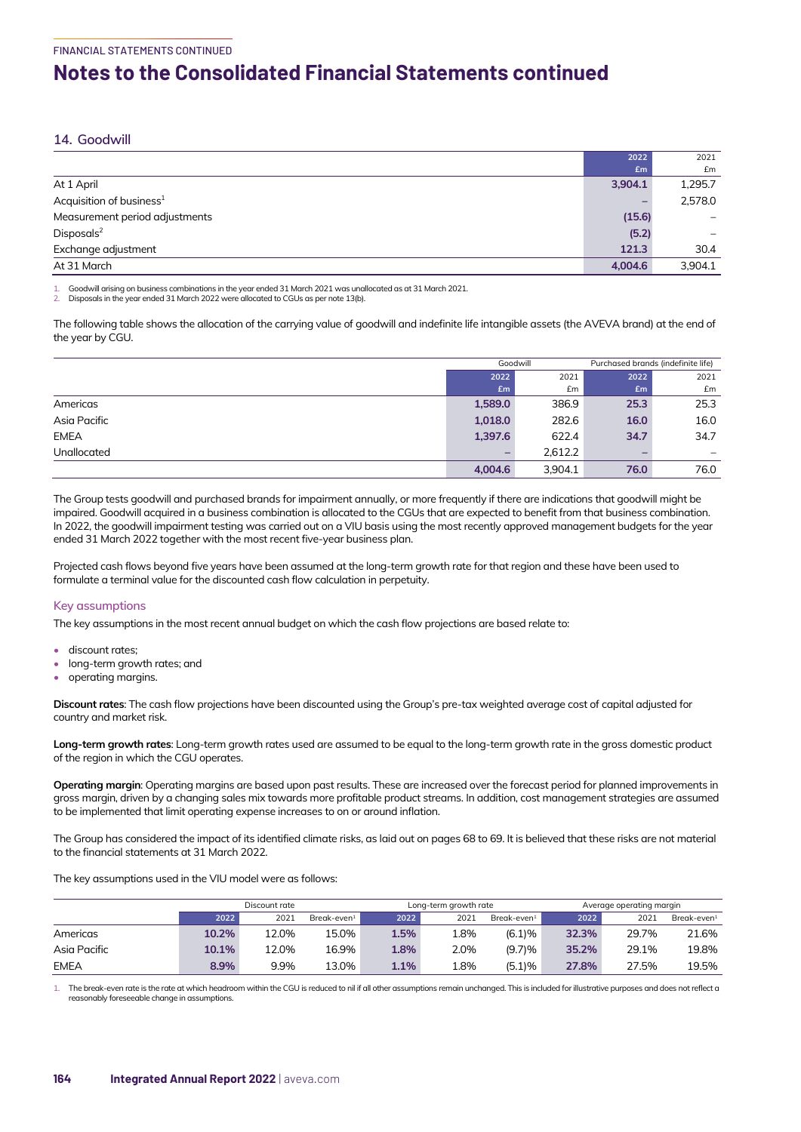### **14. Goodwill**

|                                      | 2022    | 2021    |
|--------------------------------------|---------|---------|
|                                      | £m      | £m      |
| At 1 April                           | 3,904.1 | 1,295.7 |
| Acquisition of business <sup>1</sup> |         | 2,578.0 |
| Measurement period adjustments       | (15.6)  |         |
| Disposals <sup>2</sup>               | (5.2)   |         |
| Exchange adjustment                  | 121.3   | 30.4    |
| At 31 March                          | 4,004.6 | 3,904.1 |

1. Goodwill arising on business combinations in the year ended 31 March 2021 was unallocated as at 31 March 2021.

2. Disposals in the year ended 31 March 2022 were allocated to CGUs as per note 13(b).

The following table shows the allocation of the carrying value of goodwill and indefinite life intangible assets (the AVEVA brand) at the end of the year by CGU.

|              | Goodwill     |         | Purchased brands (indefinite life) |                   |
|--------------|--------------|---------|------------------------------------|-------------------|
|              | 2021<br>2022 |         | 2022                               | 2021              |
|              | £m           | £m      | £m                                 | £m                |
| Americas     | 1,589.0      | 386.9   | 25.3                               | 25.3              |
| Asia Pacific | 1.018.0      | 282.6   | 16.0                               | 16.0              |
| <b>EMEA</b>  | 1,397.6      | 622.4   | 34.7                               | 34.7              |
| Unallocated  | _            | 2,612.2 |                                    | $\hspace{0.05cm}$ |
|              | 4.004.6      | 3,904.1 | 76.0                               | 76.0              |

The Group tests goodwill and purchased brands for impairment annually, or more frequently if there are indications that goodwill might be impaired. Goodwill acquired in a business combination is allocated to the CGUs that are expected to benefit from that business combination. In 2022, the goodwill impairment testing was carried out on a VIU basis using the most recently approved management budgets for the year ended 31 March 2022 together with the most recent five-year business plan.

Projected cash flows beyond five years have been assumed at the long-term growth rate for that region and these have been used to formulate a terminal value for the discounted cash flow calculation in perpetuity.

### **Key assumptions**

The key assumptions in the most recent annual budget on which the cash flow projections are based relate to:

- discount rates:
- long-term growth rates; and
- operating margins.

**Discount rates**: The cash flow projections have been discounted using the Group's pre-tax weighted average cost of capital adjusted for country and market risk.

Long-term growth rates: Long-term growth rates used are assumed to be equal to the long-term growth rate in the gross domestic product of the region in which the CGU operates.

**Operating margin**: Operating margins are based upon past results. These are increased over the forecast period for planned improvements in gross margin, driven by a changing sales mix towards more profitable product streams. In addition, cost management strategies are assumed to be implemented that limit operating expense increases to on or around inflation.

The Group has considered the impact of its identified climate risks, as laid out on pages 68 to 69. It is believed that these risks are not material to the financial statements at 31 March 2022.

The key assumptions used in the VIU model were as follows:

|              |       | Discount rate<br>Long-term growth rate |                         |             |      | Average operating margin |       |       |                         |
|--------------|-------|----------------------------------------|-------------------------|-------------|------|--------------------------|-------|-------|-------------------------|
|              | 2022  | 2021                                   | Break-even <sup>1</sup> | 2022        | 2021 | Break-even <sup>1</sup>  | 2022  | 2021  | Break-even <sup>1</sup> |
| Americas     | 10.2% | 12.0%                                  | 15.0%                   | 1.5%        | L.8% | (6.1)%                   | 32.3% | 29.7% | 21.6%                   |
| Asia Pacific | 10.1% | 12.0%                                  | 16.9%                   | <b>1.8%</b> | 2.0% | (9.7)%                   | 35.2% | 29.1% | 19.8%                   |
| <b>EMEA</b>  | 8.9%  | 9.9%                                   | 13.0%                   | 1.1%        | .8%  | (5.1)%                   | 27.8% | 27.5% | 19.5%                   |

1. The break-even rate is the rate at which headroom within the CGU is reduced to nil if all other assumptions remain unchanged. This is included for illustrative purposes and does not reflect a reasonably foreseeable change in assumptions.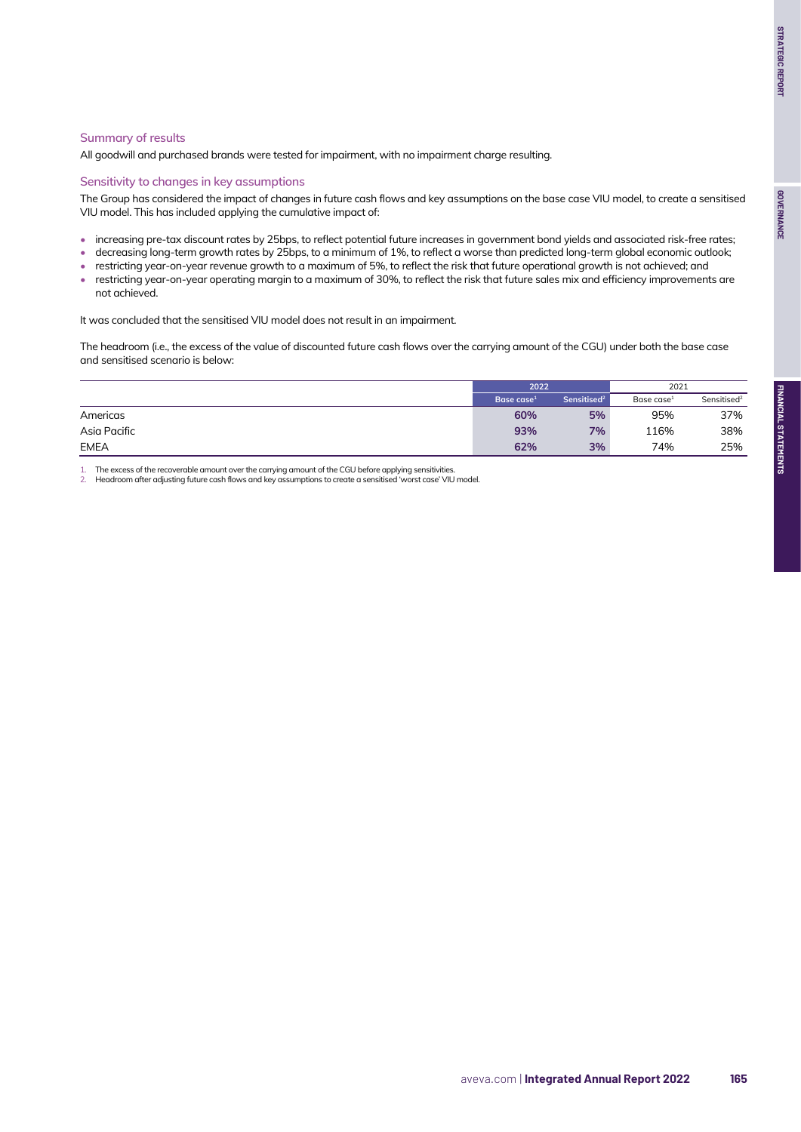**GOVERNANCE** 

### **Summary of results**

All goodwill and purchased brands were tested for impairment, with no impairment charge resulting.

### **Sensitivity to changes in key assumptions**

The Group has considered the impact of changes in future cash flows and key assumptions on the base case VIU model, to create a sensitised VIU model. This has included applying the cumulative impact of:

- increasing pre-tax discount rates by 25bps, to reflect potential future increases in government bond yields and associated risk-free rates;
- decreasing long-term growth rates by 25bps, to a minimum of 1%, to reflect a worse than predicted long-term global economic outlook;
- restricting year-on-year revenue growth to a maximum of 5%, to reflect the risk that future operational growth is not achieved; and
- restricting year-on-year operating margin to a maximum of 30%, to reflect the risk that future sales mix and efficiency improvements are not achieved.

It was concluded that the sensitised VIU model does not result in an impairment.

The headroom (i.e., the excess of the value of discounted future cash flows over the carrying amount of the CGU) under both the base case and sensitised scenario is below:

|              | 2022          |                         | 2021          |                         |
|--------------|---------------|-------------------------|---------------|-------------------------|
|              | Base case $1$ | Sensitised <sup>2</sup> | Base case $1$ | Sensitised <sup>2</sup> |
| Americas     | 60%           | 5%                      | 95%           | 37%                     |
| Asia Pacific | 93%           | 7%                      | 116%          | 38%                     |
| <b>EMEA</b>  | 62%           | 3%                      | 74%           | 25%                     |

1. The excess of the recoverable amount over the carrying amount of the CGU before applying sensitivities. 2. Headroom after adjusting future cash flows and key assumptions to create a sensitised 'worst case' VIU model.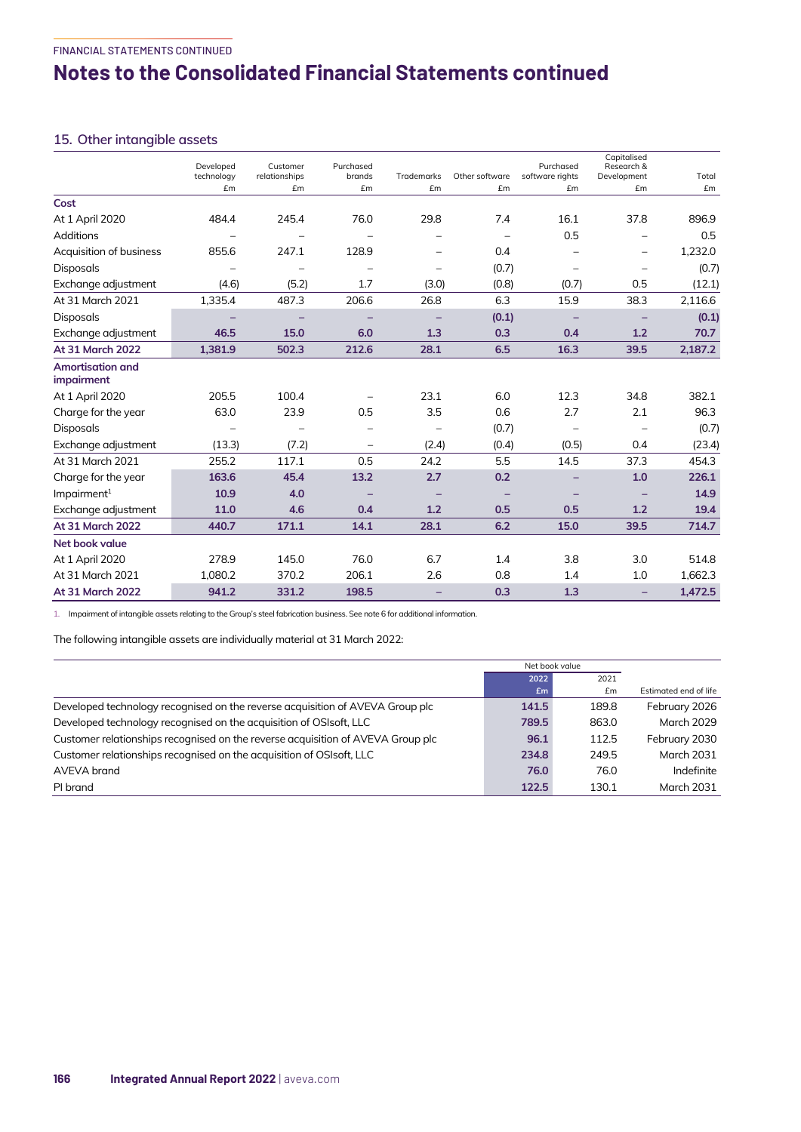# **15. Other intangible assets**

|                                       | Developed  | Customer      | Purchased                |                          |                          | Purchased                | Capitalised<br>Research & |         |
|---------------------------------------|------------|---------------|--------------------------|--------------------------|--------------------------|--------------------------|---------------------------|---------|
|                                       | technology | relationships | brands                   | <b>Trademarks</b>        | Other software           | software rights          | Development               | Total   |
|                                       | £m         | £m            | £m                       | £m                       | £m                       | £m                       | £m                        | £m      |
| Cost                                  |            |               |                          |                          |                          |                          |                           |         |
| At 1 April 2020                       | 484.4      | 245.4         | 76.0                     | 29.8                     | 7.4                      | 16.1                     | 37.8                      | 896.9   |
| <b>Additions</b>                      |            |               |                          | -                        | $\overline{\phantom{0}}$ | 0.5                      | $\overline{\phantom{0}}$  | 0.5     |
| Acquisition of business               | 855.6      | 247.1         | 128.9                    | $\overline{\phantom{0}}$ | 0.4                      |                          | $\overline{\phantom{0}}$  | 1,232.0 |
| <b>Disposals</b>                      |            |               |                          | -                        | (0.7)                    |                          | $\overline{\phantom{0}}$  | (0.7)   |
| Exchange adjustment                   | (4.6)      | (5.2)         | 1.7                      | (3.0)                    | (0.8)                    | (0.7)                    | 0.5                       | (12.1)  |
| At 31 March 2021                      | 1,335.4    | 487.3         | 206.6                    | 26.8                     | 6.3                      | 15.9                     | 38.3                      | 2,116.6 |
| <b>Disposals</b>                      |            |               | $\overline{\phantom{0}}$ | -                        | (0.1)                    | $\qquad \qquad -$        | $\qquad \qquad -$         | (0.1)   |
| Exchange adjustment                   | 46.5       | 15.0          | 6.0                      | 1.3                      | 0.3                      | 0.4                      | 1.2                       | 70.7    |
| At 31 March 2022                      | 1,381.9    | 502.3         | 212.6                    | 28.1                     | 6.5                      | 16.3                     | 39.5                      | 2,187.2 |
| <b>Amortisation and</b><br>impairment |            |               |                          |                          |                          |                          |                           |         |
| At 1 April 2020                       | 205.5      | 100.4         |                          | 23.1                     | 6.0                      | 12.3                     | 34.8                      | 382.1   |
| Charge for the year                   | 63.0       | 23.9          | 0.5                      | 3.5                      | 0.6                      | 2.7                      | 2.1                       | 96.3    |
| <b>Disposals</b>                      |            |               | $\overline{\phantom{0}}$ | $\overline{\phantom{0}}$ | (0.7)                    | $\overline{\phantom{0}}$ |                           | (0.7)   |
| Exchange adjustment                   | (13.3)     | (7.2)         | $\overline{\phantom{0}}$ | (2.4)                    | (0.4)                    | (0.5)                    | 0.4                       | (23.4)  |
| At 31 March 2021                      | 255.2      | 117.1         | 0.5                      | 24.2                     | 5.5                      | 14.5                     | 37.3                      | 454.3   |
| Charge for the year                   | 163.6      | 45.4          | 13.2                     | 2.7                      | 0.2                      | -                        | 1.0                       | 226.1   |
| Impairment <sup>1</sup>               | 10.9       | 4.0           |                          |                          |                          |                          |                           | 14.9    |
| Exchange adjustment                   | 11.0       | 4.6           | 0.4                      | 1.2                      | 0.5                      | 0.5                      | 1.2                       | 19.4    |
| At 31 March 2022                      | 440.7      | 171.1         | 14.1                     | 28.1                     | 6.2                      | 15.0                     | 39.5                      | 714.7   |
| Net book value                        |            |               |                          |                          |                          |                          |                           |         |
| At 1 April 2020                       | 278.9      | 145.0         | 76.0                     | 6.7                      | 1.4                      | 3.8                      | 3.0                       | 514.8   |
| At 31 March 2021                      | 1,080.2    | 370.2         | 206.1                    | 2.6                      | 0.8                      | 1.4                      | 1.0                       | 1,662.3 |
| At 31 March 2022                      | 941.2      | 331.2         | 198.5                    | -                        | 0.3                      | 1.3                      | -                         | 1,472.5 |

1. Impairment of intangible assets relating to the Group's steel fabrication business. See note 6 for additional information.

The following intangible assets are individually material at 31 March 2022:

|                                                                                 | Net book value |       |                       |
|---------------------------------------------------------------------------------|----------------|-------|-----------------------|
|                                                                                 | 2022           | 2021  |                       |
|                                                                                 | Em             | £m    | Estimated end of life |
| Developed technology recognised on the reverse acquisition of AVEVA Group plc   | 141.5          | 189.8 | February 2026         |
| Developed technology recognised on the acquisition of OSIsoft, LLC              | 789.5          | 863.0 | <b>March 2029</b>     |
| Customer relationships recognised on the reverse acquisition of AVEVA Group plc | 96.1           | 112.5 | February 2030         |
| Customer relationships recognised on the acquisition of OSIsoft, LLC            | 234.8          | 249.5 | <b>March 2031</b>     |
| AVEVA brand                                                                     | 76.0           | 76.0  | Indefinite            |
| PI brand                                                                        | 122.5          | 130.1 | <b>March 2031</b>     |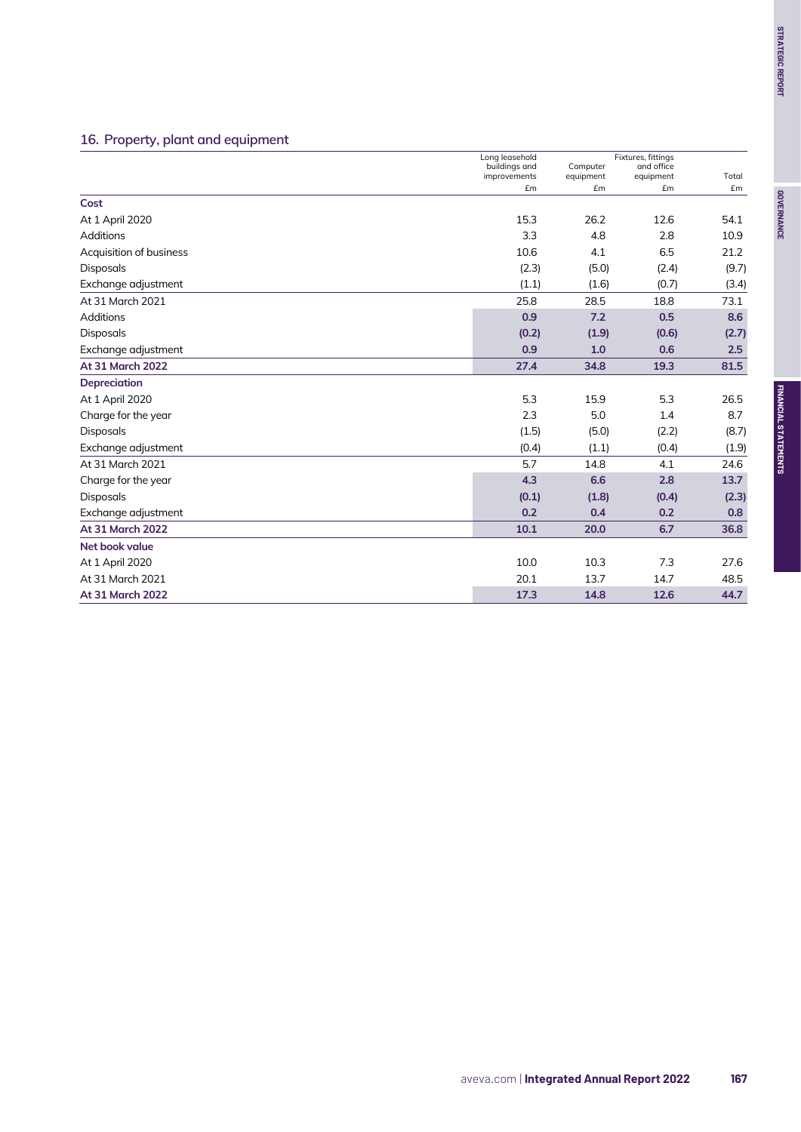**GOVERNANCE** 

**FINANCIAL STATEMENTS**

FINANCIAL STATEMENTS

# **16. Property, plant and equipment**

|                         | Long leasehold                |                       | Fixtures, fittings      |       |
|-------------------------|-------------------------------|-----------------------|-------------------------|-------|
|                         | buildings and<br>improvements | Computer<br>equipment | and office<br>equipment | Total |
|                         | £m                            | £m                    | £m                      | £m    |
| Cost                    |                               |                       |                         |       |
| At 1 April 2020         | 15.3                          | 26.2                  | 12.6                    | 54.1  |
| Additions               | 3.3                           | 4.8                   | 2.8                     | 10.9  |
| Acquisition of business | 10.6                          | 4.1                   | 6.5                     | 21.2  |
| <b>Disposals</b>        | (2.3)                         | (5.0)                 | (2.4)                   | (9.7) |
| Exchange adjustment     | (1.1)                         | (1.6)                 | (0.7)                   | (3.4) |
| At 31 March 2021        | 25.8                          | 28.5                  | 18.8                    | 73.1  |
| Additions               | 0.9                           | 7.2                   | 0.5                     | 8.6   |
| <b>Disposals</b>        | (0.2)                         | (1.9)                 | (0.6)                   | (2.7) |
| Exchange adjustment     | 0.9                           | 1.0                   | 0.6                     | 2.5   |
| At 31 March 2022        | 27.4                          | 34.8                  | 19.3                    | 81.5  |
| <b>Depreciation</b>     |                               |                       |                         |       |
| At 1 April 2020         | 5.3                           | 15.9                  | 5.3                     | 26.5  |
| Charge for the year     | 2.3                           | 5.0                   | 1.4                     | 8.7   |
| <b>Disposals</b>        | (1.5)                         | (5.0)                 | (2.2)                   | (8.7) |
| Exchange adjustment     | (0.4)                         | (1.1)                 | (0.4)                   | (1.9) |
| At 31 March 2021        | 5.7                           | 14.8                  | 4.1                     | 24.6  |
| Charge for the year     | 4.3                           | 6.6                   | 2.8                     | 13.7  |
| <b>Disposals</b>        | (0.1)                         | (1.8)                 | (0.4)                   | (2.3) |
| Exchange adjustment     | 0.2                           | 0.4                   | 0.2                     | 0.8   |
| At 31 March 2022        | 10.1                          | 20.0                  | 6.7                     | 36.8  |
| Net book value          |                               |                       |                         |       |
| At 1 April 2020         | 10.0                          | 10.3                  | 7.3                     | 27.6  |
| At 31 March 2021        | 20.1                          | 13.7                  | 14.7                    | 48.5  |
| At 31 March 2022        | 17.3                          | 14.8                  | 12.6                    | 44.7  |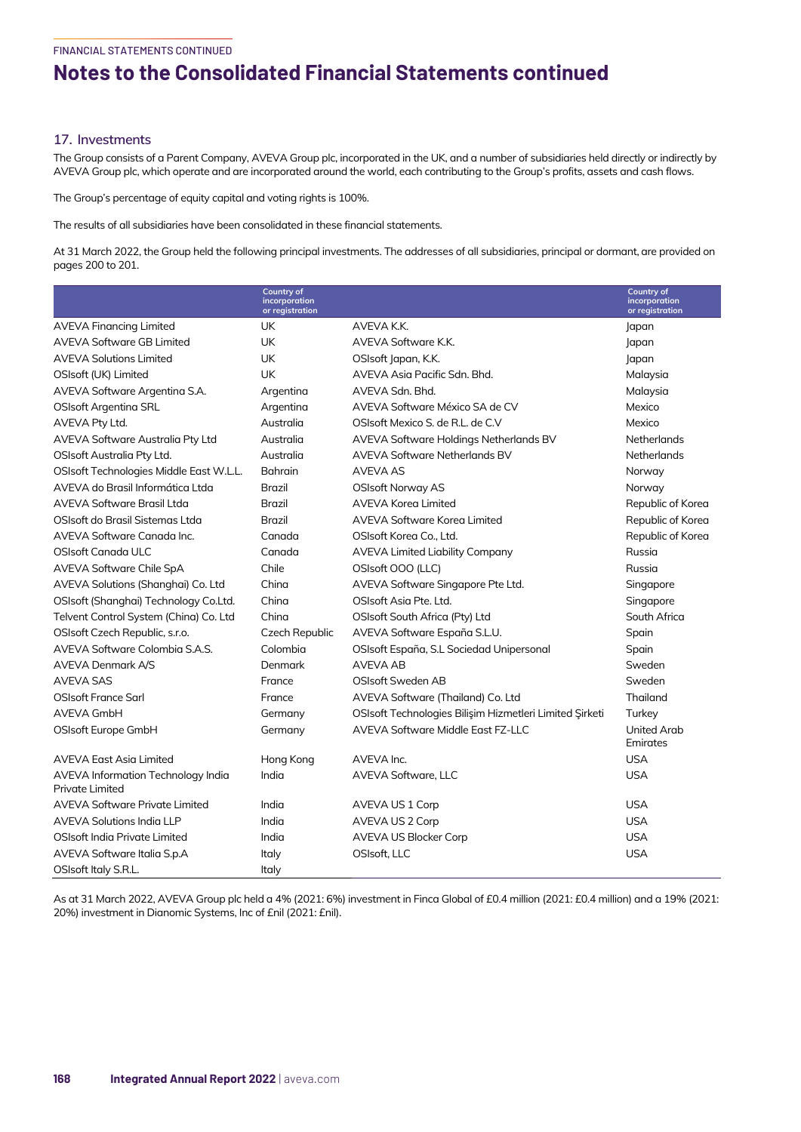### **17. Investments**

The Group consists of a Parent Company, AVEVA Group plc, incorporated in the UK, and a number of subsidiaries held directly or indirectly by AVEVA Group plc, which operate and are incorporated around the world, each contributing to the Group's profits, assets and cash flows.

The Group's percentage of equity capital and voting rights is 100%.

The results of all subsidiaries have been consolidated in these financial statements.

At 31 March 2022, the Group held the following principal investments. The addresses of all subsidiaries, principal or dormant, are provided on pages 200 to 201.

|                                                              | <b>Country of</b><br>incorporation |                                                         | <b>Country of</b><br>incorporation |
|--------------------------------------------------------------|------------------------------------|---------------------------------------------------------|------------------------------------|
|                                                              | or registration                    |                                                         | or registration                    |
| <b>AVEVA Financing Limited</b>                               | UK                                 | AVEVA K.K.                                              | Japan                              |
| <b>AVEVA Software GB Limited</b>                             | UK.                                | AVEVA Software K.K.                                     | Japan                              |
| <b>AVEVA Solutions Limited</b>                               | <b>UK</b>                          | OSIsoft Japan, K.K.                                     | Japan                              |
| OSIsoft (UK) Limited                                         | <b>UK</b>                          | AVEVA Asia Pacific Sdn. Bhd.                            | Malaysia                           |
| AVEVA Software Argentina S.A.                                | Argentina                          | AVEVA Sdn. Bhd.                                         | Malaysia                           |
| <b>OSIsoft Argenting SRL</b>                                 | Argentina                          | AVEVA Software México SA de CV                          | Mexico                             |
| AVEVA Pty Ltd.                                               | Australia                          | OSIsoft Mexico S. de R.L. de C.V                        | Mexico                             |
| AVEVA Software Australia Pty Ltd                             | Australia                          | AVEVA Software Holdings Netherlands BV                  | <b>Netherlands</b>                 |
| OSIsoft Australia Pty Ltd.                                   | Australia                          | AVEVA Software Netherlands BV                           | <b>Netherlands</b>                 |
| OSIsoft Technologies Middle East W.L.L.                      | <b>Bahrain</b>                     | <b>AVEVA AS</b>                                         | Norway                             |
| AVEVA do Brasil Informática Ltda                             | Brazil                             | <b>OSIsoft Norway AS</b>                                | Norway                             |
| <b>AVEVA Software Brasil Ltda</b>                            | <b>Brazil</b>                      | <b>AVEVA Korea Limited</b>                              | Republic of Korea                  |
| OSIsoft do Brasil Sistemas Ltda                              | <b>Brazil</b>                      | AVEVA Software Korea Limited                            | Republic of Korea                  |
| AVEVA Software Canada Inc.                                   | Canada                             | OSIsoft Korea Co., Ltd.                                 | Republic of Korea                  |
| OSIsoft Canada ULC                                           | Canada                             | <b>AVEVA Limited Liability Company</b>                  | Russia                             |
| AVEVA Software Chile SpA                                     | Chile                              | OSIsoft OOO (LLC)                                       | Russia                             |
| AVEVA Solutions (Shanghai) Co. Ltd                           | China                              | AVEVA Software Singapore Pte Ltd.                       | Singapore                          |
| OSIsoft (Shanghai) Technology Co.Ltd.                        | China                              | OSIsoft Asia Pte. Ltd.                                  | Singapore                          |
| Telvent Control System (China) Co. Ltd                       | China                              | OSIsoft South Africa (Pty) Ltd                          | South Africa                       |
| OSIsoft Czech Republic, s.r.o.                               | Czech Republic                     | AVEVA Software España S.L.U.                            | Spain                              |
| AVEVA Software Colombia S.A.S.                               | Colombia                           | OSIsoft España, S.L Sociedad Unipersonal                | Spain                              |
| <b>AVEVA Denmark A/S</b>                                     | Denmark                            | AVEVA AB                                                | Sweden                             |
| <b>AVEVA SAS</b>                                             | France                             | <b>OSIsoft Sweden AB</b>                                | Sweden                             |
| <b>OSIsoft France Sarl</b>                                   | France                             | AVEVA Software (Thailand) Co. Ltd                       | Thailand                           |
| <b>AVEVA GmbH</b>                                            | Germany                            | OSIsoft Technologies Bilişim Hizmetleri Limited Şirketi | Turkey                             |
| OSIsoft Europe GmbH                                          | Germany                            | AVEVA Software Middle East FZ-LLC                       | <b>United Arab</b><br>Emirates     |
| AVEVA East Asia Limited                                      | Hong Kong                          | AVEVA Inc.                                              | <b>USA</b>                         |
| AVEVA Information Technology India<br><b>Private Limited</b> | India                              | AVEVA Software, LLC                                     | <b>USA</b>                         |
| <b>AVEVA Software Private Limited</b>                        | India                              | AVEVA US 1 Corp                                         | <b>USA</b>                         |
| <b>AVEVA Solutions India LLP</b>                             | India                              | AVEVA US 2 Corp                                         | <b>USA</b>                         |
| OSIsoft India Private Limited                                | India                              | AVEVA US Blocker Corp                                   | <b>USA</b>                         |
| AVEVA Software Italia S.p.A                                  | Italy                              | OSIsoft, LLC                                            | <b>USA</b>                         |
| OSIsoft Italy S.R.L.                                         | Italy                              |                                                         |                                    |

As at 31 March 2022, AVEVA Group plc held a 4% (2021: 6%) investment in Finca Global of £0.4 million (2021: £0.4 million) and a 19% (2021: 20%) investment in Dianomic Systems, Inc of £nil (2021: £nil).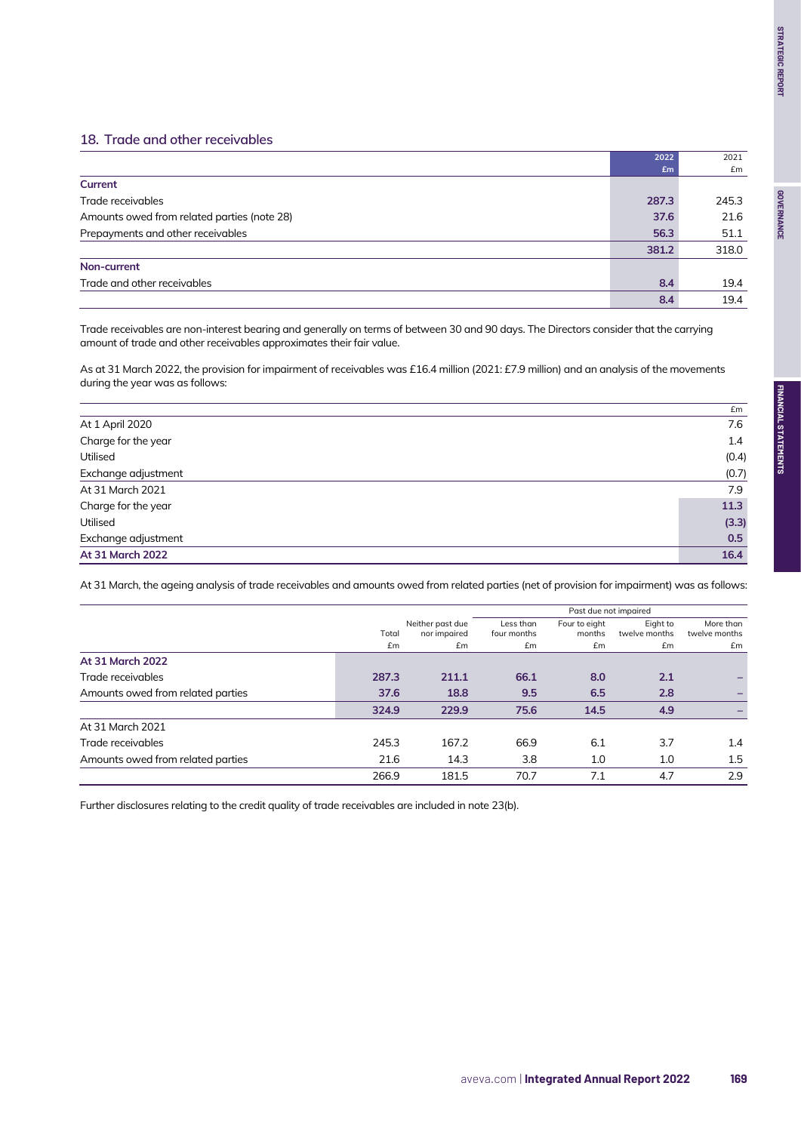**GOVERNANCE** 

# **18. Trade and other receivables**

|                                             | 2022  | 2021  |
|---------------------------------------------|-------|-------|
|                                             | £m    | £m    |
| Current                                     |       |       |
| Trade receivables                           | 287.3 | 245.3 |
| Amounts owed from related parties (note 28) | 37.6  | 21.6  |
| Prepayments and other receivables           | 56.3  | 51.1  |
|                                             | 381.2 | 318.0 |
| Non-current                                 |       |       |
| Trade and other receivables                 | 8.4   | 19.4  |
|                                             | 8.4   | 19.4  |

Trade receivables are non-interest bearing and generally on terms of between 30 and 90 days. The Directors consider that the carrying amount of trade and other receivables approximates their fair value.

As at 31 March 2022, the provision for impairment of receivables was £16.4 million (2021: £7.9 million) and an analysis of the movements during the year was as follows:

|                     | £m    |
|---------------------|-------|
| At 1 April 2020     | 7.6   |
| Charge for the year | 1.4   |
| Utilised            | (0.4) |
| Exchange adjustment | (0.7) |
| At 31 March 2021    | 7.9   |
| Charge for the year | 11.3  |
| Utilised            | (3.3) |
| Exchange adjustment | 0.5   |
| At 31 March 2022    | 16.4  |

At 31 March, the ageing analysis of trade receivables and amounts owed from related parties (net of provision for impairment) was as follows:

|                                   |       |                                  |                          | Past due not impaired   |                           |                            |  |  |
|-----------------------------------|-------|----------------------------------|--------------------------|-------------------------|---------------------------|----------------------------|--|--|
|                                   | Total | Neither past due<br>nor impaired | Less than<br>four months | Four to eight<br>months | Eight to<br>twelve months | More than<br>twelve months |  |  |
|                                   | £m    | £m                               | £m                       | £m                      | £m                        | £m                         |  |  |
| At 31 March 2022                  |       |                                  |                          |                         |                           |                            |  |  |
| Trade receivables                 | 287.3 | 211.1                            | 66.1                     | 8.0                     | 2.1                       |                            |  |  |
| Amounts owed from related parties | 37.6  | 18.8                             | 9.5                      | 6.5                     | 2.8                       |                            |  |  |
|                                   | 324.9 | 229.9                            | 75.6                     | 14.5                    | 4.9                       |                            |  |  |
| At 31 March 2021                  |       |                                  |                          |                         |                           |                            |  |  |
| Trade receivables                 | 245.3 | 167.2                            | 66.9                     | 6.1                     | 3.7                       | 1.4                        |  |  |
| Amounts owed from related parties | 21.6  | 14.3                             | 3.8                      | 1.0                     | 1.0                       | 1.5                        |  |  |
|                                   | 266.9 | 181.5                            | 70.7                     | 7.1                     | 4.7                       | 2.9                        |  |  |

Further disclosures relating to the credit quality of trade receivables are included in note 23(b).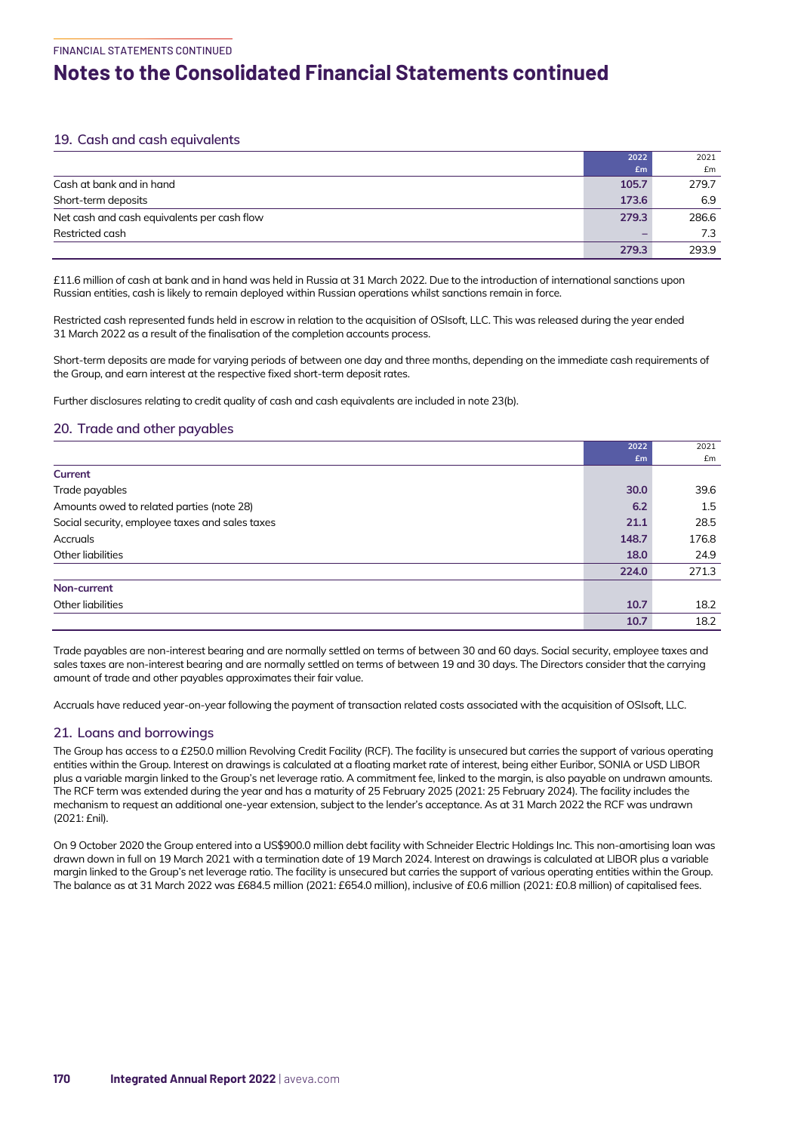# **19. Cash and cash equivalents**

|                                             | 2022  | 2021  |
|---------------------------------------------|-------|-------|
|                                             | £m.   | £m    |
| Cash at bank and in hand                    | 105.7 | 279.7 |
| Short-term deposits                         | 173.6 | 6.9   |
| Net cash and cash equivalents per cash flow | 279.3 | 286.6 |
| Restricted cash                             |       | 7.3   |
|                                             | 279.3 | 293.9 |

£11.6 million of cash at bank and in hand was held in Russia at 31 March 2022. Due to the introduction of international sanctions upon Russian entities, cash is likely to remain deployed within Russian operations whilst sanctions remain in force.

Restricted cash represented funds held in escrow in relation to the acquisition of OSIsoft, LLC. This was released during the year ended 31 March 2022 as a result of the finalisation of the completion accounts process.

Short-term deposits are made for varying periods of between one day and three months, depending on the immediate cash requirements of the Group, and earn interest at the respective fixed short-term deposit rates.

Further disclosures relating to credit quality of cash and cash equivalents are included in note 23(b).

## **20. Trade and other payables**

|                                                 | 2022  | 2021  |
|-------------------------------------------------|-------|-------|
|                                                 | £m    | £m    |
| Current                                         |       |       |
| Trade payables                                  | 30.0  | 39.6  |
| Amounts owed to related parties (note 28)       | 6.2   | 1.5   |
| Social security, employee taxes and sales taxes | 21.1  | 28.5  |
| Accruals                                        | 148.7 | 176.8 |
| Other liabilities                               | 18.0  | 24.9  |
|                                                 | 224.0 | 271.3 |
| Non-current                                     |       |       |
| Other liabilities                               | 10.7  | 18.2  |
|                                                 | 10.7  | 18.2  |

Trade payables are non-interest bearing and are normally settled on terms of between 30 and 60 days. Social security, employee taxes and sales taxes are non-interest bearing and are normally settled on terms of between 19 and 30 days. The Directors consider that the carrying amount of trade and other payables approximates their fair value.

Accruals have reduced year-on-year following the payment of transaction related costs associated with the acquisition of OSIsoft, LLC.

## **21. Loans and borrowings**

The Group has access to a £250.0 million Revolving Credit Facility (RCF). The facility is unsecured but carries the support of various operating entities within the Group. Interest on drawings is calculated at a floating market rate of interest, being either Euribor, SONIA or USD LIBOR plus a variable margin linked to the Group's net leverage ratio. A commitment fee, linked to the margin, is also payable on undrawn amounts. The RCF term was extended during the year and has a maturity of 25 February 2025 (2021: 25 February 2024). The facility includes the mechanism to request an additional one-year extension, subject to the lender's acceptance. As at 31 March 2022 the RCF was undrawn (2021: £nil).

On 9 October 2020 the Group entered into a US\$900.0 million debt facility with Schneider Electric Holdings Inc. This non-amortising loan was drawn down in full on 19 March 2021 with a termination date of 19 March 2024. Interest on drawings is calculated at LIBOR plus a variable margin linked to the Group's net leverage ratio. The facility is unsecured but carries the support of various operating entities within the Group. The balance as at 31 March 2022 was £684.5 million (2021: £654.0 million), inclusive of £0.6 million (2021: £0.8 million) of capitalised fees.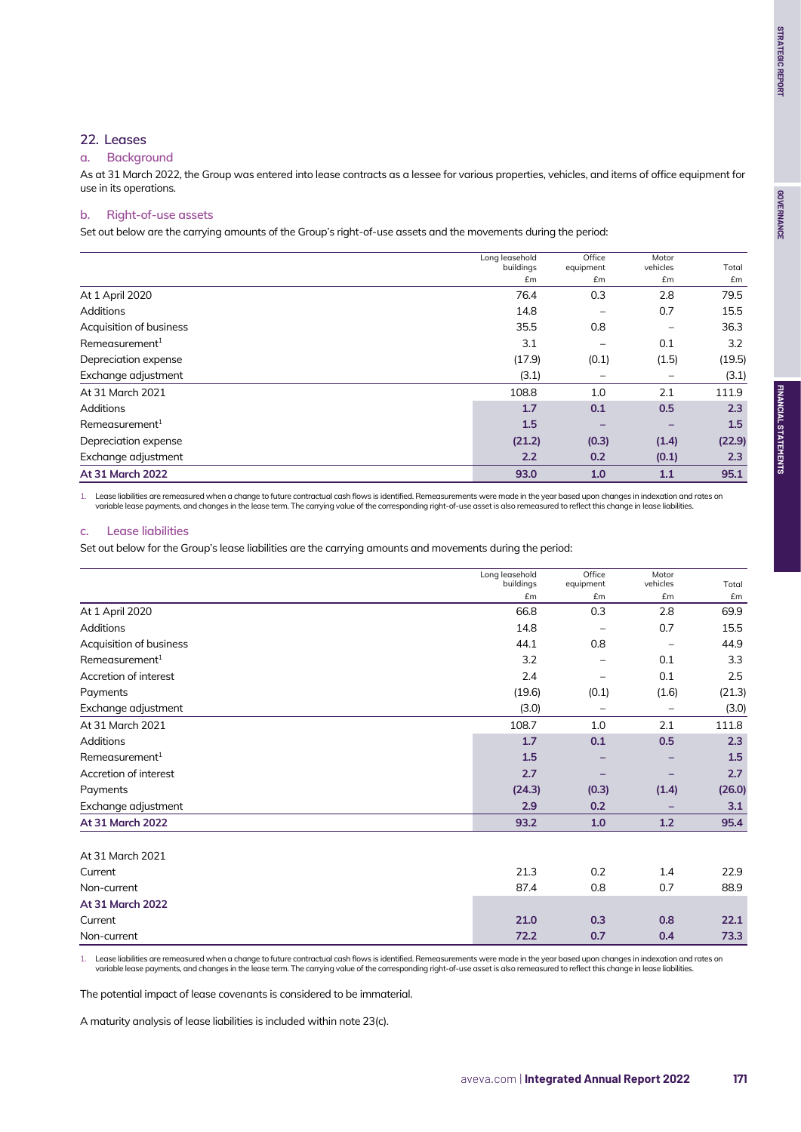**GOVERNANCE** 

**FINANCIAL STATEMENTS**

**FINANCIAL STATEMENTS** 

# **22. Leases**

### **a. Background**

As at 31 March 2022, the Group was entered into lease contracts as a lessee for various properties, vehicles, and items of office equipment for use in its operations.

### **b. Right-of-use assets**

Set out below are the carrying amounts of the Group's right-of-use assets and the movements during the period:

|                            | Long leasehold<br>buildings | Office<br>equipment      | Motor<br>vehicles        | Total  |
|----------------------------|-----------------------------|--------------------------|--------------------------|--------|
|                            | £m                          | £m                       | £m                       | £m     |
| At 1 April 2020            | 76.4                        | 0.3                      | 2.8                      | 79.5   |
| <b>Additions</b>           | 14.8                        |                          | 0.7                      | 15.5   |
| Acquisition of business    | 35.5                        | 0.8                      |                          | 36.3   |
| Remeasurement <sup>1</sup> | 3.1                         | $\overline{\phantom{m}}$ | 0.1                      | 3.2    |
| Depreciation expense       | (17.9)                      | (0.1)                    | (1.5)                    | (19.5) |
| Exchange adjustment        | (3.1)                       | $\qquad \qquad$          | $\qquad \qquad -$        | (3.1)  |
| At 31 March 2021           | 108.8                       | 1.0                      | 2.1                      | 111.9  |
| <b>Additions</b>           | 1.7                         | 0.1                      | 0.5                      | 2.3    |
| Remeasurement <sup>1</sup> | 1.5                         |                          | $\overline{\phantom{0}}$ | 1.5    |
| Depreciation expense       | (21.2)                      | (0.3)                    | (1.4)                    | (22.9) |
| Exchange adjustment        | 2.2                         | 0.2                      | (0.1)                    | 2.3    |
| At 31 March 2022           | 93.0                        | 1.0                      | 1.1                      | 95.1   |

1. Lease liabilities are remeasured when a change to future contractual cash flows is identified. Remeasurements were made in the year based upon changes in indexation and rates on variable lease payments, and changes in the lease term. The carrying value of the corresponding right-of-use asset is also remeasured to reflect this change in lease liabilities.

#### **c. Lease liabilities**

Set out below for the Group's lease liabilities are the carrying amounts and movements during the period:

|                            | Long leasehold<br>buildings | equipment | Office | Motor<br>vehicles        | Total  |
|----------------------------|-----------------------------|-----------|--------|--------------------------|--------|
|                            |                             | £m        | £m     | £m                       | £m     |
| At 1 April 2020            |                             | 66.8      | 0.3    | 2.8                      | 69.9   |
| <b>Additions</b>           |                             | 14.8      |        | 0.7                      | 15.5   |
| Acquisition of business    |                             | 44.1      | 0.8    |                          | 44.9   |
| Remeasurement <sup>1</sup> |                             | 3.2       |        | 0.1                      | 3.3    |
| Accretion of interest      |                             | 2.4       |        | 0.1                      | 2.5    |
| Payments                   |                             | (19.6)    | (0.1)  | (1.6)                    | (21.3) |
| Exchange adjustment        |                             | (3.0)     |        | $\overline{\phantom{0}}$ | (3.0)  |
| At 31 March 2021           |                             | 108.7     | 1.0    | 2.1                      | 111.8  |
| Additions                  |                             | 1.7       | 0.1    | 0.5                      | 2.3    |
| Remeasurement <sup>1</sup> |                             | 1.5       |        |                          | 1.5    |
| Accretion of interest      |                             | 2.7       |        |                          | 2.7    |
| Payments                   |                             | (24.3)    | (0.3)  | (1.4)                    | (26.0) |
| Exchange adjustment        |                             | 2.9       | 0.2    |                          | 3.1    |
| At 31 March 2022           |                             | 93.2      | 1.0    | 1.2                      | 95.4   |
| At 31 March 2021           |                             |           |        |                          |        |
| Current                    |                             | 21.3      | 0.2    | 1.4                      | 22.9   |
| Non-current                |                             | 87.4      | 0.8    | 0.7                      | 88.9   |
| At 31 March 2022           |                             |           |        |                          |        |
| Current                    |                             | 21.0      | 0.3    | 0.8                      | 22.1   |
| Non-current                |                             | 72.2      | 0.7    | 0.4                      | 73.3   |

1. Lease liabilities are remeasured when a change to future contractual cash flows is identified. Remeasurements were made in the year based upon changes in indexation and rates on variable lease payments, and changes in the lease term. The carrying value of the corresponding right-of-use asset is also remeasured to reflect this change in lease liabilities.

The potential impact of lease covenants is considered to be immaterial.

A maturity analysis of lease liabilities is included within note 23(c).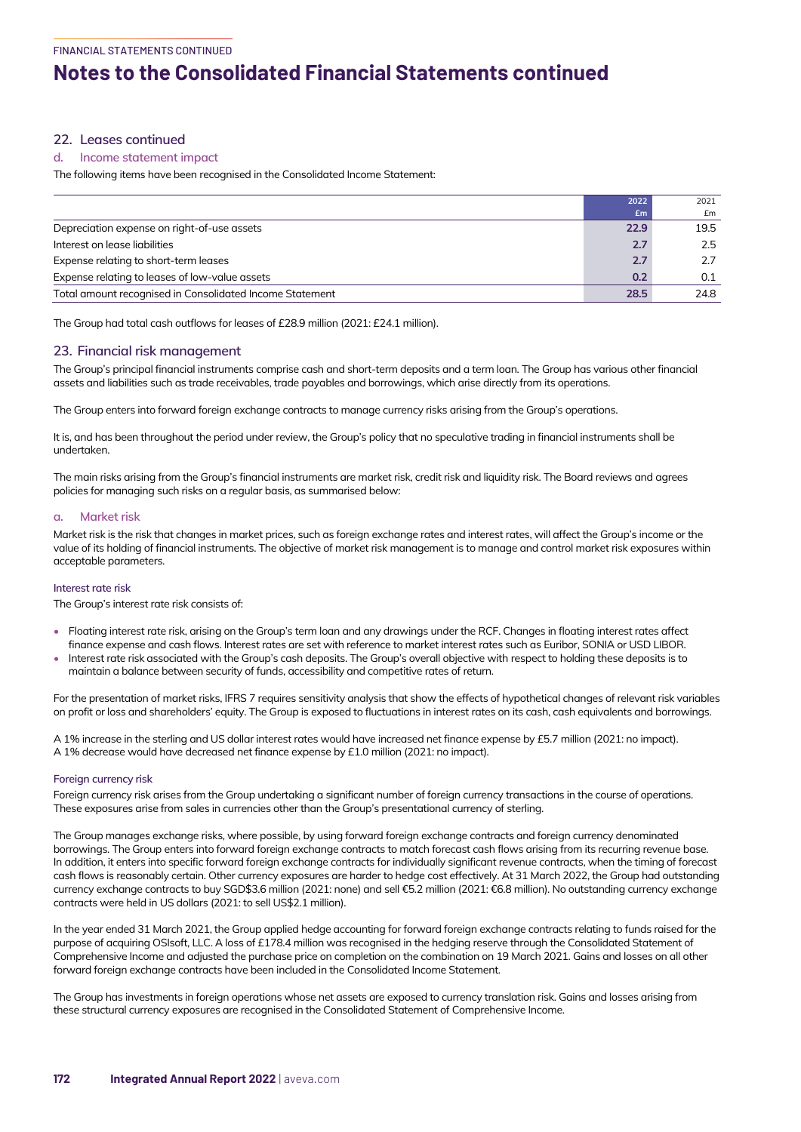# **22. Leases continued**

### **d. Income statement impact**

The following items have been recognised in the Consolidated Income Statement:

|                                                          | 2022 | 2021 |
|----------------------------------------------------------|------|------|
|                                                          | £m   | £m   |
| Depreciation expense on right-of-use assets              | 22.9 | 19.5 |
| Interest on lease liabilities                            | 2.7  | 2.5  |
| Expense relating to short-term leases                    | 2.7  | 2.7  |
| Expense relating to leases of low-value assets           | 0.2  | 0.1  |
| Total amount recognised in Consolidated Income Statement | 28.5 | 24.8 |

The Group had total cash outflows for leases of £28.9 million (2021: £24.1 million).

### **23. Financial risk management**

The Group's principal financial instruments comprise cash and short-term deposits and a term loan. The Group has various other financial assets and liabilities such as trade receivables, trade payables and borrowings, which arise directly from its operations.

The Group enters into forward foreign exchange contracts to manage currency risks arising from the Group's operations.

It is, and has been throughout the period under review, the Group's policy that no speculative trading in financial instruments shall be undertaken.

The main risks arising from the Group's financial instruments are market risk, credit risk and liquidity risk. The Board reviews and agrees policies for managing such risks on a regular basis, as summarised below:

### **a. Market risk**

Market risk is the risk that changes in market prices, such as foreign exchange rates and interest rates, will affect the Group's income or the value of its holding of financial instruments. The objective of market risk management is to manage and control market risk exposures within acceptable parameters.

#### **Interest rate risk**

The Group's interest rate risk consists of:

- Floating interest rate risk, arising on the Group's term loan and any drawings under the RCF. Changes in floating interest rates affect finance expense and cash flows. Interest rates are set with reference to market interest rates such as Euribor, SONIA or USD LIBOR.
- Interest rate risk associated with the Group's cash deposits. The Group's overall objective with respect to holding these deposits is to maintain a balance between security of funds, accessibility and competitive rates of return.

For the presentation of market risks, IFRS 7 requires sensitivity analysis that show the effects of hypothetical changes of relevant risk variables on profit or loss and shareholders' equity. The Group is exposed to fluctuations in interest rates on its cash, cash equivalents and borrowings.

A 1% increase in the sterling and US dollar interest rates would have increased net finance expense by £5.7 million (2021: no impact). A 1% decrease would have decreased net finance expense by £1.0 million (2021: no impact).

#### **Foreign currency risk**

Foreign currency risk arises from the Group undertaking a significant number of foreign currency transactions in the course of operations. These exposures arise from sales in currencies other than the Group's presentational currency of sterling.

The Group manages exchange risks, where possible, by using forward foreign exchange contracts and foreign currency denominated borrowings. The Group enters into forward foreign exchange contracts to match forecast cash flows arising from its recurring revenue base. In addition, it enters into specific forward foreign exchange contracts for individually significant revenue contracts, when the timing of forecast cash flows is reasonably certain. Other currency exposures are harder to hedge cost effectively. At 31 March 2022, the Group had outstanding currency exchange contracts to buy SGD\$3.6 million (2021: none) and sell €5.2 million (2021: €6.8 million). No outstanding currency exchange contracts were held in US dollars (2021: to sell US\$2.1 million).

In the year ended 31 March 2021, the Group applied hedge accounting for forward foreign exchange contracts relating to funds raised for the purpose of acquiring OSIsoft, LLC. A loss of £178.4 million was recognised in the hedging reserve through the Consolidated Statement of Comprehensive Income and adjusted the purchase price on completion on the combination on 19 March 2021. Gains and losses on all other forward foreign exchange contracts have been included in the Consolidated Income Statement.

The Group has investments in foreign operations whose net assets are exposed to currency translation risk. Gains and losses arising from these structural currency exposures are recognised in the Consolidated Statement of Comprehensive Income.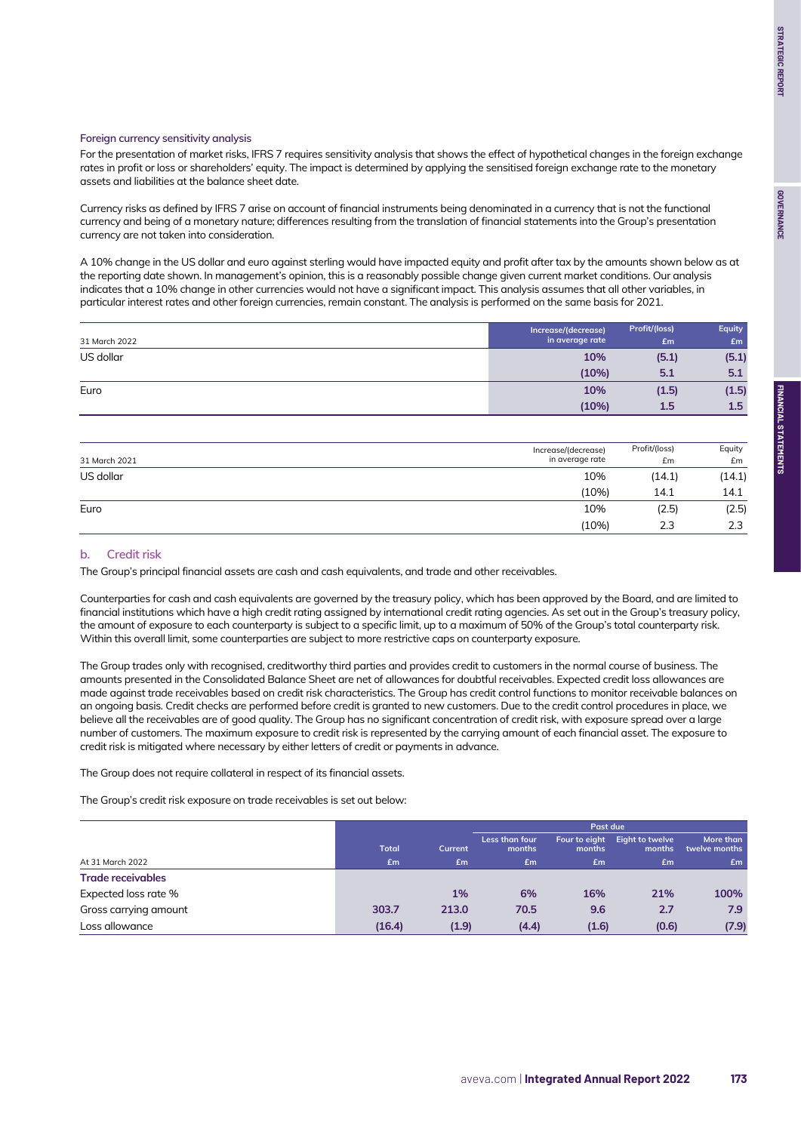# FINANCIAL STATEMENTS **FINANCIAL STATEMENTS**

# **Foreign currency sensitivity analysis**

For the presentation of market risks, IFRS 7 requires sensitivity analysis that shows the effect of hypothetical changes in the foreign exchange rates in profit or loss or shareholders' equity. The impact is determined by applying the sensitised foreign exchange rate to the monetary assets and liabilities at the balance sheet date.

Currency risks as defined by IFRS 7 arise on account of financial instruments being denominated in a currency that is not the functional currency and being of a monetary nature; differences resulting from the translation of financial statements into the Group's presentation currency are not taken into consideration.

A 10% change in the US dollar and euro against sterling would have impacted equity and profit after tax by the amounts shown below as at the reporting date shown. In management's opinion, this is a reasonably possible change given current market conditions. Our analysis indicates that a 10% change in other currencies would not have a significant impact. This analysis assumes that all other variables, in particular interest rates and other foreign currencies, remain constant. The analysis is performed on the same basis for 2021.

|               | Increase/(decrease) | Profit/(loss) | Equity |
|---------------|---------------------|---------------|--------|
| 31 March 2022 | in average rate     | £m            | £m     |
| US dollar     | 10%                 | (5.1)         | (5.1)  |
|               | (10%)               | 5.1           | 5.1    |
| Euro          | 10%                 | (1.5)         | (1.5)  |
|               | (10%)               | 1.5           | 1.5    |
|               |                     |               |        |

| 31 March 2021 | Increase/(decrease)<br>in average rate | Profit/(loss)<br>£m | Equity<br>£m |
|---------------|----------------------------------------|---------------------|--------------|
| US dollar     | 10%                                    | (14.1)              | (14.1)       |
|               | (10%)                                  | 14.1                | 14.1         |
| Euro          | 10%                                    | (2.5)               | (2.5)        |
|               | (10%)                                  | 2.3                 | 2.3          |

### **b. Credit risk**

The Group's principal financial assets are cash and cash equivalents, and trade and other receivables.

Counterparties for cash and cash equivalents are governed by the treasury policy, which has been approved by the Board, and are limited to financial institutions which have a high credit rating assigned by international credit rating agencies. As set out in the Group's treasury policy, the amount of exposure to each counterparty is subject to a specific limit, up to a maximum of 50% of the Group's total counterparty risk. Within this overall limit, some counterparties are subject to more restrictive caps on counterparty exposure.

The Group trades only with recognised, creditworthy third parties and provides credit to customers in the normal course of business. The amounts presented in the Consolidated Balance Sheet are net of allowances for doubtful receivables. Expected credit loss allowances are made against trade receivables based on credit risk characteristics. The Group has credit control functions to monitor receivable balances on an ongoing basis. Credit checks are performed before credit is granted to new customers. Due to the credit control procedures in place, we believe all the receivables are of good quality. The Group has no significant concentration of credit risk, with exposure spread over a large number of customers. The maximum exposure to credit risk is represented by the carrying amount of each financial asset. The exposure to credit risk is mitigated where necessary by either letters of credit or payments in advance.

The Group does not require collateral in respect of its financial assets.

The Group's credit risk exposure on trade receivables is set out below:

|                          |              |         | Past due                 |                         |                                  |                            |
|--------------------------|--------------|---------|--------------------------|-------------------------|----------------------------------|----------------------------|
|                          | <b>Total</b> | Current | Less than four<br>months | Four to eight<br>months | <b>Eight to twelve</b><br>months | More than<br>twelve months |
| At 31 March 2022         | £m           | £m      | £m                       | £m                      | £m                               | £m                         |
| <b>Trade receivables</b> |              |         |                          |                         |                                  |                            |
| Expected loss rate %     |              | 1%      | 6%                       | 16%                     | 21%                              | 100%                       |
| Gross carrying amount    | 303.7        | 213.0   | 70.5                     | 9.6                     | 2.7                              | 7.9                        |
| Loss allowance           | (16.4)       | (1.9)   | (4.4)                    | (1.6)                   | (0.6)                            | (7.9)                      |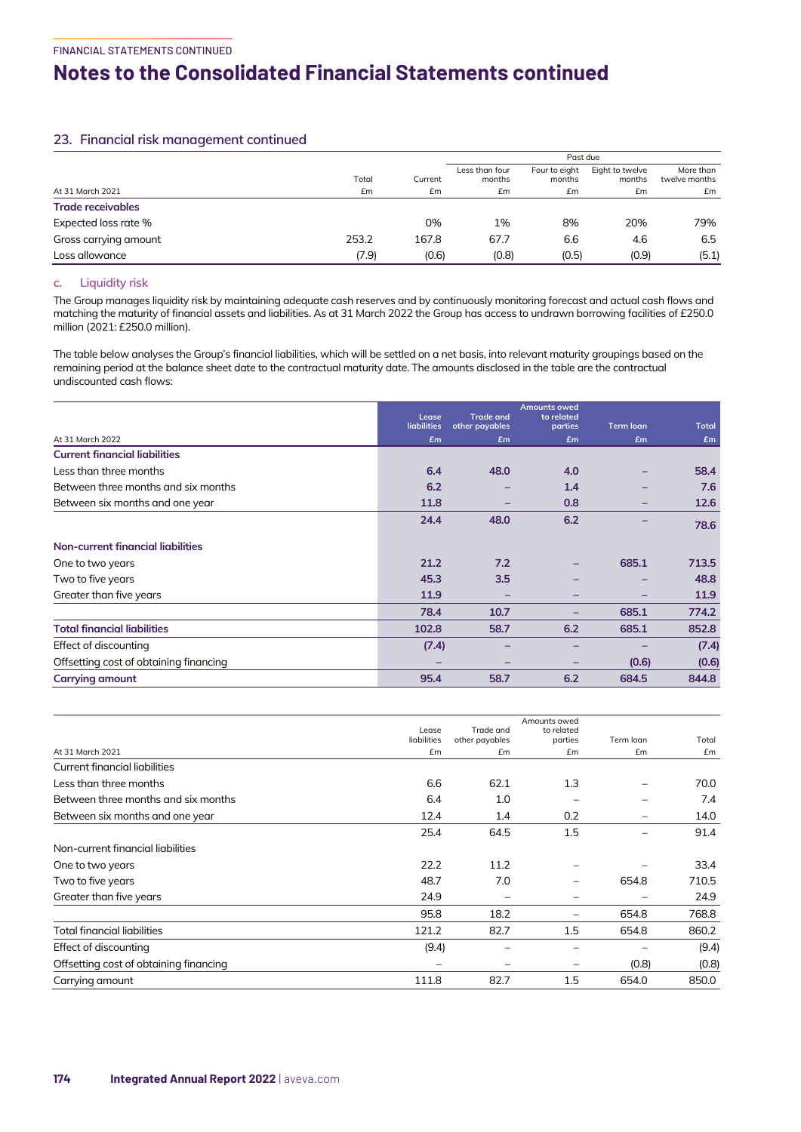# **23. Financial risk management continued**

|                          |       |         | Past due                 |                         |                           |                            |  |
|--------------------------|-------|---------|--------------------------|-------------------------|---------------------------|----------------------------|--|
|                          | Total | Current | Less than four<br>months | Four to eight<br>months | Eight to twelve<br>months | More than<br>twelve months |  |
| At 31 March 2021         | £m    | £m      | £m                       | £m                      | £m                        | £m                         |  |
| <b>Trade receivables</b> |       |         |                          |                         |                           |                            |  |
| Expected loss rate %     |       | 0%      | 1%                       | 8%                      | 20%                       | 79%                        |  |
| Gross carrying amount    | 253.2 | 167.8   | 67.7                     | 6.6                     | 4.6                       | 6.5                        |  |
| Loss allowance           | (7.9) | (0.6)   | (0.8)                    | (0.5)                   | (0.9)                     | (5.1)                      |  |

### **c. Liquidity risk**

The Group manages liquidity risk by maintaining adequate cash reserves and by continuously monitoring forecast and actual cash flows and matching the maturity of financial assets and liabilities. As at 31 March 2022 the Group has access to undrawn borrowing facilities of £250.0 million (2021: £250.0 million).

The table below analyses the Group's financial liabilities, which will be settled on a net basis, into relevant maturity groupings based on the remaining period at the balance sheet date to the contractual maturity date. The amounts disclosed in the table are the contractual undiscounted cash flows:

|                                        | Lease              | <b>Trade and</b> | <b>Amounts owed</b><br>to related |                  |              |
|----------------------------------------|--------------------|------------------|-----------------------------------|------------------|--------------|
|                                        | <b>liabilities</b> | other payables   | parties                           | <b>Term loan</b> | <b>Total</b> |
| At 31 March 2022                       | £m                 | £m               | £m                                | £m               | £m           |
| <b>Current financial liabilities</b>   |                    |                  |                                   |                  |              |
| Less than three months                 | 6.4                | 48.0             | 4.0                               |                  | 58.4         |
| Between three months and six months    | 6.2                |                  | 1.4                               | -                | 7.6          |
| Between six months and one year        | 11.8               | -                | 0.8                               | -                | 12.6         |
|                                        | 24.4               | 48.0             | 6.2                               |                  | 78.6         |
| Non-current financial liabilities      |                    |                  |                                   |                  |              |
| One to two years                       | 21.2               | 7.2              | $\overline{\phantom{0}}$          | 685.1            | 713.5        |
| Two to five years                      | 45.3               | 3.5              |                                   |                  | 48.8         |
| Greater than five years                | 11.9               |                  |                                   |                  | 11.9         |
|                                        | 78.4               | 10.7             | -                                 | 685.1            | 774.2        |
| <b>Total financial liabilities</b>     | 102.8              | 58.7             | 6.2                               | 685.1            | 852.8        |
| Effect of discounting                  | (7.4)              |                  |                                   |                  | (7.4)        |
| Offsetting cost of obtaining financing |                    |                  | -                                 | (0.6)            | (0.6)        |
| <b>Carrying amount</b>                 | 95.4               | 58.7             | 6.2                               | 684.5            | 844.8        |

|                                        |             | Amounts owed   |                          |                          |       |  |
|----------------------------------------|-------------|----------------|--------------------------|--------------------------|-------|--|
|                                        | Lease       | Trade and      | to related               |                          |       |  |
|                                        | liabilities | other payables | parties                  | Term loan                | Total |  |
| At 31 March 2021                       | £m          | £m             | £m                       | £m                       | £m    |  |
| <b>Current financial liabilities</b>   |             |                |                          |                          |       |  |
| Less than three months                 | 6.6         | 62.1           | 1.3                      | $\overline{\phantom{0}}$ | 70.0  |  |
| Between three months and six months    | 6.4         | 1.0            |                          |                          | 7.4   |  |
| Between six months and one year        | 12.4        | 1.4            | 0.2                      | -                        | 14.0  |  |
|                                        | 25.4        | 64.5           | 1.5                      |                          | 91.4  |  |
| Non-current financial liabilities      |             |                |                          |                          |       |  |
| One to two years                       | 22.2        | 11.2           |                          |                          | 33.4  |  |
| Two to five years                      | 48.7        | 7.0            |                          | 654.8                    | 710.5 |  |
| Greater than five years                | 24.9        |                |                          | -                        | 24.9  |  |
|                                        | 95.8        | 18.2           | $\overline{\phantom{0}}$ | 654.8                    | 768.8 |  |
| Total financial liabilities            | 121.2       | 82.7           | 1.5                      | 654.8                    | 860.2 |  |
| Effect of discounting                  | (9.4)       |                |                          |                          | (9.4) |  |
| Offsetting cost of obtaining financing |             |                | $\qquad \qquad$          | (0.8)                    | (0.8) |  |
| Carrying amount                        | 111.8       | 82.7           | 1.5                      | 654.0                    | 850.0 |  |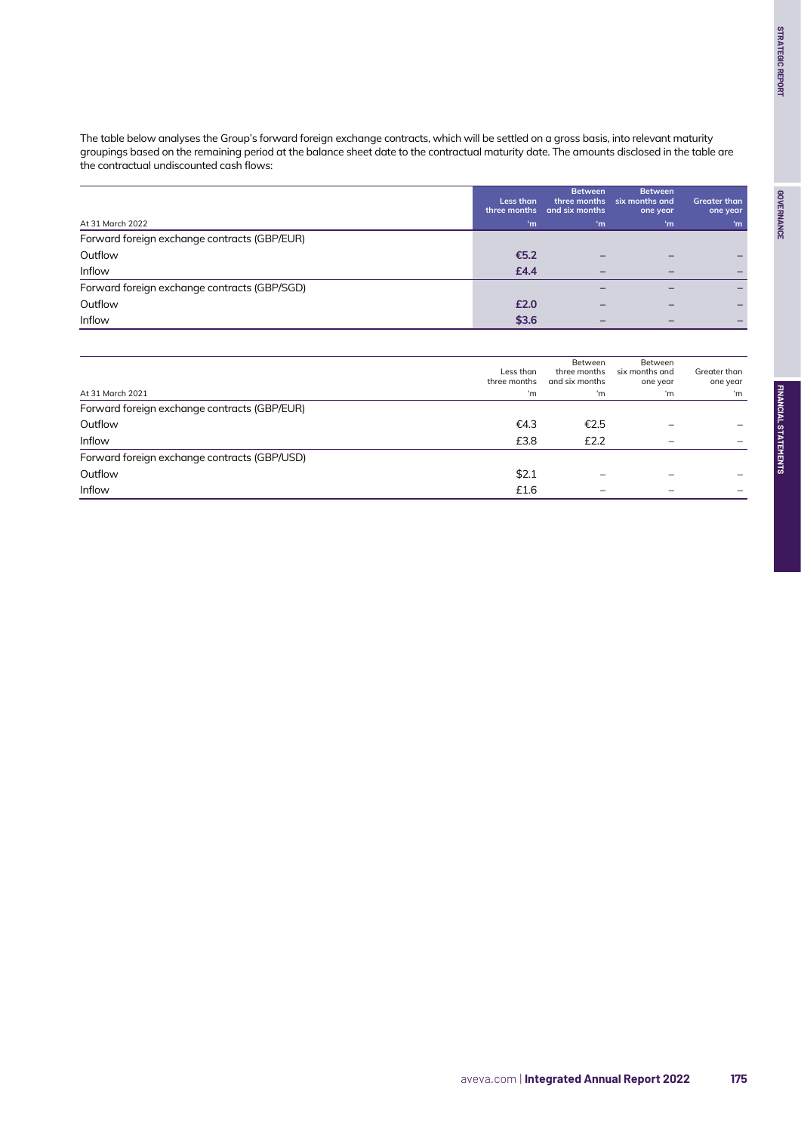The table below analyses the Group's forward foreign exchange contracts, which will be settled on a gross basis, into relevant maturity groupings based on the remaining period at the balance sheet date to the contractual maturity date. The amounts disclosed in the table are the contractual undiscounted cash flows:

|                                              | Less than | <b>Between</b><br>three months and six months | <b>Between</b><br>three months six months and<br>one year | <b>Greater than</b><br>one year |
|----------------------------------------------|-----------|-----------------------------------------------|-----------------------------------------------------------|---------------------------------|
| At 31 March 2022                             | t'm'      | 'm                                            | $\mathbf{m}$                                              | t'm'                            |
| Forward foreign exchange contracts (GBP/EUR) |           |                                               |                                                           |                                 |
| Outflow                                      | €5.2      |                                               |                                                           |                                 |
| Inflow                                       | £4.4      | -                                             |                                                           |                                 |
| Forward foreign exchange contracts (GBP/SGD) |           |                                               |                                                           |                                 |
| Outflow                                      | £2.0      |                                               |                                                           |                                 |
| Inflow                                       | \$3.6     |                                               |                                                           |                                 |

|                                              | Less than<br>three months | Between<br>three months<br>and six months | Between<br>six months and<br>one year | Greater than<br>one year |
|----------------------------------------------|---------------------------|-------------------------------------------|---------------------------------------|--------------------------|
| At 31 March 2021                             | 'n                        | 'n                                        | 'n                                    | 'n                       |
| Forward foreign exchange contracts (GBP/EUR) |                           |                                           |                                       |                          |
| Outflow                                      | €4.3                      | €2.5                                      |                                       |                          |
| Inflow                                       | £3.8                      | £2.2                                      |                                       |                          |
| Forward foreign exchange contracts (GBP/USD) |                           |                                           |                                       |                          |
| Outflow                                      | \$2.1                     |                                           |                                       |                          |
| Inflow                                       | £1.6                      |                                           |                                       |                          |

**GOVERNANCE**

**GOVERNANCE**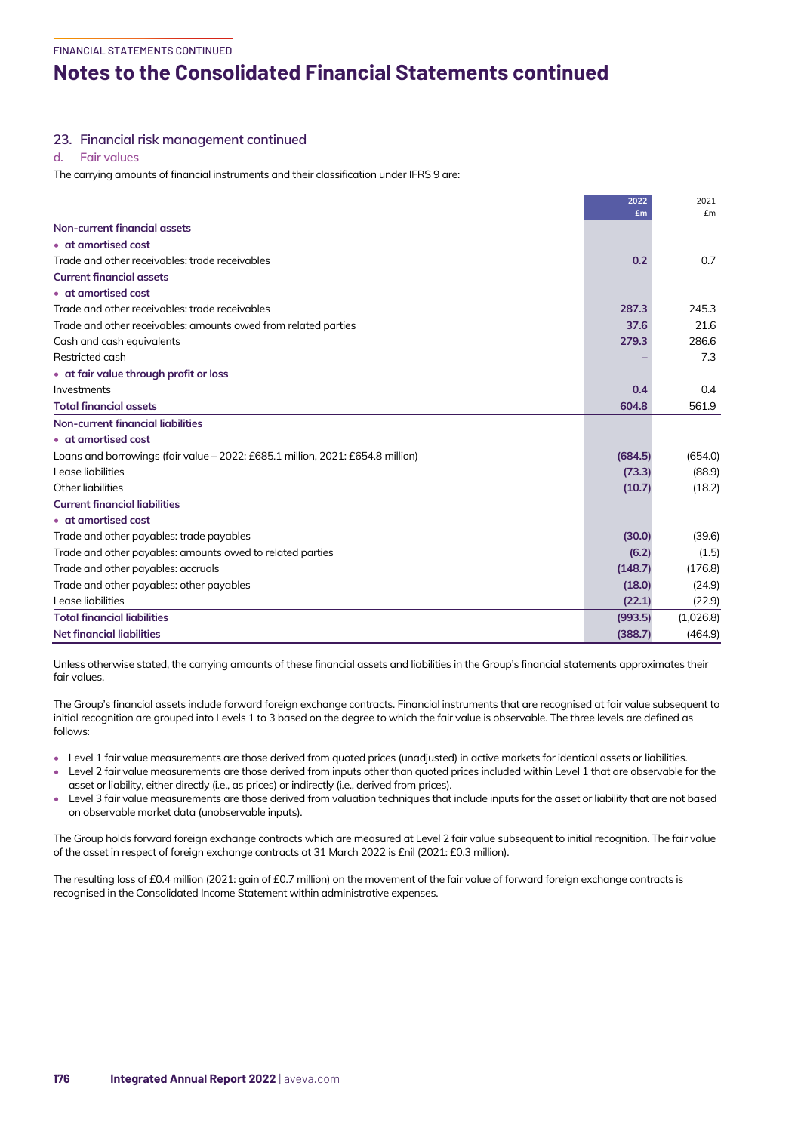# **23. Financial risk management continued**

### **d. Fair values**

The carrying amounts of financial instruments and their classification under IFRS 9 are:

|                                                                                | 2022    | 2021      |
|--------------------------------------------------------------------------------|---------|-----------|
|                                                                                | £m      | £m        |
| Non-current financial assets                                                   |         |           |
| • at amortised cost                                                            |         |           |
| Trade and other receivables: trade receivables                                 | 0.2     | 0.7       |
| <b>Current financial assets</b>                                                |         |           |
| • at amortised cost                                                            |         |           |
| Trade and other receivables: trade receivables                                 | 287.3   | 245.3     |
| Trade and other receivables: amounts owed from related parties                 | 37.6    | 21.6      |
| Cash and cash equivalents                                                      | 279.3   | 286.6     |
| Restricted cash                                                                |         | 7.3       |
| • at fair value through profit or loss                                         |         |           |
| Investments                                                                    | 0.4     | 0.4       |
| <b>Total financial assets</b>                                                  | 604.8   | 561.9     |
| Non-current financial liabilities                                              |         |           |
| • at amortised cost                                                            |         |           |
| Loans and borrowings (fair value – 2022: £685.1 million, 2021: £654.8 million) | (684.5) | (654.0)   |
| Lease liabilities                                                              | (73.3)  | (88.9)    |
| Other liabilities                                                              | (10.7)  | (18.2)    |
| <b>Current financial liabilities</b>                                           |         |           |
| • at amortised cost                                                            |         |           |
| Trade and other payables: trade payables                                       | (30.0)  | (39.6)    |
| Trade and other payables: amounts owed to related parties                      | (6.2)   | (1.5)     |
| Trade and other payables: accruals                                             | (148.7) | (176.8)   |
| Trade and other payables: other payables                                       | (18.0)  | (24.9)    |
| Lease liabilities                                                              | (22.1)  | (22.9)    |
| <b>Total financial liabilities</b>                                             | (993.5) | (1,026.8) |
| <b>Net financial liabilities</b>                                               | (388.7) | (464.9)   |

Unless otherwise stated, the carrying amounts of these financial assets and liabilities in the Group's financial statements approximates their fair values.

The Group's financial assets include forward foreign exchange contracts. Financial instruments that are recognised at fair value subsequent to initial recognition are grouped into Levels 1 to 3 based on the degree to which the fair value is observable. The three levels are defined as follows:

- Level 1 fair value measurements are those derived from quoted prices (unadjusted) in active markets for identical assets or liabilities.
- Level 2 fair value measurements are those derived from inputs other than quoted prices included within Level 1 that are observable for the asset or liability, either directly (i.e., as prices) or indirectly (i.e., derived from prices).
- Level 3 fair value measurements are those derived from valuation techniques that include inputs for the asset or liability that are not based on observable market data (unobservable inputs).

The Group holds forward foreign exchange contracts which are measured at Level 2 fair value subsequent to initial recognition. The fair value of the asset in respect of foreign exchange contracts at 31 March 2022 is £nil (2021: £0.3 million).

The resulting loss of £0.4 million (2021: gain of £0.7 million) on the movement of the fair value of forward foreign exchange contracts is recognised in the Consolidated Income Statement within administrative expenses.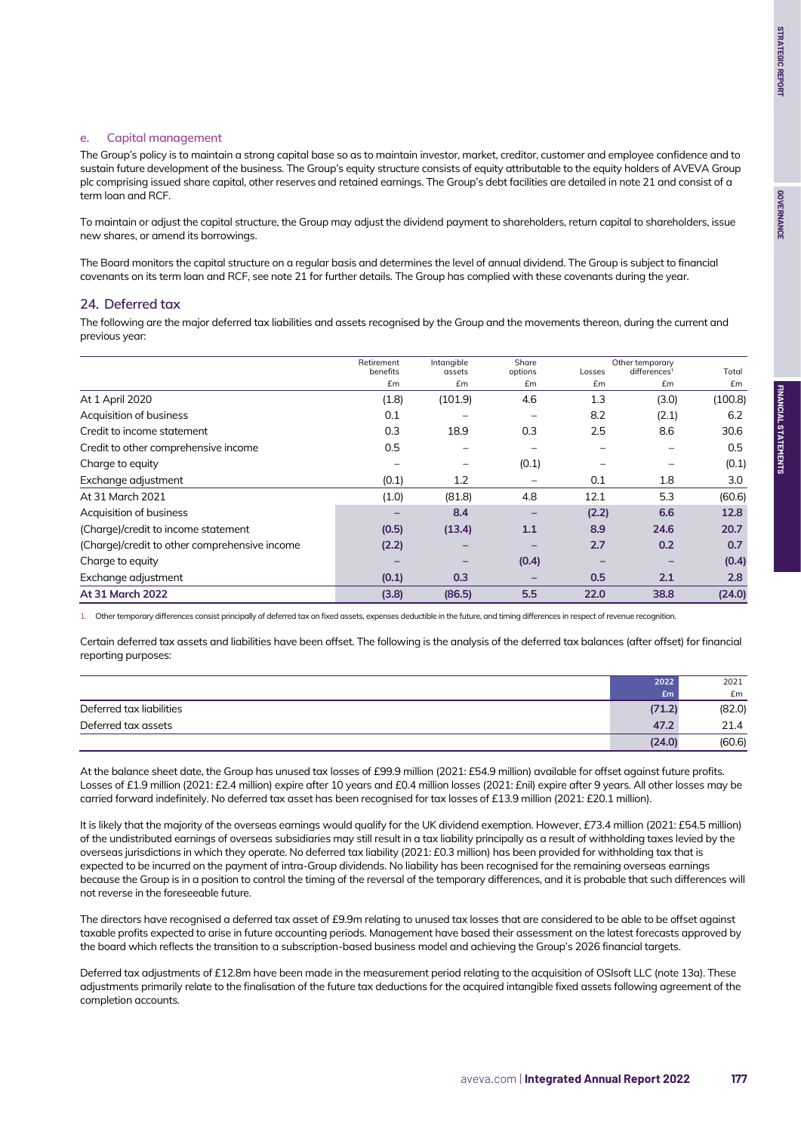# **GOVERNANCE GOVERNANCE**

The Group's policy is to maintain a strong capital base so as to maintain investor, market, creditor, customer and employee confidence and to sustain future development of the business. The Group's equity structure consists of equity attributable to the equity holders of AVEVA Group plc comprising issued share capital, other reserves and retained earnings. The Group's debt facilities are detailed in note 21 and consist of a term loan and RCF.

To maintain or adjust the capital structure, the Group may adjust the dividend payment to shareholders, return capital to shareholders, issue new shares, or amend its borrowings.

The Board monitors the capital structure on a regular basis and determines the level of annual dividend. The Group is subject to financial covenants on its term loan and RCF, see note 21 for further details. The Group has complied with these covenants during the year.

# **24. Deferred tax**

The following are the major deferred tax liabilities and assets recognised by the Group and the movements thereon, during the current and previous year:

|                                               | Retirement | Intangible | Share   |        | Other temporary             |         |
|-----------------------------------------------|------------|------------|---------|--------|-----------------------------|---------|
|                                               | benefits   | assets     | options | Losses | $d$ ifferences <sup>1</sup> | Total   |
|                                               | £m         | £m         | £m      | £m     | £m                          | £m      |
| At 1 April 2020                               | (1.8)      | (101.9)    | 4.6     | 1.3    | (3.0)                       | (100.8) |
| Acquisition of business                       | 0.1        |            |         | 8.2    | (2.1)                       | 6.2     |
| Credit to income statement                    | 0.3        | 18.9       | 0.3     | 2.5    | 8.6                         | 30.6    |
| Credit to other comprehensive income          | 0.5        |            |         |        |                             | 0.5     |
| Charge to equity                              |            |            | (0.1)   |        |                             | (0.1)   |
| Exchange adjustment                           | (0.1)      | 1.2        |         | 0.1    | 1.8                         | 3.0     |
| At 31 March 2021                              | (1.0)      | (81.8)     | 4.8     | 12.1   | 5.3                         | (60.6)  |
| Acquisition of business                       |            | 8.4        |         | (2.2)  | 6.6                         | 12.8    |
| (Charge)/credit to income statement           | (0.5)      | (13.4)     | 1.1     | 8.9    | 24.6                        | 20.7    |
| (Charge)/credit to other comprehensive income | (2.2)      |            |         | 2.7    | 0.2                         | 0.7     |
| Charge to equity                              |            |            | (0.4)   |        |                             | (0.4)   |
| Exchange adjustment                           | (0.1)      | 0.3        | -       | 0.5    | 2.1                         | 2.8     |
| <b>At 31 March 2022</b>                       | (3.8)      | (86.5)     | 5.5     | 22.0   | 38.8                        | (24.0)  |

1. Other temporary differences consist principally of deferred tax on fixed assets, expenses deductible in the future, and timing differences in respect of revenue recognition.

Certain deferred tax assets and liabilities have been offset. The following is the analysis of the deferred tax balances (after offset) for financial reporting purposes:

|                          | 2022   | 2021   |
|--------------------------|--------|--------|
|                          | £m     | £m     |
| Deferred tax liabilities | (71.2) | (82.0) |
| Deferred tax assets      | 47.2   | 21.4   |
|                          | (24.0) | (60.6) |

At the balance sheet date, the Group has unused tax losses of £99.9 million (2021: £54.9 million) available for offset against future profits. Losses of £1.9 million (2021: £2.4 million) expire after 10 years and £0.4 million losses (2021: £nil) expire after 9 years. All other losses may be carried forward indefinitely. No deferred tax asset has been recognised for tax losses of £13.9 million (2021: £20.1 million).

It is likely that the majority of the overseas earnings would qualify for the UK dividend exemption. However, £73.4 million (2021: £54.5 million) of the undistributed earnings of overseas subsidiaries may still result in a tax liability principally as a result of withholding taxes levied by the overseas jurisdictions in which they operate. No deferred tax liability (2021: £0.3 million) has been provided for withholding tax that is expected to be incurred on the payment of intra-Group dividends. No liability has been recognised for the remaining overseas earnings because the Group is in a position to control the timing of the reversal of the temporary differences, and it is probable that such differences will not reverse in the foreseeable future.

The directors have recognised a deferred tax asset of £9.9m relating to unused tax losses that are considered to be able to be offset against taxable profits expected to arise in future accounting periods. Management have based their assessment on the latest forecasts approved by the board which reflects the transition to a subscription-based business model and achieving the Group's 2026 financial targets.

Deferred tax adjustments of £12.8m have been made in the measurement period relating to the acquisition of OSIsoft LLC (note 13a). These adjustments primarily relate to the finalisation of the future tax deductions for the acquired intangible fixed assets following agreement of the completion accounts.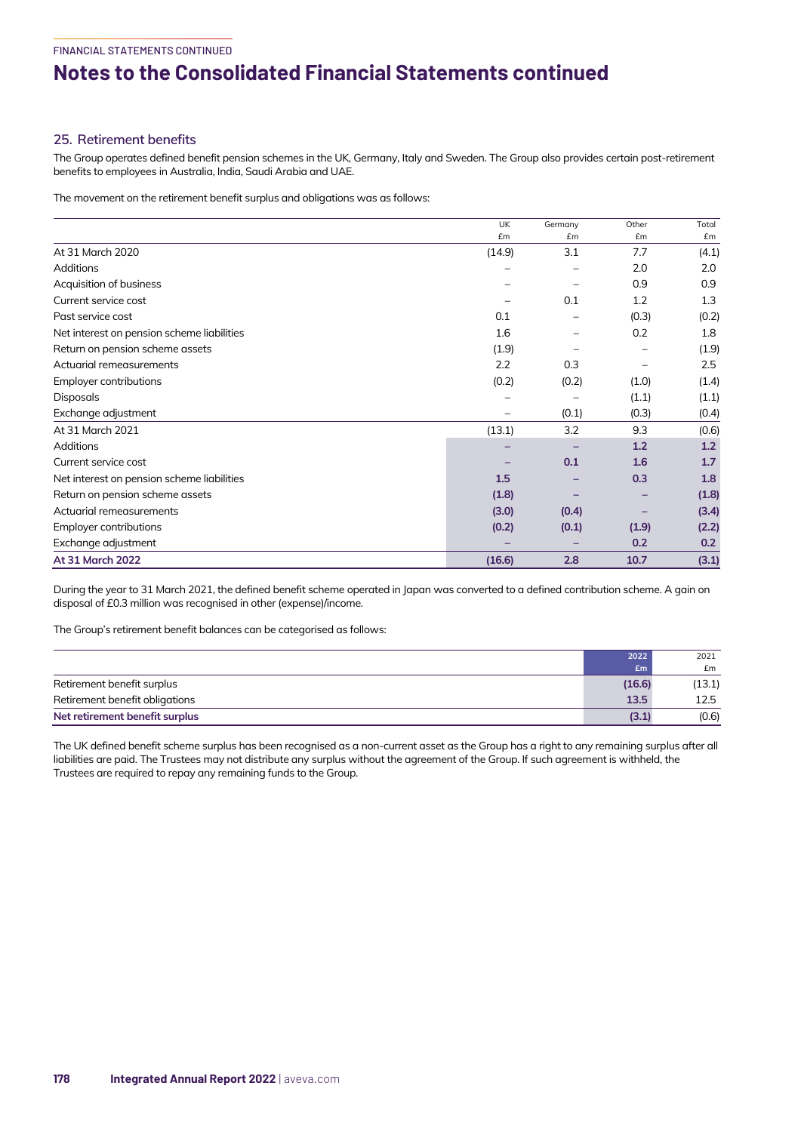## **Notes to the Consolidated Financial Statements continued**

### **25. Retirement benefits**

The Group operates defined benefit pension schemes in the UK, Germany, Italy and Sweden. The Group also provides certain post-retirement benefits to employees in Australia, India, Saudi Arabia and UAE.

The movement on the retirement benefit surplus and obligations was as follows:

|                                            | <b>UK</b> | Germany | Other                    | Total |
|--------------------------------------------|-----------|---------|--------------------------|-------|
|                                            | £m        | £m      | £m                       | £m    |
| At 31 March 2020                           | (14.9)    | 3.1     | 7.7                      | (4.1) |
| Additions                                  |           |         | 2.0                      | 2.0   |
| Acquisition of business                    |           |         | 0.9                      | 0.9   |
| Current service cost                       |           | 0.1     | 1.2                      | 1.3   |
| Past service cost                          | 0.1       |         | (0.3)                    | (0.2) |
| Net interest on pension scheme liabilities | 1.6       |         | 0.2                      | 1.8   |
| Return on pension scheme assets            | (1.9)     |         | —                        | (1.9) |
| Actuarial remeasurements                   | 2.2       | 0.3     | $\overline{\phantom{0}}$ | 2.5   |
| Employer contributions                     | (0.2)     | (0.2)   | (1.0)                    | (1.4) |
| <b>Disposals</b>                           |           |         | (1.1)                    | (1.1) |
| Exchange adjustment                        |           | (0.1)   | (0.3)                    | (0.4) |
| At 31 March 2021                           | (13.1)    | 3.2     | 9.3                      | (0.6) |
| <b>Additions</b>                           |           |         | 1.2                      | 1.2   |
| Current service cost                       |           | 0.1     | 1.6                      | 1.7   |
| Net interest on pension scheme liabilities | 1.5       |         | 0.3                      | 1.8   |
| Return on pension scheme assets            | (1.8)     |         |                          | (1.8) |
| Actuarial remeasurements                   | (3.0)     | (0.4)   |                          | (3.4) |
| Employer contributions                     | (0.2)     | (0.1)   | (1.9)                    | (2.2) |
| Exchange adjustment                        |           |         | 0.2                      | 0.2   |
| At 31 March 2022                           | (16.6)    | 2.8     | 10.7                     | (3.1) |

During the year to 31 March 2021, the defined benefit scheme operated in Japan was converted to a defined contribution scheme. A gain on disposal of £0.3 million was recognised in other (expense)/income.

The Group's retirement benefit balances can be categorised as follows:

|                                | 2022   | 2021   |
|--------------------------------|--------|--------|
|                                | £m     | £m     |
| Retirement benefit surplus     | (16.6) | (13.1) |
| Retirement benefit obligations | 13.5   | 12.5   |
| Net retirement benefit surplus | (3.1)  | (0.6)  |

The UK defined benefit scheme surplus has been recognised as a non-current asset as the Group has a right to any remaining surplus after all liabilities are paid. The Trustees may not distribute any surplus without the agreement of the Group. If such agreement is withheld, the Trustees are required to repay any remaining funds to the Group.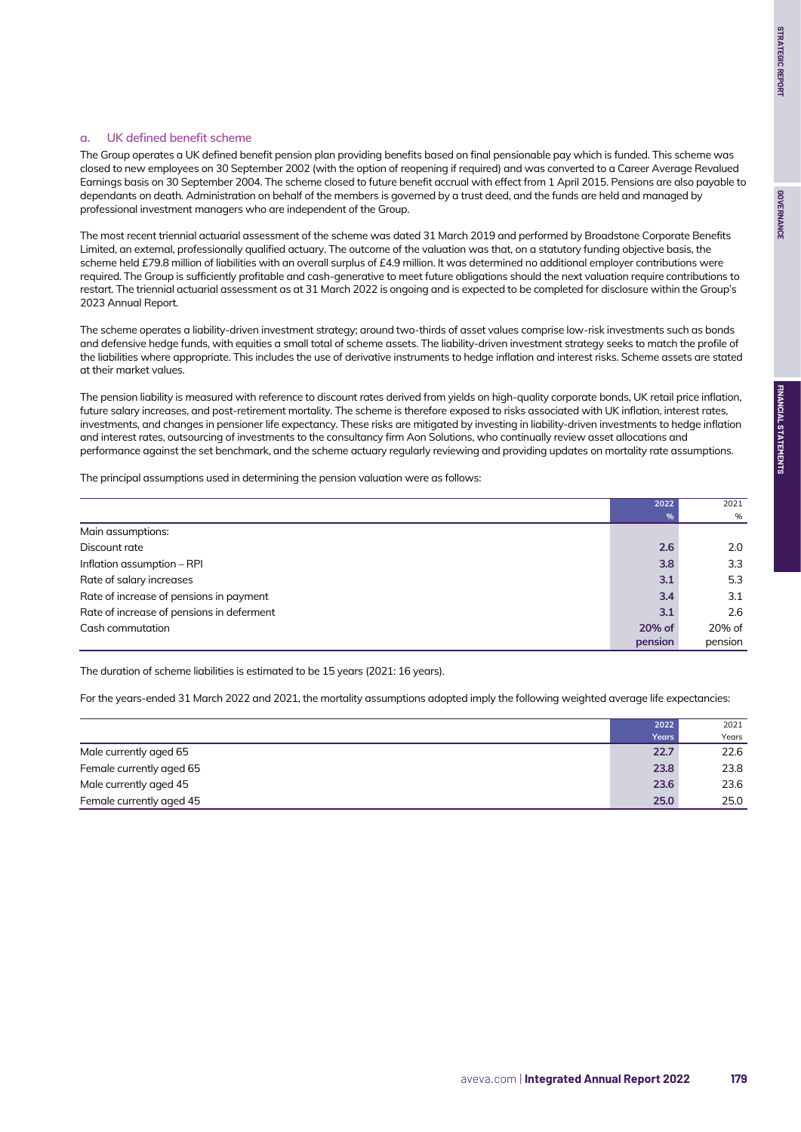**GOVERNANCE**

**GOVERNANCE** 

**FINANCIAL STATEMENTS**

FINANCIAL STATEMENTS

### **a. UK defined benefit scheme**

The Group operates a UK defined benefit pension plan providing benefits based on final pensionable pay which is funded. This scheme was closed to new employees on 30 September 2002 (with the option of reopening if required) and was converted to a Career Average Revalued Earnings basis on 30 September 2004. The scheme closed to future benefit accrual with effect from 1 April 2015. Pensions are also payable to dependants on death. Administration on behalf of the members is governed by a trust deed, and the funds are held and managed by professional investment managers who are independent of the Group.

The most recent triennial actuarial assessment of the scheme was dated 31 March 2019 and performed by Broadstone Corporate Benefits Limited, an external, professionally qualified actuary. The outcome of the valuation was that, on a statutory funding objective basis, the scheme held £79.8 million of liabilities with an overall surplus of £4.9 million. It was determined no additional employer contributions were required. The Group is sufficiently profitable and cash-generative to meet future obligations should the next valuation require contributions to restart. The triennial actuarial assessment as at 31 March 2022 is ongoing and is expected to be completed for disclosure within the Group's 2023 Annual Report.

The scheme operates a liability-driven investment strategy; around two-thirds of asset values comprise low-risk investments such as bonds and defensive hedge funds, with equities a small total of scheme assets. The liability-driven investment strategy seeks to match the profile of the liabilities where appropriate. This includes the use of derivative instruments to hedge inflation and interest risks. Scheme assets are stated at their market values.

The pension liability is measured with reference to discount rates derived from yields on high-quality corporate bonds, UK retail price inflation, future salary increases, and post-retirement mortality. The scheme is therefore exposed to risks associated with UK inflation, interest rates, investments, and changes in pensioner life expectancy. These risks are mitigated by investing in liability-driven investments to hedge inflation and interest rates, outsourcing of investments to the consultancy firm Aon Solutions, who continually review asset allocations and performance against the set benchmark, and the scheme actuary regularly reviewing and providing updates on mortality rate assumptions.

The principal assumptions used in determining the pension valuation were as follows:

|                                           | 2022          | 2021    |
|-------------------------------------------|---------------|---------|
|                                           | $\frac{9}{6}$ | %       |
| Main assumptions:                         |               |         |
| Discount rate                             | 2.6           | 2.0     |
| Inflation assumption – RPI                | 3.8           | 3.3     |
| Rate of salary increases                  | 3.1           | 5.3     |
| Rate of increase of pensions in payment   | 3.4           | 3.1     |
| Rate of increase of pensions in deferment | 3.1           | 2.6     |
| Cash commutation                          | 20% of        | 20% of  |
|                                           | pension       | pension |

The duration of scheme liabilities is estimated to be 15 years (2021: 16 years).

For the years-ended 31 March 2022 and 2021, the mortality assumptions adopted imply the following weighted average life expectancies:

|                          | 2022  | 2021  |
|--------------------------|-------|-------|
|                          | Years | Years |
| Male currently aged 65   | 22.7  | 22.6  |
| Female currently aged 65 | 23.8  | 23.8  |
| Male currently aged 45   | 23.6  | 23.6  |
| Female currently aged 45 | 25.0  | 25.0  |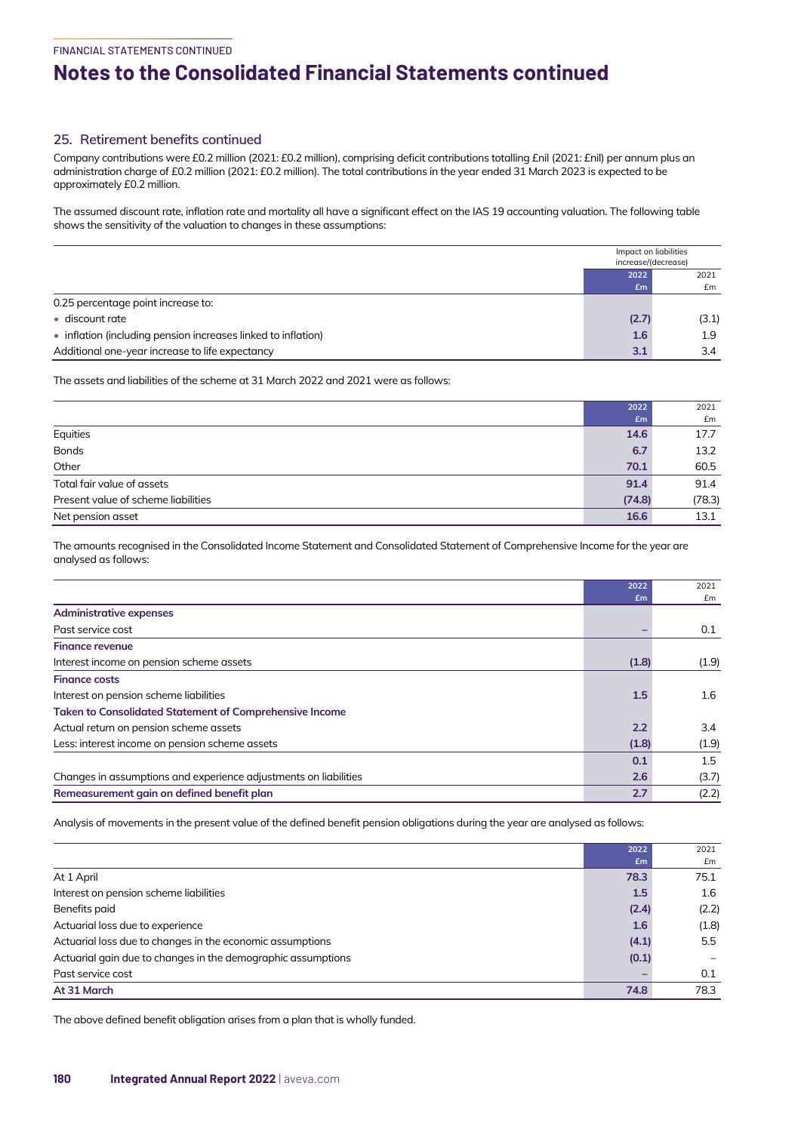## **Notes to the Consolidated Financial Statements continued**

### **25. Retirement benefits continued**

Company contributions were £0.2 million (2021: £0.2 million), comprising deficit contributions totalling £nil (2021: £nil) per annum plus an administration charge of £0.2 million (2021: £0.2 million). The total contributions in the year ended 31 March 2023 is expected to be approximately £0.2 million.

The assumed discount rate, inflation rate and mortality all have a significant effect on the IAS 19 accounting valuation. The following table shows the sensitivity of the valuation to changes in these assumptions:

|                                                               | Impact on liabilities<br>increase/(decrease) |            |
|---------------------------------------------------------------|----------------------------------------------|------------|
|                                                               | 2022<br>£m                                   | 2021<br>£m |
| 0.25 percentage point increase to:                            |                                              |            |
| $\bullet$ discount rate                                       | (2.7)                                        | (3.1)      |
| • inflation (including pension increases linked to inflation) | 1.6                                          | 1.9        |
| Additional one-year increase to life expectancy               | 3.1                                          | 3.4        |

The assets and liabilities of the scheme at 31 March 2022 and 2021 were as follows:

|                                     | 2022   | 2021   |
|-------------------------------------|--------|--------|
|                                     | £m     | £m     |
| Equities                            | 14.6   | 17.7   |
| <b>Bonds</b>                        | 6.7    | 13.2   |
| Other                               | 70.1   | 60.5   |
| Total fair value of assets          | 91.4   | 91.4   |
| Present value of scheme liabilities | (74.8) | (78.3) |
| Net pension asset                   | 16.6   | 13.1   |

The amounts recognised in the Consolidated Income Statement and Consolidated Statement of Comprehensive Income for the year are analysed as follows:

|                                                                  | 2022  | 2021    |
|------------------------------------------------------------------|-------|---------|
|                                                                  | £m    | £m      |
| <b>Administrative expenses</b>                                   |       |         |
| Past service cost                                                |       | 0.1     |
| <b>Finance revenue</b>                                           |       |         |
| Interest income on pension scheme assets                         | (1.8) | (1.9)   |
| <b>Finance costs</b>                                             |       |         |
| Interest on pension scheme liabilities                           | 1.5   | $1.6\,$ |
| <b>Taken to Consolidated Statement of Comprehensive Income</b>   |       |         |
| Actual return on pension scheme assets                           | 2.2   | 3.4     |
| Less: interest income on pension scheme assets                   | (1.8) | (1.9)   |
|                                                                  | 0.1   | 1.5     |
| Changes in assumptions and experience adjustments on liabilities | 2.6   | (3.7)   |
| Remeasurement gain on defined benefit plan                       | 2.7   | (2.2)   |

Analysis of movements in the present value of the defined benefit pension obligations during the year are analysed as follows:

|                                                              | 2022<br>Em | 2021<br>£m |
|--------------------------------------------------------------|------------|------------|
|                                                              |            |            |
|                                                              |            |            |
| At 1 April                                                   | 78.3       | 75.1       |
| Interest on pension scheme liabilities                       | 1.5        | 1.6        |
| Benefits paid                                                | (2.4)      | (2.2)      |
| Actuarial loss due to experience                             | 1.6        | (1.8)      |
| Actuarial loss due to changes in the economic assumptions    | (4.1)      | 5.5        |
| Actuarial gain due to changes in the demographic assumptions | (0.1)      |            |
| Past service cost                                            |            | 0.1        |
| At 31 March                                                  | 74.8       | 78.3       |

The above defined benefit obligation arises from a plan that is wholly funded.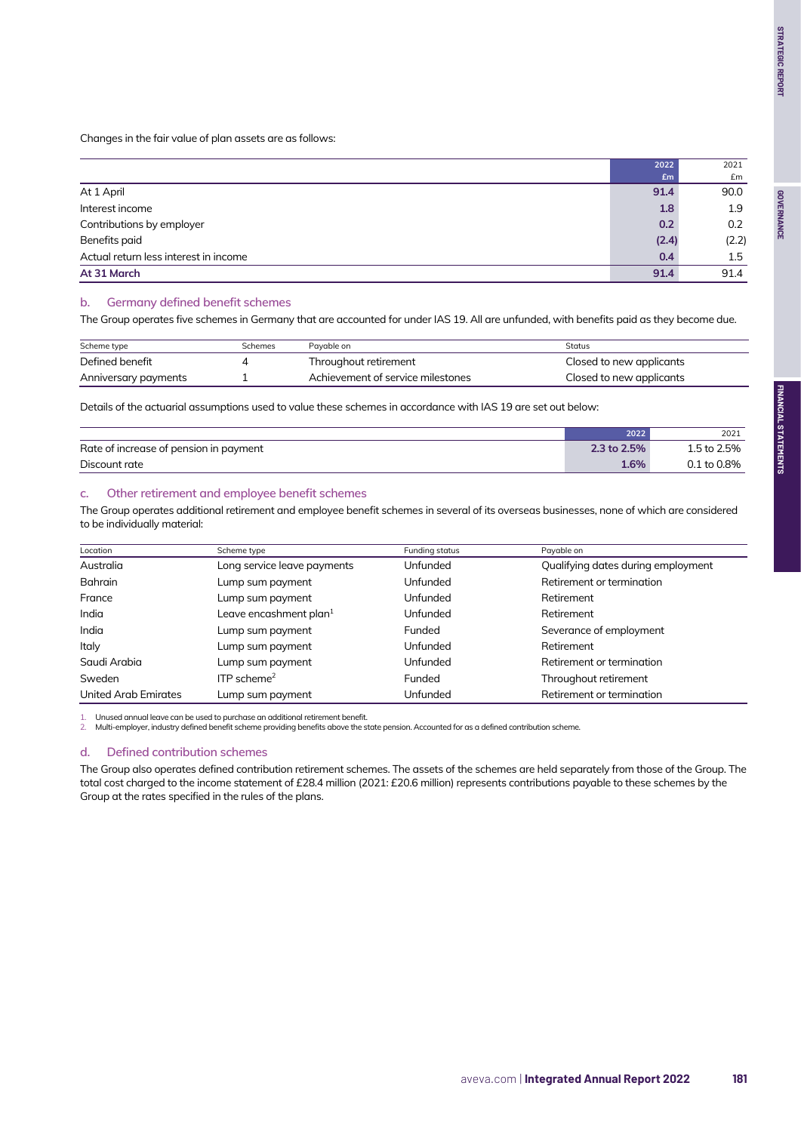Changes in the fair value of plan assets are as follows:

|                                       | 2022  | 2021  |
|---------------------------------------|-------|-------|
|                                       | £m    | £m    |
| At 1 April                            | 91.4  | 90.0  |
| Interest income                       | 1.8   | 1.9   |
| Contributions by employer             | 0.2   | 0.2   |
| Benefits paid                         | (2.4) | (2.2) |
| Actual return less interest in income | 0.4   | 1.5   |
| At 31 March                           | 91.4  | 91.4  |

### **b. Germany defined benefit schemes**

The Group operates five schemes in Germany that are accounted for under IAS 19. All are unfunded, with benefits paid as they become due.

| Scheme type          | Schemes | Pavable on                        | Status                   |
|----------------------|---------|-----------------------------------|--------------------------|
| Defined benefit      |         | Throughout retirement             | Closed to new applicants |
| Anniversary payments |         | Achievement of service milestones | Closed to new applicants |

Details of the actuarial assumptions used to value these schemes in accordance with IAS 19 are set out below:

|                                        | 2022        | 2021        |
|----------------------------------------|-------------|-------------|
| Rate of increase of pension in payment | 2.3 to 2.5% | 1.5 to 2.5% |
| Discount rate                          | 1.6%        | 0.1 to 0.8% |

### **c. Other retirement and employee benefit schemes**

The Group operates additional retirement and employee benefit schemes in several of its overseas businesses, none of which are considered to be individually material:

| Location             | Scheme type                 | Funding status | Payable on                         |
|----------------------|-----------------------------|----------------|------------------------------------|
| Australia            | Long service leave payments | Unfunded       | Qualifying dates during employment |
| <b>Bahrain</b>       | Lump sum payment            | Unfunded       | Retirement or termination          |
| France               | Lump sum payment            | Unfunded       | Retirement                         |
| India                | Leave encashment plan $^1$  | Unfunded       | Retirement                         |
| India                | Lump sum payment            | Funded         | Severance of employment            |
| Italy                | Lump sum payment            | Unfunded       | Retirement                         |
| Saudi Arabia         | Lump sum payment            | Unfunded       | Retirement or termination          |
| Sweden               | $IP$ scheme <sup>2</sup>    | Funded         | Throughout retirement              |
| United Arab Emirates | Lump sum payment            | Unfunded       | Retirement or termination          |

1. Unused annual leave can be used to purchase an additional retirement benefit.

2. Multi-employer, industry defined benefit scheme providing benefits above the state pension. Accounted for as a defined contribution scheme.

### **d. Defined contribution schemes**

The Group also operates defined contribution retirement schemes. The assets of the schemes are held separately from those of the Group. The total cost charged to the income statement of £28.4 million (2021: £20.6 million) represents contributions payable to these schemes by the Group at the rates specified in the rules of the plans.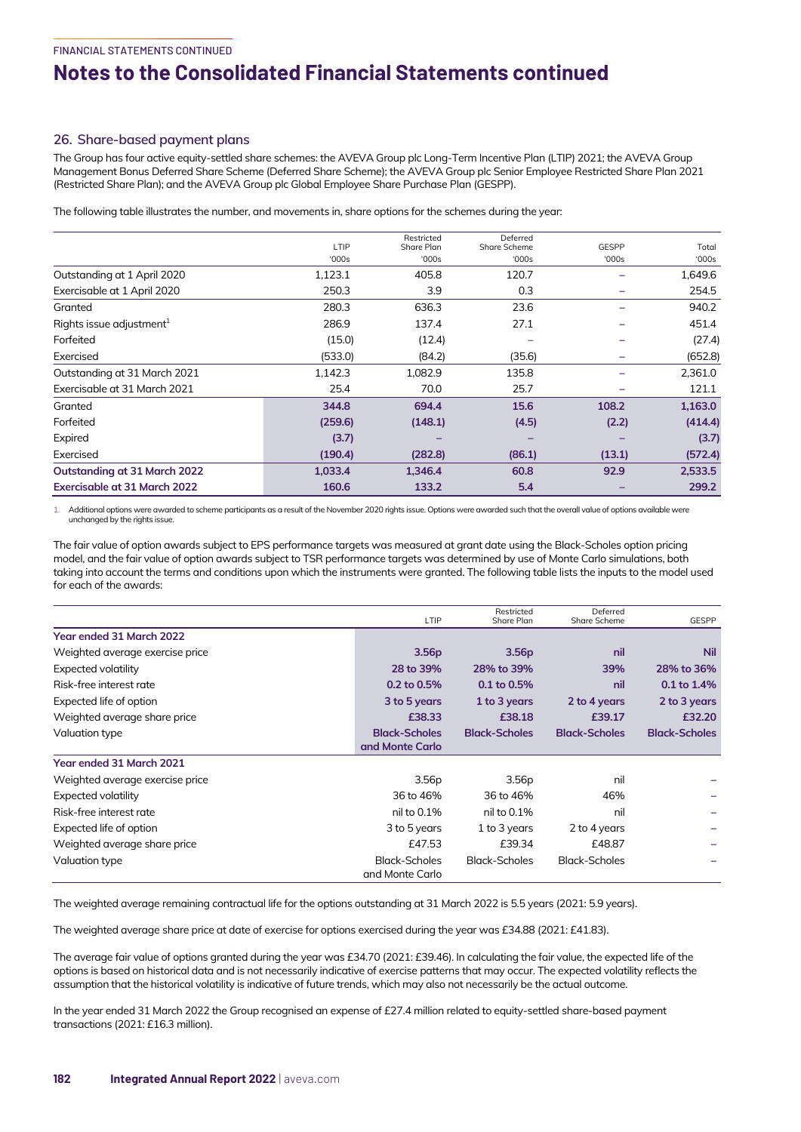## **Notes to the Consolidated Financial Statements continued**

### **26. Share-based payment plans**

The Group has four active equity-settled share schemes: the AVEVA Group plc Long-Term Incentive Plan (LTIP) 2021; the AVEVA Group Management Bonus Deferred Share Scheme (Deferred Share Scheme); the AVEVA Group plc Senior Employee Restricted Share Plan 2021 (Restricted Share Plan); and the AVEVA Group plc Global Employee Share Purchase Plan (GESPP).

The following table illustrates the number, and movements in, share options for the schemes during the year:

|                                      | LTIP    | Restricted<br>Share Plan | Deferred<br>Share Scheme | <b>GESPP</b> | Total   |
|--------------------------------------|---------|--------------------------|--------------------------|--------------|---------|
|                                      | 000s    | 000s                     | 000s                     | 000s         | 000s    |
| Outstanding at 1 April 2020          | 1,123.1 | 405.8                    | 120.7                    |              | 1,649.6 |
| Exercisable at 1 April 2020          | 250.3   | 3.9                      | 0.3                      |              | 254.5   |
| Granted                              | 280.3   | 636.3                    | 23.6                     |              | 940.2   |
| Rights issue adjustment <sup>1</sup> | 286.9   | 137.4                    | 27.1                     |              | 451.4   |
| Forfeited                            | (15.0)  | (12.4)                   |                          |              | (27.4)  |
| Exercised                            | (533.0) | (84.2)                   | (35.6)                   |              | (652.8) |
| Outstanding at 31 March 2021         | 1,142.3 | 1,082.9                  | 135.8                    |              | 2,361.0 |
| Exercisable at 31 March 2021         | 25.4    | 70.0                     | 25.7                     |              | 121.1   |
| Granted                              | 344.8   | 694.4                    | 15.6                     | 108.2        | 1,163.0 |
| Forfeited                            | (259.6) | (148.1)                  | (4.5)                    | (2.2)        | (414.4) |
| Expired                              | (3.7)   |                          |                          |              | (3.7)   |
| Exercised                            | (190.4) | (282.8)                  | (86.1)                   | (13.1)       | (572.4) |
| Outstanding at 31 March 2022         | 1,033.4 | 1,346.4                  | 60.8                     | 92.9         | 2,533.5 |
| <b>Exercisable at 31 March 2022</b>  | 160.6   | 133.2                    | 5.4                      |              | 299.2   |

Additional options were awarded to scheme participants as a result of the November 2020 rights issue. Options were awarded such that the overall value of options available were unchanged by the rights issue.

The fair value of option awards subject to EPS performance targets was measured at grant date using the Black-Scholes option pricing model, and the fair value of option awards subject to TSR performance targets was determined by use of Monte Carlo simulations, both taking into account the terms and conditions upon which the instruments were granted. The following table lists the inputs to the model used for each of the awards:

|                                 | LTIP                                    | Restricted<br>Share Plan | Deferred<br>Share Scheme | GESPP                |
|---------------------------------|-----------------------------------------|--------------------------|--------------------------|----------------------|
| Year ended 31 March 2022        |                                         |                          |                          |                      |
| Weighted average exercise price | 3.56 <sub>p</sub>                       | 3.56 <sub>p</sub>        | nil                      | <b>Nil</b>           |
| Expected volatility             | 28 to 39%                               | 28% to 39%               | 39%                      | 28% to 36%           |
| Risk-free interest rate         | $0.2$ to $0.5%$                         | $0.1$ to $0.5%$          | nil                      | $0.1$ to $1.4%$      |
| Expected life of option         | 3 to 5 years                            | 1 to 3 years             | 2 to 4 years             | 2 to 3 years         |
| Weighted average share price    | £38.33                                  | £38.18                   | £39.17                   | £32.20               |
| Valuation type                  | <b>Black-Scholes</b><br>and Monte Carlo | <b>Black-Scholes</b>     | <b>Black-Scholes</b>     | <b>Black-Scholes</b> |
| Year ended 31 March 2021        |                                         |                          |                          |                      |
| Weighted average exercise price | 3.56 <sub>p</sub>                       | 3.56 <sub>p</sub>        | nil                      |                      |
| Expected volatility             | 36 to 46%                               | 36 to 46%                | 46%                      |                      |
| Risk-free interest rate         | nil to 0.1%                             | nil to 0.1%              | nil                      |                      |
| Expected life of option         | 3 to 5 years                            | 1 to 3 years             | 2 to 4 years             |                      |
| Weighted average share price    | £47.53                                  | £39.34                   | £48.87                   |                      |
| Valuation type                  | <b>Black-Scholes</b><br>and Monte Carlo | <b>Black-Scholes</b>     | <b>Black-Scholes</b>     |                      |

The weighted average remaining contractual life for the options outstanding at 31 March 2022 is 5.5 years (2021: 5.9 years).

The weighted average share price at date of exercise for options exercised during the year was £34.88 (2021: £41.83).

The average fair value of options granted during the year was £34.70 (2021: £39.46). In calculating the fair value, the expected life of the options is based on historical data and is not necessarily indicative of exercise patterns that may occur. The expected volatility reflects the assumption that the historical volatility is indicative of future trends, which may also not necessarily be the actual outcome.

In the year ended 31 March 2022 the Group recognised an expense of £27.4 million related to equity-settled share-based payment transactions (2021: £16.3 million).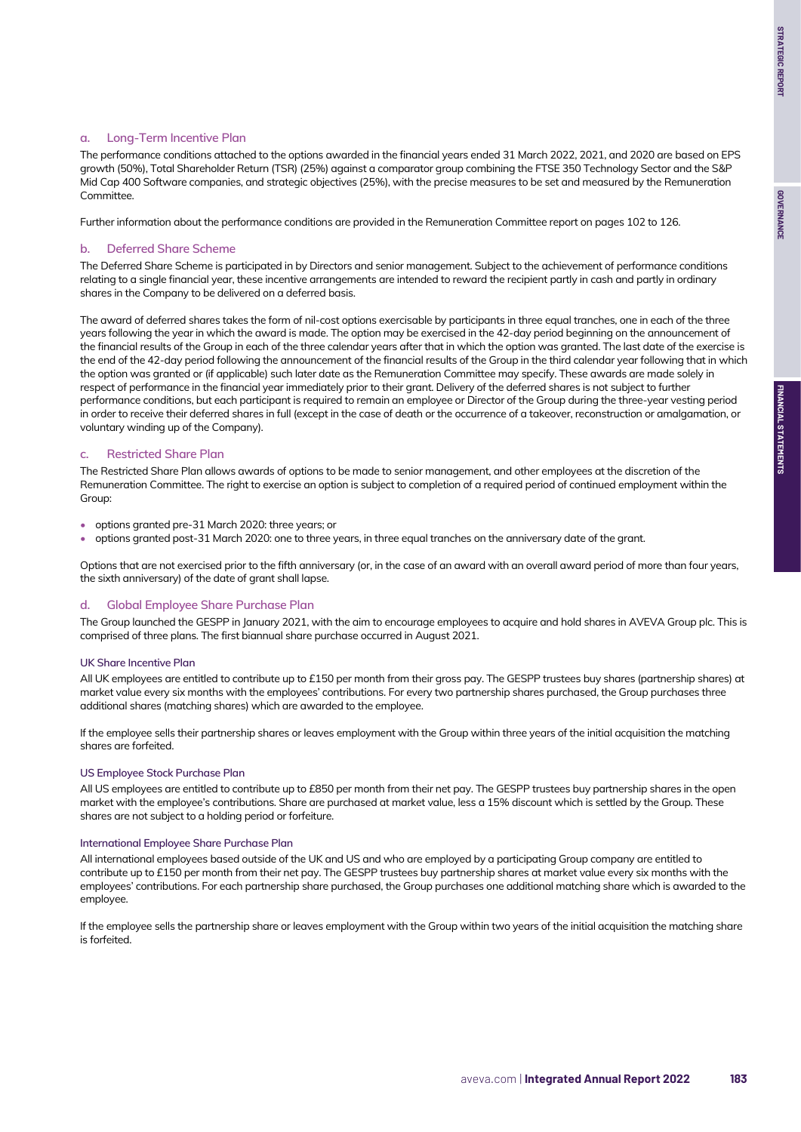### **a. Long-Term Incentive Plan**

The performance conditions attached to the options awarded in the financial years ended 31 March 2022, 2021, and 2020 are based on EPS growth (50%), Total Shareholder Return (TSR) (25%) against a comparator group combining the FTSE 350 Technology Sector and the S&P Mid Cap 400 Software companies, and strategic objectives (25%), with the precise measures to be set and measured by the Remuneration Committee.

Further information about the performance conditions are provided in the Remuneration Committee report on pages 102 to 126.

### **b. Deferred Share Scheme**

The Deferred Share Scheme is participated in by Directors and senior management. Subject to the achievement of performance conditions relating to a single financial year, these incentive arrangements are intended to reward the recipient partly in cash and partly in ordinary shares in the Company to be delivered on a deferred basis.

The award of deferred shares takes the form of nil-cost options exercisable by participants in three equal tranches, one in each of the three years following the year in which the award is made. The option may be exercised in the 42-day period beginning on the announcement of the financial results of the Group in each of the three calendar years after that in which the option was granted. The last date of the exercise is the end of the 42-day period following the announcement of the financial results of the Group in the third calendar year following that in which the option was granted or (if applicable) such later date as the Remuneration Committee may specify. These awards are made solely in respect of performance in the financial year immediately prior to their grant. Delivery of the deferred shares is not subject to further performance conditions, but each participant is required to remain an employee or Director of the Group during the three-year vesting period in order to receive their deferred shares in full (except in the case of death or the occurrence of a takeover, reconstruction or amalgamation, or voluntary winding up of the Company).

### **c. Restricted Share Plan**

The Restricted Share Plan allows awards of options to be made to senior management, and other employees at the discretion of the Remuneration Committee. The right to exercise an option is subject to completion of a required period of continued employment within the Group:

- options granted pre-31 March 2020: three years; or
- options granted post-31 March 2020: one to three years, in three equal tranches on the anniversary date of the grant.

Options that are not exercised prior to the fifth anniversary (or, in the case of an award with an overall award period of more than four years, the sixth anniversary) of the date of grant shall lapse.

### **d. Global Employee Share Purchase Plan**

The Group launched the GESPP in January 2021, with the aim to encourage employees to acquire and hold shares in AVEVA Group plc. This is comprised of three plans. The first biannual share purchase occurred in August 2021.

### **UK Share Incentive Plan**

All UK employees are entitled to contribute up to £150 per month from their gross pay. The GESPP trustees buy shares (partnership shares) at market value every six months with the employees' contributions. For every two partnership shares purchased, the Group purchases three additional shares (matching shares) which are awarded to the employee.

If the employee sells their partnership shares or leaves employment with the Group within three years of the initial acquisition the matching shares are forfeited.

### **US Employee Stock Purchase Plan**

All US employees are entitled to contribute up to £850 per month from their net pay. The GESPP trustees buy partnership shares in the open market with the employee's contributions. Share are purchased at market value, less a 15% discount which is settled by the Group. These shares are not subject to a holding period or forfeiture.

### **International Employee Share Purchase Plan**

All international employees based outside of the UK and US and who are employed by a participating Group company are entitled to contribute up to £150 per month from their net pay. The GESPP trustees buy partnership shares at market value every six months with the employees' contributions. For each partnership share purchased, the Group purchases one additional matching share which is awarded to the employee.

If the employee sells the partnership share or leaves employment with the Group within two years of the initial acquisition the matching share is forfeited.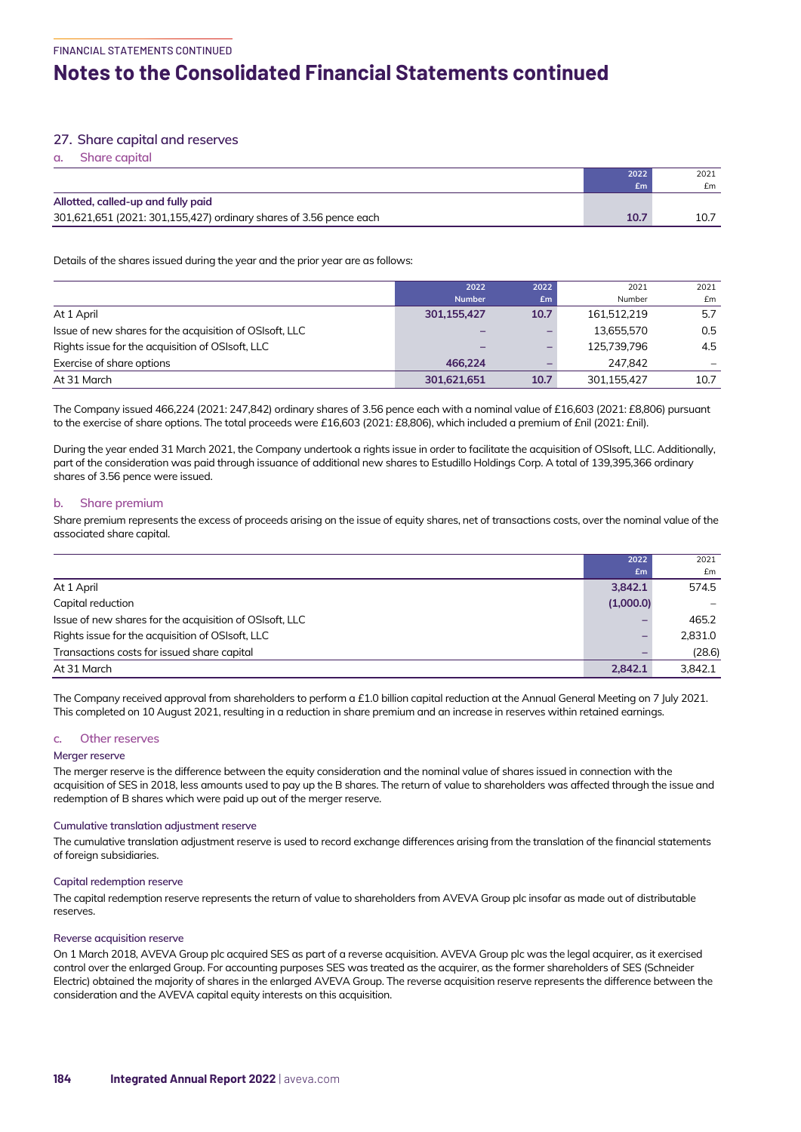## **Notes to the Consolidated Financial Statements continued**

### **27. Share capital and reserves**

**a. Share capital** 

|                                                                    | 2022 | 2021 |
|--------------------------------------------------------------------|------|------|
|                                                                    | £m   | £m   |
| Allotted, called-up and fully paid                                 |      |      |
| 301,621,651 (2021: 301,155,427) ordinary shares of 3.56 pence each | 10.7 | 10.7 |

Details of the shares issued during the year and the prior year are as follows:

|                                                         | 2022          | 2022 | 2021        | 2021 |
|---------------------------------------------------------|---------------|------|-------------|------|
|                                                         | <b>Number</b> | £m   | Number      | £m   |
| At 1 April                                              | 301,155,427   | 10.7 | 161.512.219 | 5.7  |
| Issue of new shares for the acquisition of OSIsoft, LLC |               |      | 13,655,570  | 0.5  |
| Rights issue for the acquisition of OSIsoft, LLC        |               |      | 125,739,796 | 4.5  |
| Exercise of share options                               | 466.224       |      | 247.842     |      |
| At 31 March                                             | 301.621.651   | 10.7 | 301.155.427 | 10.7 |

The Company issued 466,224 (2021: 247,842) ordinary shares of 3.56 pence each with a nominal value of £16,603 (2021: £8,806) pursuant to the exercise of share options. The total proceeds were £16,603 (2021: £8,806), which included a premium of £nil (2021: £nil).

During the year ended 31 March 2021, the Company undertook a rights issue in order to facilitate the acquisition of OSIsoft, LLC. Additionally, part of the consideration was paid through issuance of additional new shares to Estudillo Holdings Corp. A total of 139,395,366 ordinary shares of 3.56 pence were issued.

### **b. Share premium**

Share premium represents the excess of proceeds arising on the issue of equity shares, net of transactions costs, over the nominal value of the associated share capital.

|                                                         | 2022      | 2021    |
|---------------------------------------------------------|-----------|---------|
|                                                         | £m        | £m      |
| At 1 April                                              | 3.842.1   | 574.5   |
| Capital reduction                                       | (1,000.0) |         |
| Issue of new shares for the acquisition of OSIsoft, LLC |           | 465.2   |
| Rights issue for the acquisition of OSIsoft, LLC        |           | 2.831.0 |
| Transactions costs for issued share capital             |           | (28.6)  |
| At 31 March                                             | 2.842.1   | 3.842.1 |

The Company received approval from shareholders to perform a £1.0 billion capital reduction at the Annual General Meeting on 7 July 2021. This completed on 10 August 2021, resulting in a reduction in share premium and an increase in reserves within retained earnings.

### **c. Other reserves**

### **Merger reserve**

The merger reserve is the difference between the equity consideration and the nominal value of shares issued in connection with the acquisition of SES in 2018, less amounts used to pay up the B shares. The return of value to shareholders was affected through the issue and redemption of B shares which were paid up out of the merger reserve.

### **Cumulative translation adjustment reserve**

The cumulative translation adjustment reserve is used to record exchange differences arising from the translation of the financial statements of foreign subsidiaries.

### **Capital redemption reserve**

The capital redemption reserve represents the return of value to shareholders from AVEVA Group plc insofar as made out of distributable reserves.

### **Reverse acquisition reserve**

On 1 March 2018, AVEVA Group plc acquired SES as part of a reverse acquisition. AVEVA Group plc was the legal acquirer, as it exercised control over the enlarged Group. For accounting purposes SES was treated as the acquirer, as the former shareholders of SES (Schneider Electric) obtained the majority of shares in the enlarged AVEVA Group. The reverse acquisition reserve represents the difference between the consideration and the AVEVA capital equity interests on this acquisition.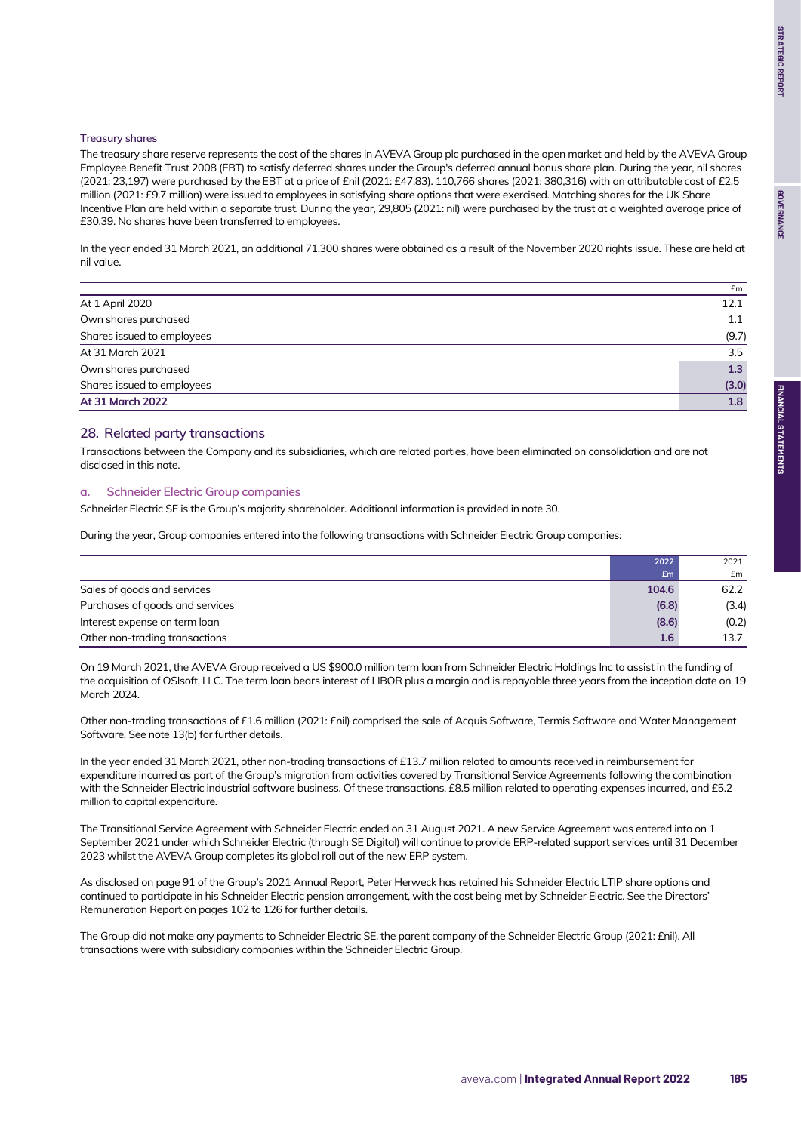**GOVERNANCE**

**GOVERNANCE** 

### **Treasury shares**

The treasury share reserve represents the cost of the shares in AVEVA Group plc purchased in the open market and held by the AVEVA Group Employee Benefit Trust 2008 (EBT) to satisfy deferred shares under the Group's deferred annual bonus share plan. During the year, nil shares (2021: 23,197) were purchased by the EBT at a price of £nil (2021: £47.83). 110,766 shares (2021: 380,316) with an attributable cost of £2.5 million (2021: £9.7 million) were issued to employees in satisfying share options that were exercised. Matching shares for the UK Share Incentive Plan are held within a separate trust. During the year, 29,805 (2021: nil) were purchased by the trust at a weighted average price of £30.39. No shares have been transferred to employees.

In the year ended 31 March 2021, an additional 71,300 shares were obtained as a result of the November 2020 rights issue. These are held at nil value.

|                            | £m    |
|----------------------------|-------|
| At 1 April 2020            | 12.1  |
| Own shares purchased       | 1.1   |
| Shares issued to employees | (9.7) |
| At 31 March 2021           | 3.5   |
| Own shares purchased       | 1.3   |
| Shares issued to employees | (3.0) |
| At 31 March 2022           | 1.8   |

### **28. Related party transactions**

Transactions between the Company and its subsidiaries, which are related parties, have been eliminated on consolidation and are not disclosed in this note.

### **a. Schneider Electric Group companies**

Schneider Electric SE is the Group's majority shareholder. Additional information is provided in note 30.

During the year, Group companies entered into the following transactions with Schneider Electric Group companies:

|                                 | 2022  | 2021  |
|---------------------------------|-------|-------|
|                                 | £m    | £m    |
| Sales of goods and services     | 104.6 | 62.2  |
| Purchases of goods and services | (6.8) | (3.4) |
| Interest expense on term loan   | (8.6) | (0.2) |
| Other non-trading transactions  | 1.6   | 13.7  |

On 19 March 2021, the AVEVA Group received a US \$900.0 million term loan from Schneider Electric Holdings Inc to assist in the funding of the acquisition of OSIsoft, LLC. The term loan bears interest of LIBOR plus a margin and is repayable three years from the inception date on 19 March 2024.

Other non-trading transactions of £1.6 million (2021: £nil) comprised the sale of Acquis Software, Termis Software and Water Management Software. See note 13(b) for further details.

In the year ended 31 March 2021, other non-trading transactions of £13.7 million related to amounts received in reimbursement for expenditure incurred as part of the Group's migration from activities covered by Transitional Service Agreements following the combination with the Schneider Electric industrial software business. Of these transactions, £8.5 million related to operating expenses incurred, and £5.2 million to capital expenditure.

The Transitional Service Agreement with Schneider Electric ended on 31 August 2021. A new Service Agreement was entered into on 1 September 2021 under which Schneider Electric (through SE Digital) will continue to provide ERP-related support services until 31 December 2023 whilst the AVEVA Group completes its global roll out of the new ERP system.

As disclosed on page 91 of the Group's 2021 Annual Report, Peter Herweck has retained his Schneider Electric LTIP share options and continued to participate in his Schneider Electric pension arrangement, with the cost being met by Schneider Electric. See the Directors' Remuneration Report on pages 102 to 126 for further details.

The Group did not make any payments to Schneider Electric SE, the parent company of the Schneider Electric Group (2021: £nil). All transactions were with subsidiary companies within the Schneider Electric Group.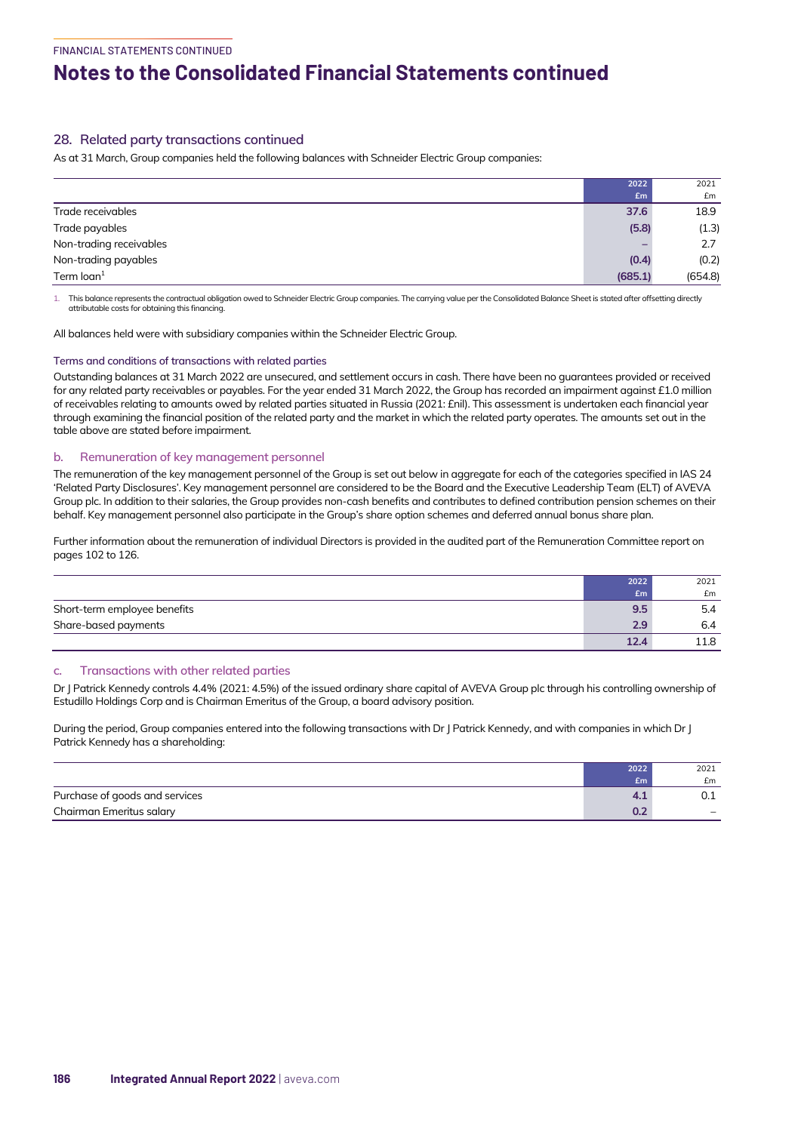## **Notes to the Consolidated Financial Statements continued**

### **28. Related party transactions continued**

As at 31 March, Group companies held the following balances with Schneider Electric Group companies:

|                         | 2022    | 2021    |
|-------------------------|---------|---------|
|                         | £m      | £m      |
| Trade receivables       | 37.6    | 18.9    |
| Trade payables          | (5.8)   | (1.3)   |
| Non-trading receivables |         | 2.7     |
| Non-trading payables    | (0.4)   | (0.2)   |
| Term $\text{Ioan}^1$    | (685.1) | (654.8) |

This balance represents the contractual obligation owed to Schneider Electric Group companies. The carrying value per the Consolidated Balance Sheet is stated after offsetting directly attributable costs for obtaining this financing.

All balances held were with subsidiary companies within the Schneider Electric Group.

#### **Terms and conditions of transactions with related parties**

Outstanding balances at 31 March 2022 are unsecured, and settlement occurs in cash. There have been no guarantees provided or received for any related party receivables or payables. For the year ended 31 March 2022, the Group has recorded an impairment against £1.0 million of receivables relating to amounts owed by related parties situated in Russia (2021: £nil). This assessment is undertaken each financial year through examining the financial position of the related party and the market in which the related party operates. The amounts set out in the table above are stated before impairment.

### **b. Remuneration of key management personnel**

The remuneration of the key management personnel of the Group is set out below in aggregate for each of the categories specified in IAS 24 'Related Party Disclosures'. Key management personnel are considered to be the Board and the Executive Leadership Team (ELT) of AVEVA Group plc. In addition to their salaries, the Group provides non-cash benefits and contributes to defined contribution pension schemes on their behalf. Key management personnel also participate in the Group's share option schemes and deferred annual bonus share plan.

Further information about the remuneration of individual Directors is provided in the audited part of the Remuneration Committee report on pages 102 to 126.

|                              | 2022            | 2021 |
|------------------------------|-----------------|------|
|                              | £m              | £m   |
| Short-term employee benefits | 9.5             | 5.4  |
| Share-based payments         | 2.9             | 6.4  |
|                              | 12 <sub>A</sub> | 11.8 |

### **c. Transactions with other related parties**

Dr J Patrick Kennedy controls 4.4% (2021: 4.5%) of the issued ordinary share capital of AVEVA Group plc through his controlling ownership of Estudillo Holdings Corp and is Chairman Emeritus of the Group, a board advisory position.

During the period, Group companies entered into the following transactions with Dr J Patrick Kennedy, and with companies in which Dr J Patrick Kennedy has a shareholding:

|                                | 2022 | 2021 |
|--------------------------------|------|------|
|                                | £m   | £m   |
| Purchase of goods and services | .    | U.I  |
| Chairman Emeritus salary       | v.z  |      |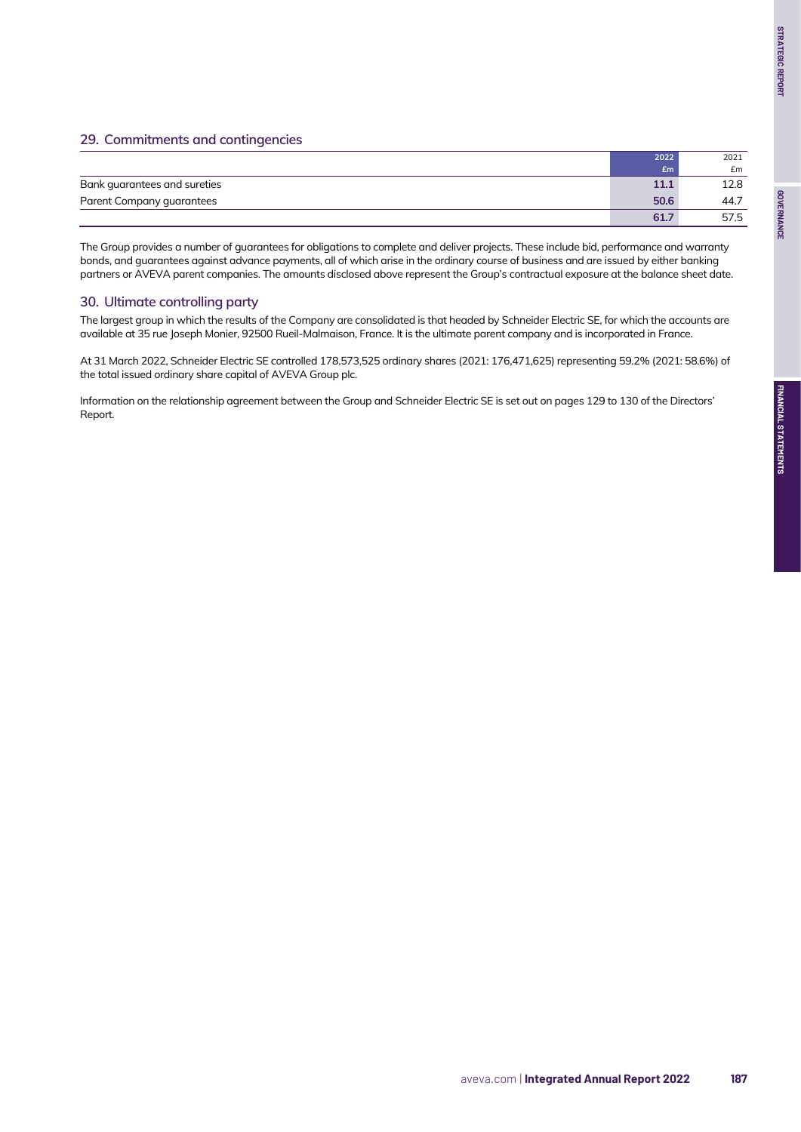### **29. Commitments and contingencies**

|                              | 2022 | 2021 |
|------------------------------|------|------|
|                              | £m   | £m   |
| Bank quarantees and sureties | 11.1 | 12.8 |
| Parent Company guarantees    | 50.6 | 44.7 |
|                              | 61.7 | 57.5 |

The Group provides a number of guarantees for obligations to complete and deliver projects. These include bid, performance and warranty bonds, and guarantees against advance payments, all of which arise in the ordinary course of business and are issued by either banking partners or AVEVA parent companies. The amounts disclosed above represent the Group's contractual exposure at the balance sheet date.

### **30. Ultimate controlling party**

The largest group in which the results of the Company are consolidated is that headed by Schneider Electric SE, for which the accounts are available at 35 rue Joseph Monier, 92500 Rueil-Malmaison, France. It is the ultimate parent company and is incorporated in France.

At 31 March 2022, Schneider Electric SE controlled 178,573,525 ordinary shares (2021: 176,471,625) representing 59.2% (2021: 58.6%) of the total issued ordinary share capital of AVEVA Group plc.

Information on the relationship agreement between the Group and Schneider Electric SE is set out on pages 129 to 130 of the Directors' Report.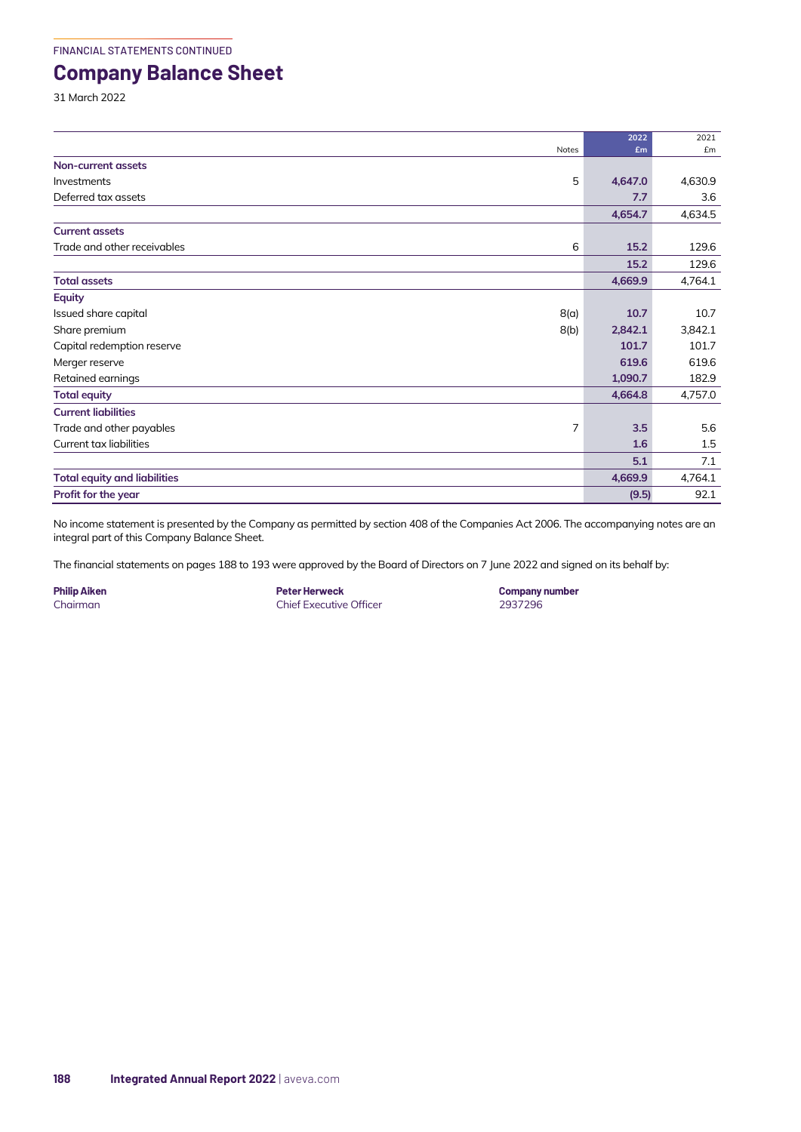### **Company Balance Sheet**

31 March 2022

|                                     |       | 2022    | 2021    |
|-------------------------------------|-------|---------|---------|
|                                     | Notes | £m      | £m      |
| <b>Non-current assets</b>           |       |         |         |
| Investments                         | 5     | 4,647.0 | 4,630.9 |
| Deferred tax assets                 |       | 7.7     | 3.6     |
|                                     |       | 4,654.7 | 4,634.5 |
| <b>Current assets</b>               |       |         |         |
| Trade and other receivables         | 6     | 15.2    | 129.6   |
|                                     |       | 15.2    | 129.6   |
| <b>Total assets</b>                 |       | 4,669.9 | 4,764.1 |
| <b>Equity</b>                       |       |         |         |
| Issued share capital                | 8(a)  | 10.7    | 10.7    |
| Share premium                       | 8(b)  | 2,842.1 | 3,842.1 |
| Capital redemption reserve          |       | 101.7   | 101.7   |
| Merger reserve                      |       | 619.6   | 619.6   |
| Retained earnings                   |       | 1,090.7 | 182.9   |
| <b>Total equity</b>                 |       | 4,664.8 | 4,757.0 |
| <b>Current liabilities</b>          |       |         |         |
| Trade and other payables            | 7     | 3.5     | 5.6     |
| Current tax liabilities             |       | 1.6     | 1.5     |
|                                     |       | 5.1     | 7.1     |
| <b>Total equity and liabilities</b> |       | 4,669.9 | 4,764.1 |
| Profit for the year                 |       | (9.5)   | 92.1    |

No income statement is presented by the Company as permitted by section 408 of the Companies Act 2006. The accompanying notes are an integral part of this Company Balance Sheet.

The financial statements on pages 188 to 193 were approved by the Board of Directors on 7 June 2022 and signed on its behalf by:

**Philip Aiken Company number<br>
Chairman Chairman Chairman Chief Executive Officer 2937296** Chairman Chairman Chief Executive Officer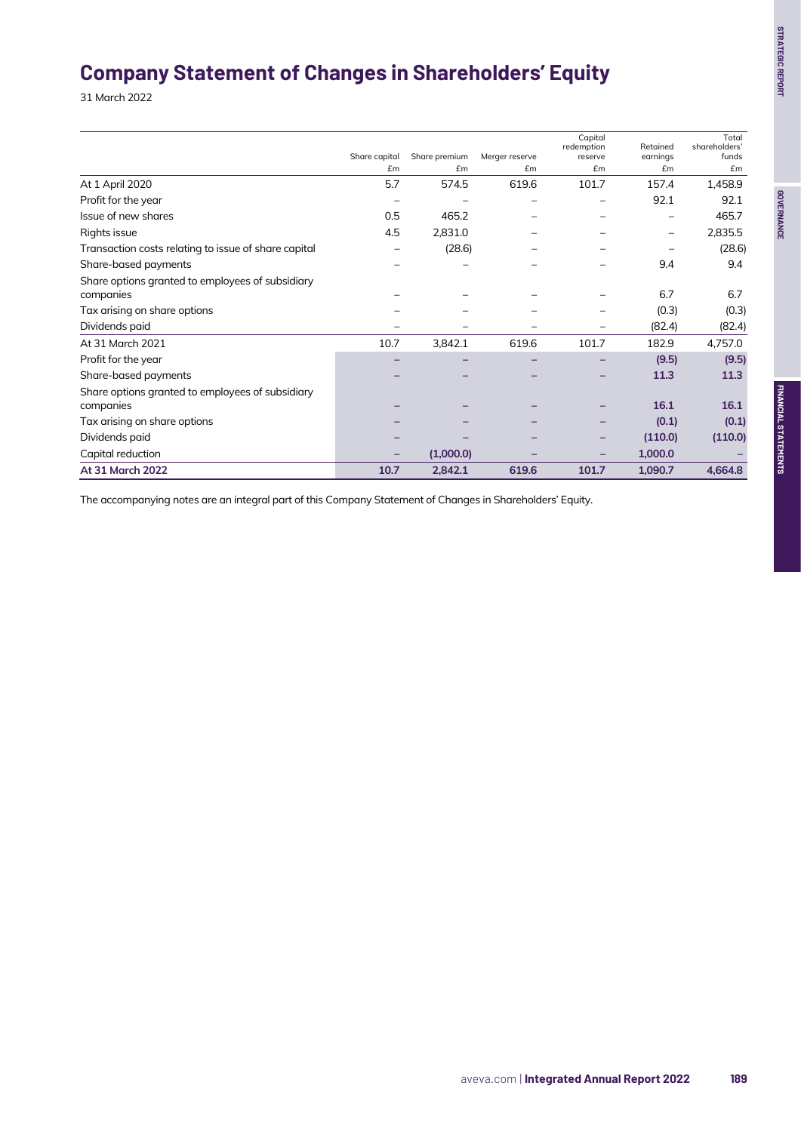## **Company Statement of Changes in Shareholders' Equity**

31 March 2022

|                                                      |               |               |                | Capital<br>redemption | Retained | Total<br>shareholders' |
|------------------------------------------------------|---------------|---------------|----------------|-----------------------|----------|------------------------|
|                                                      | Share capital | Share premium | Merger reserve | reserve               | earnings | funds                  |
|                                                      | £m            | £m            | £m             | £m                    | £m       | £m                     |
| At 1 April 2020                                      | 5.7           | 574.5         | 619.6          | 101.7                 | 157.4    | 1,458.9                |
| Profit for the year                                  |               |               |                |                       | 92.1     | 92.1                   |
| Issue of new shares                                  | 0.5           | 465.2         |                |                       |          | 465.7                  |
| Rights issue                                         | 4.5           | 2,831.0       |                |                       |          | 2,835.5                |
| Transaction costs relating to issue of share capital |               | (28.6)        |                |                       |          | (28.6)                 |
| Share-based payments                                 |               |               |                |                       | 9.4      | 9.4                    |
| Share options granted to employees of subsidiary     |               |               |                |                       |          |                        |
| companies                                            |               |               |                |                       | 6.7      | 6.7                    |
| Tax arising on share options                         |               |               |                |                       | (0.3)    | (0.3)                  |
| Dividends paid                                       |               |               |                |                       | (82.4)   | (82.4)                 |
| At 31 March 2021                                     | 10.7          | 3,842.1       | 619.6          | 101.7                 | 182.9    | 4,757.0                |
| Profit for the year                                  |               |               |                |                       | (9.5)    | (9.5)                  |
| Share-based payments                                 |               |               |                |                       | 11.3     | 11.3                   |
| Share options granted to employees of subsidiary     |               |               |                |                       |          |                        |
| companies                                            |               |               |                |                       | 16.1     | 16.1                   |
| Tax arising on share options                         |               |               |                |                       | (0.1)    | (0.1)                  |
| Dividends paid                                       |               |               |                |                       | (110.0)  | (110.0)                |
| Capital reduction                                    |               | (1,000.0)     |                |                       | 1,000.0  |                        |
| At 31 March 2022                                     | 10.7          | 2,842.1       | 619.6          | 101.7                 | 1,090.7  | 4,664.8                |

The accompanying notes are an integral part of this Company Statement of Changes in Shareholders' Equity.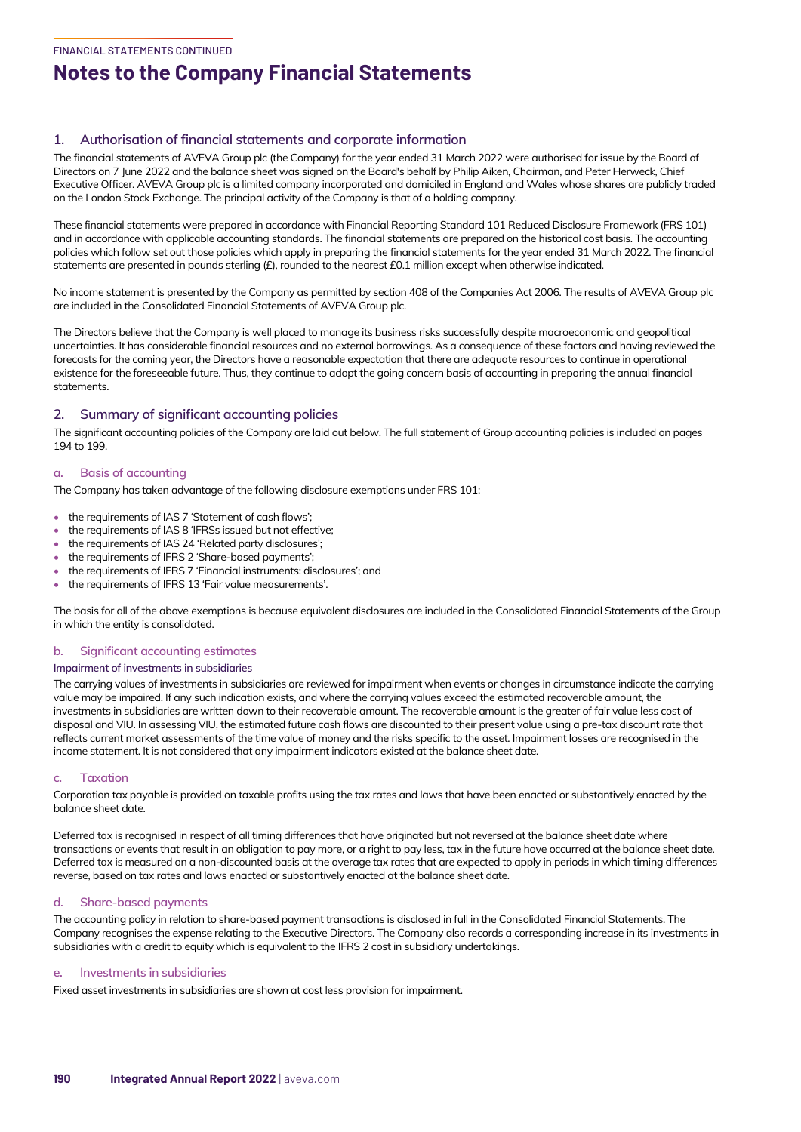### **Notes to the Company Financial Statements**

### **1. Authorisation of financial statements and corporate information**

The financial statements of AVEVA Group plc (the Company) for the year ended 31 March 2022 were authorised for issue by the Board of Directors on 7 June 2022 and the balance sheet was signed on the Board's behalf by Philip Aiken, Chairman, and Peter Herweck, Chief Executive Officer. AVEVA Group plc is a limited company incorporated and domiciled in England and Wales whose shares are publicly traded on the London Stock Exchange. The principal activity of the Company is that of a holding company.

These financial statements were prepared in accordance with Financial Reporting Standard 101 Reduced Disclosure Framework (FRS 101) and in accordance with applicable accounting standards. The financial statements are prepared on the historical cost basis. The accounting policies which follow set out those policies which apply in preparing the financial statements for the year ended 31 March 2022. The financial statements are presented in pounds sterling (£), rounded to the nearest £0.1 million except when otherwise indicated.

No income statement is presented by the Company as permitted by section 408 of the Companies Act 2006. The results of AVEVA Group plc are included in the Consolidated Financial Statements of AVEVA Group plc.

The Directors believe that the Company is well placed to manage its business risks successfully despite macroeconomic and geopolitical uncertainties. It has considerable financial resources and no external borrowings. As a consequence of these factors and having reviewed the forecasts for the coming year, the Directors have a reasonable expectation that there are adequate resources to continue in operational existence for the foreseeable future. Thus, they continue to adopt the going concern basis of accounting in preparing the annual financial statements.

### **2. Summary of significant accounting policies**

The significant accounting policies of the Company are laid out below. The full statement of Group accounting policies is included on pages 194 to 199.

### **a. Basis of accounting**

The Company has taken advantage of the following disclosure exemptions under FRS 101:

- the requirements of IAS 7 'Statement of cash flows';
- the requirements of IAS 8 'IFRSs issued but not effective;
- the requirements of IAS 24 'Related party disclosures';
- the requirements of IFRS 2 'Share-based payments';
- the requirements of IFRS 7 'Financial instruments: disclosures'; and
- the requirements of IFRS 13 'Fair value measurements'.

The basis for all of the above exemptions is because equivalent disclosures are included in the Consolidated Financial Statements of the Group in which the entity is consolidated.

### **b. Significant accounting estimates**

### **Impairment of investments in subsidiaries**

The carrying values of investments in subsidiaries are reviewed for impairment when events or changes in circumstance indicate the carrying value may be impaired. If any such indication exists, and where the carrying values exceed the estimated recoverable amount, the investments in subsidiaries are written down to their recoverable amount. The recoverable amount is the greater of fair value less cost of disposal and VIU. In assessing VIU, the estimated future cash flows are discounted to their present value using a pre-tax discount rate that reflects current market assessments of the time value of money and the risks specific to the asset. Impairment losses are recognised in the income statement. It is not considered that any impairment indicators existed at the balance sheet date.

### **c. Taxation**

Corporation tax payable is provided on taxable profits using the tax rates and laws that have been enacted or substantively enacted by the balance sheet date.

Deferred tax is recognised in respect of all timing differences that have originated but not reversed at the balance sheet date where transactions or events that result in an obligation to pay more, or a right to pay less, tax in the future have occurred at the balance sheet date. Deferred tax is measured on a non-discounted basis at the average tax rates that are expected to apply in periods in which timing differences reverse, based on tax rates and laws enacted or substantively enacted at the balance sheet date.

### **d. Share-based payments**

The accounting policy in relation to share-based payment transactions is disclosed in full in the Consolidated Financial Statements. The Company recognises the expense relating to the Executive Directors. The Company also records a corresponding increase in its investments in subsidiaries with a credit to equity which is equivalent to the IFRS 2 cost in subsidiary undertakings.

### **e. Investments in subsidiaries**

Fixed asset investments in subsidiaries are shown at cost less provision for impairment.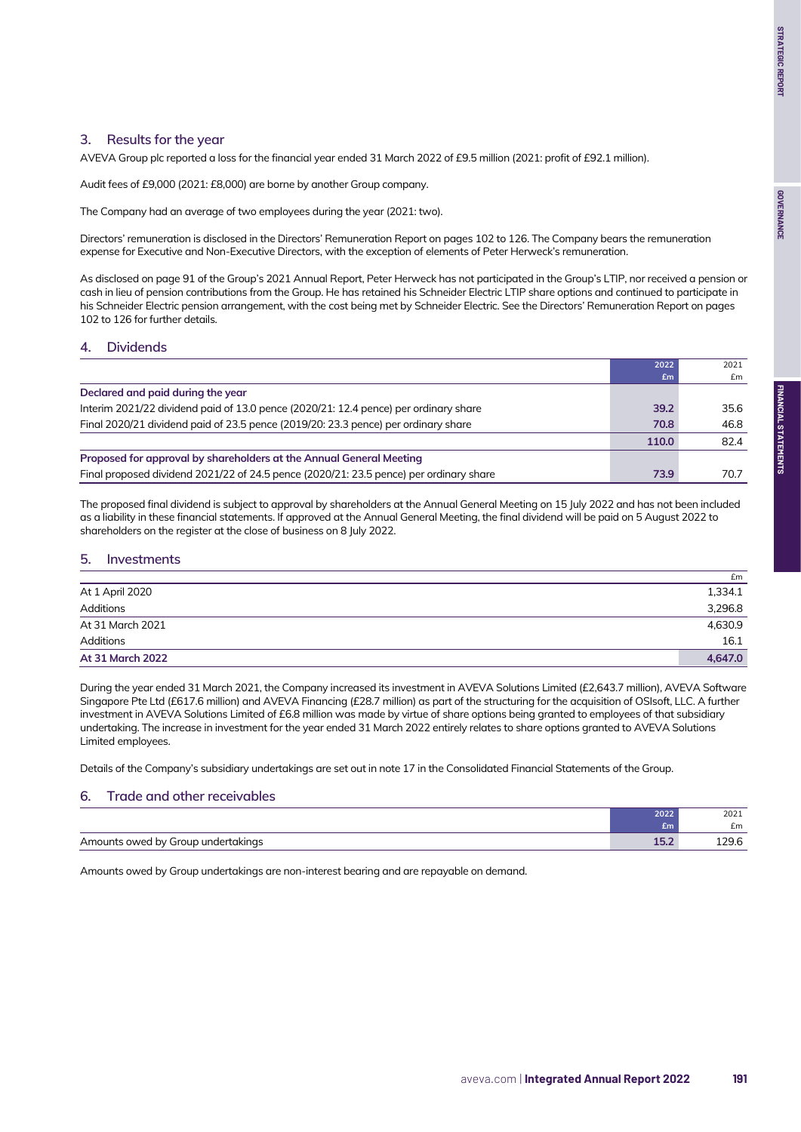### **3. Results for the year**

AVEVA Group plc reported a loss for the financial year ended 31 March 2022 of £9.5 million (2021: profit of £92.1 million).

Audit fees of £9,000 (2021: £8,000) are borne by another Group company.

The Company had an average of two employees during the year (2021: two).

Directors' remuneration is disclosed in the Directors' Remuneration Report on pages 102 to 126. The Company bears the remuneration expense for Executive and Non-Executive Directors, with the exception of elements of Peter Herweck's remuneration.

As disclosed on page 91 of the Group's 2021 Annual Report, Peter Herweck has not participated in the Group's LTIP, nor received a pension or cash in lieu of pension contributions from the Group. He has retained his Schneider Electric LTIP share options and continued to participate in his Schneider Electric pension arrangement, with the cost being met by Schneider Electric. See the Directors' Remuneration Report on pages 102 to 126 for further details.

### **4. Dividends**

|                                                                                        | 2022  | 2021 |
|----------------------------------------------------------------------------------------|-------|------|
|                                                                                        | £m    | £m   |
| Declared and paid during the year                                                      |       |      |
| Interim 2021/22 dividend paid of 13.0 pence (2020/21: 12.4 pence) per ordinary share   | 39.2  | 35.6 |
| Final 2020/21 dividend paid of 23.5 pence (2019/20: 23.3 pence) per ordinary share     | 70.8  | 46.8 |
|                                                                                        | 110.0 | 82.4 |
| Proposed for approval by shareholders at the Annual General Meeting                    |       |      |
| Final proposed dividend 2021/22 of 24.5 pence (2020/21: 23.5 pence) per ordinary share | 73.9  | 70.7 |

The proposed final dividend is subject to approval by shareholders at the Annual General Meeting on 15 July 2022 and has not been included as a liability in these financial statements. If approved at the Annual General Meeting, the final dividend will be paid on 5 August 2022 to shareholders on the register at the close of business on 8 July 2022.

### **5. Investments**

|                  | £m      |
|------------------|---------|
| At 1 April 2020  | 1,334.1 |
| Additions        | 3,296.8 |
| At 31 March 2021 | 4.630.9 |
| Additions        | 16.1    |
| At 31 March 2022 | 4,647.0 |

During the year ended 31 March 2021, the Company increased its investment in AVEVA Solutions Limited (£2,643.7 million), AVEVA Software Singapore Pte Ltd (£617.6 million) and AVEVA Financing (£28.7 million) as part of the structuring for the acquisition of OSIsoft, LLC. A further investment in AVEVA Solutions Limited of £6.8 million was made by virtue of share options being granted to employees of that subsidiary undertaking. The increase in investment for the year ended 31 March 2022 entirely relates to share options granted to AVEVA Solutions Limited employees.

Details of the Company's subsidiary undertakings are set out in note 17 in the Consolidated Financial Statements of the Group.

### **6. Trade and other receivables**

|                                         |          | $\sim$<br>ZUZI<br>the contract of the contract of |
|-----------------------------------------|----------|---------------------------------------------------|
|                                         | --<br>40 | £m                                                |
| s owed by Group undertakings<br>Amounts | ∸∽       | 129.6                                             |

Amounts owed by Group undertakings are non-interest bearing and are repayable on demand.

**GOVERNANCE**

**GOVERNANCE**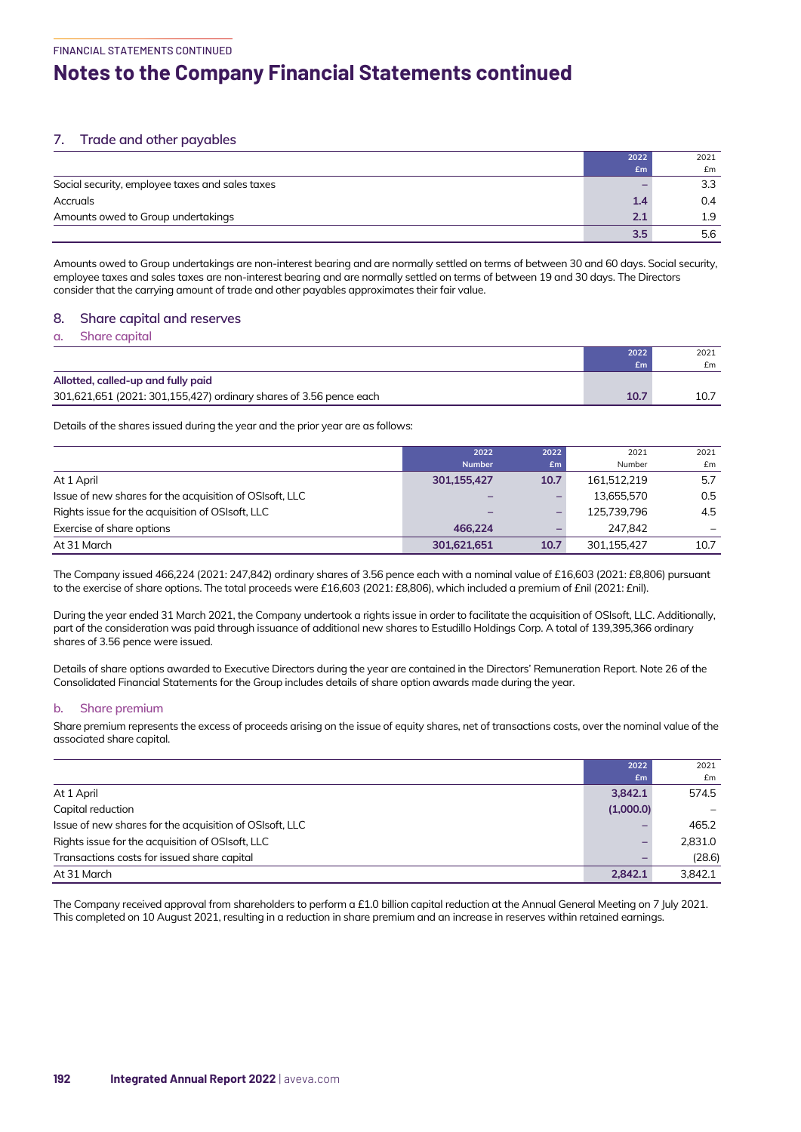## **Notes to the Company Financial Statements continued**

### **7. Trade and other payables**

|                                                 | 2022 | 2021 |
|-------------------------------------------------|------|------|
|                                                 | £m   | £m   |
| Social security, employee taxes and sales taxes |      | 3.3  |
| Accruals                                        | 1.4  | 0.4  |
| Amounts owed to Group undertakings              |      | 1.9  |
|                                                 |      | 5.6  |

Amounts owed to Group undertakings are non-interest bearing and are normally settled on terms of between 30 and 60 days. Social security, employee taxes and sales taxes are non-interest bearing and are normally settled on terms of between 19 and 30 days. The Directors consider that the carrying amount of trade and other payables approximates their fair value.

### **8. Share capital and reserves**

### **a. Share capital**

|                                                                    | 2022 | 2021 |
|--------------------------------------------------------------------|------|------|
|                                                                    | £m   | £m   |
| Allotted, called-up and fully paid                                 |      |      |
| 301,621,651 (2021: 301,155,427) ordinary shares of 3.56 pence each | 10.7 | 10.7 |

Details of the shares issued during the year and the prior year are as follows:

|                                                         | 2022          | 2022 | 2021        | 2021 |
|---------------------------------------------------------|---------------|------|-------------|------|
|                                                         | <b>Number</b> | Em   | Number      | £m   |
| At 1 April                                              | 301,155,427   | 10.7 | 161,512,219 | 5.7  |
| Issue of new shares for the acquisition of OSIsoft, LLC |               | -    | 13.655.570  | 0.5  |
| Rights issue for the acquisition of OSIsoft, LLC        |               | -    | 125,739,796 | 4.5  |
| Exercise of share options                               | 466.224       | -    | 247.842     |      |
| At 31 March                                             | 301.621.651   | 10.7 | 301.155.427 | 10.7 |

The Company issued 466,224 (2021: 247,842) ordinary shares of 3.56 pence each with a nominal value of £16,603 (2021: £8,806) pursuant to the exercise of share options. The total proceeds were £16,603 (2021: £8,806), which included a premium of £nil (2021: £nil).

During the year ended 31 March 2021, the Company undertook a rights issue in order to facilitate the acquisition of OSIsoft, LLC. Additionally, part of the consideration was paid through issuance of additional new shares to Estudillo Holdings Corp. A total of 139,395,366 ordinary shares of 3.56 pence were issued.

Details of share options awarded to Executive Directors during the year are contained in the Directors' Remuneration Report. Note 26 of the Consolidated Financial Statements for the Group includes details of share option awards made during the year.

### **b. Share premium**

Share premium represents the excess of proceeds arising on the issue of equity shares, net of transactions costs, over the nominal value of the associated share capital.

|                                                         | 2022      | 2021    |
|---------------------------------------------------------|-----------|---------|
|                                                         | £m        | £m      |
| At 1 April                                              | 3.842.1   | 574.5   |
| Capital reduction                                       | (1,000.0) |         |
| Issue of new shares for the acquisition of OSIsoft, LLC |           | 465.2   |
| Rights issue for the acquisition of OSIsoft, LLC        |           | 2,831.0 |
| Transactions costs for issued share capital             |           | (28.6)  |
| At 31 March                                             | 2,842.1   | 3.842.1 |

The Company received approval from shareholders to perform a £1.0 billion capital reduction at the Annual General Meeting on 7 July 2021. This completed on 10 August 2021, resulting in a reduction in share premium and an increase in reserves within retained earnings.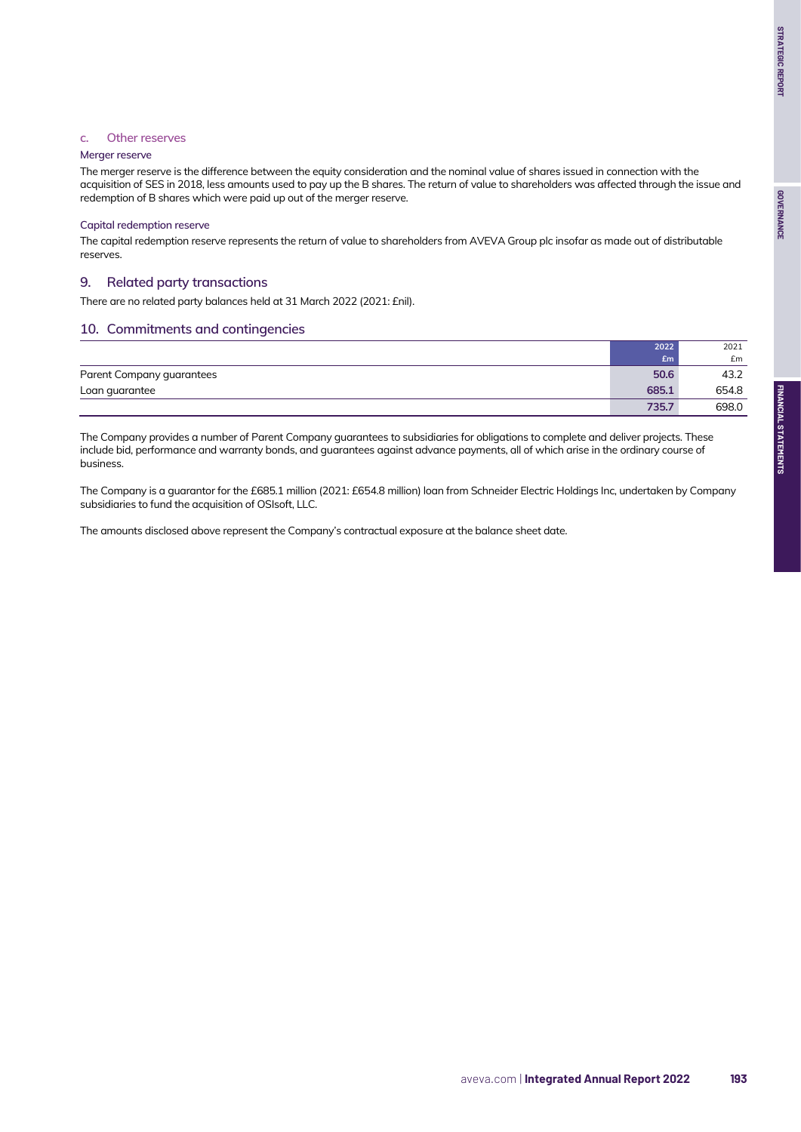## **GOVERNANCE GOVERNANCE**

### **c. Other reserves**

### **Merger reserve**

The merger reserve is the difference between the equity consideration and the nominal value of shares issued in connection with the acquisition of SES in 2018, less amounts used to pay up the B shares. The return of value to shareholders was affected through the issue and redemption of B shares which were paid up out of the merger reserve.

### **Capital redemption reserve**

The capital redemption reserve represents the return of value to shareholders from AVEVA Group plc insofar as made out of distributable reserves.

### **9. Related party transactions**

There are no related party balances held at 31 March 2022 (2021: £nil).

### **10. Commitments and contingencies**

|                           | 2022  | 2021  |
|---------------------------|-------|-------|
|                           | £m    | £m    |
| Parent Company guarantees | 50.6  | 43.2  |
| Loan guarantee            | 685.1 | 654.8 |
|                           | 735.7 | 698.0 |

The Company provides a number of Parent Company guarantees to subsidiaries for obligations to complete and deliver projects. These include bid, performance and warranty bonds, and guarantees against advance payments, all of which arise in the ordinary course of business.

The Company is a guarantor for the £685.1 million (2021: £654.8 million) loan from Schneider Electric Holdings Inc, undertaken by Company subsidiaries to fund the acquisition of OSIsoft, LLC.

The amounts disclosed above represent the Company's contractual exposure at the balance sheet date.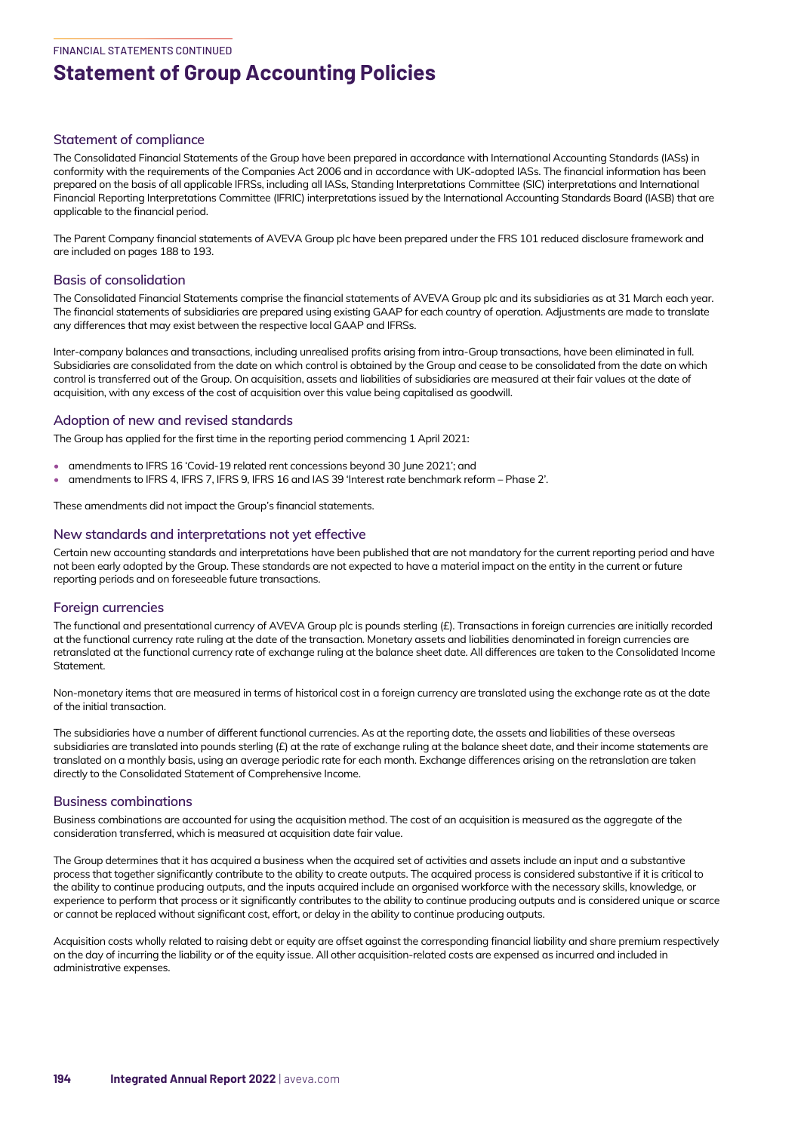### **Statement of Group Accounting Policies**

### **Statement of compliance**

The Consolidated Financial Statements of the Group have been prepared in accordance with International Accounting Standards (IASs) in conformity with the requirements of the Companies Act 2006 and in accordance with UK-adopted IASs. The financial information has been prepared on the basis of all applicable IFRSs, including all IASs, Standing Interpretations Committee (SIC) interpretations and International Financial Reporting Interpretations Committee (IFRIC) interpretations issued by the International Accounting Standards Board (IASB) that are applicable to the financial period.

The Parent Company financial statements of AVEVA Group plc have been prepared under the FRS 101 reduced disclosure framework and are included on pages 188 to 193.

### **Basis of consolidation**

The Consolidated Financial Statements comprise the financial statements of AVEVA Group plc and its subsidiaries as at 31 March each year. The financial statements of subsidiaries are prepared using existing GAAP for each country of operation. Adjustments are made to translate any differences that may exist between the respective local GAAP and IFRSs.

Inter-company balances and transactions, including unrealised profits arising from intra-Group transactions, have been eliminated in full. Subsidiaries are consolidated from the date on which control is obtained by the Group and cease to be consolidated from the date on which control is transferred out of the Group. On acquisition, assets and liabilities of subsidiaries are measured at their fair values at the date of acquisition, with any excess of the cost of acquisition over this value being capitalised as goodwill.

### **Adoption of new and revised standards**

The Group has applied for the first time in the reporting period commencing 1 April 2021:

- amendments to IFRS 16 'Covid-19 related rent concessions beyond 30 June 2021'; and
- amendments to IFRS 4, IFRS 7, IFRS 9, IFRS 16 and IAS 39 'Interest rate benchmark reform Phase 2'.

These amendments did not impact the Group's financial statements.

### **New standards and interpretations not yet effective**

Certain new accounting standards and interpretations have been published that are not mandatory for the current reporting period and have not been early adopted by the Group. These standards are not expected to have a material impact on the entity in the current or future reporting periods and on foreseeable future transactions.

### **Foreign currencies**

The functional and presentational currency of AVEVA Group plc is pounds sterling (£). Transactions in foreign currencies are initially recorded at the functional currency rate ruling at the date of the transaction. Monetary assets and liabilities denominated in foreign currencies are retranslated at the functional currency rate of exchange ruling at the balance sheet date. All differences are taken to the Consolidated Income Statement.

Non-monetary items that are measured in terms of historical cost in a foreign currency are translated using the exchange rate as at the date of the initial transaction.

The subsidiaries have a number of different functional currencies. As at the reporting date, the assets and liabilities of these overseas subsidiaries are translated into pounds sterling  $(E)$  at the rate of exchange ruling at the balance sheet date, and their income statements are translated on a monthly basis, using an average periodic rate for each month. Exchange differences arising on the retranslation are taken directly to the Consolidated Statement of Comprehensive Income.

### **Business combinations**

Business combinations are accounted for using the acquisition method. The cost of an acquisition is measured as the aggregate of the consideration transferred, which is measured at acquisition date fair value.

The Group determines that it has acquired a business when the acquired set of activities and assets include an input and a substantive process that together significantly contribute to the ability to create outputs. The acquired process is considered substantive if it is critical to the ability to continue producing outputs, and the inputs acquired include an organised workforce with the necessary skills, knowledge, or experience to perform that process or it significantly contributes to the ability to continue producing outputs and is considered unique or scarce or cannot be replaced without significant cost, effort, or delay in the ability to continue producing outputs.

Acquisition costs wholly related to raising debt or equity are offset against the corresponding financial liability and share premium respectively on the day of incurring the liability or of the equity issue. All other acquisition-related costs are expensed as incurred and included in administrative expenses.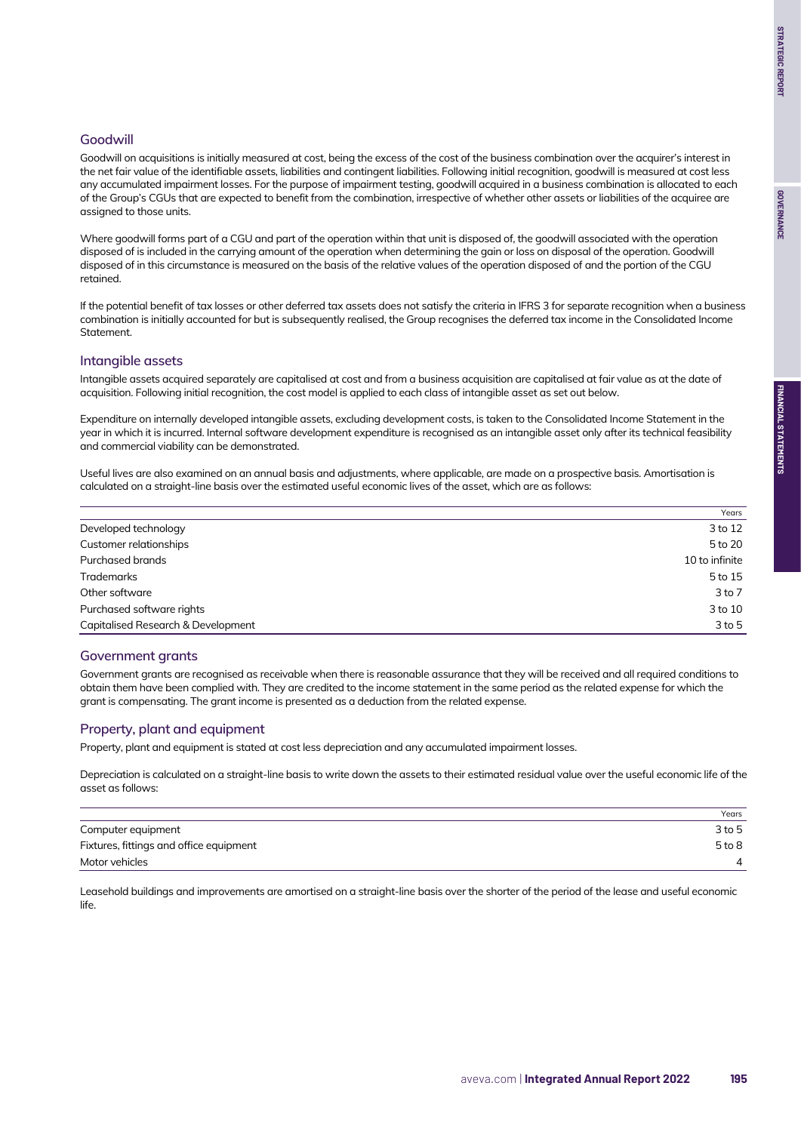# **FINANCIAL STATEMENTS FINANCIAL STATEMENTS**

### **Goodwill**

Goodwill on acquisitions is initially measured at cost, being the excess of the cost of the business combination over the acquirer's interest in the net fair value of the identifiable assets, liabilities and contingent liabilities. Following initial recognition, goodwill is measured at cost less any accumulated impairment losses. For the purpose of impairment testing, goodwill acquired in a business combination is allocated to each of the Group's CGUs that are expected to benefit from the combination, irrespective of whether other assets or liabilities of the acquiree are assigned to those units.

Where goodwill forms part of a CGU and part of the operation within that unit is disposed of, the goodwill associated with the operation disposed of is included in the carrying amount of the operation when determining the gain or loss on disposal of the operation. Goodwill disposed of in this circumstance is measured on the basis of the relative values of the operation disposed of and the portion of the CGU retained.

If the potential benefit of tax losses or other deferred tax assets does not satisfy the criteria in IFRS 3 for separate recognition when a business combination is initially accounted for but is subsequently realised, the Group recognises the deferred tax income in the Consolidated Income Statement.

### **Intangible assets**

Intangible assets acquired separately are capitalised at cost and from a business acquisition are capitalised at fair value as at the date of acquisition. Following initial recognition, the cost model is applied to each class of intangible asset as set out below.

Expenditure on internally developed intangible assets, excluding development costs, is taken to the Consolidated Income Statement in the year in which it is incurred. Internal software development expenditure is recognised as an intangible asset only after its technical feasibility and commercial viability can be demonstrated.

Useful lives are also examined on an annual basis and adjustments, where applicable, are made on a prospective basis. Amortisation is calculated on a straight-line basis over the estimated useful economic lives of the asset, which are as follows:

|                                    | Years          |
|------------------------------------|----------------|
| Developed technology               | 3 to 12        |
| Customer relationships             | 5 to 20        |
| Purchased brands                   | 10 to infinite |
| Trademarks                         | 5 to 15        |
| Other software                     | $3$ to $7$     |
| Purchased software rights          | 3 to 10        |
| Capitalised Research & Development | $3$ to 5       |

### **Government grants**

Government grants are recognised as receivable when there is reasonable assurance that they will be received and all required conditions to obtain them have been complied with. They are credited to the income statement in the same period as the related expense for which the grant is compensating. The grant income is presented as a deduction from the related expense.

### **Property, plant and equipment**

Property, plant and equipment is stated at cost less depreciation and any accumulated impairment losses.

Depreciation is calculated on a straight-line basis to write down the assets to their estimated residual value over the useful economic life of the asset as follows:

|                                         | Years      |
|-----------------------------------------|------------|
| Computer equipment                      | $3$ to $5$ |
| Fixtures, fittings and office equipment | $5$ to $8$ |
| Motor vehicles                          |            |

Leasehold buildings and improvements are amortised on a straight-line basis over the shorter of the period of the lease and useful economic life.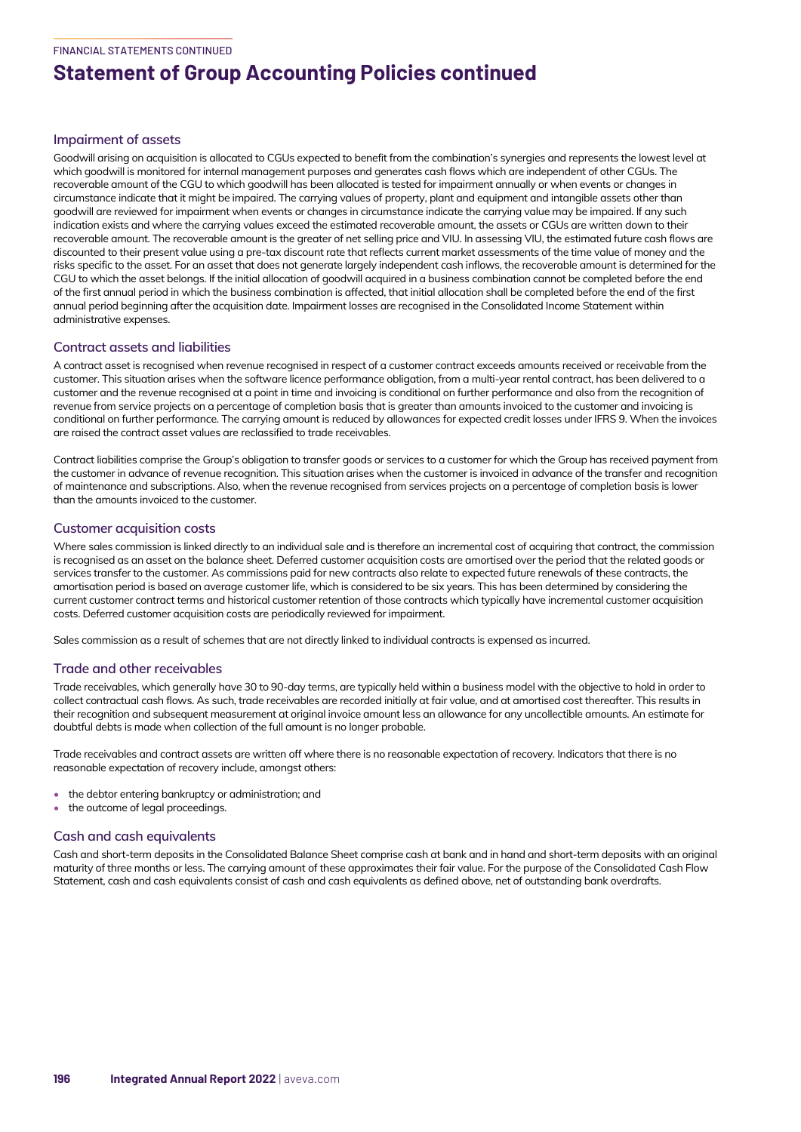### **Statement of Group Accounting Policies continued**

### **Impairment of assets**

Goodwill arising on acquisition is allocated to CGUs expected to benefit from the combination's synergies and represents the lowest level at which goodwill is monitored for internal management purposes and generates cash flows which are independent of other CGUs. The recoverable amount of the CGU to which goodwill has been allocated is tested for impairment annually or when events or changes in circumstance indicate that it might be impaired. The carrying values of property, plant and equipment and intangible assets other than goodwill are reviewed for impairment when events or changes in circumstance indicate the carrying value may be impaired. If any such indication exists and where the carrying values exceed the estimated recoverable amount, the assets or CGUs are written down to their recoverable amount. The recoverable amount is the greater of net selling price and VIU. In assessing VIU, the estimated future cash flows are discounted to their present value using a pre-tax discount rate that reflects current market assessments of the time value of money and the risks specific to the asset. For an asset that does not generate largely independent cash inflows, the recoverable amount is determined for the CGU to which the asset belongs. If the initial allocation of goodwill acquired in a business combination cannot be completed before the end of the first annual period in which the business combination is affected, that initial allocation shall be completed before the end of the first annual period beginning after the acquisition date. Impairment losses are recognised in the Consolidated Income Statement within administrative expenses.

### **Contract assets and liabilities**

A contract asset is recognised when revenue recognised in respect of a customer contract exceeds amounts received or receivable from the customer. This situation arises when the software licence performance obligation, from a multi-year rental contract, has been delivered to a customer and the revenue recognised at a point in time and invoicing is conditional on further performance and also from the recognition of revenue from service projects on a percentage of completion basis that is greater than amounts invoiced to the customer and invoicing is conditional on further performance. The carrying amount is reduced by allowances for expected credit losses under IFRS 9. When the invoices are raised the contract asset values are reclassified to trade receivables.

Contract liabilities comprise the Group's obligation to transfer goods or services to a customer for which the Group has received payment from the customer in advance of revenue recognition. This situation arises when the customer is invoiced in advance of the transfer and recognition of maintenance and subscriptions. Also, when the revenue recognised from services projects on a percentage of completion basis is lower than the amounts invoiced to the customer.

### **Customer acquisition costs**

Where sales commission is linked directly to an individual sale and is therefore an incremental cost of acquiring that contract, the commission is recognised as an asset on the balance sheet. Deferred customer acquisition costs are amortised over the period that the related goods or services transfer to the customer. As commissions paid for new contracts also relate to expected future renewals of these contracts, the amortisation period is based on average customer life, which is considered to be six years. This has been determined by considering the current customer contract terms and historical customer retention of those contracts which typically have incremental customer acquisition costs. Deferred customer acquisition costs are periodically reviewed for impairment.

Sales commission as a result of schemes that are not directly linked to individual contracts is expensed as incurred.

### **Trade and other receivables**

Trade receivables, which generally have 30 to 90-day terms, are typically held within a business model with the objective to hold in order to collect contractual cash flows. As such, trade receivables are recorded initially at fair value, and at amortised cost thereafter. This results in their recognition and subsequent measurement at original invoice amount less an allowance for any uncollectible amounts. An estimate for doubtful debts is made when collection of the full amount is no longer probable.

Trade receivables and contract assets are written off where there is no reasonable expectation of recovery. Indicators that there is no reasonable expectation of recovery include, amongst others:

- the debtor entering bankruptcy or administration; and
- the outcome of legal proceedings.

### **Cash and cash equivalents**

Cash and short-term deposits in the Consolidated Balance Sheet comprise cash at bank and in hand and short-term deposits with an original maturity of three months or less. The carrying amount of these approximates their fair value. For the purpose of the Consolidated Cash Flow Statement, cash and cash equivalents consist of cash and cash equivalents as defined above, net of outstanding bank overdrafts.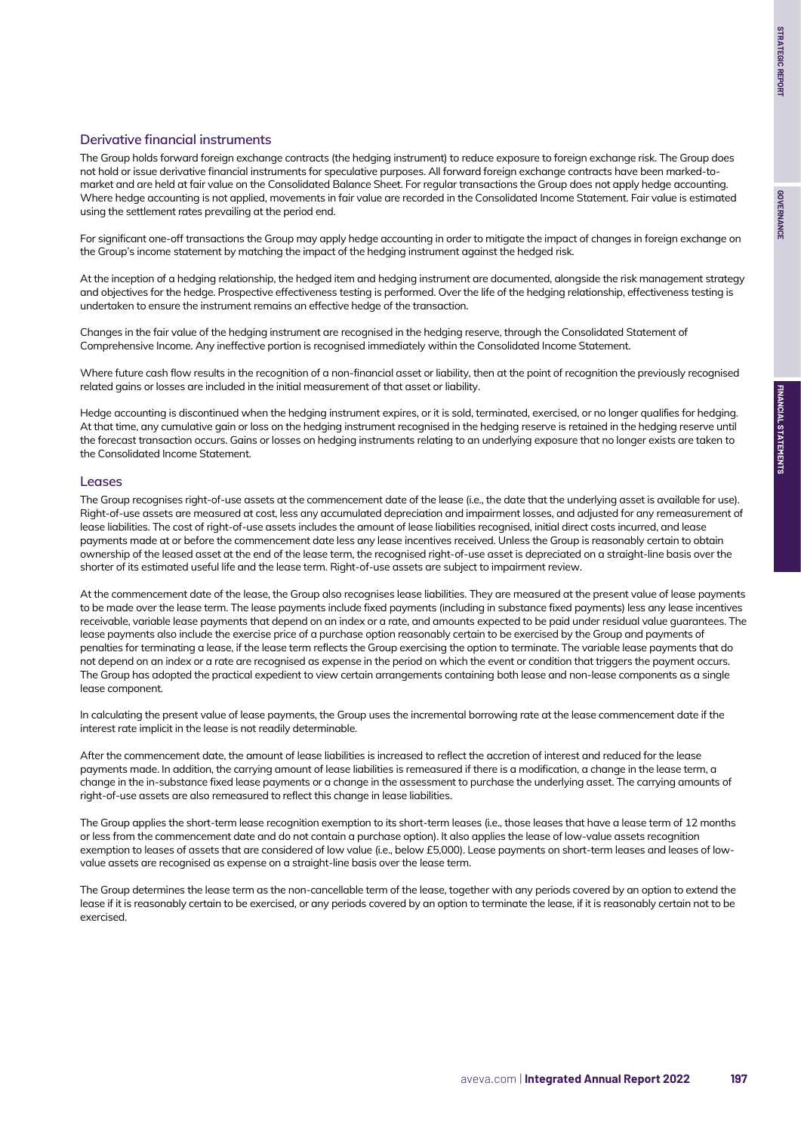## **GOVERNANCE GOVERNANCE**

### **Derivative financial instruments**

The Group holds forward foreign exchange contracts (the hedging instrument) to reduce exposure to foreign exchange risk. The Group does not hold or issue derivative financial instruments for speculative purposes. All forward foreign exchange contracts have been marked-tomarket and are held at fair value on the Consolidated Balance Sheet. For regular transactions the Group does not apply hedge accounting. Where hedge accounting is not applied, movements in fair value are recorded in the Consolidated Income Statement. Fair value is estimated using the settlement rates prevailing at the period end.

For significant one-off transactions the Group may apply hedge accounting in order to mitigate the impact of changes in foreign exchange on the Group's income statement by matching the impact of the hedging instrument against the hedged risk.

At the inception of a hedging relationship, the hedged item and hedging instrument are documented, alongside the risk management strategy and objectives for the hedge. Prospective effectiveness testing is performed. Over the life of the hedging relationship, effectiveness testing is undertaken to ensure the instrument remains an effective hedge of the transaction.

Changes in the fair value of the hedging instrument are recognised in the hedging reserve, through the Consolidated Statement of Comprehensive Income. Any ineffective portion is recognised immediately within the Consolidated Income Statement.

Where future cash flow results in the recognition of a non-financial asset or liability, then at the point of recognition the previously recognised related gains or losses are included in the initial measurement of that asset or liability.

Hedge accounting is discontinued when the hedging instrument expires, or it is sold, terminated, exercised, or no longer qualifies for hedging. At that time, any cumulative gain or loss on the hedging instrument recognised in the hedging reserve is retained in the hedging reserve until the forecast transaction occurs. Gains or losses on hedging instruments relating to an underlying exposure that no longer exists are taken to the Consolidated Income Statement.

### **Leases**

The Group recognises right-of-use assets at the commencement date of the lease (i.e., the date that the underlying asset is available for use). Right-of-use assets are measured at cost, less any accumulated depreciation and impairment losses, and adjusted for any remeasurement of lease liabilities. The cost of right-of-use assets includes the amount of lease liabilities recognised, initial direct costs incurred, and lease payments made at or before the commencement date less any lease incentives received. Unless the Group is reasonably certain to obtain ownership of the leased asset at the end of the lease term, the recognised right-of-use asset is depreciated on a straight-line basis over the shorter of its estimated useful life and the lease term. Right-of-use assets are subject to impairment review.

At the commencement date of the lease, the Group also recognises lease liabilities. They are measured at the present value of lease payments to be made over the lease term. The lease payments include fixed payments (including in substance fixed payments) less any lease incentives receivable, variable lease payments that depend on an index or a rate, and amounts expected to be paid under residual value guarantees. The lease payments also include the exercise price of a purchase option reasonably certain to be exercised by the Group and payments of penalties for terminating a lease, if the lease term reflects the Group exercising the option to terminate. The variable lease payments that do not depend on an index or a rate are recognised as expense in the period on which the event or condition that triggers the payment occurs. The Group has adopted the practical expedient to view certain arrangements containing both lease and non-lease components as a single lease component.

In calculating the present value of lease payments, the Group uses the incremental borrowing rate at the lease commencement date if the interest rate implicit in the lease is not readily determinable.

After the commencement date, the amount of lease liabilities is increased to reflect the accretion of interest and reduced for the lease payments made. In addition, the carrying amount of lease liabilities is remeasured if there is a modification, a change in the lease term, a change in the in-substance fixed lease payments or a change in the assessment to purchase the underlying asset. The carrying amounts of right-of-use assets are also remeasured to reflect this change in lease liabilities.

The Group applies the short-term lease recognition exemption to its short-term leases (i.e., those leases that have a lease term of 12 months or less from the commencement date and do not contain a purchase option). It also applies the lease of low-value assets recognition exemption to leases of assets that are considered of low value (i.e., below £5,000). Lease payments on short-term leases and leases of lowvalue assets are recognised as expense on a straight-line basis over the lease term.

The Group determines the lease term as the non-cancellable term of the lease, together with any periods covered by an option to extend the lease if it is reasonably certain to be exercised, or any periods covered by an option to terminate the lease, if it is reasonably certain not to be exercised.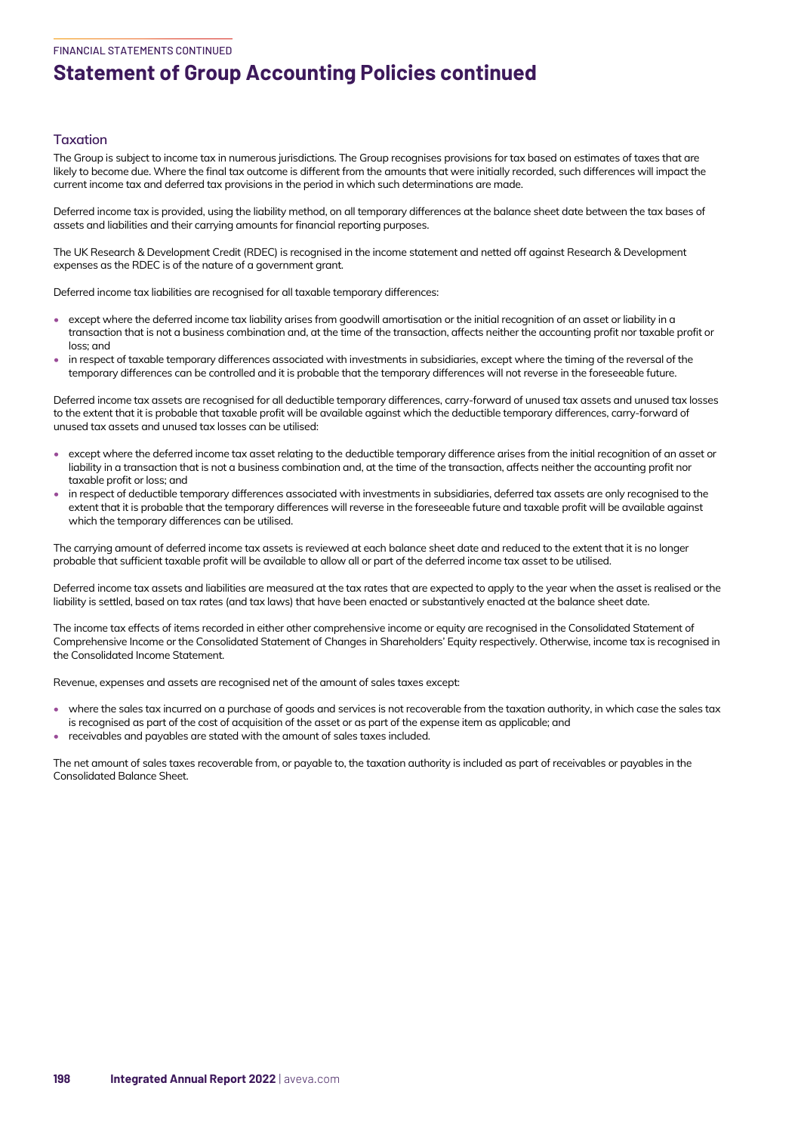## **Statement of Group Accounting Policies continued**

### **Taxation**

The Group is subject to income tax in numerous jurisdictions. The Group recognises provisions for tax based on estimates of taxes that are likely to become due. Where the final tax outcome is different from the amounts that were initially recorded, such differences will impact the current income tax and deferred tax provisions in the period in which such determinations are made.

Deferred income tax is provided, using the liability method, on all temporary differences at the balance sheet date between the tax bases of assets and liabilities and their carrying amounts for financial reporting purposes.

The UK Research & Development Credit (RDEC) is recognised in the income statement and netted off against Research & Development expenses as the RDEC is of the nature of a government grant.

Deferred income tax liabilities are recognised for all taxable temporary differences:

- except where the deferred income tax liability arises from goodwill amortisation or the initial recognition of an asset or liability in a transaction that is not a business combination and, at the time of the transaction, affects neither the accounting profit nor taxable profit or loss; and
- in respect of taxable temporary differences associated with investments in subsidiaries, except where the timing of the reversal of the temporary differences can be controlled and it is probable that the temporary differences will not reverse in the foreseeable future.

Deferred income tax assets are recognised for all deductible temporary differences, carry-forward of unused tax assets and unused tax losses to the extent that it is probable that taxable profit will be available against which the deductible temporary differences, carry-forward of unused tax assets and unused tax losses can be utilised:

- except where the deferred income tax asset relating to the deductible temporary difference arises from the initial recognition of an asset or liability in a transaction that is not a business combination and, at the time of the transaction, affects neither the accounting profit nor taxable profit or loss; and
- in respect of deductible temporary differences associated with investments in subsidiaries, deferred tax assets are only recognised to the extent that it is probable that the temporary differences will reverse in the foreseeable future and taxable profit will be available against which the temporary differences can be utilised.

The carrying amount of deferred income tax assets is reviewed at each balance sheet date and reduced to the extent that it is no longer probable that sufficient taxable profit will be available to allow all or part of the deferred income tax asset to be utilised.

Deferred income tax assets and liabilities are measured at the tax rates that are expected to apply to the year when the asset is realised or the liability is settled, based on tax rates (and tax laws) that have been enacted or substantively enacted at the balance sheet date.

The income tax effects of items recorded in either other comprehensive income or equity are recognised in the Consolidated Statement of Comprehensive Income or the Consolidated Statement of Changes in Shareholders' Equity respectively. Otherwise, income tax is recognised in the Consolidated Income Statement.

Revenue, expenses and assets are recognised net of the amount of sales taxes except:

- where the sales tax incurred on a purchase of goods and services is not recoverable from the taxation authority, in which case the sales tax is recognised as part of the cost of acquisition of the asset or as part of the expense item as applicable; and
- receivables and payables are stated with the amount of sales taxes included.

The net amount of sales taxes recoverable from, or payable to, the taxation authority is included as part of receivables or payables in the Consolidated Balance Sheet.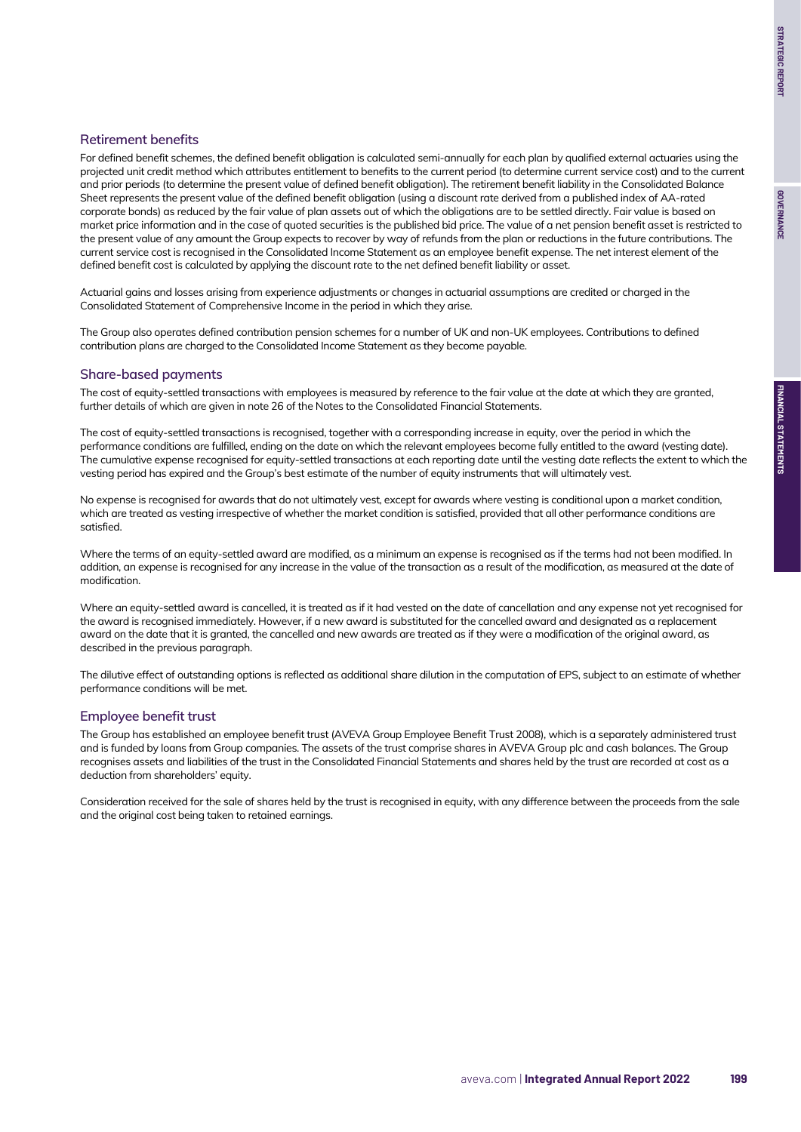### **Retirement benefits**

For defined benefit schemes, the defined benefit obligation is calculated semi-annually for each plan by qualified external actuaries using the projected unit credit method which attributes entitlement to benefits to the current period (to determine current service cost) and to the current and prior periods (to determine the present value of defined benefit obligation). The retirement benefit liability in the Consolidated Balance Sheet represents the present value of the defined benefit obligation (using a discount rate derived from a published index of AA-rated corporate bonds) as reduced by the fair value of plan assets out of which the obligations are to be settled directly. Fair value is based on market price information and in the case of quoted securities is the published bid price. The value of a net pension benefit asset is restricted to the present value of any amount the Group expects to recover by way of refunds from the plan or reductions in the future contributions. The current service cost is recognised in the Consolidated Income Statement as an employee benefit expense. The net interest element of the defined benefit cost is calculated by applying the discount rate to the net defined benefit liability or asset.

Actuarial gains and losses arising from experience adjustments or changes in actuarial assumptions are credited or charged in the Consolidated Statement of Comprehensive Income in the period in which they arise.

The Group also operates defined contribution pension schemes for a number of UK and non-UK employees. Contributions to defined contribution plans are charged to the Consolidated Income Statement as they become payable.

### **Share-based payments**

The cost of equity-settled transactions with employees is measured by reference to the fair value at the date at which they are granted, further details of which are given in note 26 of the Notes to the Consolidated Financial Statements.

The cost of equity-settled transactions is recognised, together with a corresponding increase in equity, over the period in which the performance conditions are fulfilled, ending on the date on which the relevant employees become fully entitled to the award (vesting date). The cumulative expense recognised for equity-settled transactions at each reporting date until the vesting date reflects the extent to which the vesting period has expired and the Group's best estimate of the number of equity instruments that will ultimately vest.

No expense is recognised for awards that do not ultimately vest, except for awards where vesting is conditional upon a market condition, which are treated as vesting irrespective of whether the market condition is satisfied, provided that all other performance conditions are satisfied.

Where the terms of an equity-settled award are modified, as a minimum an expense is recognised as if the terms had not been modified. In addition, an expense is recognised for any increase in the value of the transaction as a result of the modification, as measured at the date of modification.

Where an equity-settled award is cancelled, it is treated as if it had vested on the date of cancellation and any expense not yet recognised for the award is recognised immediately. However, if a new award is substituted for the cancelled award and designated as a replacement award on the date that it is granted, the cancelled and new awards are treated as if they were a modification of the original award, as described in the previous paragraph.

The dilutive effect of outstanding options is reflected as additional share dilution in the computation of EPS, subject to an estimate of whether performance conditions will be met.

### **Employee benefit trust**

The Group has established an employee benefit trust (AVEVA Group Employee Benefit Trust 2008), which is a separately administered trust and is funded by loans from Group companies. The assets of the trust comprise shares in AVEVA Group plc and cash balances. The Group recognises assets and liabilities of the trust in the Consolidated Financial Statements and shares held by the trust are recorded at cost as a deduction from shareholders' equity.

Consideration received for the sale of shares held by the trust is recognised in equity, with any difference between the proceeds from the sale and the original cost being taken to retained earnings.

**GOVERNANCE**

**GOVERNANCE**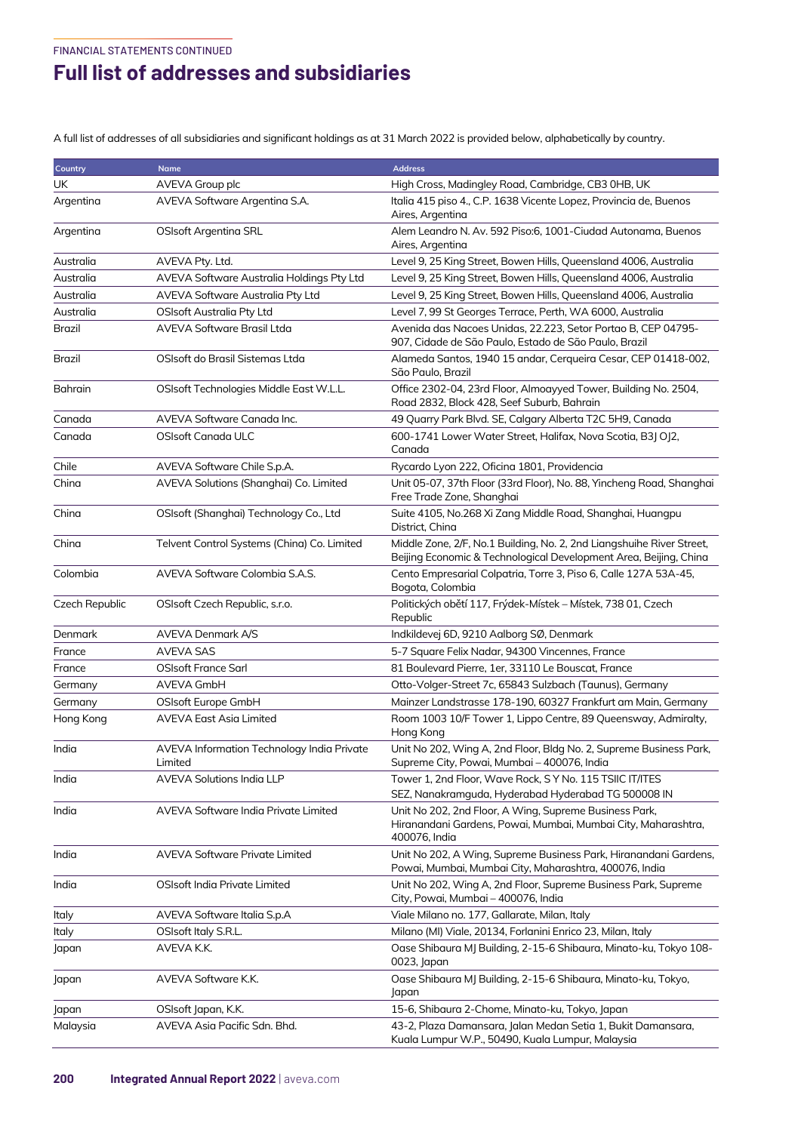## **Full list of addresses and subsidiaries**

A full list of addresses of all subsidiaries and significant holdings as at 31 March 2022 is provided below, alphabetically by country.

| Country        | <b>Name</b>                                           | <b>Address</b>                                                                                                                             |
|----------------|-------------------------------------------------------|--------------------------------------------------------------------------------------------------------------------------------------------|
| UΚ             | AVEVA Group plc                                       | High Cross, Madingley Road, Cambridge, CB3 0HB, UK                                                                                         |
| Argentina      | AVEVA Software Argentina S.A.                         | Italia 415 piso 4., C.P. 1638 Vicente Lopez, Provincia de, Buenos<br>Aires, Argentina                                                      |
| Argentina      | <b>OSIsoft Argentina SRL</b>                          | Alem Leandro N. Av. 592 Piso:6, 1001-Ciudad Autonama, Buenos<br>Aires, Argentina                                                           |
| Australia      | AVEVA Pty. Ltd.                                       | Level 9, 25 King Street, Bowen Hills, Queensland 4006, Australia                                                                           |
| Australia      | AVEVA Software Australia Holdings Pty Ltd             | Level 9, 25 King Street, Bowen Hills, Queensland 4006, Australia                                                                           |
| Australia      | AVEVA Software Australia Pty Ltd                      | Level 9, 25 King Street, Bowen Hills, Queensland 4006, Australia                                                                           |
| Australia      | <b>OSIsoft Australia Pty Ltd</b>                      | Level 7, 99 St Georges Terrace, Perth, WA 6000, Australia                                                                                  |
| Brazil         | AVEVA Software Brasil Ltda                            | Avenida das Nacoes Unidas, 22.223, Setor Portao B, CEP 04795-<br>907, Cidade de São Paulo, Estado de São Paulo, Brazil                     |
| Brazil         | OSIsoft do Brasil Sistemas Ltda                       | Alameda Santos, 1940 15 andar, Cerqueira Cesar, CEP 01418-002,<br>São Paulo, Brazil                                                        |
| Bahrain        | OSIsoft Technologies Middle East W.L.L.               | Office 2302-04, 23rd Floor, Almoayyed Tower, Building No. 2504,<br>Road 2832, Block 428, Seef Suburb, Bahrain                              |
| Canada         | AVEVA Software Canada Inc.                            | 49 Quarry Park Blvd. SE, Calgary Alberta T2C 5H9, Canada                                                                                   |
| Canada         | <b>OSIsoft Canada ULC</b>                             | 600-1741 Lower Water Street, Halifax, Nova Scotia, B3J OJ2,<br>Canada                                                                      |
| Chile          | AVEVA Software Chile S.p.A.                           | Rycardo Lyon 222, Oficina 1801, Providencia                                                                                                |
| China          | AVEVA Solutions (Shanghai) Co. Limited                | Unit 05-07, 37th Floor (33rd Floor), No. 88, Yincheng Road, Shanghai<br>Free Trade Zone, Shanghai                                          |
| China          | OSIsoft (Shanghai) Technology Co., Ltd                | Suite 4105, No.268 Xi Zang Middle Road, Shanghai, Huangpu<br>District, China                                                               |
| China          | Telvent Control Systems (China) Co. Limited           | Middle Zone, 2/F, No.1 Building, No. 2, 2nd Liangshuihe River Street,<br>Beijing Economic & Technological Development Area, Beijing, China |
| Colombia       | AVEVA Software Colombia S.A.S.                        | Cento Empresarial Colpatria, Torre 3, Piso 6, Calle 127A 53A-45,<br>Bogota, Colombia                                                       |
| Czech Republic | OSIsoft Czech Republic, s.r.o.                        | Politických obětí 117, Frýdek-Místek – Místek, 738 01, Czech<br>Republic                                                                   |
| Denmark        | <b>AVEVA Denmark A/S</b>                              | Indkildevej 6D, 9210 Aalborg SØ, Denmark                                                                                                   |
| France         | <b>AVEVA SAS</b>                                      | 5-7 Square Felix Nadar, 94300 Vincennes, France                                                                                            |
| France         | <b>OSIsoft France Sarl</b>                            | 81 Boulevard Pierre, 1er, 33110 Le Bouscat, France                                                                                         |
| Germany        | <b>AVEVA GmbH</b>                                     | Otto-Volger-Street 7c, 65843 Sulzbach (Taunus), Germany                                                                                    |
| Germany        | OSIsoft Europe GmbH                                   | Mainzer Landstrasse 178-190, 60327 Frankfurt am Main, Germany                                                                              |
| Hong Kong      | <b>AVEVA East Asia Limited</b>                        | Room 1003 10/F Tower 1, Lippo Centre, 89 Queensway, Admiralty,<br>Hong Kong                                                                |
| India          | AVEVA Information Technology India Private<br>Limited | Unit No 202, Wing A, 2nd Floor, Bldg No. 2, Supreme Business Park,<br>Supreme City, Powai, Mumbai – 400076, India                          |
| India          | AVEVA Solutions India LLP                             | Tower 1, 2nd Floor, Wave Rock, S Y No. 115 TSIIC IT/ITES<br>SEZ, Nanakramguda, Hyderabad Hyderabad TG 500008 IN                            |
| India          | AVEVA Software India Private Limited                  | Unit No 202, 2nd Floor, A Wing, Supreme Business Park,<br>Hiranandani Gardens, Powai, Mumbai, Mumbai City, Maharashtra,<br>400076, India   |
| India          | <b>AVEVA Software Private Limited</b>                 | Unit No 202, A Wing, Supreme Business Park, Hiranandani Gardens,<br>Powai, Mumbai, Mumbai City, Maharashtra, 400076, India                 |
| India          | OSIsoft India Private Limited                         | Unit No 202, Wing A, 2nd Floor, Supreme Business Park, Supreme<br>City, Powai, Mumbai - 400076, India                                      |
| Italy          | AVEVA Software Italia S.p.A                           | Viale Milano no. 177, Gallarate, Milan, Italy                                                                                              |
| Italy          | OSIsoft Italy S.R.L.                                  | Milano (MI) Viale, 20134, Forlanini Enrico 23, Milan, Italy                                                                                |
| Japan          | AVEVA K.K.                                            | Oase Shibaura MJ Building, 2-15-6 Shibaura, Minato-ku, Tokyo 108-<br>0023, Japan                                                           |
| Japan          | AVEVA Software K.K.                                   | Oase Shibaura MJ Building, 2-15-6 Shibaura, Minato-ku, Tokyo,<br>Japan                                                                     |
| Japan          | OSIsoft Japan, K.K.                                   | 15-6, Shibaura 2-Chome, Minato-ku, Tokyo, Japan                                                                                            |
| Malaysia       | AVEVA Asia Pacific Sdn. Bhd.                          | 43-2, Plaza Damansara, Jalan Medan Setia 1, Bukit Damansara,<br>Kuala Lumpur W.P., 50490, Kuala Lumpur, Malaysia                           |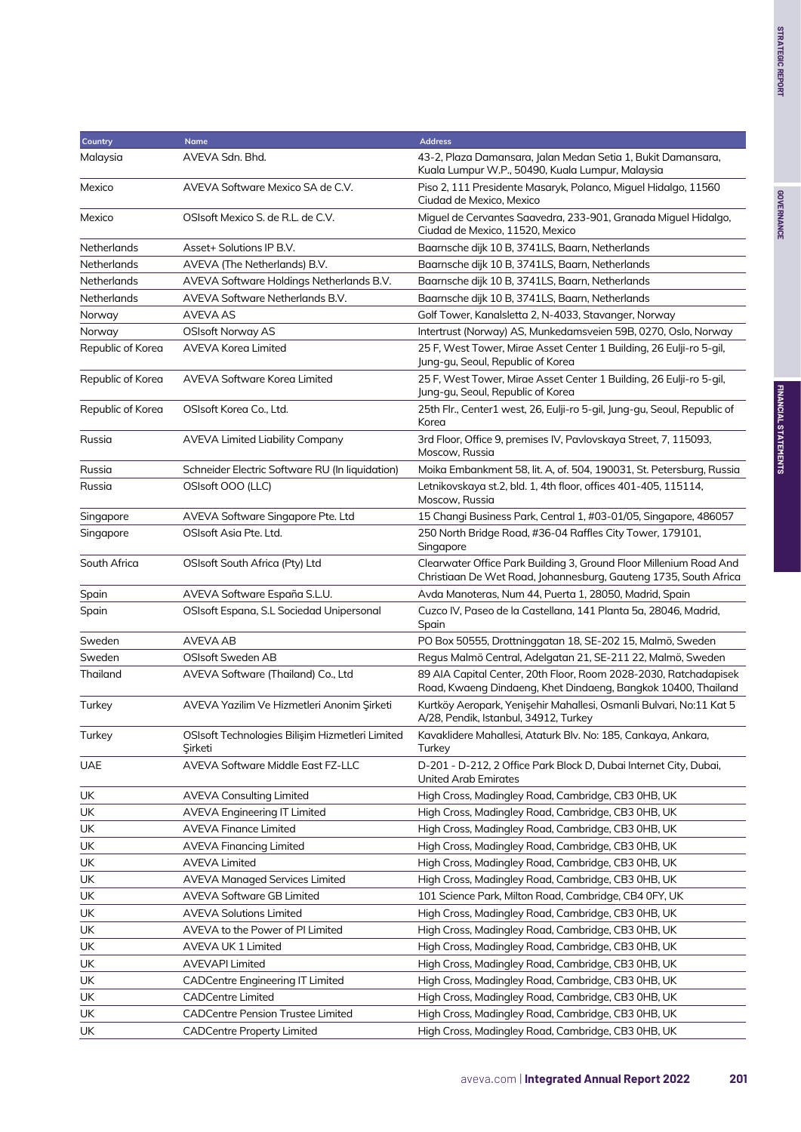| Country           | <b>Name</b>                                                | <b>Address</b>                                                                                                                         |
|-------------------|------------------------------------------------------------|----------------------------------------------------------------------------------------------------------------------------------------|
| Malaysia          | AVEVA Sdn. Bhd.                                            | 43-2, Plaza Damansara, Jalan Medan Setia 1, Bukit Damansara,<br>Kuala Lumpur W.P., 50490, Kuala Lumpur, Malaysia                       |
| Mexico            | AVEVA Software Mexico SA de C.V.                           | Piso 2, 111 Presidente Masaryk, Polanco, Miguel Hidalgo, 11560<br>Ciudad de Mexico, Mexico                                             |
| Mexico            | OSIsoft Mexico S. de R.L. de C.V.                          | Miguel de Cervantes Saavedra, 233-901, Granada Miguel Hidalgo,<br>Ciudad de Mexico, 11520, Mexico                                      |
| Netherlands       | Asset+ Solutions IP B.V.                                   | Baarnsche dijk 10 B, 3741LS, Baarn, Netherlands                                                                                        |
| Netherlands       | AVEVA (The Netherlands) B.V.                               | Baarnsche dijk 10 B, 3741LS, Baarn, Netherlands                                                                                        |
| Netherlands       | AVEVA Software Holdings Netherlands B.V.                   | Baarnsche dijk 10 B, 3741LS, Baarn, Netherlands                                                                                        |
| Netherlands       | AVEVA Software Netherlands B.V.                            | Baarnsche dijk 10 B, 3741LS, Baarn, Netherlands                                                                                        |
| Norway            | AVEVA AS                                                   | Golf Tower, Kanalsletta 2, N-4033, Stavanger, Norway                                                                                   |
| Norway            | <b>OSIsoft Norway AS</b>                                   | Intertrust (Norway) AS, Munkedamsveien 59B, 0270, Oslo, Norway                                                                         |
| Republic of Korea | AVEVA Korea Limited                                        | 25 F, West Tower, Mirae Asset Center 1 Building, 26 Eulji-ro 5-gil,<br>Jung-gu, Seoul, Republic of Korea                               |
| Republic of Korea | AVEVA Software Korea Limited                               | 25 F, West Tower, Mirae Asset Center 1 Building, 26 Eulji-ro 5-gil,<br>Jung-gu, Seoul, Republic of Korea                               |
| Republic of Korea | OSIsoft Korea Co., Ltd.                                    | 25th Flr., Center1 west, 26, Eulji-ro 5-gil, Jung-gu, Seoul, Republic of<br>Korea                                                      |
| Russia            | <b>AVEVA Limited Liability Company</b>                     | 3rd Floor, Office 9, premises IV, Pavlovskaya Street, 7, 115093,<br>Moscow, Russia                                                     |
| Russia            | Schneider Electric Software RU (In liquidation)            | Moika Embankment 58, lit. A, of. 504, 190031, St. Petersburg, Russia                                                                   |
| Russia            | OSIsoft OOO (LLC)                                          | Letnikovskaya st.2, bld. 1, 4th floor, offices 401-405, 115114,<br>Moscow, Russia                                                      |
| Singapore         | AVEVA Software Singapore Pte. Ltd                          | 15 Changi Business Park, Central 1, #03-01/05, Singapore, 486057                                                                       |
| Singapore         | OSIsoft Asia Pte. Ltd.                                     | 250 North Bridge Road, #36-04 Raffles City Tower, 179101,<br>Singapore                                                                 |
| South Africa      | OSIsoft South Africa (Pty) Ltd                             | Clearwater Office Park Building 3, Ground Floor Millenium Road And<br>Christiaan De Wet Road, Johannesburg, Gauteng 1735, South Africa |
| Spain             | AVEVA Software España S.L.U.                               | Avda Manoteras, Num 44, Puerta 1, 28050, Madrid, Spain                                                                                 |
| Spain             | OSIsoft Espana, S.L Sociedad Unipersonal                   | Cuzco IV, Paseo de la Castellana, 141 Planta 5a, 28046, Madrid,<br>Spain                                                               |
| Sweden            | AVEVA AB                                                   | PO Box 50555, Drottninggatan 18, SE-202 15, Malmö, Sweden                                                                              |
| Sweden            | OSIsoft Sweden AB                                          | Regus Malmö Central, Adelgatan 21, SE-211 22, Malmö, Sweden                                                                            |
| Thailand          | AVEVA Software (Thailand) Co., Ltd                         | 89 AIA Capital Center, 20th Floor, Room 2028-2030, Ratchadapisek<br>Road, Kwaeng Dindaeng, Khet Dindaeng, Bangkok 10400, Thailand      |
| Turkey            | AVEVA Yazilim Ve Hizmetleri Anonim Şirketi                 | Kurtköy Aeropark, Yenişehir Mahallesi, Osmanli Bulvari, No:11 Kat 5<br>A/28, Pendik, Istanbul, 34912, Turkey                           |
| Turkey            | OSIsoft Technologies Bilişim Hizmetleri Limited<br>Şirketi | Kavaklidere Mahallesi, Ataturk Blv. No: 185, Cankaya, Ankara,<br>Turkey                                                                |
| <b>UAE</b>        | AVEVA Software Middle East FZ-LLC                          | D-201 - D-212, 2 Office Park Block D, Dubai Internet City, Dubai,<br>United Arab Emirates                                              |
| UK                | <b>AVEVA Consulting Limited</b>                            | High Cross, Madingley Road, Cambridge, CB3 0HB, UK                                                                                     |
| UK                | <b>AVEVA Engineering IT Limited</b>                        | High Cross, Madingley Road, Cambridge, CB3 0HB, UK                                                                                     |
| UK                | <b>AVEVA Finance Limited</b>                               | High Cross, Madingley Road, Cambridge, CB3 0HB, UK                                                                                     |
| UK                | <b>AVEVA Financing Limited</b>                             | High Cross, Madingley Road, Cambridge, CB3 0HB, UK                                                                                     |
| UK                | <b>AVEVA Limited</b>                                       | High Cross, Madingley Road, Cambridge, CB3 0HB, UK                                                                                     |
| UK                | AVEVA Managed Services Limited                             | High Cross, Madingley Road, Cambridge, CB3 0HB, UK                                                                                     |
| UK                | AVEVA Software GB Limited                                  | 101 Science Park, Milton Road, Cambridge, CB4 0FY, UK                                                                                  |
| UK                | <b>AVEVA Solutions Limited</b>                             | High Cross, Madingley Road, Cambridge, CB3 0HB, UK                                                                                     |
| UK                | AVEVA to the Power of PI Limited                           | High Cross, Madingley Road, Cambridge, CB3 0HB, UK                                                                                     |
| UK                | AVEVA UK 1 Limited                                         | High Cross, Madingley Road, Cambridge, CB3 0HB, UK                                                                                     |
| UK                | <b>AVEVAPI Limited</b>                                     | High Cross, Madingley Road, Cambridge, CB3 0HB, UK                                                                                     |
| UK                | <b>CADCentre Engineering IT Limited</b>                    | High Cross, Madingley Road, Cambridge, CB3 0HB, UK                                                                                     |
| UK                | CADCentre Limited                                          | High Cross, Madingley Road, Cambridge, CB3 0HB, UK                                                                                     |
| UK                | <b>CADCentre Pension Trustee Limited</b>                   | High Cross, Madingley Road, Cambridge, CB3 0HB, UK                                                                                     |
| UK                | <b>CADCentre Property Limited</b>                          | High Cross, Madingley Road, Cambridge, CB3 0HB, UK                                                                                     |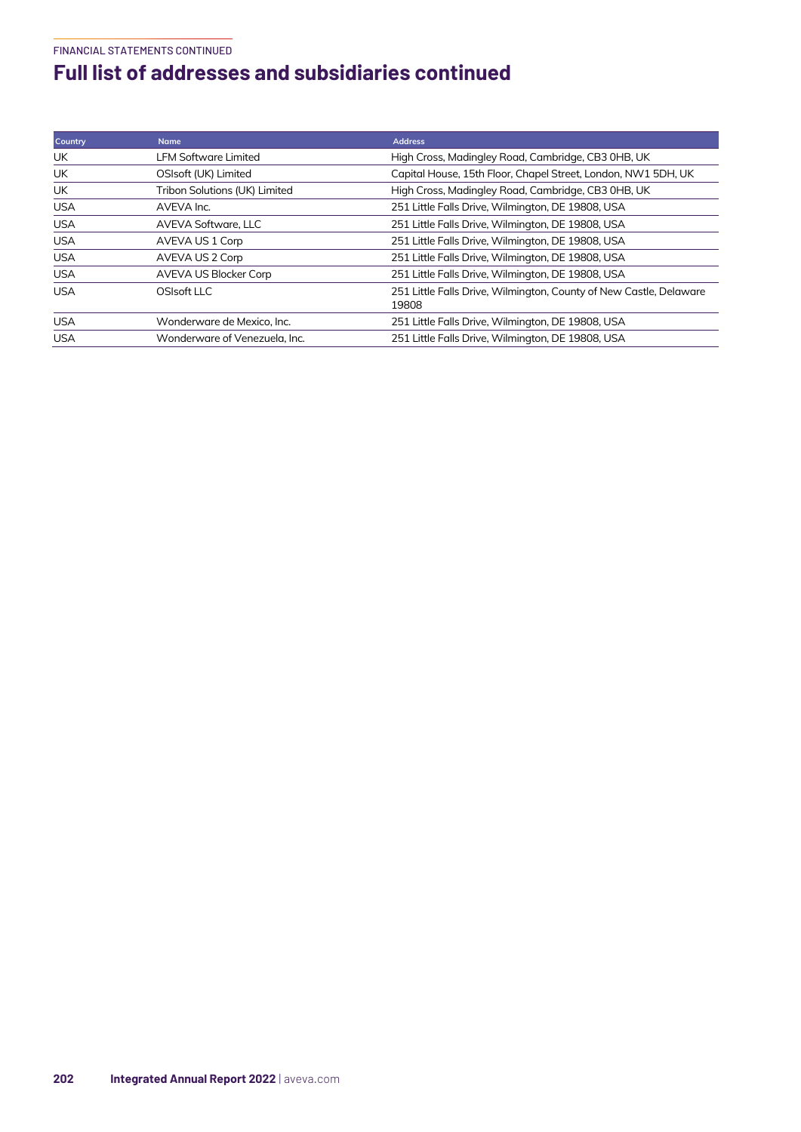## **Full list of addresses and subsidiaries continued**

| <b>Country</b> | <b>Name</b>                   | <b>Address</b>                                                              |
|----------------|-------------------------------|-----------------------------------------------------------------------------|
| UK             | LFM Software Limited          | High Cross, Madingley Road, Cambridge, CB3 0HB, UK                          |
| <b>UK</b>      | OSIsoft (UK) Limited          | Capital House, 15th Floor, Chapel Street, London, NW1 5DH, UK               |
| <b>UK</b>      | Tribon Solutions (UK) Limited | High Cross, Madingley Road, Cambridge, CB3 0HB, UK                          |
| <b>USA</b>     | AVEVA Inc.                    | 251 Little Falls Drive, Wilmington, DE 19808, USA                           |
| <b>USA</b>     | AVEVA Software, LLC           | 251 Little Falls Drive, Wilmington, DE 19808, USA                           |
| <b>USA</b>     | AVEVA US 1 Corp               | 251 Little Falls Drive, Wilmington, DE 19808, USA                           |
| <b>USA</b>     | AVEVA US 2 Corp               | 251 Little Falls Drive, Wilmington, DE 19808, USA                           |
| <b>USA</b>     | AVEVA US Blocker Corp         | 251 Little Falls Drive, Wilmington, DE 19808, USA                           |
| <b>USA</b>     | OSIsoft LLC                   | 251 Little Falls Drive, Wilmington, County of New Castle, Delaware<br>19808 |
| <b>USA</b>     | Wonderware de Mexico, Inc.    | 251 Little Falls Drive, Wilmington, DE 19808, USA                           |
| <b>USA</b>     | Wonderware of Venezuela, Inc. | 251 Little Falls Drive, Wilmington, DE 19808, USA                           |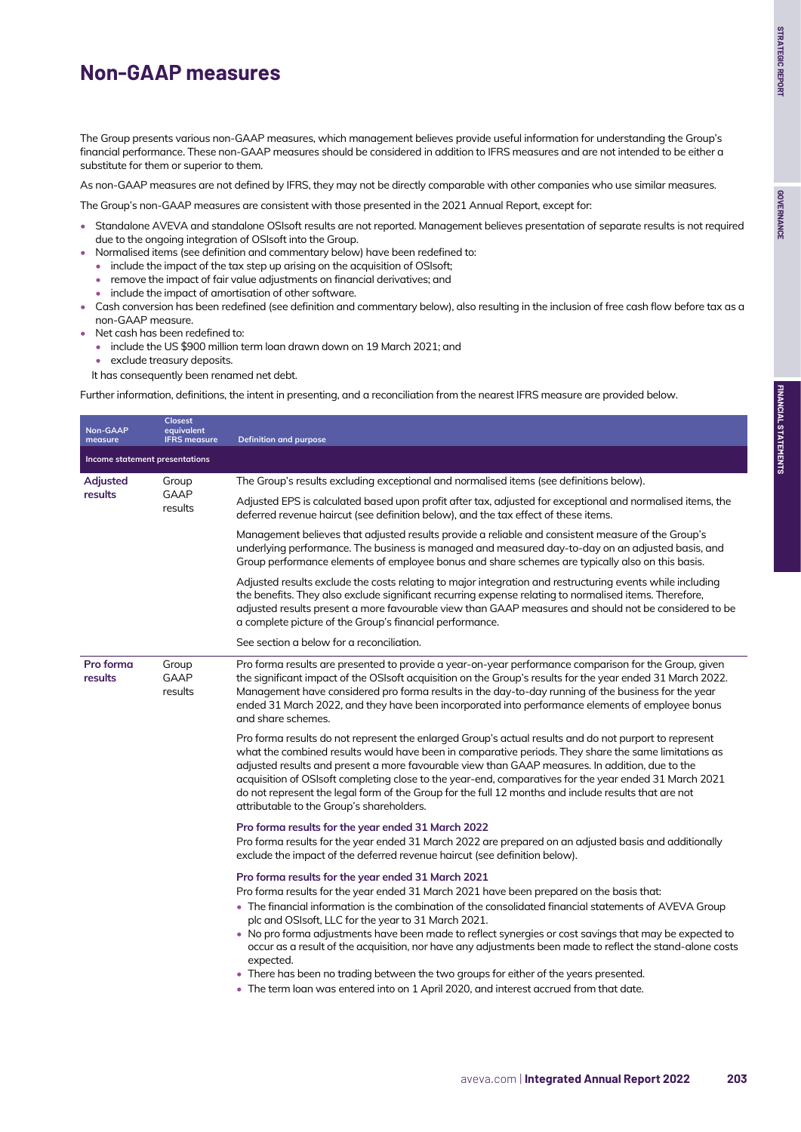## **GOVERNANCE GOVERNANCE**

**FINANCIAL STATEMENTS**

FINANCIAL STATEMENTS

The Group presents various non-GAAP measures, which management believes provide useful information for understanding the Group's financial performance. These non-GAAP measures should be considered in addition to IFRS measures and are not intended to be either a substitute for them or superior to them.

As non-GAAP measures are not defined by IFRS, they may not be directly comparable with other companies who use similar measures.

The Group's non-GAAP measures are consistent with those presented in the 2021 Annual Report, except for:

- Standalone AVEVA and standalone OSIsoft results are not reported. Management believes presentation of separate results is not required due to the ongoing integration of OSIsoft into the Group.
	- Normalised items (see definition and commentary below) have been redefined to:
	- include the impact of the tax step up arising on the acquisition of OSIsoft;
	- remove the impact of fair value adjustments on financial derivatives; and
	- include the impact of amortisation of other software.
- Cash conversion has been redefined (see definition and commentary below), also resulting in the inclusion of free cash flow before tax as a non-GAAP measure.
- Net cash has been redefined to:
	- include the US \$900 million term loan drawn down on 19 March 2021; and
	- exclude treasury deposits.
	- It has consequently been renamed net debt.

Further information, definitions, the intent in presenting, and a reconciliation from the nearest IFRS measure are provided below.

| Non-GAAP<br>measure            | <b>Closest</b><br>equivalent<br><b>IFRS</b> measure | <b>Definition and purpose</b>                                                                                                                                                                                                                                                                                                                                                                                                                                                                                                                                                                                                                                                                                                          |  |  |  |  |
|--------------------------------|-----------------------------------------------------|----------------------------------------------------------------------------------------------------------------------------------------------------------------------------------------------------------------------------------------------------------------------------------------------------------------------------------------------------------------------------------------------------------------------------------------------------------------------------------------------------------------------------------------------------------------------------------------------------------------------------------------------------------------------------------------------------------------------------------------|--|--|--|--|
| Income statement presentations |                                                     |                                                                                                                                                                                                                                                                                                                                                                                                                                                                                                                                                                                                                                                                                                                                        |  |  |  |  |
| Adjusted                       | Group                                               | The Group's results excluding exceptional and normalised items (see definitions below).                                                                                                                                                                                                                                                                                                                                                                                                                                                                                                                                                                                                                                                |  |  |  |  |
| results                        | GAAP<br>results                                     | Adjusted EPS is calculated based upon profit after tax, adjusted for exceptional and normalised items, the<br>deferred revenue haircut (see definition below), and the tax effect of these items.                                                                                                                                                                                                                                                                                                                                                                                                                                                                                                                                      |  |  |  |  |
|                                |                                                     | Management believes that adjusted results provide a reliable and consistent measure of the Group's<br>underlying performance. The business is managed and measured day-to-day on an adjusted basis, and<br>Group performance elements of employee bonus and share schemes are typically also on this basis.                                                                                                                                                                                                                                                                                                                                                                                                                            |  |  |  |  |
|                                |                                                     | Adjusted results exclude the costs relating to major integration and restructuring events while including<br>the benefits. They also exclude significant recurring expense relating to normalised items. Therefore,<br>adjusted results present a more favourable view than GAAP measures and should not be considered to be<br>a complete picture of the Group's financial performance.                                                                                                                                                                                                                                                                                                                                               |  |  |  |  |
|                                |                                                     | See section a below for a reconciliation.                                                                                                                                                                                                                                                                                                                                                                                                                                                                                                                                                                                                                                                                                              |  |  |  |  |
| Pro forma<br>results           | Group<br>GAAP<br>results                            | Pro forma results are presented to provide a year-on-year performance comparison for the Group, given<br>the significant impact of the OSIsoft acquisition on the Group's results for the year ended 31 March 2022.<br>Management have considered pro forma results in the day-to-day running of the business for the year<br>ended 31 March 2022, and they have been incorporated into performance elements of employee bonus<br>and share schemes.                                                                                                                                                                                                                                                                                   |  |  |  |  |
|                                |                                                     | Pro forma results do not represent the enlarged Group's actual results and do not purport to represent<br>what the combined results would have been in comparative periods. They share the same limitations as<br>adjusted results and present a more favourable view than GAAP measures. In addition, due to the<br>acquisition of OSIsoft completing close to the year-end, comparatives for the year ended 31 March 2021<br>do not represent the legal form of the Group for the full 12 months and include results that are not<br>attributable to the Group's shareholders.                                                                                                                                                       |  |  |  |  |
|                                |                                                     | Pro forma results for the year ended 31 March 2022<br>Pro forma results for the year ended 31 March 2022 are prepared on an adjusted basis and additionally<br>exclude the impact of the deferred revenue haircut (see definition below).                                                                                                                                                                                                                                                                                                                                                                                                                                                                                              |  |  |  |  |
|                                |                                                     | Pro forma results for the year ended 31 March 2021<br>Pro forma results for the year ended 31 March 2021 have been prepared on the basis that:<br>• The financial information is the combination of the consolidated financial statements of AVEVA Group<br>plc and OSIsoft, LLC for the year to 31 March 2021.<br>• No pro forma adjustments have been made to reflect synergies or cost savings that may be expected to<br>occur as a result of the acquisition, nor have any adjustments been made to reflect the stand-alone costs<br>expected.<br>• There has been no trading between the two groups for either of the years presented.<br>• The term loan was entered into on 1 April 2020, and interest accrued from that date. |  |  |  |  |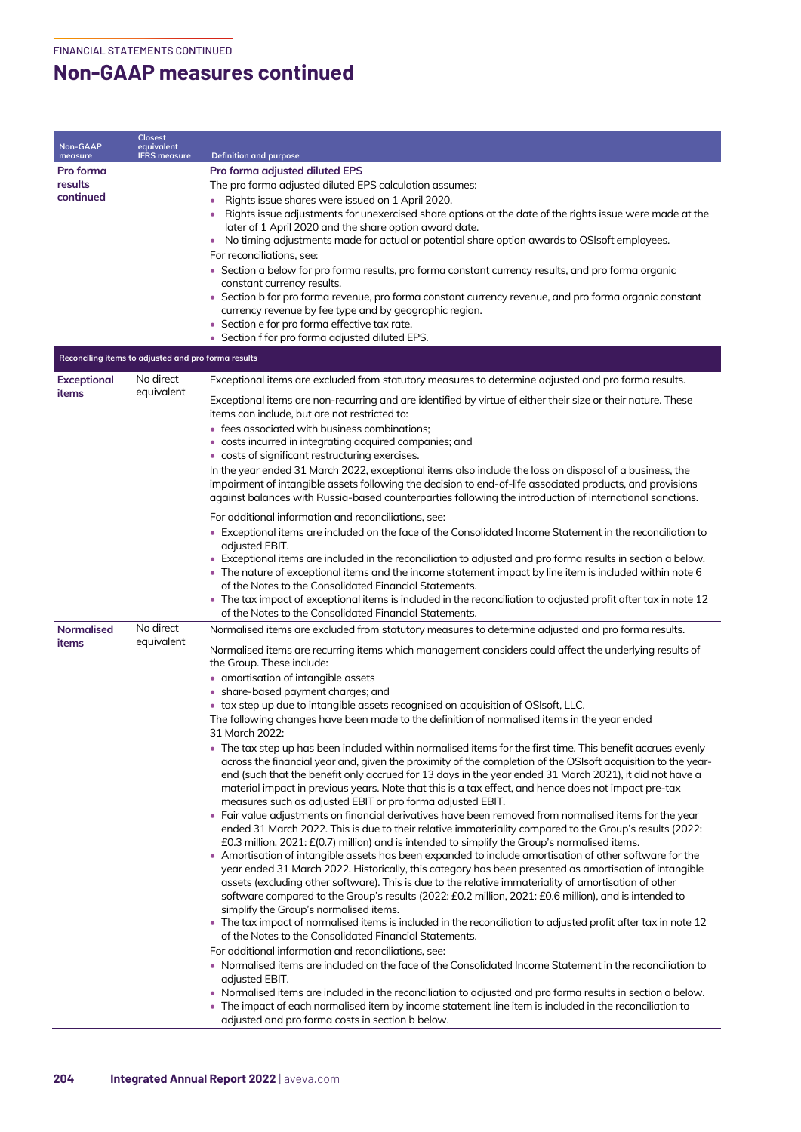## **Non-GAAP measures continued**

| Non-GAAP<br>measure               | <b>Closest</b><br>equivalent<br><b>IFRS</b> measure | <b>Definition and purpose</b>                                                                                                                                                                                                                                                                                                                                                                                                                                                                                |
|-----------------------------------|-----------------------------------------------------|--------------------------------------------------------------------------------------------------------------------------------------------------------------------------------------------------------------------------------------------------------------------------------------------------------------------------------------------------------------------------------------------------------------------------------------------------------------------------------------------------------------|
| Pro forma<br>results<br>continued |                                                     | Pro forma adjusted diluted EPS<br>The pro forma adjusted diluted EPS calculation assumes:<br>Rights issue shares were issued on 1 April 2020.                                                                                                                                                                                                                                                                                                                                                                |
|                                   |                                                     | Rights issue adjustments for unexercised share options at the date of the rights issue were made at the<br>later of 1 April 2020 and the share option award date.<br>No timing adjustments made for actual or potential share option awards to OSIsoft employees.<br>۰<br>For reconciliations, see:                                                                                                                                                                                                          |
|                                   |                                                     | • Section a below for pro forma results, pro forma constant currency results, and pro forma organic<br>constant currency results.<br>• Section b for pro forma revenue, pro forma constant currency revenue, and pro forma organic constant                                                                                                                                                                                                                                                                  |
|                                   |                                                     | currency revenue by fee type and by geographic region.<br>• Section e for pro forma effective tax rate.<br>• Section f for pro forma adjusted diluted EPS.                                                                                                                                                                                                                                                                                                                                                   |
|                                   | Reconciling items to adjusted and pro forma results |                                                                                                                                                                                                                                                                                                                                                                                                                                                                                                              |
|                                   | No direct                                           |                                                                                                                                                                                                                                                                                                                                                                                                                                                                                                              |
| <b>Exceptional</b><br>items       | equivalent                                          | Exceptional items are excluded from statutory measures to determine adjusted and pro forma results.<br>Exceptional items are non-recurring and are identified by virtue of either their size or their nature. These                                                                                                                                                                                                                                                                                          |
|                                   |                                                     | items can include, but are not restricted to:<br>• fees associated with business combinations;<br>• costs incurred in integrating acquired companies; and                                                                                                                                                                                                                                                                                                                                                    |
|                                   |                                                     | • costs of significant restructuring exercises.                                                                                                                                                                                                                                                                                                                                                                                                                                                              |
|                                   |                                                     | In the year ended 31 March 2022, exceptional items also include the loss on disposal of a business, the<br>impairment of intangible assets following the decision to end-of-life associated products, and provisions<br>against balances with Russia-based counterparties following the introduction of international sanctions.                                                                                                                                                                             |
|                                   |                                                     | For additional information and reconciliations, see:                                                                                                                                                                                                                                                                                                                                                                                                                                                         |
|                                   |                                                     | • Exceptional items are included on the face of the Consolidated Income Statement in the reconciliation to<br>adjusted EBIT.                                                                                                                                                                                                                                                                                                                                                                                 |
|                                   |                                                     | • Exceptional items are included in the reconciliation to adjusted and pro forma results in section a below.<br>• The nature of exceptional items and the income statement impact by line item is included within note 6<br>of the Notes to the Consolidated Financial Statements.                                                                                                                                                                                                                           |
|                                   |                                                     | • The tax impact of exceptional items is included in the reconciliation to adjusted profit after tax in note 12<br>of the Notes to the Consolidated Financial Statements.                                                                                                                                                                                                                                                                                                                                    |
| <b>Normalised</b>                 | No direct                                           | Normalised items are excluded from statutory measures to determine adjusted and pro forma results.                                                                                                                                                                                                                                                                                                                                                                                                           |
| items                             | equivalent                                          | Normalised items are recurring items which management considers could affect the underlying results of<br>the Group. These include:                                                                                                                                                                                                                                                                                                                                                                          |
|                                   |                                                     | • amortisation of intangible assets                                                                                                                                                                                                                                                                                                                                                                                                                                                                          |
|                                   |                                                     | • share-based payment charges; and<br>• tax step up due to intangible assets recognised on acquisition of OSIsoft, LLC.                                                                                                                                                                                                                                                                                                                                                                                      |
|                                   |                                                     | The following changes have been made to the definition of normalised items in the year ended<br>31 March 2022:                                                                                                                                                                                                                                                                                                                                                                                               |
|                                   |                                                     | • The tax step up has been included within normalised items for the first time. This benefit accrues evenly<br>across the financial year and, given the proximity of the completion of the OSIsoft acquisition to the year-<br>end (such that the benefit only accrued for 13 days in the year ended 31 March 2021), it did not have a<br>material impact in previous years. Note that this is a tax effect, and hence does not impact pre-tax<br>measures such as adjusted EBIT or pro forma adjusted EBIT. |
|                                   |                                                     | • Fair value adjustments on financial derivatives have been removed from normalised items for the year<br>ended 31 March 2022. This is due to their relative immateriality compared to the Group's results (2022:<br>£0.3 million, 2021: $E(0.7)$ million) and is intended to simplify the Group's normalised items.<br>• Amortisation of intangible assets has been expanded to include amortisation of other software for the                                                                              |
|                                   |                                                     | year ended 31 March 2022. Historically, this category has been presented as amortisation of intangible<br>assets (excluding other software). This is due to the relative immateriality of amortisation of other<br>software compared to the Group's results (2022: £0.2 million, 2021: £0.6 million), and is intended to<br>simplify the Group's normalised items.                                                                                                                                           |
|                                   |                                                     | • The tax impact of normalised items is included in the reconciliation to adjusted profit after tax in note 12<br>of the Notes to the Consolidated Financial Statements.                                                                                                                                                                                                                                                                                                                                     |
|                                   |                                                     | For additional information and reconciliations, see:<br>• Normalised items are included on the face of the Consolidated Income Statement in the reconciliation to                                                                                                                                                                                                                                                                                                                                            |
|                                   |                                                     | adjusted EBIT.<br>• Normalised items are included in the reconciliation to adjusted and pro forma results in section a below.<br>• The impact of each normalised item by income statement line item is included in the reconciliation to<br>adjusted and pro forma costs in section b below.                                                                                                                                                                                                                 |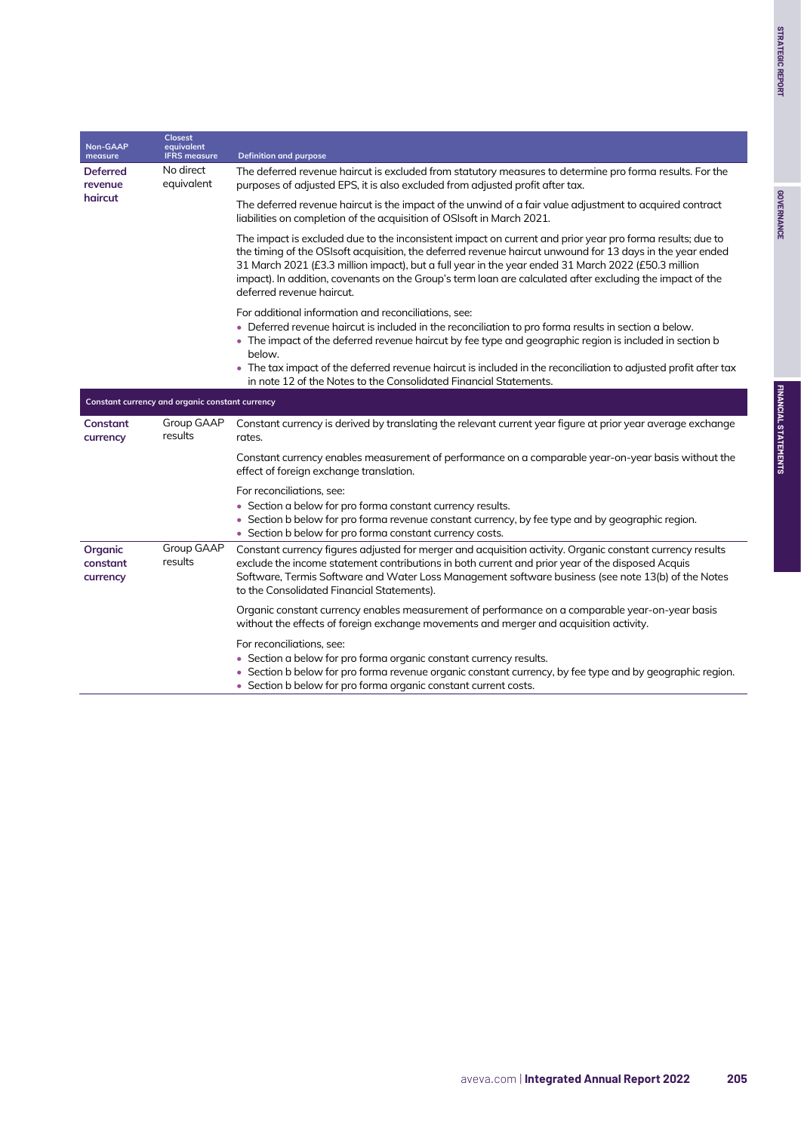| Non-GAAP<br>measure             | equivalent<br><b>IFRS</b> measure               | <b>Definition and purpose</b>                                                                                                                                                                                                                                                                                                                                                                                                                                           |
|---------------------------------|-------------------------------------------------|-------------------------------------------------------------------------------------------------------------------------------------------------------------------------------------------------------------------------------------------------------------------------------------------------------------------------------------------------------------------------------------------------------------------------------------------------------------------------|
| <b>Deferred</b><br>revenue      | No direct<br>equivalent                         | The deferred revenue haircut is excluded from statutory measures to determine pro forma results. For the<br>purposes of adjusted EPS, it is also excluded from adjusted profit after tax.                                                                                                                                                                                                                                                                               |
| haircut                         |                                                 | The deferred revenue haircut is the impact of the unwind of a fair value adjustment to acquired contract<br>liabilities on completion of the acquisition of OSIsoft in March 2021.                                                                                                                                                                                                                                                                                      |
|                                 |                                                 | The impact is excluded due to the inconsistent impact on current and prior year pro forma results; due to<br>the timing of the OSIsoft acquisition, the deferred revenue haircut unwound for 13 days in the year ended<br>31 March 2021 (£3.3 million impact), but a full year in the year ended 31 March 2022 (£50.3 million<br>impact). In addition, covenants on the Group's term loan are calculated after excluding the impact of the<br>deferred revenue haircut. |
|                                 |                                                 | For additional information and reconciliations, see:<br>• Deferred revenue haircut is included in the reconciliation to pro forma results in section a below.<br>• The impact of the deferred revenue haircut by fee type and geographic region is included in section b                                                                                                                                                                                                |
|                                 |                                                 | below.<br>• The tax impact of the deferred revenue haircut is included in the reconciliation to adjusted profit after tax<br>in note 12 of the Notes to the Consolidated Financial Statements.                                                                                                                                                                                                                                                                          |
|                                 | Constant currency and organic constant currency |                                                                                                                                                                                                                                                                                                                                                                                                                                                                         |
| Constant<br>currency            | Group GAAP<br>results                           | Constant currency is derived by translating the relevant current year figure at prior year average exchange<br>rates.                                                                                                                                                                                                                                                                                                                                                   |
|                                 |                                                 | Constant currency enables measurement of performance on a comparable year-on-year basis without the<br>effect of foreign exchange translation.                                                                                                                                                                                                                                                                                                                          |
|                                 |                                                 | For reconciliations, see:                                                                                                                                                                                                                                                                                                                                                                                                                                               |
|                                 |                                                 | • Section a below for pro forma constant currency results.<br>• Section b below for pro forma revenue constant currency, by fee type and by geographic region.<br>• Section b below for pro forma constant currency costs.                                                                                                                                                                                                                                              |
| Organic<br>constant<br>currency | Group GAAP<br>results                           | Constant currency figures adjusted for merger and acquisition activity. Organic constant currency results<br>exclude the income statement contributions in both current and prior year of the disposed Acquis<br>Software, Termis Software and Water Loss Management software business (see note 13(b) of the Notes<br>to the Consolidated Financial Statements).                                                                                                       |
|                                 |                                                 | Organic constant currency enables measurement of performance on a comparable year-on-year basis<br>without the effects of foreign exchange movements and merger and acquisition activity.                                                                                                                                                                                                                                                                               |
|                                 |                                                 | For reconciliations, see:<br>• Section a below for pro forma organic constant currency results.<br>· Section b below for pro forma revenue organic constant currency, by fee type and by geographic region.<br>• Section b below for pro forma organic constant current costs.                                                                                                                                                                                          |

**Closest**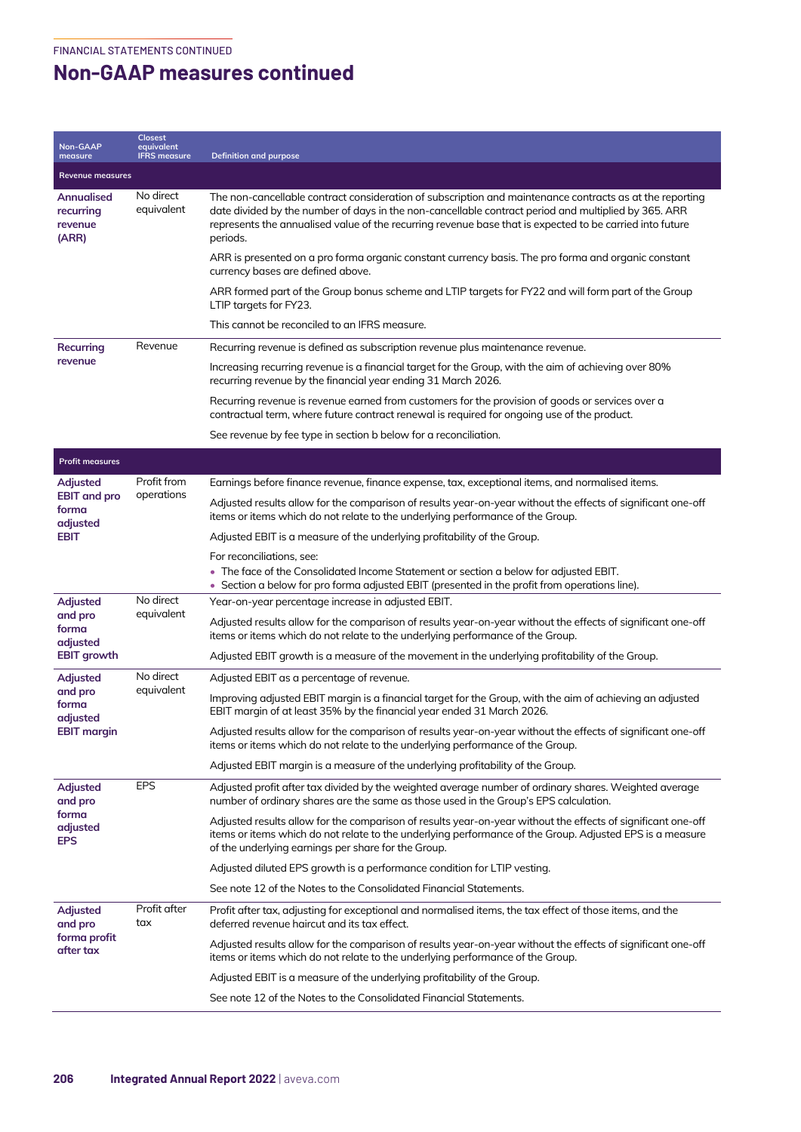## **Non-GAAP measures continued**

| Non-GAAP<br>measure                         | <b>Closest</b><br>equivalent<br><b>IFRS</b> measure | <b>Definition and purpose</b>                                                                                                                                                                                                                                                                                                            |  |  |  |  |
|---------------------------------------------|-----------------------------------------------------|------------------------------------------------------------------------------------------------------------------------------------------------------------------------------------------------------------------------------------------------------------------------------------------------------------------------------------------|--|--|--|--|
| <b>Revenue measures</b>                     |                                                     |                                                                                                                                                                                                                                                                                                                                          |  |  |  |  |
| Annualised<br>recurring<br>revenue<br>(ARR) | No direct<br>equivalent                             | The non-cancellable contract consideration of subscription and maintenance contracts as at the reporting<br>date divided by the number of days in the non-cancellable contract period and multiplied by 365. ARR<br>represents the annualised value of the recurring revenue base that is expected to be carried into future<br>periods. |  |  |  |  |
|                                             |                                                     | ARR is presented on a pro forma organic constant currency basis. The pro forma and organic constant<br>currency bases are defined above.                                                                                                                                                                                                 |  |  |  |  |
|                                             |                                                     | ARR formed part of the Group bonus scheme and LTIP targets for FY22 and will form part of the Group<br>LTIP targets for FY23.                                                                                                                                                                                                            |  |  |  |  |
|                                             |                                                     | This cannot be reconciled to an IFRS measure.                                                                                                                                                                                                                                                                                            |  |  |  |  |
| Recurring                                   | Revenue                                             | Recurring revenue is defined as subscription revenue plus maintenance revenue.                                                                                                                                                                                                                                                           |  |  |  |  |
| revenue                                     |                                                     | Increasing recurring revenue is a financial target for the Group, with the aim of achieving over 80%<br>recurring revenue by the financial year ending 31 March 2026.                                                                                                                                                                    |  |  |  |  |
|                                             |                                                     | Recurring revenue is revenue earned from customers for the provision of goods or services over a<br>contractual term, where future contract renewal is required for ongoing use of the product.                                                                                                                                          |  |  |  |  |
|                                             |                                                     | See revenue by fee type in section b below for a reconciliation.                                                                                                                                                                                                                                                                         |  |  |  |  |
| <b>Profit measures</b>                      |                                                     |                                                                                                                                                                                                                                                                                                                                          |  |  |  |  |
| <b>Adjusted</b>                             | Profit from<br>operations                           | Earnings before finance revenue, finance expense, tax, exceptional items, and normalised items.                                                                                                                                                                                                                                          |  |  |  |  |
| <b>EBIT</b> and pro<br>forma<br>adjusted    |                                                     | Adjusted results allow for the comparison of results year-on-year without the effects of significant one-off<br>items or items which do not relate to the underlying performance of the Group.                                                                                                                                           |  |  |  |  |
| <b>EBIT</b>                                 |                                                     | Adjusted EBIT is a measure of the underlying profitability of the Group.                                                                                                                                                                                                                                                                 |  |  |  |  |
|                                             |                                                     | For reconciliations, see:<br>• The face of the Consolidated Income Statement or section a below for adjusted EBIT.<br>• Section a below for pro forma adjusted EBIT (presented in the profit from operations line).                                                                                                                      |  |  |  |  |
| Adjusted                                    | No direct<br>equivalent                             | Year-on-year percentage increase in adjusted EBIT.                                                                                                                                                                                                                                                                                       |  |  |  |  |
| and pro<br>forma<br>adjusted                |                                                     | Adjusted results allow for the comparison of results year-on-year without the effects of significant one-off<br>items or items which do not relate to the underlying performance of the Group.                                                                                                                                           |  |  |  |  |
| <b>EBIT</b> growth                          |                                                     | Adjusted EBIT growth is a measure of the movement in the underlying profitability of the Group.                                                                                                                                                                                                                                          |  |  |  |  |
| Adjusted<br>and pro                         | No direct<br>equivalent                             | Adjusted EBIT as a percentage of revenue.                                                                                                                                                                                                                                                                                                |  |  |  |  |
| forma<br>adjusted                           |                                                     | Improving adjusted EBIT margin is a financial target for the Group, with the aim of achieving an adjusted<br>EBIT margin of at least 35% by the financial year ended 31 March 2026.                                                                                                                                                      |  |  |  |  |
| <b>EBIT margin</b>                          |                                                     | Adjusted results allow for the comparison of results year-on-year without the effects of significant one-off<br>items or items which do not relate to the underlying performance of the Group.                                                                                                                                           |  |  |  |  |
|                                             |                                                     | Adjusted EBIT margin is a measure of the underlying profitability of the Group.                                                                                                                                                                                                                                                          |  |  |  |  |
| Adjusted<br>and pro                         | <b>EPS</b>                                          | Adjusted profit after tax divided by the weighted average number of ordinary shares. Weighted average<br>number of ordinary shares are the same as those used in the Group's EPS calculation.                                                                                                                                            |  |  |  |  |
| forma<br>adjusted<br><b>EPS</b>             |                                                     | Adjusted results allow for the comparison of results year-on-year without the effects of significant one-off<br>items or items which do not relate to the underlying performance of the Group. Adjusted EPS is a measure<br>of the underlying earnings per share for the Group.                                                          |  |  |  |  |
|                                             |                                                     | Adjusted diluted EPS growth is a performance condition for LTIP vesting.                                                                                                                                                                                                                                                                 |  |  |  |  |
|                                             |                                                     | See note 12 of the Notes to the Consolidated Financial Statements.                                                                                                                                                                                                                                                                       |  |  |  |  |
| <b>Adjusted</b><br>and pro                  | Profit after<br>tax                                 | Profit after tax, adjusting for exceptional and normalised items, the tax effect of those items, and the<br>deferred revenue haircut and its tax effect.                                                                                                                                                                                 |  |  |  |  |
| forma profit<br>after tax                   |                                                     | Adjusted results allow for the comparison of results year-on-year without the effects of significant one-off<br>items or items which do not relate to the underlying performance of the Group.                                                                                                                                           |  |  |  |  |
|                                             |                                                     | Adjusted EBIT is a measure of the underlying profitability of the Group.                                                                                                                                                                                                                                                                 |  |  |  |  |
|                                             |                                                     | See note 12 of the Notes to the Consolidated Financial Statements.                                                                                                                                                                                                                                                                       |  |  |  |  |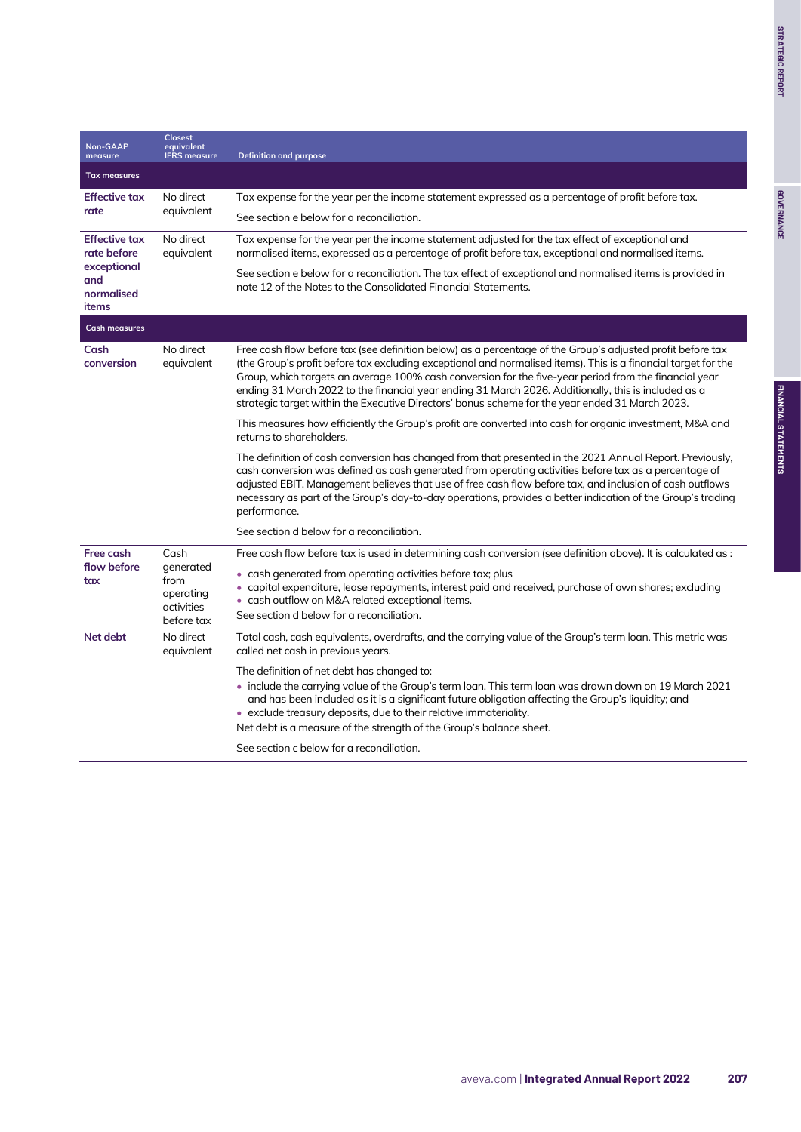| <b>Tax measures</b><br><b>Effective tax</b><br>No direct<br>equivalent<br>rate<br>See section e below for a reconciliation.<br><b>Effective tax</b><br>No direct<br>rate before<br>equivalent                                                    | Tax expense for the year per the income statement expressed as a percentage of profit before tax.<br>Tax expense for the year per the income statement adjusted for the tax effect of exceptional and<br>normalised items, expressed as a percentage of profit before tax, exceptional and normalised items.<br>See section e below for a reconciliation. The tax effect of exceptional and normalised items is provided in                                                                                                                      |
|--------------------------------------------------------------------------------------------------------------------------------------------------------------------------------------------------------------------------------------------------|--------------------------------------------------------------------------------------------------------------------------------------------------------------------------------------------------------------------------------------------------------------------------------------------------------------------------------------------------------------------------------------------------------------------------------------------------------------------------------------------------------------------------------------------------|
|                                                                                                                                                                                                                                                  |                                                                                                                                                                                                                                                                                                                                                                                                                                                                                                                                                  |
|                                                                                                                                                                                                                                                  |                                                                                                                                                                                                                                                                                                                                                                                                                                                                                                                                                  |
|                                                                                                                                                                                                                                                  |                                                                                                                                                                                                                                                                                                                                                                                                                                                                                                                                                  |
|                                                                                                                                                                                                                                                  |                                                                                                                                                                                                                                                                                                                                                                                                                                                                                                                                                  |
| exceptional<br>and<br>note 12 of the Notes to the Consolidated Financial Statements.<br>normalised<br>items                                                                                                                                      |                                                                                                                                                                                                                                                                                                                                                                                                                                                                                                                                                  |
| <b>Cash measures</b>                                                                                                                                                                                                                             |                                                                                                                                                                                                                                                                                                                                                                                                                                                                                                                                                  |
| No direct<br>Cash<br>conversion<br>equivalent                                                                                                                                                                                                    | Free cash flow before tax (see definition below) as a percentage of the Group's adjusted profit before tax<br>(the Group's profit before tax excluding exceptional and normalised items). This is a financial target for the<br>Group, which targets an average 100% cash conversion for the five-year period from the financial year<br>ending 31 March 2022 to the financial year ending 31 March 2026. Additionally, this is included as a<br>strategic target within the Executive Directors' bonus scheme for the year ended 31 March 2023. |
| returns to shareholders.                                                                                                                                                                                                                         | This measures how efficiently the Group's profit are converted into cash for organic investment, M&A and                                                                                                                                                                                                                                                                                                                                                                                                                                         |
| performance.                                                                                                                                                                                                                                     | The definition of cash conversion has changed from that presented in the 2021 Annual Report. Previously,<br>cash conversion was defined as cash generated from operating activities before tax as a percentage of<br>adjusted EBIT. Management believes that use of free cash flow before tax, and inclusion of cash outflows<br>necessary as part of the Group's day-to-day operations, provides a better indication of the Group's trading                                                                                                     |
| See section d below for a reconciliation.                                                                                                                                                                                                        |                                                                                                                                                                                                                                                                                                                                                                                                                                                                                                                                                  |
| Free cash<br>Cash                                                                                                                                                                                                                                | Free cash flow before tax is used in determining cash conversion (see definition above). It is calculated as :                                                                                                                                                                                                                                                                                                                                                                                                                                   |
| flow before<br>generated<br>• cash generated from operating activities before tax; plus<br>from<br>tax<br>operating<br>· cash outflow on M&A related exceptional items.<br>activities<br>See section d below for a reconciliation.<br>before tax | • capital expenditure, lease repayments, interest paid and received, purchase of own shares; excluding                                                                                                                                                                                                                                                                                                                                                                                                                                           |
| No direct<br>Net debt<br>called net cash in previous years.<br>equivalent                                                                                                                                                                        | Total cash, cash equivalents, overdrafts, and the carrying value of the Group's term loan. This metric was                                                                                                                                                                                                                                                                                                                                                                                                                                       |
| The definition of net debt has changed to:<br>• exclude treasury deposits, due to their relative immateriality.                                                                                                                                  | • include the carrying value of the Group's term loan. This term loan was drawn down on 19 March 2021<br>and has been included as it is a significant future obligation affecting the Group's liquidity; and<br>Net debt is a measure of the strength of the Group's balance sheet.                                                                                                                                                                                                                                                              |
| See section c below for a reconciliation.                                                                                                                                                                                                        |                                                                                                                                                                                                                                                                                                                                                                                                                                                                                                                                                  |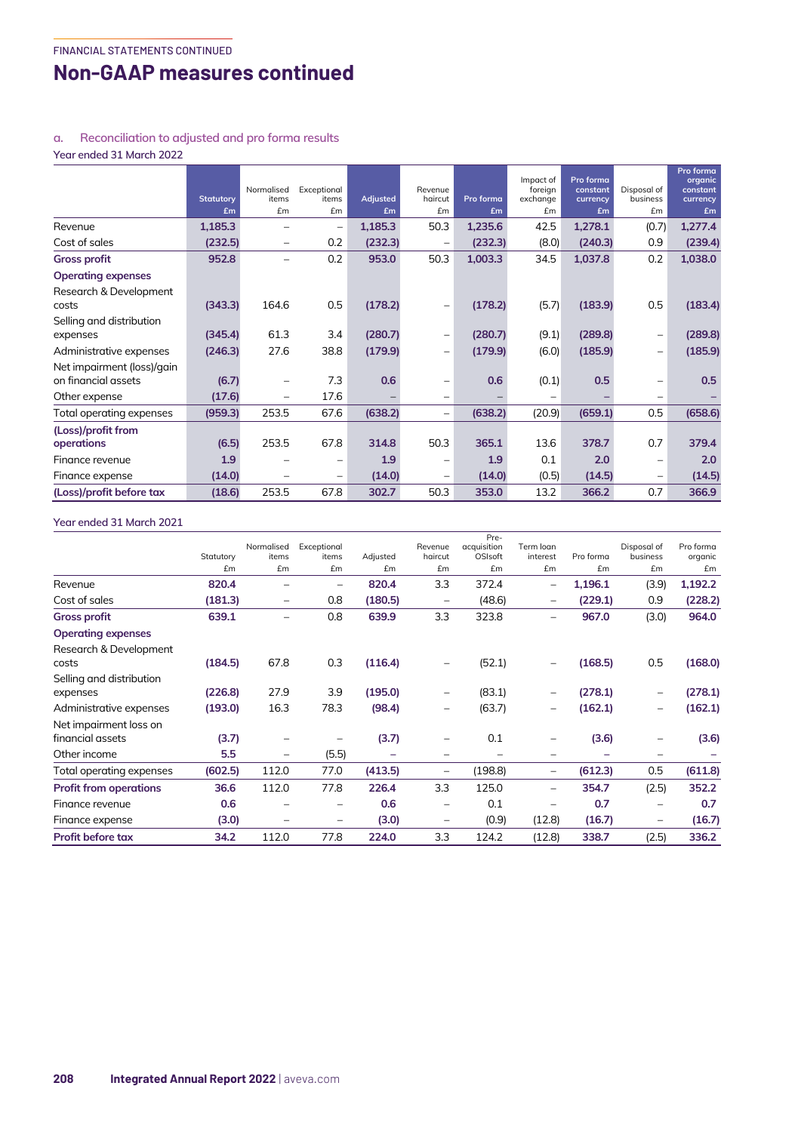## **Non-GAAP measures continued**

### **a. Reconciliation to adjusted and pro forma results**

**Year ended 31 March 2022** 

|                                                   | <b>Statutory</b> | Normalised<br>items      | Exceptional<br>items | <b>Adjusted</b> | Revenue<br>haircut | <b>Pro</b> forma | Impact of<br>foreign<br>exchange | Pro forma<br>constant<br>currency | Disposal of<br>business  | Pro forma<br>organic<br>constant<br>currency |
|---------------------------------------------------|------------------|--------------------------|----------------------|-----------------|--------------------|------------------|----------------------------------|-----------------------------------|--------------------------|----------------------------------------------|
|                                                   | £m               | £m                       | £m                   | £m              | £m                 | £m               | £m                               | £m                                | £m                       | £m                                           |
| Revenue                                           | 1,185.3          |                          |                      | 1,185.3         | 50.3               | 1,235.6          | 42.5                             | 1,278.1                           | (0.7)                    | 1,277.4                                      |
| Cost of sales                                     | (232.5)          | $\overline{\phantom{m}}$ | 0.2                  | (232.3)         | -                  | (232.3)          | (8.0)                            | (240.3)                           | 0.9                      | (239.4)                                      |
| <b>Gross profit</b>                               | 952.8            |                          | 0.2                  | 953.0           | 50.3               | 1,003.3          | 34.5                             | 1,037.8                           | 0.2                      | 1,038.0                                      |
| <b>Operating expenses</b>                         |                  |                          |                      |                 |                    |                  |                                  |                                   |                          |                                              |
| Research & Development                            |                  |                          |                      |                 |                    |                  |                                  |                                   |                          |                                              |
| costs                                             | (343.3)          | 164.6                    | 0.5                  | (178.2)         | -                  | (178.2)          | (5.7)                            | (183.9)                           | 0.5                      | (183.4)                                      |
| Selling and distribution                          |                  |                          |                      |                 |                    |                  |                                  |                                   |                          |                                              |
| expenses                                          | (345.4)          | 61.3                     | 3.4                  | (280.7)         | -                  | (280.7)          | (9.1)                            | (289.8)                           | $\qquad \qquad -$        | (289.8)                                      |
| Administrative expenses                           | (246.3)          | 27.6                     | 38.8                 | (179.9)         | -                  | (179.9)          | (6.0)                            | (185.9)                           | $\overline{\phantom{0}}$ | (185.9)                                      |
| Net impairment (loss)/gain<br>on financial assets | (6.7)            |                          | 7.3                  | 0.6             | —                  | 0.6              | (0.1)                            | 0.5                               |                          | 0.5                                          |
| Other expense                                     | (17.6)           | -                        | 17.6                 |                 | -                  |                  |                                  |                                   |                          |                                              |
| Total operating expenses                          | (959.3)          | 253.5                    | 67.6                 | (638.2)         | -                  | (638.2)          | (20.9)                           | (659.1)                           | 0.5                      | (658.6)                                      |
| (Loss)/profit from                                |                  |                          |                      |                 |                    |                  |                                  |                                   |                          |                                              |
| operations                                        | (6.5)            | 253.5                    | 67.8                 | 314.8           | 50.3               | 365.1            | 13.6                             | 378.7                             | 0.7                      | 379.4                                        |
| Finance revenue                                   | 1.9              |                          | -                    | 1.9             | —                  | 1.9              | 0.1                              | 2.0                               | $\overline{\phantom{0}}$ | 2.0                                          |
| Finance expense                                   | (14.0)           |                          | -                    | (14.0)          | -                  | (14.0)           | (0.5)                            | (14.5)                            | $\overline{\phantom{0}}$ | (14.5)                                       |
| (Loss)/profit before tax                          | (18.6)           | 253.5                    | 67.8                 | 302.7           | 50.3               | 353.0            | 13.2                             | 366.2                             | 0.7                      | 366.9                                        |

### **Year ended 31 March 2021**

|                               |           |                          |                          |          |                          | Pre-        |                          |           |                   |           |
|-------------------------------|-----------|--------------------------|--------------------------|----------|--------------------------|-------------|--------------------------|-----------|-------------------|-----------|
|                               |           | Normalised               | Exceptional              |          | Revenue                  | acquisition | Term Ioan                |           | Disposal of       | Pro forma |
|                               | Statutory | items                    | items                    | Adjusted | haircut                  | OSIsoft     | interest                 | Pro forma | business          | organic   |
|                               | £m        | £m                       | £m                       | £m       | £m                       | £m          | £m                       | £m        | £m                | £m        |
| Revenue                       | 820.4     | —                        | $\overline{\phantom{0}}$ | 820.4    | 3.3                      | 372.4       | -                        | 1,196.1   | (3.9)             | 1,192.2   |
| Cost of sales                 | (181.3)   | $\overline{\phantom{0}}$ | 0.8                      | (180.5)  | $\overline{\phantom{0}}$ | (48.6)      | —                        | (229.1)   | 0.9               | (228.2)   |
| <b>Gross profit</b>           | 639.1     |                          | 0.8                      | 639.9    | 3.3                      | 323.8       | —                        | 967.0     | (3.0)             | 964.0     |
| <b>Operating expenses</b>     |           |                          |                          |          |                          |             |                          |           |                   |           |
| Research & Development        |           |                          |                          |          |                          |             |                          |           |                   |           |
| costs                         | (184.5)   | 67.8                     | 0.3                      | (116.4)  | -                        | (52.1)      |                          | (168.5)   | 0.5               | (168.0)   |
| Selling and distribution      |           |                          |                          |          |                          |             |                          |           |                   |           |
| expenses                      | (226.8)   | 27.9                     | 3.9                      | (195.0)  |                          | (83.1)      | -                        | (278.1)   | $\qquad \qquad -$ | (278.1)   |
| Administrative expenses       | (193.0)   | 16.3                     | 78.3                     | (98.4)   | -                        | (63.7)      | -                        | (162.1)   | $\qquad \qquad -$ | (162.1)   |
| Net impairment loss on        |           |                          |                          |          |                          |             |                          |           |                   |           |
| financial assets              | (3.7)     |                          |                          | (3.7)    |                          | 0.1         |                          | (3.6)     | $\qquad \qquad -$ | (3.6)     |
| Other income                  | 5.5       | -                        | (5.5)                    |          | -                        |             |                          |           |                   |           |
| Total operating expenses      | (602.5)   | 112.0                    | 77.0                     | (413.5)  | $\overline{\phantom{0}}$ | (198.8)     | —                        | (612.3)   | 0.5               | (611.8)   |
| <b>Profit from operations</b> | 36.6      | 112.0                    | 77.8                     | 226.4    | 3.3                      | 125.0       | $\overline{\phantom{0}}$ | 354.7     | (2.5)             | 352.2     |
| Finance revenue               | 0.6       |                          |                          | 0.6      | -                        | 0.1         |                          | 0.7       | -                 | 0.7       |
| Finance expense               | (3.0)     |                          |                          | (3.0)    |                          | (0.9)       | (12.8)                   | (16.7)    | —                 | (16.7)    |
| <b>Profit before tax</b>      | 34.2      | 112.0                    | 77.8                     | 224.0    | 3.3                      | 124.2       | (12.8)                   | 338.7     | (2.5)             | 336.2     |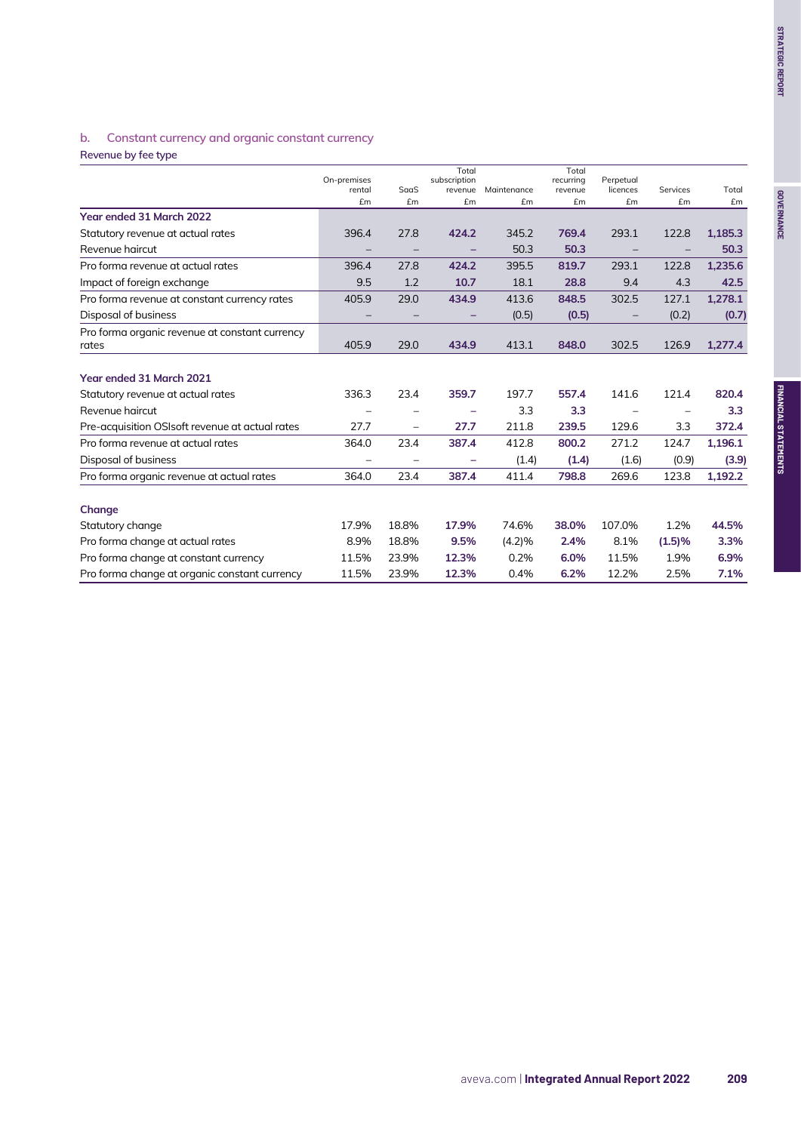**GOVERNANCE**

**GOVERNANCE** 

**FINANCIAL STATEMENTS**

FINANCIAL STATEMENTS

### **b. Constant currency and organic constant currency**

**Revenue by fee type** 

|                                                 | On-premises |                          | Total<br>subscription |             | Total<br>recurring | Perpetual |                          |         |
|-------------------------------------------------|-------------|--------------------------|-----------------------|-------------|--------------------|-----------|--------------------------|---------|
|                                                 | rental      | SaaS                     | revenue               | Maintenance | revenue            | licences  | Services                 | Total   |
|                                                 | £m          | £m                       | £m                    | £m          | £m                 | £m        | £m                       | £m      |
| Year ended 31 March 2022                        |             |                          |                       |             |                    |           |                          |         |
| Statutory revenue at actual rates               | 396.4       | 27.8                     | 424.2                 | 345.2       | 769.4              | 293.1     | 122.8                    | 1,185.3 |
| Revenue haircut                                 |             |                          |                       | 50.3        | 50.3               |           |                          | 50.3    |
| Pro forma revenue at actual rates               | 396.4       | 27.8                     | 424.2                 | 395.5       | 819.7              | 293.1     | 122.8                    | 1,235.6 |
| Impact of foreign exchange                      | 9.5         | 1.2                      | 10.7                  | 18.1        | 28.8               | 9.4       | 4.3                      | 42.5    |
| Pro forma revenue at constant currency rates    | 405.9       | 29.0                     | 434.9                 | 413.6       | 848.5              | 302.5     | 127.1                    | 1,278.1 |
| Disposal of business                            |             |                          |                       | (0.5)       | (0.5)              |           | (0.2)                    | (0.7)   |
| Pro forma organic revenue at constant currency  |             |                          |                       |             |                    |           |                          |         |
| rates                                           | 405.9       | 29.0                     | 434.9                 | 413.1       | 848.0              | 302.5     | 126.9                    | 1,277.4 |
|                                                 |             |                          |                       |             |                    |           |                          |         |
| Year ended 31 March 2021                        |             |                          |                       |             |                    |           |                          |         |
| Statutory revenue at actual rates               | 336.3       | 23.4                     | 359.7                 | 197.7       | 557.4              | 141.6     | 121.4                    | 820.4   |
| Revenue haircut                                 |             |                          |                       | 3.3         | 3.3                |           | $\overline{\phantom{0}}$ | 3.3     |
| Pre-acquisition OSIsoft revenue at actual rates | 27.7        | $\overline{\phantom{0}}$ | 27.7                  | 211.8       | 239.5              | 129.6     | 3.3                      | 372.4   |
| Pro forma revenue at actual rates               | 364.0       | 23.4                     | 387.4                 | 412.8       | 800.2              | 271.2     | 124.7                    | 1,196.1 |
| Disposal of business                            |             |                          |                       | (1.4)       | (1.4)              | (1.6)     | (0.9)                    | (3.9)   |
| Pro forma organic revenue at actual rates       | 364.0       | 23.4                     | 387.4                 | 411.4       | 798.8              | 269.6     | 123.8                    | 1,192.2 |
| Change                                          |             |                          |                       |             |                    |           |                          |         |
| Statutory change                                | 17.9%       | 18.8%                    | 17.9%                 | 74.6%       | 38.0%              | 107.0%    | 1.2%                     | 44.5%   |
| Pro forma change at actual rates                | 8.9%        | 18.8%                    | 9.5%                  | (4.2)%      | 2.4%               | 8.1%      | (1.5)%                   | 3.3%    |
| Pro forma change at constant currency           | 11.5%       | 23.9%                    | 12.3%                 | 0.2%        | 6.0%               | 11.5%     | 1.9%                     | 6.9%    |
| Pro forma change at organic constant currency   | 11.5%       | 23.9%                    | 12.3%                 | 0.4%        | 6.2%               | 12.2%     | 2.5%                     | 7.1%    |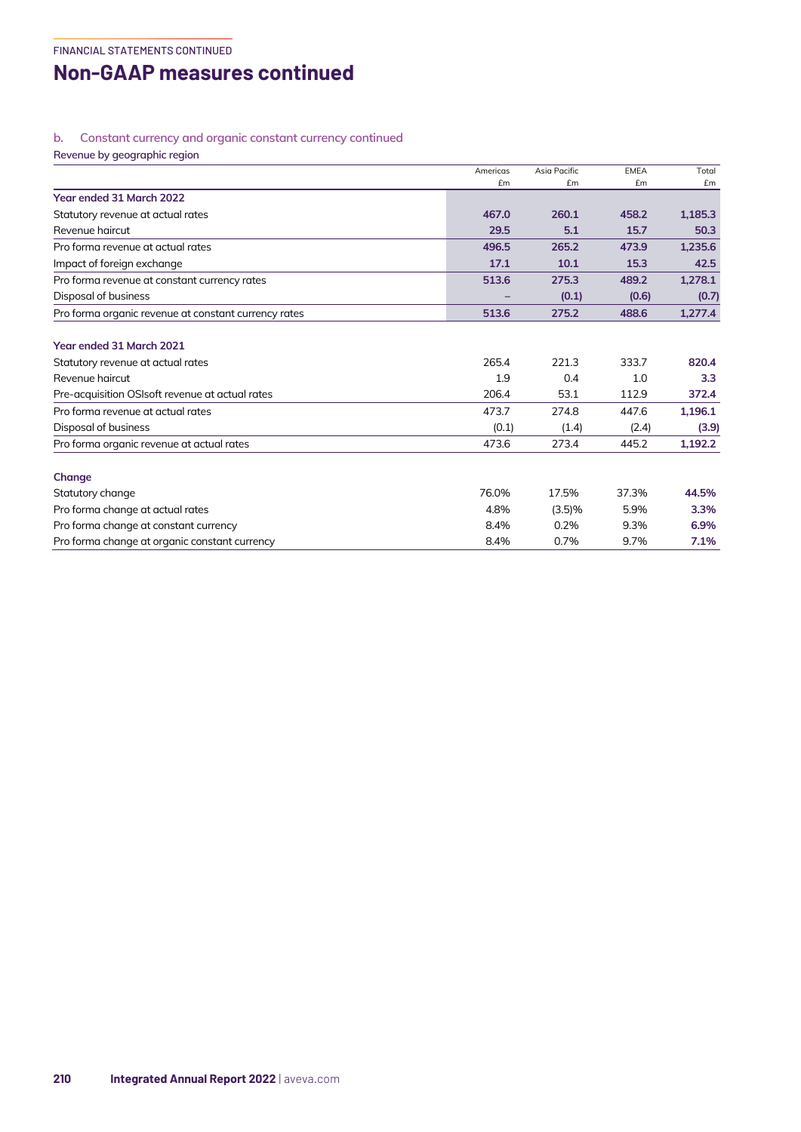## **Non-GAAP measures continued**

### **b. Constant currency and organic constant currency continued**

**Revenue by geographic region** 

|                                                      | Americas | Asia Pacific | <b>EMEA</b> | Total   |
|------------------------------------------------------|----------|--------------|-------------|---------|
|                                                      | £m       | <b>f</b> m   | £m          | £m      |
| Year ended 31 March 2022                             |          |              |             |         |
| Statutory revenue at actual rates                    | 467.0    | 260.1        | 458.2       | 1,185.3 |
| Revenue haircut                                      | 29.5     | 5.1          | 15.7        | 50.3    |
| Pro forma revenue at actual rates                    | 496.5    | 265.2        | 473.9       | 1,235.6 |
| Impact of foreign exchange                           | 17.1     | 10.1         | 15.3        | 42.5    |
| Pro forma revenue at constant currency rates         | 513.6    | 275.3        | 489.2       | 1.278.1 |
| Disposal of business                                 |          | (0.1)        | (0.6)       | (0.7)   |
| Pro forma organic revenue at constant currency rates | 513.6    | 275.2        | 488.6       | 1,277.4 |
| Year ended 31 March 2021                             |          |              |             |         |
| Statutory revenue at actual rates                    | 265.4    | 221.3        | 333.7       | 820.4   |
| Revenue haircut                                      | 1.9      | 0.4          | 1.0         | 3.3     |
| Pre-acquisition OSIsoft revenue at actual rates      | 206.4    | 53.1         | 112.9       | 372.4   |
| Pro forma revenue at actual rates                    | 473.7    | 274.8        | 447.6       | 1.196.1 |
| Disposal of business                                 | (0.1)    | (1.4)        | (2.4)       | (3.9)   |
| Pro forma organic revenue at actual rates            | 473.6    | 273.4        | 445.2       | 1,192.2 |
| Change                                               |          |              |             |         |
| Statutory change                                     | 76.0%    | 17.5%        | 37.3%       | 44.5%   |
| Pro forma change at actual rates                     | 4.8%     | (3.5)%       | 5.9%        | 3.3%    |
| Pro forma change at constant currency                | 8.4%     | 0.2%         | 9.3%        | 6.9%    |
| Pro forma change at organic constant currency        | 8.4%     | 0.7%         | 9.7%        | 7.1%    |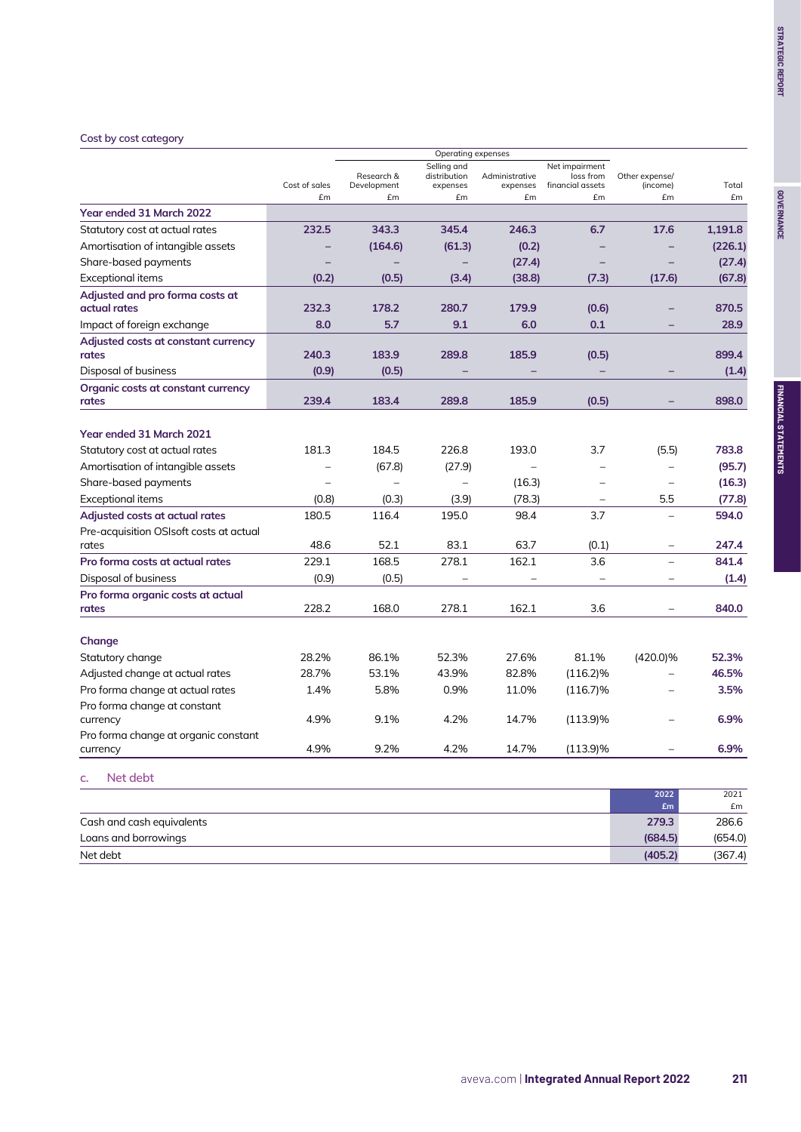### **Cost by cost category**

|                                                 | Operating expenses |                           |                                         |                            |                                                 |                            |         |
|-------------------------------------------------|--------------------|---------------------------|-----------------------------------------|----------------------------|-------------------------------------------------|----------------------------|---------|
|                                                 | Cost of sales      | Research &<br>Development | Selling and<br>distribution<br>expenses | Administrative<br>expenses | Net impairment<br>loss from<br>financial assets | Other expense/<br>(income) | Total   |
|                                                 | £m                 | £m                        | £m                                      | £m                         | £m                                              | £m                         | £m      |
| Year ended 31 March 2022                        |                    |                           |                                         |                            |                                                 |                            |         |
| Statutory cost at actual rates                  | 232.5              | 343.3                     | 345.4                                   | 246.3                      | 6.7                                             | 17.6                       | 1,191.8 |
| Amortisation of intangible assets               |                    | (164.6)                   | (61.3)                                  | (0.2)                      |                                                 |                            | (226.1) |
| Share-based payments                            |                    |                           |                                         | (27.4)                     |                                                 |                            | (27.4)  |
| <b>Exceptional items</b>                        | (0.2)              | (0.5)                     | (3.4)                                   | (38.8)                     | (7.3)                                           | (17.6)                     | (67.8)  |
| Adjusted and pro forma costs at<br>actual rates | 232.3              | 178.2                     | 280.7                                   | 179.9                      | (0.6)                                           |                            | 870.5   |
| Impact of foreign exchange                      | 8.0                | 5.7                       | 9.1                                     | 6.0                        | 0.1                                             |                            | 28.9    |
|                                                 |                    |                           |                                         |                            |                                                 |                            |         |
| Adjusted costs at constant currency<br>rates    | 240.3              | 183.9                     | 289.8                                   | 185.9                      | (0.5)                                           |                            | 899.4   |
| Disposal of business                            | (0.9)              | (0.5)                     |                                         |                            |                                                 |                            | (1.4)   |
| Organic costs at constant currency              |                    |                           |                                         |                            |                                                 |                            |         |
| rates                                           | 239.4              | 183.4                     | 289.8                                   | 185.9                      | (0.5)                                           |                            | 898.0   |
|                                                 |                    |                           |                                         |                            |                                                 |                            |         |
| Year ended 31 March 2021                        |                    |                           |                                         |                            |                                                 |                            |         |
| Statutory cost at actual rates                  | 181.3              | 184.5                     | 226.8                                   | 193.0                      | 3.7                                             | (5.5)                      | 783.8   |
| Amortisation of intangible assets               |                    | (67.8)                    | (27.9)                                  |                            |                                                 |                            | (95.7)  |
| Share-based payments                            |                    | $\overline{\phantom{0}}$  | $\overline{\phantom{0}}$                | (16.3)                     |                                                 |                            | (16.3)  |
| <b>Exceptional items</b>                        | (0.8)              | (0.3)                     | (3.9)                                   | (78.3)                     |                                                 | 5.5                        | (77.8)  |
| Adjusted costs at actual rates                  | 180.5              | 116.4                     | 195.0                                   | 98.4                       | 3.7                                             | $\overline{\phantom{0}}$   | 594.0   |
| Pre-acquisition OSIsoft costs at actual         |                    |                           |                                         |                            |                                                 |                            |         |
| rates                                           | 48.6               | 52.1                      | 83.1                                    | 63.7                       | (0.1)                                           | $\overline{\phantom{0}}$   | 247.4   |
| Pro forma costs at actual rates                 | 229.1              | 168.5                     | 278.1                                   | 162.1                      | 3.6                                             |                            | 841.4   |
| Disposal of business                            | (0.9)              | (0.5)                     |                                         |                            | $\overline{\phantom{0}}$                        | -                          | (1.4)   |
| Pro forma organic costs at actual               |                    |                           |                                         |                            |                                                 |                            |         |
| rates                                           | 228.2              | 168.0                     | 278.1                                   | 162.1                      | 3.6                                             | $\overline{\phantom{0}}$   | 840.0   |
|                                                 |                    |                           |                                         |                            |                                                 |                            |         |
| Change                                          |                    |                           |                                         |                            |                                                 |                            |         |
| Statutory change                                | 28.2%              | 86.1%                     | 52.3%                                   | 27.6%                      | 81.1%                                           | $(420.0)\%$                | 52.3%   |
| Adjusted change at actual rates                 | 28.7%              | 53.1%                     | 43.9%                                   | 82.8%                      | $(116.2)\%$                                     |                            | 46.5%   |
| Pro forma change at actual rates                | 1.4%               | 5.8%                      | 0.9%                                    | 11.0%                      | $(116.7)\%$                                     |                            | 3.5%    |
| Pro forma change at constant                    |                    |                           |                                         |                            |                                                 |                            |         |
| currency                                        | 4.9%               | 9.1%                      | 4.2%                                    | 14.7%                      | (113.9)%                                        |                            | 6.9%    |
| Pro forma change at organic constant            | 4.9%               | 9.2%                      | 4.2%                                    | 14.7%                      | (113.9)%                                        | $\overline{\phantom{0}}$   | 6.9%    |
| currency                                        |                    |                           |                                         |                            |                                                 |                            |         |
| Net debt<br>c.                                  |                    |                           |                                         |                            |                                                 |                            |         |
|                                                 |                    |                           |                                         |                            |                                                 | 2022                       | 2021    |
|                                                 |                    |                           |                                         |                            |                                                 |                            |         |

|                           | £m      | £m      |
|---------------------------|---------|---------|
| Cash and cash equivalents | 279.3   | 286.6   |
| Loans and borrowings      | (684.5) | (654.0) |
| Net debt                  | (405.2) | (367.4) |
|                           |         |         |

**GOVERNANCE**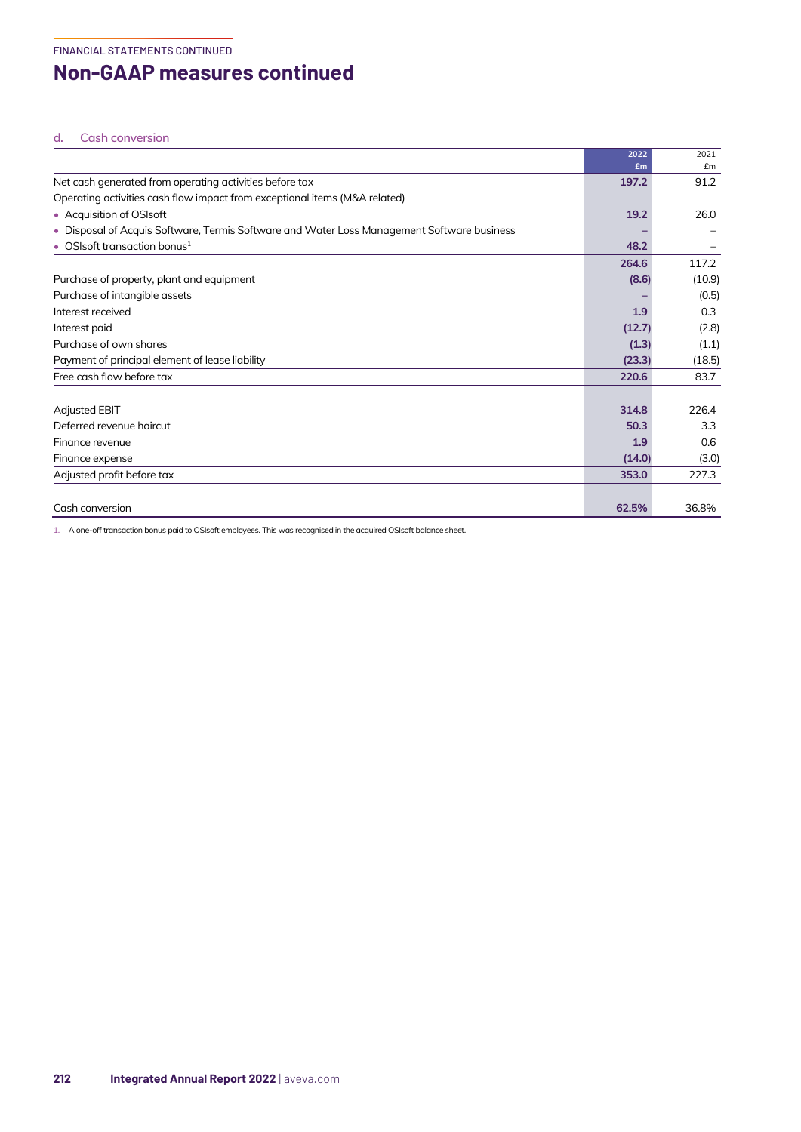## **Non-GAAP measures continued**

### **d. Cash conversion**

|                                                                                            | 2022   | 2021   |
|--------------------------------------------------------------------------------------------|--------|--------|
|                                                                                            | £m     | £m     |
| Net cash generated from operating activities before tax                                    | 197.2  | 91.2   |
| Operating activities cash flow impact from exceptional items (M&A related)                 |        |        |
| • Acquisition of OSIsoft                                                                   | 19.2   | 26.0   |
| • Disposal of Acquis Software, Termis Software and Water Loss Management Software business |        |        |
| • OSIsoft transaction bonus <sup>1</sup>                                                   | 48.2   |        |
|                                                                                            | 264.6  | 117.2  |
| Purchase of property, plant and equipment                                                  | (8.6)  | (10.9) |
| Purchase of intangible assets                                                              |        | (0.5)  |
| Interest received                                                                          | 1.9    | 0.3    |
| Interest paid                                                                              | (12.7) | (2.8)  |
| Purchase of own shares                                                                     | (1.3)  | (1.1)  |
| Payment of principal element of lease liability                                            | (23.3) | (18.5) |
| Free cash flow before tax                                                                  | 220.6  | 83.7   |
|                                                                                            |        |        |
| <b>Adjusted EBIT</b>                                                                       | 314.8  | 226.4  |
| Deferred revenue haircut                                                                   | 50.3   | 3.3    |
| Finance revenue                                                                            | 1.9    | 0.6    |
| Finance expense                                                                            | (14.0) | (3.0)  |
| Adjusted profit before tax                                                                 | 353.0  | 227.3  |
| Cash conversion                                                                            | 62.5%  | 36.8%  |

1. A one-off transaction bonus paid to OSIsoft employees. This was recognised in the acquired OSIsoft balance sheet.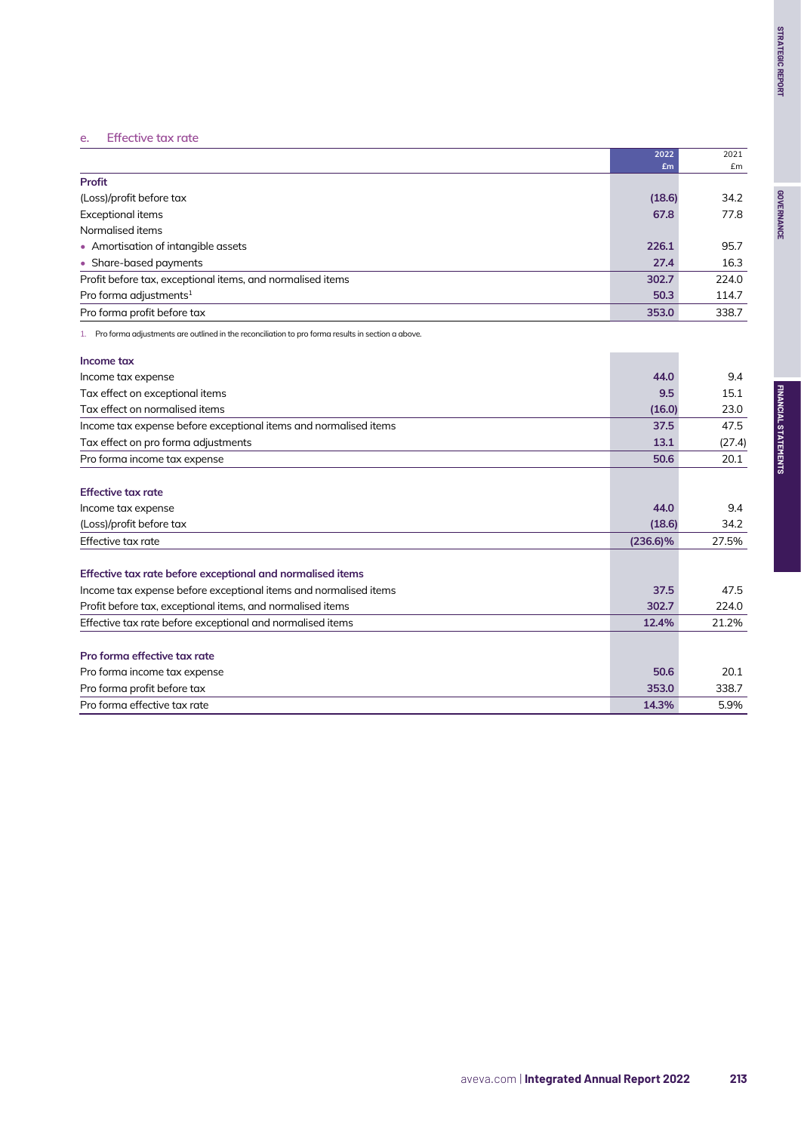### **e. Effective tax rate**

|                                                                                                   | 2022        | 2021   |
|---------------------------------------------------------------------------------------------------|-------------|--------|
|                                                                                                   | £m          | £m     |
| Profit                                                                                            |             |        |
| (Loss)/profit before tax                                                                          | (18.6)      | 34.2   |
| <b>Exceptional items</b>                                                                          | 67.8        | 77.8   |
| Normalised items                                                                                  |             |        |
| • Amortisation of intangible assets                                                               | 226.1       | 95.7   |
| • Share-based payments                                                                            | 27.4        | 16.3   |
| Profit before tax, exceptional items, and normalised items                                        | 302.7       | 224.0  |
| Pro forma adjustments <sup>1</sup>                                                                | 50.3        | 114.7  |
| Pro forma profit before tax                                                                       | 353.0       | 338.7  |
| Pro forma adjustments are outlined in the reconciliation to pro forma results in section a above. |             |        |
| Income tax                                                                                        |             |        |
| Income tax expense                                                                                | 44.0        | 9.4    |
| Tax effect on exceptional items                                                                   | 9.5         | 15.1   |
| Tax effect on normalised items                                                                    | (16.0)      | 23.0   |
| Income tax expense before exceptional items and normalised items                                  | 37.5        | 47.5   |
| Tax effect on pro forma adjustments                                                               | 13.1        | (27.4) |
| Pro forma income tax expense                                                                      | 50.6        | 20.1   |
| <b>Effective tax rate</b>                                                                         |             |        |
| Income tax expense                                                                                | 44.0        | 9.4    |
| (Loss)/profit before tax                                                                          | (18.6)      | 34.2   |
| Effective tax rate                                                                                | $(236.6)\%$ | 27.5%  |
|                                                                                                   |             |        |
| Effective tax rate before exceptional and normalised items                                        | 37.5        | 47.5   |
| Income tax expense before exceptional items and normalised items                                  | 302.7       | 224.0  |
| Profit before tax, exceptional items, and normalised items                                        |             |        |
| Effective tax rate before exceptional and normalised items                                        | 12.4%       | 21.2%  |
| Pro forma effective tax rate                                                                      |             |        |
| Pro forma income tax expense                                                                      | 50.6        | 20.1   |
| Pro forma profit before tax                                                                       | 353.0       | 338.7  |
| Pro forma effective tax rate                                                                      | 14.3%       | 5.9%   |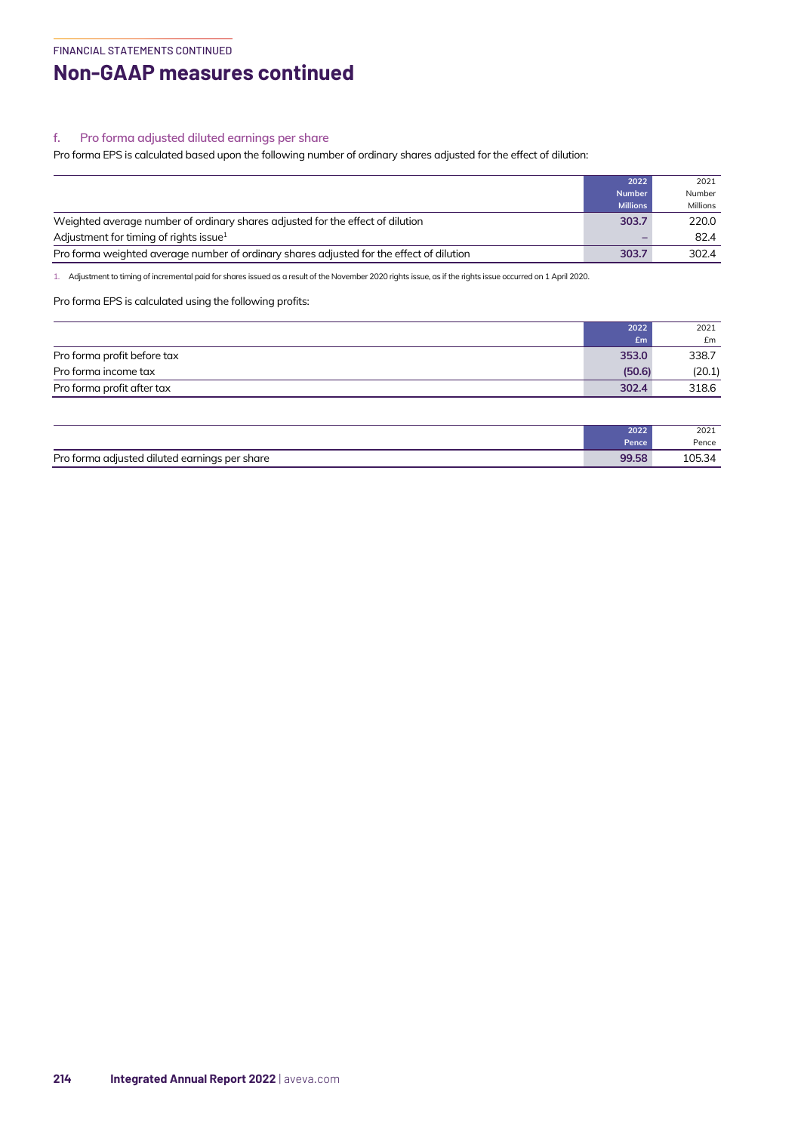# **Non-GAAP measures continued**

# **f. Pro forma adjusted diluted earnings per share**

Pro forma EPS is calculated based upon the following number of ordinary shares adjusted for the effect of dilution:

|                                                                                          | 2022            | 2021            |
|------------------------------------------------------------------------------------------|-----------------|-----------------|
|                                                                                          | <b>Number</b>   | Number          |
|                                                                                          | <b>Millions</b> | <b>Millions</b> |
| Weighted average number of ordinary shares adjusted for the effect of dilution           | 303.7           | 220.0           |
| Adjustment for timing of rights issue <sup>1</sup>                                       |                 | 82.4            |
| Pro forma weighted average number of ordinary shares adjusted for the effect of dilution | 303.7           | 302.4           |

1. Adjustment to timing of incremental paid for shares issued as a result of the November 2020 rights issue, as if the rights issue occurred on 1 April 2020.

## Pro forma EPS is calculated using the following profits:

|                             | 2022   | 2021   |
|-----------------------------|--------|--------|
|                             | £m     | £m     |
| Pro forma profit before tax | 353.0  | 338.7  |
| Pro forma income tax        | (50.6) | (20.1) |
| Pro forma profit after tax  | 302.4  | 318.6  |

|                                               | רממ   | 2021   |
|-----------------------------------------------|-------|--------|
|                                               | Pence | Pence  |
| Pro forma adjusted diluted earnings per share | 99.58 | 105.34 |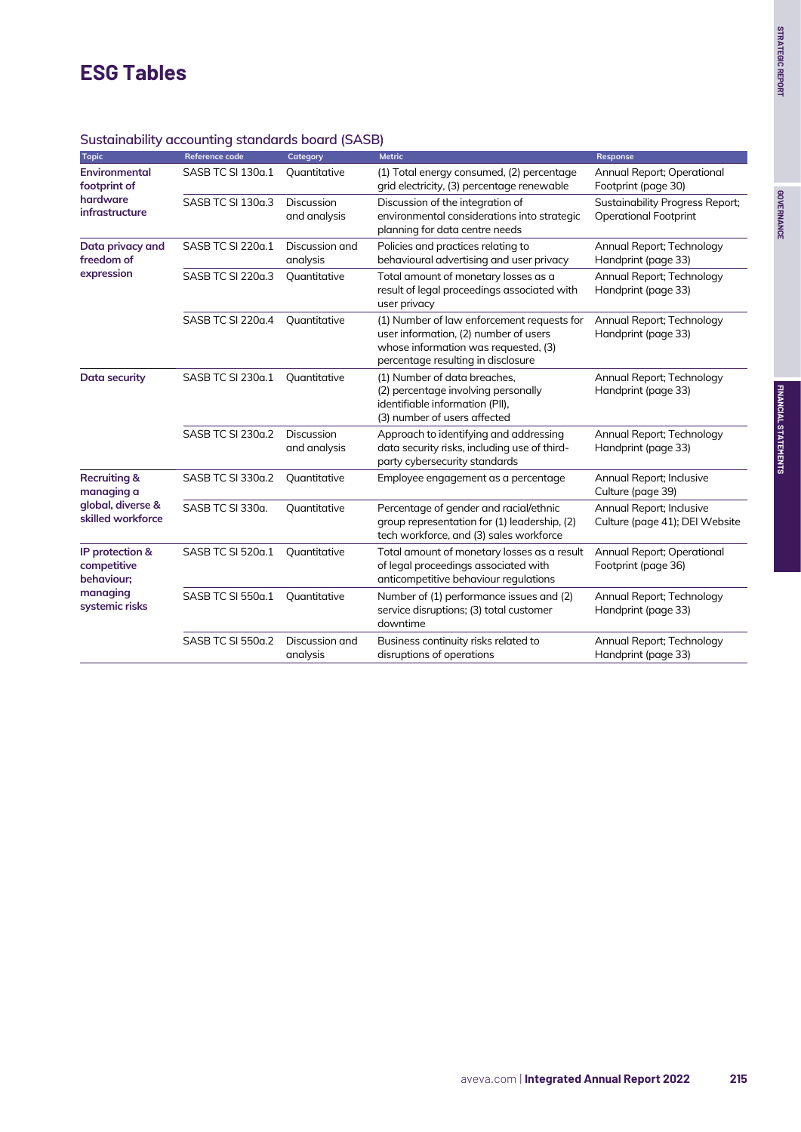# **ESG Tables**

| <b>Topic</b>                                                                    | Reference code           | Category                   | <b>Metric</b>                                                                                                                                                     | Response                                                               |
|---------------------------------------------------------------------------------|--------------------------|----------------------------|-------------------------------------------------------------------------------------------------------------------------------------------------------------------|------------------------------------------------------------------------|
| Environmental<br>footprint of                                                   | SASB TC SI 130a.1        | Quantitative               | (1) Total energy consumed, (2) percentage<br>grid electricity, (3) percentage renewable                                                                           | Annual Report; Operational<br>Footprint (page 30)                      |
| hardware<br>infrastructure                                                      | SASB TC SI 130a.3        | Discussion<br>and analysis | Discussion of the integration of<br>environmental considerations into strategic<br>planning for data centre needs                                                 | <b>Sustainability Progress Report;</b><br><b>Operational Footprint</b> |
| Data privacy and<br>freedom of<br>expression                                    | SASB TC SI 220a.1        | Discussion and<br>analysis | Policies and practices relating to<br>behavioural advertising and user privacy                                                                                    | Annual Report; Technology<br>Handprint (page 33)                       |
|                                                                                 | SASB TC SI 220a.3        | Quantitative               | Total amount of monetary losses as a<br>result of legal proceedings associated with<br>user privacy                                                               | Annual Report; Technology<br>Handprint (page 33)                       |
|                                                                                 | SASB TC SI 220a.4        | Quantitative               | (1) Number of law enforcement requests for<br>user information, (2) number of users<br>whose information was requested, (3)<br>percentage resulting in disclosure | Annual Report; Technology<br>Handprint (page 33)                       |
| <b>Data security</b>                                                            | SASB TC SI 230a.1        | Quantitative               | (1) Number of data breaches,<br>(2) percentage involving personally<br>identifiable information (PII),<br>(3) number of users affected                            | Annual Report; Technology<br>Handprint (page 33)                       |
|                                                                                 | SASB TC SI 230a.2        | Discussion<br>and analysis | Approach to identifying and addressing<br>data security risks, including use of third-<br>party cybersecurity standards                                           | Annual Report; Technology<br>Handprint (page 33)                       |
| <b>Recruiting &amp;</b><br>managing a<br>global, diverse &<br>skilled workforce | SASB TC SI 330a.2        | Quantitative               | Employee engagement as a percentage                                                                                                                               | Annual Report; Inclusive<br>Culture (page 39)                          |
|                                                                                 | SASB TC SI 330a.         | Quantitative               | Percentage of gender and racial/ethnic<br>group representation for (1) leadership, (2)<br>tech workforce, and (3) sales workforce                                 | Annual Report; Inclusive<br>Culture (page 41); DEI Website             |
| IP protection &<br>competitive<br>behaviour;<br>managing<br>systemic risks      | SASB TC SI 520a.1        | Quantitative               | Total amount of monetary losses as a result<br>of legal proceedings associated with<br>anticompetitive behaviour regulations                                      | Annual Report; Operational<br>Footprint (page 36)                      |
|                                                                                 | SASB TC SI 550a.1        | Quantitative               | Number of (1) performance issues and (2)<br>service disruptions; (3) total customer<br>downtime                                                                   | Annual Report; Technology<br>Handprint (page 33)                       |
|                                                                                 | <b>SASB TC SI 550g.2</b> | Discussion and<br>analysis | Business continuity risks related to<br>disruptions of operations                                                                                                 | Annual Report; Technology<br>Handprint (page 33)                       |

# **Sustainability accounting standards board (SASB)**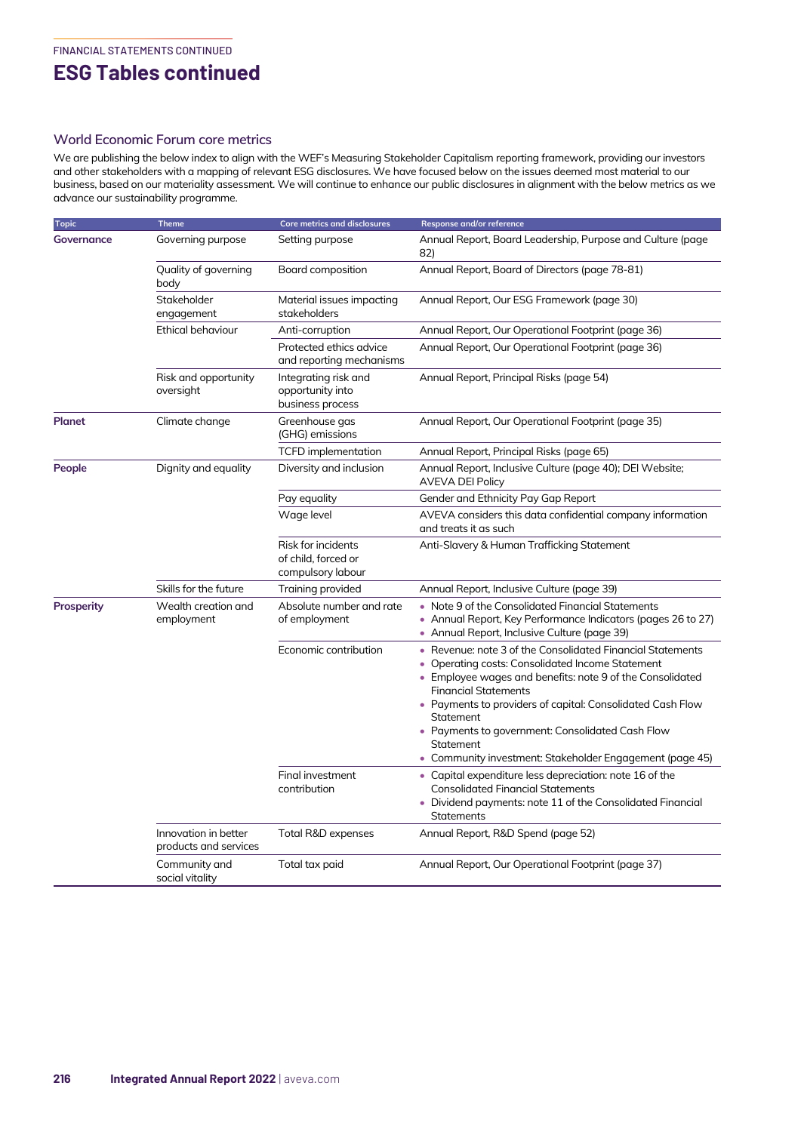# **ESG Tables continued**

# **World Economic Forum core metrics**

We are publishing the below index to align with the WEF's Measuring Stakeholder Capitalism reporting framework, providing our investors and other stakeholders with a mapping of relevant ESG disclosures. We have focused below on the issues deemed most material to our business, based on our materiality assessment. We will continue to enhance our public disclosures in alignment with the below metrics as we advance our sustainability programme.

| <b>Topic</b>      | <b>Theme</b>                                  | <b>Core metrics and disclosures</b>                                   | <b>Response and/or reference</b>                                                                                                                                                                                                                                                                                                                                                                                   |
|-------------------|-----------------------------------------------|-----------------------------------------------------------------------|--------------------------------------------------------------------------------------------------------------------------------------------------------------------------------------------------------------------------------------------------------------------------------------------------------------------------------------------------------------------------------------------------------------------|
| Governance        | Governing purpose                             | Setting purpose                                                       | Annual Report, Board Leadership, Purpose and Culture (page<br>82)                                                                                                                                                                                                                                                                                                                                                  |
|                   | Quality of governing<br>body                  | Board composition                                                     | Annual Report, Board of Directors (page 78-81)                                                                                                                                                                                                                                                                                                                                                                     |
|                   | Stakeholder<br>engagement                     | Material issues impacting<br>stakeholders                             | Annual Report, Our ESG Framework (page 30)                                                                                                                                                                                                                                                                                                                                                                         |
|                   | Ethical behaviour                             | Anti-corruption                                                       | Annual Report, Our Operational Footprint (page 36)                                                                                                                                                                                                                                                                                                                                                                 |
|                   |                                               | Protected ethics advice<br>and reporting mechanisms                   | Annual Report, Our Operational Footprint (page 36)                                                                                                                                                                                                                                                                                                                                                                 |
|                   | Risk and opportunity<br>oversight             | Integrating risk and<br>opportunity into<br>business process          | Annual Report, Principal Risks (page 54)                                                                                                                                                                                                                                                                                                                                                                           |
| <b>Planet</b>     | Climate change                                | Greenhouse gas<br>(GHG) emissions                                     | Annual Report, Our Operational Footprint (page 35)                                                                                                                                                                                                                                                                                                                                                                 |
|                   |                                               | <b>TCFD</b> implementation                                            | Annual Report, Principal Risks (page 65)                                                                                                                                                                                                                                                                                                                                                                           |
| People            | Dignity and equality                          | Diversity and inclusion                                               | Annual Report, Inclusive Culture (page 40); DEI Website;<br><b>AVEVA DEI Policy</b>                                                                                                                                                                                                                                                                                                                                |
|                   |                                               | Pay equality                                                          | Gender and Ethnicity Pay Gap Report                                                                                                                                                                                                                                                                                                                                                                                |
|                   |                                               | Wage level                                                            | AVEVA considers this data confidential company information<br>and treats it as such                                                                                                                                                                                                                                                                                                                                |
|                   |                                               | <b>Risk for incidents</b><br>of child, forced or<br>compulsory labour | Anti-Slavery & Human Trafficking Statement                                                                                                                                                                                                                                                                                                                                                                         |
|                   | Skills for the future                         | Training provided                                                     | Annual Report, Inclusive Culture (page 39)                                                                                                                                                                                                                                                                                                                                                                         |
| <b>Prosperity</b> | Wealth creation and<br>employment             | Absolute number and rate<br>of employment                             | • Note 9 of the Consolidated Financial Statements<br>Annual Report, Key Performance Indicators (pages 26 to 27)<br>• Annual Report, Inclusive Culture (page 39)                                                                                                                                                                                                                                                    |
|                   |                                               | Economic contribution                                                 | • Revenue: note 3 of the Consolidated Financial Statements<br>• Operating costs: Consolidated Income Statement<br>• Employee wages and benefits: note 9 of the Consolidated<br><b>Financial Statements</b><br>• Payments to providers of capital: Consolidated Cash Flow<br>Statement<br>• Payments to government: Consolidated Cash Flow<br>Statement<br>• Community investment: Stakeholder Engagement (page 45) |
|                   |                                               | Final investment<br>contribution                                      | • Capital expenditure less depreciation: note 16 of the<br><b>Consolidated Financial Statements</b><br>• Dividend payments: note 11 of the Consolidated Financial<br>Statements                                                                                                                                                                                                                                    |
|                   | Innovation in better<br>products and services | <b>Total R&amp;D expenses</b>                                         | Annual Report, R&D Spend (page 52)                                                                                                                                                                                                                                                                                                                                                                                 |
|                   | Community and<br>social vitality              | Total tax paid                                                        | Annual Report, Our Operational Footprint (page 37)                                                                                                                                                                                                                                                                                                                                                                 |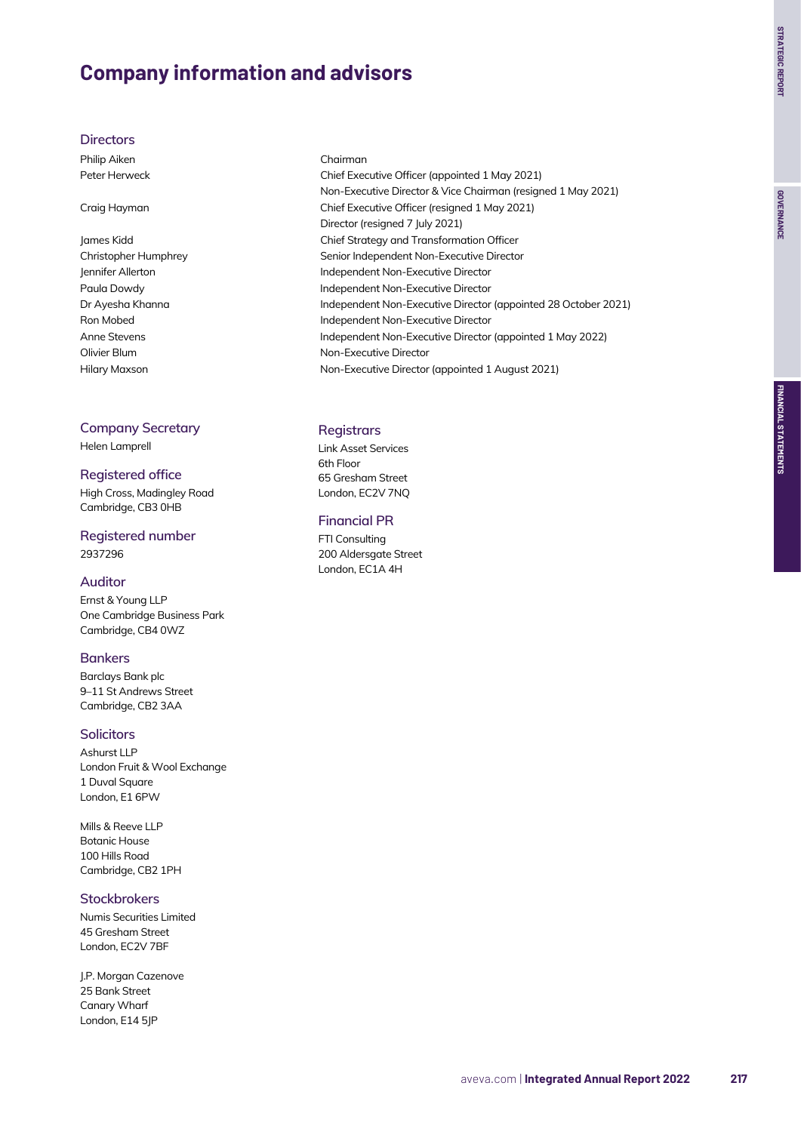# **Company information and advisors**

# **Directors**

Philip Aiken Chairman

## **Company Secretary**

Helen Lamprell

### **Registered office**

High Cross, Madingley Road Cambridge, CB3 0HB

# **Registered number**  2937296

# **Auditor**

Ernst & Young LLP One Cambridge Business Park Cambridge, CB4 0WZ

## **Bankers**

Barclays Bank plc 9–11 St Andrews Street Cambridge, CB2 3AA

# **Solicitors**

Ashurst LLP London Fruit & Wool Exchange 1 Duval Square London, E1 6PW

Mills & Reeve LLP Botanic House 100 Hills Road Cambridge, CB2 1PH

# **Stockbrokers**

Numis Securities Limited 45 Gresham Street London, EC2V 7BF

J.P. Morgan Cazenove 25 Bank Street Canary Wharf London, E14 5JP

Peter Herweck **Chief Executive Officer (appointed 1 May 2021)** Non-Executive Director & Vice Chairman (resigned 1 May 2021) Craig Hayman Chief Executive Officer (resigned 1 May 2021) Director (resigned 7 July 2021) James Kidd Chief Strategy and Transformation Officer Christopher Humphrey **Senior Independent Non-Executive Director** Jennifer Allerton Independent Non-Executive Director Paula Dowdy **Independent Non-Executive Director** Dr Ayesha Khanna Independent Non-Executive Director (appointed 28 October 2021) Ron Mobed **Independent Non-Executive Director** Anne Stevens Independent Non-Executive Director (appointed 1 May 2022) Olivier Blum Non-Executive Director Hilary Maxson Non-Executive Director (appointed 1 August 2021)

### **Registrars**

Link Asset Services 6th Floor 65 Gresham Street London, EC2V 7NQ

# **Financial PR**

FTI Consulting 200 Aldersgate Street London, EC1A 4H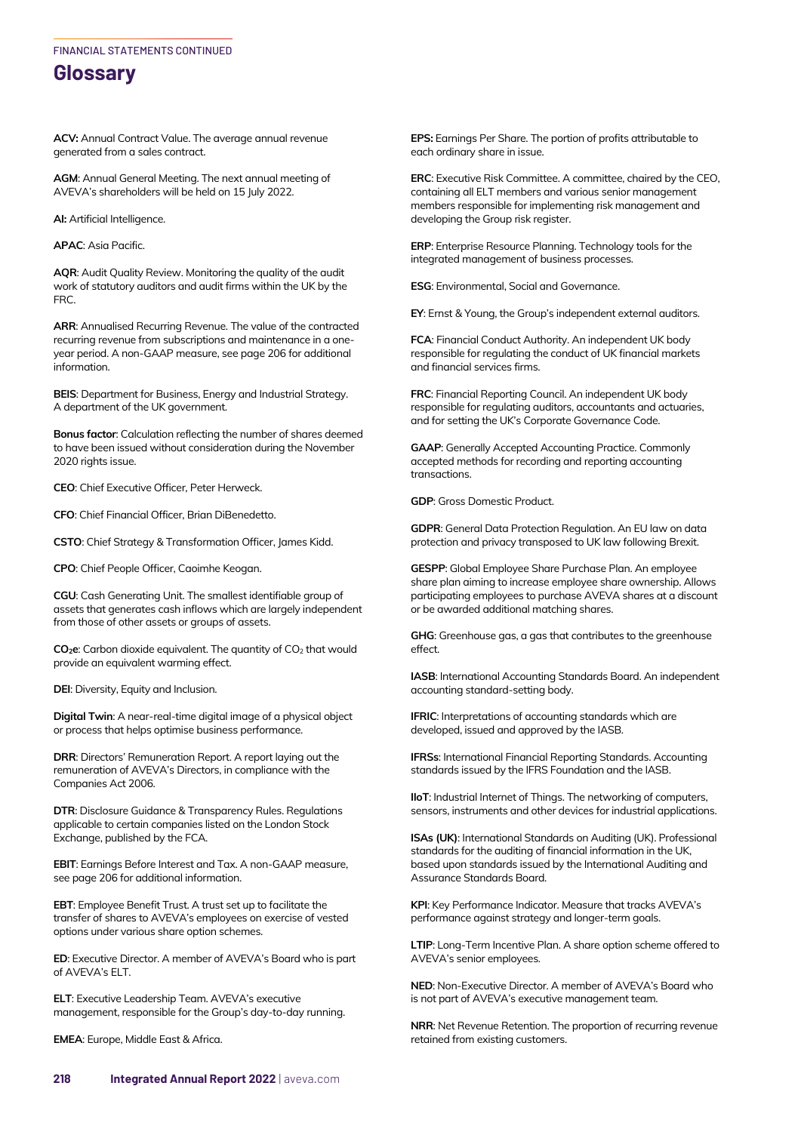#### FINANCIAL STATEMENTS CONTINUED

# **Glossary**

**ACV:** Annual Contract Value. The average annual revenue generated from a sales contract.

**AGM**: Annual General Meeting. The next annual meeting of AVEVA's shareholders will be held on 15 July 2022.

**AI:** Artificial Intelligence.

**APAC**: Asia Pacific.

**AQR**: Audit Quality Review. Monitoring the quality of the audit work of statutory auditors and audit firms within the UK by the FRC.

**ARR**: Annualised Recurring Revenue. The value of the contracted recurring revenue from subscriptions and maintenance in a oneyear period. A non-GAAP measure, see page 206 for additional information.

**BEIS**: Department for Business, Energy and Industrial Strategy. A department of the UK government.

**Bonus factor**: Calculation reflecting the number of shares deemed to have been issued without consideration during the November 2020 rights issue.

**CEO**: Chief Executive Officer, Peter Herweck.

**CFO**: Chief Financial Officer, Brian DiBenedetto.

**CSTO**: Chief Strategy & Transformation Officer, James Kidd.

**CPO**: Chief People Officer, Caoimhe Keogan.

**CGU**: Cash Generating Unit. The smallest identifiable group of assets that generates cash inflows which are largely independent from those of other assets or groups of assets.

**CO<sub>2</sub>e:** Carbon dioxide equivalent. The quantity of CO<sub>2</sub> that would provide an equivalent warming effect.

**DEI**: Diversity, Equity and Inclusion.

**Digital Twin**: A near-real-time digital image of a physical object or process that helps optimise business performance.

**DRR**: Directors' Remuneration Report. A report laying out the remuneration of AVEVA's Directors, in compliance with the Companies Act 2006.

**DTR**: Disclosure Guidance & Transparency Rules. Regulations applicable to certain companies listed on the London Stock Exchange, published by the FCA.

**EBIT**: Earnings Before Interest and Tax. A non-GAAP measure, see page 206 for additional information.

**EBT**: Employee Benefit Trust. A trust set up to facilitate the transfer of shares to AVEVA's employees on exercise of vested options under various share option schemes.

**ED**: Executive Director. A member of AVEVA's Board who is part of AVEVA's ELT.

**ELT**: Executive Leadership Team. AVEVA's executive management, responsible for the Group's day-to-day running.

**EMEA**: Europe, Middle East & Africa.

**EPS:** Earnings Per Share. The portion of profits attributable to each ordinary share in issue.

**ERC**: Executive Risk Committee. A committee, chaired by the CEO, containing all ELT members and various senior management members responsible for implementing risk management and developing the Group risk register.

**ERP**: Enterprise Resource Planning. Technology tools for the integrated management of business processes.

**ESG**: Environmental, Social and Governance.

**EY**: Ernst & Young, the Group's independent external auditors.

**FCA**: Financial Conduct Authority. An independent UK body responsible for regulating the conduct of UK financial markets and financial services firms.

**FRC**: Financial Reporting Council. An independent UK body responsible for regulating auditors, accountants and actuaries, and for setting the UK's Corporate Governance Code.

**GAAP**: Generally Accepted Accounting Practice. Commonly accepted methods for recording and reporting accounting transactions.

**GDP**: Gross Domestic Product.

**GDPR**: General Data Protection Regulation. An EU law on data protection and privacy transposed to UK law following Brexit.

**GESPP**: Global Employee Share Purchase Plan. An employee share plan aiming to increase employee share ownership. Allows participating employees to purchase AVEVA shares at a discount or be awarded additional matching shares.

**GHG**: Greenhouse gas, a gas that contributes to the greenhouse effect.

**IASB**: International Accounting Standards Board. An independent accounting standard-setting body.

**IFRIC**: Interpretations of accounting standards which are developed, issued and approved by the IASB.

**IFRSs**: International Financial Reporting Standards. Accounting standards issued by the IFRS Foundation and the IASB.

**IIoT**: Industrial Internet of Things. The networking of computers, sensors, instruments and other devices for industrial applications.

**ISAs (UK)**: International Standards on Auditing (UK). Professional standards for the auditing of financial information in the UK, based upon standards issued by the International Auditing and Assurance Standards Board.

**KPI**: Key Performance Indicator. Measure that tracks AVEVA's performance against strategy and longer-term goals.

**LTIP**: Long-Term Incentive Plan. A share option scheme offered to AVEVA's senior employees.

**NED**: Non-Executive Director. A member of AVEVA's Board who is not part of AVEVA's executive management team.

**NRR**: Net Revenue Retention. The proportion of recurring revenue retained from existing customers.